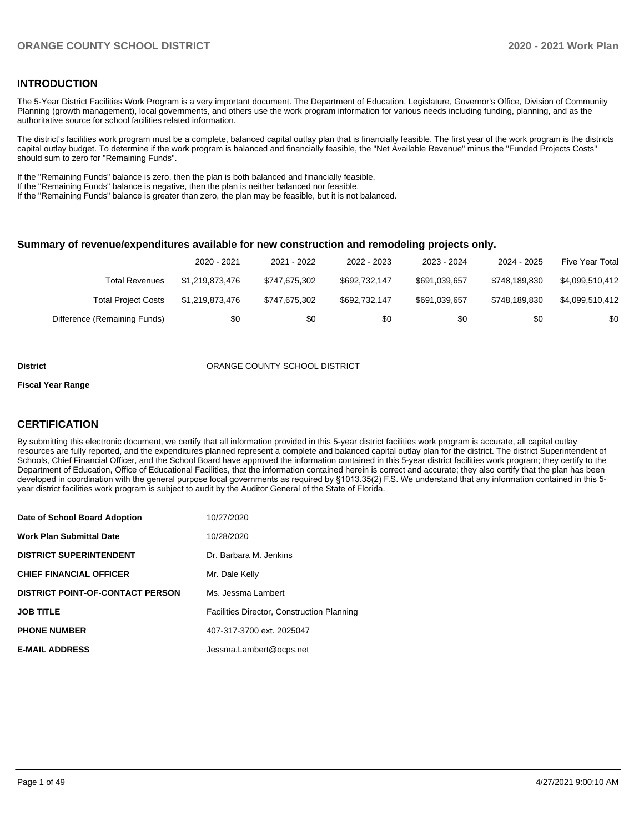#### **INTRODUCTION**

The 5-Year District Facilities Work Program is a very important document. The Department of Education, Legislature, Governor's Office, Division of Community Planning (growth management), local governments, and others use the work program information for various needs including funding, planning, and as the authoritative source for school facilities related information.

The district's facilities work program must be a complete, balanced capital outlay plan that is financially feasible. The first year of the work program is the districts capital outlay budget. To determine if the work program is balanced and financially feasible, the "Net Available Revenue" minus the "Funded Projects Costs" should sum to zero for "Remaining Funds".

If the "Remaining Funds" balance is zero, then the plan is both balanced and financially feasible.

If the "Remaining Funds" balance is negative, then the plan is neither balanced nor feasible.

If the "Remaining Funds" balance is greater than zero, the plan may be feasible, but it is not balanced.

#### **Summary of revenue/expenditures available for new construction and remodeling projects only.**

|                              | 2020 - 2021     | 2021 - 2022   | 2022 - 2023   | 2023 - 2024   | 2024 - 2025   | Five Year Total |
|------------------------------|-----------------|---------------|---------------|---------------|---------------|-----------------|
| Total Revenues               | \$1.219.873.476 | \$747.675.302 | \$692.732.147 | \$691,039,657 | \$748.189.830 | \$4.099.510.412 |
| <b>Total Project Costs</b>   | \$1.219.873.476 | \$747.675.302 | \$692.732.147 | \$691,039,657 | \$748.189.830 | \$4.099.510.412 |
| Difference (Remaining Funds) | \$0             | \$0           | \$0           | \$0           | \$0           | \$0             |

#### **District COUNTY SCHOOL DISTRICT**

#### **Fiscal Year Range**

#### **CERTIFICATION**

By submitting this electronic document, we certify that all information provided in this 5-year district facilities work program is accurate, all capital outlay resources are fully reported, and the expenditures planned represent a complete and balanced capital outlay plan for the district. The district Superintendent of Schools, Chief Financial Officer, and the School Board have approved the information contained in this 5-year district facilities work program; they certify to the Department of Education, Office of Educational Facilities, that the information contained herein is correct and accurate; they also certify that the plan has been developed in coordination with the general purpose local governments as required by §1013.35(2) F.S. We understand that any information contained in this 5 year district facilities work program is subject to audit by the Auditor General of the State of Florida.

| Date of School Board Adoption           | 10/27/2020                                        |
|-----------------------------------------|---------------------------------------------------|
| <b>Work Plan Submittal Date</b>         | 10/28/2020                                        |
| <b>DISTRICT SUPERINTENDENT</b>          | Dr. Barbara M. Jenkins                            |
| <b>CHIEF FINANCIAL OFFICER</b>          | Mr. Dale Kelly                                    |
| <b>DISTRICT POINT-OF-CONTACT PERSON</b> | Ms. Jessma Lambert                                |
| <b>JOB TITLE</b>                        | <b>Facilities Director, Construction Planning</b> |
| <b>PHONE NUMBER</b>                     | 407-317-3700 ext. 2025047                         |
| <b>E-MAIL ADDRESS</b>                   | Jessma.Lambert@ocps.net                           |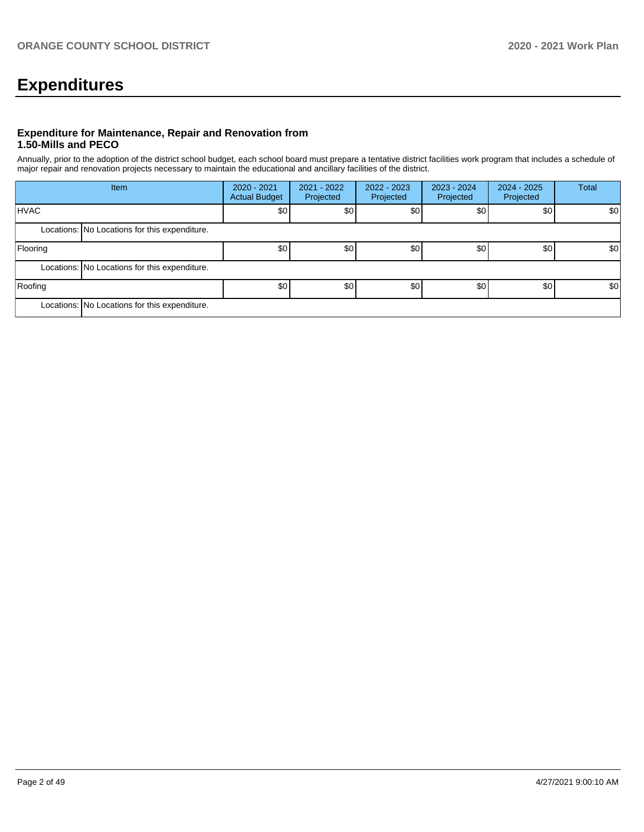# **Expenditures**

#### **Expenditure for Maintenance, Repair and Renovation from 1.50-Mills and PECO**

Annually, prior to the adoption of the district school budget, each school board must prepare a tentative district facilities work program that includes a schedule of major repair and renovation projects necessary to maintain the educational and ancillary facilities of the district.

| Item        |                                               | 2020 - 2021<br><b>Actual Budget</b> | 2021 - 2022<br>Projected | $2022 - 2023$<br>Projected | 2023 - 2024<br>Projected | 2024 - 2025<br>Projected | Total |  |  |  |
|-------------|-----------------------------------------------|-------------------------------------|--------------------------|----------------------------|--------------------------|--------------------------|-------|--|--|--|
| <b>HVAC</b> |                                               | \$0                                 | \$0                      | \$0                        |                          | \$0<br>\$0               | \$0   |  |  |  |
|             | Locations: No Locations for this expenditure. |                                     |                          |                            |                          |                          |       |  |  |  |
| Flooring    |                                               | \$0                                 | \$0                      | \$0                        | \$0                      | \$0                      | \$0   |  |  |  |
|             | Locations: No Locations for this expenditure. |                                     |                          |                            |                          |                          |       |  |  |  |
| Roofing     |                                               | \$0 <sub>1</sub>                    | \$0                      | \$0                        | \$0                      | \$0                      | \$0   |  |  |  |
|             | Locations: No Locations for this expenditure. |                                     |                          |                            |                          |                          |       |  |  |  |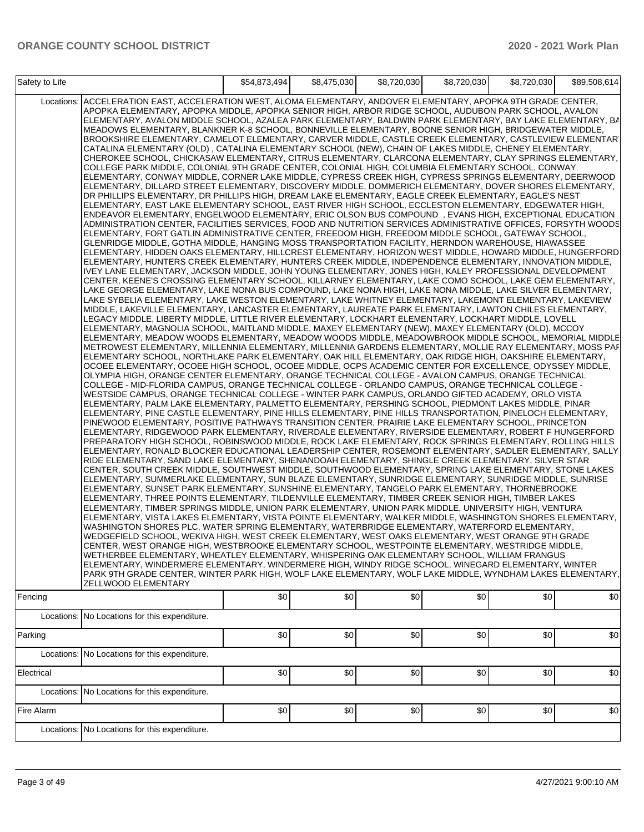| Safety to Life |                                                                                                                                                                                                                                                                                                                                                                                                                                                                                                                                                                                                                                                                                                                                                                                                                                                                                                                                                                                                                                                                                                                                                                                                                                                                                                                                                                                                                                                                                                                                                                                                                                                                                                                                                                                                                                                                                                                                                                                                                                                                                                                                                                                                                                                                                                                                                                                                                                                                                                                                                                                                                                                                                                                                                                                                                                                                                                                                                                                                                                                                                                                                                                                                                                                                                                                                                                                                                                                                                                                                                                                                                                                                                                                                                                                                                                                                                                                                                                                                                                                                                                                                                                                                                                                                                                                                                                                                                                                                                                                                                                                                                                                                                                                                                                                                                                                                                                                                                                                                                                                                                                                                                                                                                                                                                                                                                                                                                                                                                                                                                                                                                      | \$54,873,494 | \$8,475,030 | \$8,720,030 | \$8,720,030 | \$8,720,030 | \$89,508,614 |
|----------------|----------------------------------------------------------------------------------------------------------------------------------------------------------------------------------------------------------------------------------------------------------------------------------------------------------------------------------------------------------------------------------------------------------------------------------------------------------------------------------------------------------------------------------------------------------------------------------------------------------------------------------------------------------------------------------------------------------------------------------------------------------------------------------------------------------------------------------------------------------------------------------------------------------------------------------------------------------------------------------------------------------------------------------------------------------------------------------------------------------------------------------------------------------------------------------------------------------------------------------------------------------------------------------------------------------------------------------------------------------------------------------------------------------------------------------------------------------------------------------------------------------------------------------------------------------------------------------------------------------------------------------------------------------------------------------------------------------------------------------------------------------------------------------------------------------------------------------------------------------------------------------------------------------------------------------------------------------------------------------------------------------------------------------------------------------------------------------------------------------------------------------------------------------------------------------------------------------------------------------------------------------------------------------------------------------------------------------------------------------------------------------------------------------------------------------------------------------------------------------------------------------------------------------------------------------------------------------------------------------------------------------------------------------------------------------------------------------------------------------------------------------------------------------------------------------------------------------------------------------------------------------------------------------------------------------------------------------------------------------------------------------------------------------------------------------------------------------------------------------------------------------------------------------------------------------------------------------------------------------------------------------------------------------------------------------------------------------------------------------------------------------------------------------------------------------------------------------------------------------------------------------------------------------------------------------------------------------------------------------------------------------------------------------------------------------------------------------------------------------------------------------------------------------------------------------------------------------------------------------------------------------------------------------------------------------------------------------------------------------------------------------------------------------------------------------------------------------------------------------------------------------------------------------------------------------------------------------------------------------------------------------------------------------------------------------------------------------------------------------------------------------------------------------------------------------------------------------------------------------------------------------------------------------------------------------------------------------------------------------------------------------------------------------------------------------------------------------------------------------------------------------------------------------------------------------------------------------------------------------------------------------------------------------------------------------------------------------------------------------------------------------------------------------------------------------------------------------------------------------------------------------------------------------------------------------------------------------------------------------------------------------------------------------------------------------------------------------------------------------------------------------------------------------------------------------------------------------------------------------------------------------------------------------------------------------------------------------------------------------------------|--------------|-------------|-------------|-------------|-------------|--------------|
|                | Locations: ACCELERATION EAST, ACCELERATION WEST, ALOMA ELEMENTARY, ANDOVER ELEMENTARY, APOPKA 9TH GRADE CENTER,<br>APOPKA ELEMENTARY, APOPKA MIDDLE, APOPKA SENIOR HIGH, ARBOR RIDGE SCHOOL, AUDUBON PARK SCHOOL, AVALON<br>ELEMENTARY, AVALON MIDDLE SCHOOL, AZALEA PARK ELEMENTARY, BALDWIN PARK ELEMENTARY, BAY LAKE ELEMENTARY, BA<br>MEADOWS ELEMENTARY, BLANKNER K-8 SCHOOL, BONNEVILLE ELEMENTARY, BOONE SENIOR HIGH, BRIDGEWATER MIDDLE,<br>BROOKSHIRE ELEMENTARY, CAMELOT ELEMENTARY, CARVER MIDDLE, CASTLE CREEK ELEMENTARY, CASTLEVIEW ELEMENTAR<br>CATALINA ELEMENTARY (OLD), CATALINA ELEMENTARY SCHOOL (NEW), CHAIN OF LAKES MIDDLE, CHENEY ELEMENTARY,<br>CHEROKEE SCHOOL, CHICKASAW ELEMENTARY, CITRUS ELEMENTARY, CLARCONA ELEMENTARY, CLAY SPRINGS ELEMENTARY,<br>COLLEGE PARK MIDDLE, COLONIAL 9TH GRADE CENTER, COLONIAL HIGH, COLUMBIA ELEMENTARY SCHOOL, CONWAY<br>ELEMENTARY, CONWAY MIDDLE, CORNER LAKE MIDDLE, CYPRESS CREEK HIGH, CYPRESS SPRINGS ELEMENTARY, DEERWOOD<br>ELEMENTARY, DILLARD STREET ELEMENTARY, DISCOVERY MIDDLE, DOMMERICH ELEMENTARY, DOVER SHORES ELEMENTARY,<br>DR PHILLIPS ELEMENTARY, DR PHILLIPS HIGH, DREAM LAKE ELEMENTARY, EAGLE CREEK ELEMENTARY, EAGLE'S NEST<br>ELEMENTARY, EAST LAKE ELEMENTARY SCHOOL, EAST RIVER HIGH SCHOOL, ECCLESTON ELEMENTARY, EDGEWATER HIGH,<br>ENDEAVOR ELEMENTARY, ENGELWOOD ELEMENTARY, ERIC OLSON BUS COMPOUND , EVANS HIGH, EXCEPTIONAL EDUCATION<br>ADMINISTRATION CENTER, FACILITIES SERVICES, FOOD AND NUTRITION SERVICES ADMINISTRATIVE OFFICES, FORSYTH WOODS<br>ELEMENTARY, FORT GATLIN ADMINISTRATIVE CENTER, FREEDOM HIGH, FREEDOM MIDDLE SCHOOL, GATEWAY SCHOOL,<br>GLENRIDGE MIDDLE, GOTHA MIDDLE, HANGING MOSS TRANSPORTATION FACILITY, HERNDON WAREHOUSE, HIAWASSEE<br>ELEMENTARY, HIDDEN OAKS ELEMENTARY, HILLCREST ELEMENTARY, HORIZON WEST MIDDLE, HOWARD MIDDLE, HUNGERFORD<br>ELEMENTARY, HUNTERS CREEK ELEMENTARY, HUNTERS CREEK MIDDLE, INDEPENDENCE ELEMENTARY, INNOVATION MIDDLE,<br>IVEY LANE ELEMENTARY, JACKSON MIDDLE, JOHN YOUNG ELEMENTARY, JONES HIGH, KALEY PROFESSIONAL DEVELOPMENT<br>CENTER, KEENE'S CROSSING ELEMENTARY SCHOOL, KILLARNEY ELEMENTARY, LAKE COMO SCHOOL, LAKE GEM ELEMENTARY,<br>LAKE GEORGE ELEMENTARY, LAKE NONA BUS COMPOUND, LAKE NONA HIGH, LAKE NONA MIDDLE, LAKE SILVER ELEMENTARY,<br>LAKE SYBELIA ELEMENTARY, LAKE WESTON ELEMENTARY, LAKE WHITNEY ELEMENTARY, LAKEMONT ELEMENTARY, LAKEVIEW<br>MIDDLE, LAKEVILLE ELEMENTARY, LANCASTER ELEMENTARY, LAUREATE PARK ELEMENTARY, LAWTON CHILES ELEMENTARY,<br>LEGACY MIDDLE, LIBERTY MIDDLE, LITTLE RIVER ELEMENTARY, LOCKHART ELEMENTARY, LOCKHART MIDDLE, LOVELL<br>ELEMENTARY, MAGNOLIA SCHOOL, MAITLAND MIDDLE, MAXEY ELEMENTARY (NEW), MAXEY ELEMENTARY (OLD), MCCOY<br>ELEMENTARY, MEADOW WOODS ELEMENTARY, MEADOW WOODS MIDDLE, MEADOWBROOK MIDDLE SCHOOL, MEMORIAL MIDDLE<br>METROWEST ELEMENTARY, MILLENNIA ELEMENTARY, MILLENNIA GARDENS ELEMENTARY, MOLLIE RAY ELEMENTARY, MOSS PAF<br>ELEMENTARY SCHOOL, NORTHLAKE PARK ELEMENTARY, OAK HILL ELEMENTARY, OAK RIDGE HIGH, OAKSHIRE ELEMENTARY,<br>OCOEE ELEMENTARY, OCOEE HIGH SCHOOL, OCOEE MIDDLE, OCPS ACADEMIC CENTER FOR EXCELLENCE, ODYSSEY MIDDLE,<br>OLYMPIA HIGH, ORANGE CENTER ELEMENTARY, ORANGE TECHNICAL COLLEGE - AVALON CAMPUS, ORANGE TECHNICAL<br>COLLEGE - MID-FLORIDA CAMPUS, ORANGE TECHNICAL COLLEGE - ORLANDO CAMPUS, ORANGE TECHNICAL COLLEGE -<br>WESTSIDE CAMPUS, ORANGE TECHNICAL COLLEGE - WINTER PARK CAMPUS, ORLANDO GIFTED ACADEMY, ORLO VISTA<br>ELEMENTARY, PALM LAKE ELEMENTARY, PALMETTO ELEMENTARY, PERSHING SCHOOL, PIEDMONT LAKES MIDDLE, PINAR<br>ELEMENTARY, PINE CASTLE ELEMENTARY, PINE HILLS ELEMENTARY, PINE HILLS TRANSPORTATION, PINELOCH ELEMENTARY,<br>PINEWOOD ELEMENTARY, POSITIVE PATHWAYS TRANSITION CENTER, PRAIRIE LAKE ELEMENTARY SCHOOL, PRINCETON<br>ELEMENTARY, RIDGEWOOD PARK ELEMENTARY, RIVERDALE ELEMENTARY, RIVERSIDE ELEMENTARY, ROBERT F HUNGERFORD<br>PREPARATORY HIGH SCHOOL, ROBINSWOOD MIDDLE, ROCK LAKE ELEMENTARY, ROCK SPRINGS ELEMENTARY, ROLLING HILLS<br>ELEMENTARY, RONALD BLOCKER EDUCATIONAL LEADERSHIP CENTER, ROSEMONT ELEMENTARY, SADLER ELEMENTARY, SALLY<br>RIDE ELEMENTARY, SAND LAKE ELEMENTARY, SHENANDOAH ELEMENTARY, SHINGLE CREEK ELEMENTARY, SILVER STAR<br>CENTER, SOUTH CREEK MIDDLE, SOUTHWEST MIDDLE, SOUTHWOOD ELEMENTARY, SPRING LAKE ELEMENTARY, STONE LAKES<br>ELEMENTARY, SUMMERLAKE ELEMENTARY, SUN BLAZE ELEMENTARY, SUNRIDGE ELEMENTARY, SUNRIDGE MIDDLE, SUNRISE<br>ELEMENTARY, SUNSET PARK ELEMENTARY, SUNSHINE ELEMENTARY, TANGELO PARK ELEMENTARY, THORNEBROOKE<br>ELEMENTARY, THREE POINTS ELEMENTARY, TILDENVILLE ELEMENTARY, TIMBER CREEK SENIOR HIGH, TIMBER LAKES<br>ELEMENTARY, TIMBER SPRINGS MIDDLE, UNION PARK ELEMENTARY, UNION PARK MIDDLE, UNIVERSITY HIGH, VENTURA<br>ELEMENTARY, VISTA LAKES ELEMENTARY, VISTA POINTE ELEMENTARY, WALKER MIDDLE, WASHINGTON SHORES ELEMENTARY,<br>WASHINGTON SHORES PLC, WATER SPRING ELEMENTARY, WATERBRIDGE ELEMENTARY, WATERFORD ELEMENTARY,<br>WEDGEFIELD SCHOOL, WEKIVA HIGH, WEST CREEK ELEMENTARY, WEST OAKS ELEMENTARY, WEST ORANGE 9TH GRADE<br>CENTER, WEST ORANGE HIGH, WESTBROOKE ELEMENTARY SCHOOL, WESTPOINTE ELEMENTARY, WESTRIDGE MIDDLE,<br>WETHERBEE ELEMENTARY, WHEATLEY ELEMENTARY, WHISPERING OAK ELEMENTARY SCHOOL, WILLIAM FRANGUS<br>ELEMENTARY, WINDERMERE ELEMENTARY, WINDERMERE HIGH, WINDY RIDGE SCHOOL, WINEGARD ELEMENTARY, WINTER<br>PARK 9TH GRADE CENTER, WINTER PARK HIGH, WOLF LAKE ELEMENTARY, WOLF LAKE MIDDLE, WYNDHAM LAKES ELEMENTARY,<br>ZELLWOOD ELEMENTARY |              |             |             |             |             |              |
| Fencing        |                                                                                                                                                                                                                                                                                                                                                                                                                                                                                                                                                                                                                                                                                                                                                                                                                                                                                                                                                                                                                                                                                                                                                                                                                                                                                                                                                                                                                                                                                                                                                                                                                                                                                                                                                                                                                                                                                                                                                                                                                                                                                                                                                                                                                                                                                                                                                                                                                                                                                                                                                                                                                                                                                                                                                                                                                                                                                                                                                                                                                                                                                                                                                                                                                                                                                                                                                                                                                                                                                                                                                                                                                                                                                                                                                                                                                                                                                                                                                                                                                                                                                                                                                                                                                                                                                                                                                                                                                                                                                                                                                                                                                                                                                                                                                                                                                                                                                                                                                                                                                                                                                                                                                                                                                                                                                                                                                                                                                                                                                                                                                                                                                      | \$0          | \$0         | \$0         | \$0         | \$0         | \$0          |
|                | Locations: No Locations for this expenditure.                                                                                                                                                                                                                                                                                                                                                                                                                                                                                                                                                                                                                                                                                                                                                                                                                                                                                                                                                                                                                                                                                                                                                                                                                                                                                                                                                                                                                                                                                                                                                                                                                                                                                                                                                                                                                                                                                                                                                                                                                                                                                                                                                                                                                                                                                                                                                                                                                                                                                                                                                                                                                                                                                                                                                                                                                                                                                                                                                                                                                                                                                                                                                                                                                                                                                                                                                                                                                                                                                                                                                                                                                                                                                                                                                                                                                                                                                                                                                                                                                                                                                                                                                                                                                                                                                                                                                                                                                                                                                                                                                                                                                                                                                                                                                                                                                                                                                                                                                                                                                                                                                                                                                                                                                                                                                                                                                                                                                                                                                                                                                                        |              |             |             |             |             |              |
| Parking        |                                                                                                                                                                                                                                                                                                                                                                                                                                                                                                                                                                                                                                                                                                                                                                                                                                                                                                                                                                                                                                                                                                                                                                                                                                                                                                                                                                                                                                                                                                                                                                                                                                                                                                                                                                                                                                                                                                                                                                                                                                                                                                                                                                                                                                                                                                                                                                                                                                                                                                                                                                                                                                                                                                                                                                                                                                                                                                                                                                                                                                                                                                                                                                                                                                                                                                                                                                                                                                                                                                                                                                                                                                                                                                                                                                                                                                                                                                                                                                                                                                                                                                                                                                                                                                                                                                                                                                                                                                                                                                                                                                                                                                                                                                                                                                                                                                                                                                                                                                                                                                                                                                                                                                                                                                                                                                                                                                                                                                                                                                                                                                                                                      | \$0          | \$0         | \$0         | \$0         | \$0         | \$0          |
|                | Locations: No Locations for this expenditure.                                                                                                                                                                                                                                                                                                                                                                                                                                                                                                                                                                                                                                                                                                                                                                                                                                                                                                                                                                                                                                                                                                                                                                                                                                                                                                                                                                                                                                                                                                                                                                                                                                                                                                                                                                                                                                                                                                                                                                                                                                                                                                                                                                                                                                                                                                                                                                                                                                                                                                                                                                                                                                                                                                                                                                                                                                                                                                                                                                                                                                                                                                                                                                                                                                                                                                                                                                                                                                                                                                                                                                                                                                                                                                                                                                                                                                                                                                                                                                                                                                                                                                                                                                                                                                                                                                                                                                                                                                                                                                                                                                                                                                                                                                                                                                                                                                                                                                                                                                                                                                                                                                                                                                                                                                                                                                                                                                                                                                                                                                                                                                        |              |             |             |             |             |              |
| Electrical     |                                                                                                                                                                                                                                                                                                                                                                                                                                                                                                                                                                                                                                                                                                                                                                                                                                                                                                                                                                                                                                                                                                                                                                                                                                                                                                                                                                                                                                                                                                                                                                                                                                                                                                                                                                                                                                                                                                                                                                                                                                                                                                                                                                                                                                                                                                                                                                                                                                                                                                                                                                                                                                                                                                                                                                                                                                                                                                                                                                                                                                                                                                                                                                                                                                                                                                                                                                                                                                                                                                                                                                                                                                                                                                                                                                                                                                                                                                                                                                                                                                                                                                                                                                                                                                                                                                                                                                                                                                                                                                                                                                                                                                                                                                                                                                                                                                                                                                                                                                                                                                                                                                                                                                                                                                                                                                                                                                                                                                                                                                                                                                                                                      | \$0          | \$0         | \$0         | \$0         | \$0         | \$0          |
|                | Locations: No Locations for this expenditure.                                                                                                                                                                                                                                                                                                                                                                                                                                                                                                                                                                                                                                                                                                                                                                                                                                                                                                                                                                                                                                                                                                                                                                                                                                                                                                                                                                                                                                                                                                                                                                                                                                                                                                                                                                                                                                                                                                                                                                                                                                                                                                                                                                                                                                                                                                                                                                                                                                                                                                                                                                                                                                                                                                                                                                                                                                                                                                                                                                                                                                                                                                                                                                                                                                                                                                                                                                                                                                                                                                                                                                                                                                                                                                                                                                                                                                                                                                                                                                                                                                                                                                                                                                                                                                                                                                                                                                                                                                                                                                                                                                                                                                                                                                                                                                                                                                                                                                                                                                                                                                                                                                                                                                                                                                                                                                                                                                                                                                                                                                                                                                        | \$0          |             | \$0         | \$0         | \$0         | \$0          |
| Fire Alarm     |                                                                                                                                                                                                                                                                                                                                                                                                                                                                                                                                                                                                                                                                                                                                                                                                                                                                                                                                                                                                                                                                                                                                                                                                                                                                                                                                                                                                                                                                                                                                                                                                                                                                                                                                                                                                                                                                                                                                                                                                                                                                                                                                                                                                                                                                                                                                                                                                                                                                                                                                                                                                                                                                                                                                                                                                                                                                                                                                                                                                                                                                                                                                                                                                                                                                                                                                                                                                                                                                                                                                                                                                                                                                                                                                                                                                                                                                                                                                                                                                                                                                                                                                                                                                                                                                                                                                                                                                                                                                                                                                                                                                                                                                                                                                                                                                                                                                                                                                                                                                                                                                                                                                                                                                                                                                                                                                                                                                                                                                                                                                                                                                                      |              | \$0         |             |             |             |              |
|                | Locations: No Locations for this expenditure.                                                                                                                                                                                                                                                                                                                                                                                                                                                                                                                                                                                                                                                                                                                                                                                                                                                                                                                                                                                                                                                                                                                                                                                                                                                                                                                                                                                                                                                                                                                                                                                                                                                                                                                                                                                                                                                                                                                                                                                                                                                                                                                                                                                                                                                                                                                                                                                                                                                                                                                                                                                                                                                                                                                                                                                                                                                                                                                                                                                                                                                                                                                                                                                                                                                                                                                                                                                                                                                                                                                                                                                                                                                                                                                                                                                                                                                                                                                                                                                                                                                                                                                                                                                                                                                                                                                                                                                                                                                                                                                                                                                                                                                                                                                                                                                                                                                                                                                                                                                                                                                                                                                                                                                                                                                                                                                                                                                                                                                                                                                                                                        |              |             |             |             |             |              |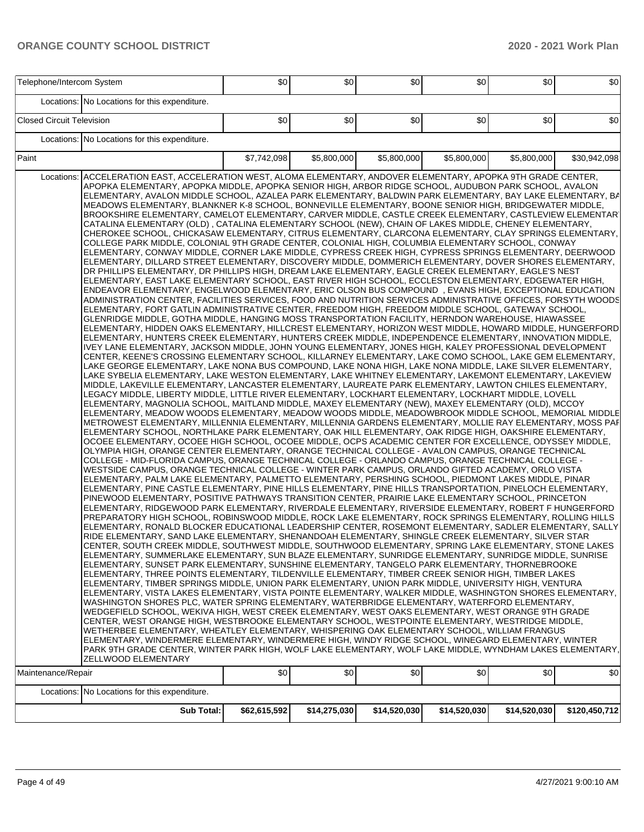|                                  | Telephone/Intercom System                                                                                                                                                                                                                                                                                                                                                                                                                                                                                                                                                                                                                                                                                                                                                                                                                                                                                                                                                                                                                                                                                                                                                                                                                                                                                                                                                                                                                                                                                                                                                                                                                                                                                                                                                                                                                                                                                                                                                                                                                                                                                                                                                                                                                                                                                                                                                                                                                                                                                                                                                                                                                                                                                                                                                                                                                                                                                                                                                                                                                                                                                                                                                                                                                                                                                                                                                                                                                                                                                                                                                                                                                                                                                                                                                                                                                                                                                                                                                                                                                                                                                                                                                                                                                                                                                                                                                                                                                                                                                                                                                                                                                                                                                                                                                                                                                                                                                                                                                                                                                                                                                                                                                                                                                                                                                                                                                                                                                                                                                                                                                                                                                                                                                                                                        |              | \$0          | \$0          | \$0          | \$0          | \$0           |  |  |
|----------------------------------|------------------------------------------------------------------------------------------------------------------------------------------------------------------------------------------------------------------------------------------------------------------------------------------------------------------------------------------------------------------------------------------------------------------------------------------------------------------------------------------------------------------------------------------------------------------------------------------------------------------------------------------------------------------------------------------------------------------------------------------------------------------------------------------------------------------------------------------------------------------------------------------------------------------------------------------------------------------------------------------------------------------------------------------------------------------------------------------------------------------------------------------------------------------------------------------------------------------------------------------------------------------------------------------------------------------------------------------------------------------------------------------------------------------------------------------------------------------------------------------------------------------------------------------------------------------------------------------------------------------------------------------------------------------------------------------------------------------------------------------------------------------------------------------------------------------------------------------------------------------------------------------------------------------------------------------------------------------------------------------------------------------------------------------------------------------------------------------------------------------------------------------------------------------------------------------------------------------------------------------------------------------------------------------------------------------------------------------------------------------------------------------------------------------------------------------------------------------------------------------------------------------------------------------------------------------------------------------------------------------------------------------------------------------------------------------------------------------------------------------------------------------------------------------------------------------------------------------------------------------------------------------------------------------------------------------------------------------------------------------------------------------------------------------------------------------------------------------------------------------------------------------------------------------------------------------------------------------------------------------------------------------------------------------------------------------------------------------------------------------------------------------------------------------------------------------------------------------------------------------------------------------------------------------------------------------------------------------------------------------------------------------------------------------------------------------------------------------------------------------------------------------------------------------------------------------------------------------------------------------------------------------------------------------------------------------------------------------------------------------------------------------------------------------------------------------------------------------------------------------------------------------------------------------------------------------------------------------------------------------------------------------------------------------------------------------------------------------------------------------------------------------------------------------------------------------------------------------------------------------------------------------------------------------------------------------------------------------------------------------------------------------------------------------------------------------------------------------------------------------------------------------------------------------------------------------------------------------------------------------------------------------------------------------------------------------------------------------------------------------------------------------------------------------------------------------------------------------------------------------------------------------------------------------------------------------------------------------------------------------------------------------------------------------------------------------------------------------------------------------------------------------------------------------------------------------------------------------------------------------------------------------------------------------------------------------------------------------------------------------------------------------------------------------------------------------------------------------------------------------------------------------|--------------|--------------|--------------|--------------|--------------|---------------|--|--|
|                                  | Locations: No Locations for this expenditure.                                                                                                                                                                                                                                                                                                                                                                                                                                                                                                                                                                                                                                                                                                                                                                                                                                                                                                                                                                                                                                                                                                                                                                                                                                                                                                                                                                                                                                                                                                                                                                                                                                                                                                                                                                                                                                                                                                                                                                                                                                                                                                                                                                                                                                                                                                                                                                                                                                                                                                                                                                                                                                                                                                                                                                                                                                                                                                                                                                                                                                                                                                                                                                                                                                                                                                                                                                                                                                                                                                                                                                                                                                                                                                                                                                                                                                                                                                                                                                                                                                                                                                                                                                                                                                                                                                                                                                                                                                                                                                                                                                                                                                                                                                                                                                                                                                                                                                                                                                                                                                                                                                                                                                                                                                                                                                                                                                                                                                                                                                                                                                                                                                                                                                                    |              |              |              |              |              |               |  |  |
|                                  |                                                                                                                                                                                                                                                                                                                                                                                                                                                                                                                                                                                                                                                                                                                                                                                                                                                                                                                                                                                                                                                                                                                                                                                                                                                                                                                                                                                                                                                                                                                                                                                                                                                                                                                                                                                                                                                                                                                                                                                                                                                                                                                                                                                                                                                                                                                                                                                                                                                                                                                                                                                                                                                                                                                                                                                                                                                                                                                                                                                                                                                                                                                                                                                                                                                                                                                                                                                                                                                                                                                                                                                                                                                                                                                                                                                                                                                                                                                                                                                                                                                                                                                                                                                                                                                                                                                                                                                                                                                                                                                                                                                                                                                                                                                                                                                                                                                                                                                                                                                                                                                                                                                                                                                                                                                                                                                                                                                                                                                                                                                                                                                                                                                                                                                                                                  | \$0          | \$0          | \$0          | \$0          | \$0          | \$0           |  |  |
|                                  |                                                                                                                                                                                                                                                                                                                                                                                                                                                                                                                                                                                                                                                                                                                                                                                                                                                                                                                                                                                                                                                                                                                                                                                                                                                                                                                                                                                                                                                                                                                                                                                                                                                                                                                                                                                                                                                                                                                                                                                                                                                                                                                                                                                                                                                                                                                                                                                                                                                                                                                                                                                                                                                                                                                                                                                                                                                                                                                                                                                                                                                                                                                                                                                                                                                                                                                                                                                                                                                                                                                                                                                                                                                                                                                                                                                                                                                                                                                                                                                                                                                                                                                                                                                                                                                                                                                                                                                                                                                                                                                                                                                                                                                                                                                                                                                                                                                                                                                                                                                                                                                                                                                                                                                                                                                                                                                                                                                                                                                                                                                                                                                                                                                                                                                                                                  |              |              |              |              |              |               |  |  |
| Paint                            |                                                                                                                                                                                                                                                                                                                                                                                                                                                                                                                                                                                                                                                                                                                                                                                                                                                                                                                                                                                                                                                                                                                                                                                                                                                                                                                                                                                                                                                                                                                                                                                                                                                                                                                                                                                                                                                                                                                                                                                                                                                                                                                                                                                                                                                                                                                                                                                                                                                                                                                                                                                                                                                                                                                                                                                                                                                                                                                                                                                                                                                                                                                                                                                                                                                                                                                                                                                                                                                                                                                                                                                                                                                                                                                                                                                                                                                                                                                                                                                                                                                                                                                                                                                                                                                                                                                                                                                                                                                                                                                                                                                                                                                                                                                                                                                                                                                                                                                                                                                                                                                                                                                                                                                                                                                                                                                                                                                                                                                                                                                                                                                                                                                                                                                                                                  | \$7,742,098  | \$5,800,000  |              |              | \$5,800,000  | \$30,942,098  |  |  |
| Locations:<br>Maintenance/Repair | <b>Closed Circuit Television</b><br>Locations: No Locations for this expenditure.<br>\$5,800,000<br>\$5,800,000<br>ACCELERATION EAST, ACCELERATION WEST, ALOMA ELEMENTARY, ANDOVER ELEMENTARY, APOPKA 9TH GRADE CENTER,<br>APOPKA ELEMENTARY, APOPKA MIDDLE, APOPKA SENIOR HIGH, ARBOR RIDGE SCHOOL, AUDUBON PARK SCHOOL, AVALON<br>ELEMENTARY, AVALON MIDDLE SCHOOL, AZALEA PARK ELEMENTARY, BALDWIN PARK ELEMENTARY, BAY LAKE ELEMENTARY, BA<br>MEADOWS ELEMENTARY, BLANKNER K-8 SCHOOL, BONNEVILLE ELEMENTARY, BOONE SENIOR HIGH, BRIDGEWATER MIDDLE,<br>BROOKSHIRE ELEMENTARY, CAMELOT ELEMENTARY, CARVER MIDDLE, CASTLE CREEK ELEMENTARY, CASTLEVIEW ELEMENTARY<br>CATALINA ELEMENTARY (OLD), CATALINA ELEMENTARY SCHOOL (NEW), CHAIN OF LAKES MIDDLE, CHENEY ELEMENTARY,<br>CHEROKEE SCHOOL, CHICKASAW ELEMENTARY, CITRUS ELEMENTARY, CLARCONA ELEMENTARY, CLAY SPRINGS ELEMENTARY,<br>COLLEGE PARK MIDDLE, COLONIAL 9TH GRADE CENTER, COLONIAL HIGH, COLUMBIA ELEMENTARY SCHOOL, CONWAY<br>ELEMENTARY, CONWAY MIDDLE, CORNER LAKE MIDDLE, CYPRESS CREEK HIGH, CYPRESS SPRINGS ELEMENTARY, DEERWOOD<br>ELEMENTARY, DILLARD STREET ELEMENTARY, DISCOVERY MIDDLE, DOMMERICH ELEMENTARY, DOVER SHORES ELEMENTARY,<br>DR PHILLIPS ELEMENTARY, DR PHILLIPS HIGH, DREAM LAKE ELEMENTARY, EAGLE CREEK ELEMENTARY, EAGLE'S NEST<br>ELEMENTARY, EAST LAKE ELEMENTARY SCHOOL, EAST RIVER HIGH SCHOOL, ECCLESTON ELEMENTARY, EDGEWATER HIGH,<br>ENDEAVOR ELEMENTARY, ENGELWOOD ELEMENTARY, ERIC OLSON BUS COMPOUND, EVANS HIGH, EXCEPTIONAL EDUCATION<br>ADMINISTRATION CENTER, FACILITIES SERVICES, FOOD AND NUTRITION SERVICES ADMINISTRATIVE OFFICES, FORSYTH WOODSI<br>ELEMENTARY, FORT GATLIN ADMINISTRATIVE CENTER, FREEDOM HIGH, FREEDOM MIDDLE SCHOOL, GATEWAY SCHOOL,<br>GLENRIDGE MIDDLE, GOTHA MIDDLE, HANGING MOSS TRANSPORTATION FACILITY, HERNDON WAREHOUSE, HIAWASSEE<br>ELEMENTARY, HIDDEN OAKS ELEMENTARY, HILLCREST ELEMENTARY, HORIZON WEST MIDDLE, HOWARD MIDDLE, HUNGERFORD<br>ELEMENTARY, HUNTERS CREEK ELEMENTARY, HUNTERS CREEK MIDDLE, INDEPENDENCE ELEMENTARY, INNOVATION MIDDLE,<br>IVEY LANE ELEMENTARY, JACKSON MIDDLE, JOHN YOUNG ELEMENTARY, JONES HIGH, KALEY PROFESSIONAL DEVELOPMENT<br>CENTER, KEENE'S CROSSING ELEMENTARY SCHOOL, KILLARNEY ELEMENTARY, LAKE COMO SCHOOL, LAKE GEM ELEMENTARY,<br>LAKE GEORGE ELEMENTARY, LAKE NONA BUS COMPOUND, LAKE NONA HIGH, LAKE NONA MIDDLE, LAKE SILVER ELEMENTARY,<br>LAKE SYBELIA ELEMENTARY, LAKE WESTON ELEMENTARY, LAKE WHITNEY ELEMENTARY, LAKEMONT ELEMENTARY, LAKEVIEW<br>MIDDLE, LAKEVILLE ELEMENTARY, LANCASTER ELEMENTARY, LAUREATE PARK ELEMENTARY, LAWTON CHILES ELEMENTARY,<br>LEGACY MIDDLE, LIBERTY MIDDLE, LITTLE RIVER ELEMENTARY, LOCKHART ELEMENTARY, LOCKHART MIDDLE, LOVELL<br>ELEMENTARY, MAGNOLIA SCHOOL, MAITLAND MIDDLE, MAXEY ELEMENTARY (NEW), MAXEY ELEMENTARY (OLD), MCCOY<br>ELEMENTARY, MEADOW WOODS ELEMENTARY, MEADOW WOODS MIDDLE, MEADOWBROOK MIDDLE SCHOOL, MEMORIAL MIDDLE<br>METROWEST ELEMENTARY, MILLENNIA ELEMENTARY, MILLENNIA GARDENS ELEMENTARY, MOLLIE RAY ELEMENTARY, MOSS PAF<br>ELEMENTARY SCHOOL, NORTHLAKE PARK ELEMENTARY, OAK HILL ELEMENTARY, OAK RIDGE HIGH, OAKSHIRE ELEMENTARY,<br>OCOEE ELEMENTARY, OCOEE HIGH SCHOOL, OCOEE MIDDLE, OCPS ACADEMIC CENTER FOR EXCELLENCE, ODYSSEY MIDDLE,<br>OLYMPIA HIGH, ORANGE CENTER ELEMENTARY, ORANGE TECHNICAL COLLEGE - AVALON CAMPUS, ORANGE TECHNICAL<br>COLLEGE - MID-FLORIDA CAMPUS, ORANGE TECHNICAL COLLEGE - ORLANDO CAMPUS, ORANGE TECHNICAL COLLEGE -<br>WESTSIDE CAMPUS, ORANGE TECHNICAL COLLEGE - WINTER PARK CAMPUS, ORLANDO GIFTED ACADEMY, ORLO VISTA<br>ELEMENTARY, PALM LAKE ELEMENTARY, PALMETTO ELEMENTARY, PERSHING SCHOOL, PIEDMONT LAKES MIDDLE, PINAR<br>ELEMENTARY, PINE CASTLE ELEMENTARY, PINE HILLS ELEMENTARY, PINE HILLS TRANSPORTATION, PINELOCH ELEMENTARY,<br>PINEWOOD ELEMENTARY, POSITIVE PATHWAYS TRANSITION CENTER, PRAIRIE LAKE ELEMENTARY SCHOOL, PRINCETON<br>ELEMENTARY, RIDGEWOOD PARK ELEMENTARY, RIVERDALE ELEMENTARY, RIVERSIDE ELEMENTARY, ROBERT F HUNGERFORD<br>PREPARATORY HIGH SCHOOL, ROBINSWOOD MIDDLE, ROCK LAKE ELEMENTARY, ROCK SPRINGS ELEMENTARY, ROLLING HILLS<br>ELEMENTARY, RONALD BLOCKER EDUCATIONAL LEADERSHIP CENTER, ROSEMONT ELEMENTARY, SADLER ELEMENTARY, SALLY<br>RIDE ELEMENTARY, SAND LAKE ELEMENTARY, SHENANDOAH ELEMENTARY, SHINGLE CREEK ELEMENTARY, SILVER STAR<br>CENTER, SOUTH CREEK MIDDLE, SOUTHWEST MIDDLE, SOUTHWOOD ELEMENTARY, SPRING LAKE ELEMENTARY, STONE LAKES<br>ELEMENTARY, SUMMERLAKE ELEMENTARY, SUN BLAZE ELEMENTARY, SUNRIDGE ELEMENTARY, SUNRIDGE MIDDLE, SUNRISE<br>ELEMENTARY, SUNSET PARK ELEMENTARY, SUNSHINE ELEMENTARY, TANGELO PARK ELEMENTARY, THORNEBROOKE<br>ELEMENTARY, THREE POINTS ELEMENTARY, TILDENVILLE ELEMENTARY, TIMBER CREEK SENIOR HIGH, TIMBER LAKES<br>ELEMENTARY, TIMBER SPRINGS MIDDLE, UNION PARK ELEMENTARY, UNION PARK MIDDLE, UNIVERSITY HIGH, VENTURA<br>ELEMENTARY, VISTA LAKES ELEMENTARY, VISTA POINTE ELEMENTARY, WALKER MIDDLE, WASHINGTON SHORES ELEMENTARY.<br>WASHINGTON SHORES PLC, WATER SPRING ELEMENTARY, WATERBRIDGE ELEMENTARY, WATERFORD ELEMENTARY,<br>WEDGEFIELD SCHOOL, WEKIVA HIGH, WEST CREEK ELEMENTARY, WEST OAKS ELEMENTARY, WEST ORANGE 9TH GRADE<br>CENTER, WEST ORANGE HIGH, WESTBROOKE ELEMENTARY SCHOOL, WESTPOINTE ELEMENTARY, WESTRIDGE MIDDLE,<br>WETHERBEE ELEMENTARY, WHEATLEY ELEMENTARY, WHISPERING OAK ELEMENTARY SCHOOL, WILLIAM FRANGUS<br>ELEMENTARY, WINDERMERE ELEMENTARY, WINDERMERE HIGH, WINDY RIDGE SCHOOL, WINEGARD ELEMENTARY, WINTER<br>PARK 9TH GRADE CENTER, WINTER PARK HIGH, WOLF LAKE ELEMENTARY, WOLF LAKE MIDDLE, WYNDHAM LAKES ELEMENTARY,<br>ZELLWOOD ELEMENTARY<br>\$0<br>\$0<br>\$0<br>\$0<br>\$0 |              |              |              |              |              |               |  |  |
|                                  | Locations: No Locations for this expenditure.                                                                                                                                                                                                                                                                                                                                                                                                                                                                                                                                                                                                                                                                                                                                                                                                                                                                                                                                                                                                                                                                                                                                                                                                                                                                                                                                                                                                                                                                                                                                                                                                                                                                                                                                                                                                                                                                                                                                                                                                                                                                                                                                                                                                                                                                                                                                                                                                                                                                                                                                                                                                                                                                                                                                                                                                                                                                                                                                                                                                                                                                                                                                                                                                                                                                                                                                                                                                                                                                                                                                                                                                                                                                                                                                                                                                                                                                                                                                                                                                                                                                                                                                                                                                                                                                                                                                                                                                                                                                                                                                                                                                                                                                                                                                                                                                                                                                                                                                                                                                                                                                                                                                                                                                                                                                                                                                                                                                                                                                                                                                                                                                                                                                                                                    |              |              |              |              |              | \$0           |  |  |
|                                  | Sub Total:                                                                                                                                                                                                                                                                                                                                                                                                                                                                                                                                                                                                                                                                                                                                                                                                                                                                                                                                                                                                                                                                                                                                                                                                                                                                                                                                                                                                                                                                                                                                                                                                                                                                                                                                                                                                                                                                                                                                                                                                                                                                                                                                                                                                                                                                                                                                                                                                                                                                                                                                                                                                                                                                                                                                                                                                                                                                                                                                                                                                                                                                                                                                                                                                                                                                                                                                                                                                                                                                                                                                                                                                                                                                                                                                                                                                                                                                                                                                                                                                                                                                                                                                                                                                                                                                                                                                                                                                                                                                                                                                                                                                                                                                                                                                                                                                                                                                                                                                                                                                                                                                                                                                                                                                                                                                                                                                                                                                                                                                                                                                                                                                                                                                                                                                                       | \$62,615,592 | \$14,275,030 | \$14,520,030 | \$14,520,030 | \$14,520,030 | \$120,450,712 |  |  |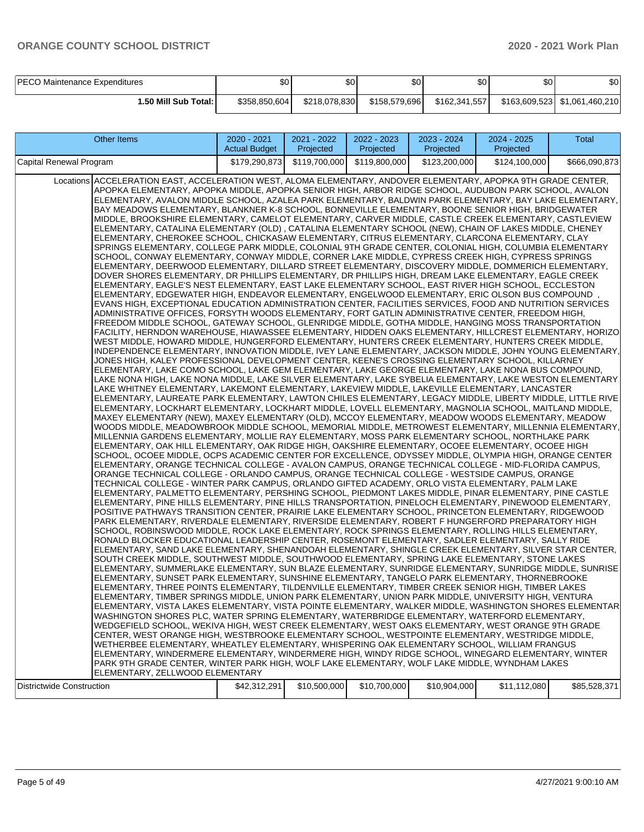| <b>PECO Maintenance Expenditures</b> | ሰራ<br>JО      | ጥ<br>DU       | ¢∩<br>υU      | ሶሳ<br>υU      | \$0 | \$0 |
|--------------------------------------|---------------|---------------|---------------|---------------|-----|-----|
| 1.50 Mill Sub Total: I               | \$358,850,604 | \$218,078,830 | \$158,579,696 | \$162,341,557 |     |     |

| \$179,290,873<br>\$119,700,000<br>\$119,800,000<br>\$123,200,000<br>\$124,100,000<br>\$666,090,873<br>Locations ACCELERATION EAST, ACCELERATION WEST, ALOMA ELEMENTARY, ANDOVER ELEMENTARY, APOPKA 9TH GRADE CENTER,<br>APOPKA ELEMENTARY, APOPKA MIDDLE, APOPKA SENIOR HIGH, ARBOR RIDGE SCHOOL, AUDUBON PARK SCHOOL, AVALON<br>ELEMENTARY, AVALON MIDDLE SCHOOL, AZALEA PARK ELEMENTARY, BALDWIN PARK ELEMENTARY, BAY LAKE ELEMENTARY,<br>BAY MEADOWS ELEMENTARY, BLANKNER K-8 SCHOOL, BONNEVILLE ELEMENTARY, BOONE SENIOR HIGH, BRIDGEWATER<br>MIDDLE, BROOKSHIRE ELEMENTARY, CAMELOT ELEMENTARY, CARVER MIDDLE, CASTLE CREEK ELEMENTARY, CASTLEVIEW<br>ELEMENTARY, CATALINA ELEMENTARY (OLD) , CATALINA ELEMENTARY SCHOOL (NEW), CHAIN OF LAKES MIDDLE, CHENEY <br>ELEMENTARY, CHEROKEE SCHOOL, CHICKASAW ELEMENTARY, CITRUS ELEMENTARY, CLARCONA ELEMENTARY, CLAY<br>SPRINGS ELEMENTARY, COLLEGE PARK MIDDLE, COLONIAL 9TH GRADE CENTER, COLONIAL HIGH, COLUMBIA ELEMENTARY<br>SCHOOL, CONWAY ELEMENTARY, CONWAY MIDDLE, CORNER LAKE MIDDLE, CYPRESS CREEK HIGH, CYPRESS SPRINGS<br>ELEMENTARY, DEERWOOD ELEMENTARY, DILLARD STREET ELEMENTARY, DISCOVERY MIDDLE, DOMMERICH ELEMENTARY,<br>DOVER SHORES ELEMENTARY, DR PHILLIPS ELEMENTARY, DR PHILLIPS HIGH, DREAM LAKE ELEMENTARY, EAGLE CREEK<br>ELEMENTARY, EAGLE'S NEST ELEMENTARY, EAST LAKE ELEMENTARY SCHOOL, EAST RIVER HIGH SCHOOL, ECCLESTON <br>ELEMENTARY, EDGEWATER HIGH, ENDEAVOR ELEMENTARY, ENGELWOOD ELEMENTARY, ERIC OLSON BUS COMPOUND<br>EVANS HIGH, EXCEPTIONAL EDUCATION ADMINISTRATION CENTER, FACILITIES SERVICES, FOOD AND NUTRITION SERVICES <br>ADMINISTRATIVE OFFICES, FORSYTH WOODS ELEMENTARY, FORT GATLIN ADMINISTRATIVE CENTER, FREEDOM HIGH,<br>FREEDOM MIDDLE SCHOOL, GATEWAY SCHOOL, GLENRIDGE MIDDLE, GOTHA MIDDLE, HANGING MOSS TRANSPORTATION<br> FACILITY, HERNDON WAREHOUSE, HIAWASSEE ELEMENTARY, HIDDEN OAKS ELEMENTARY, HILLCREST ELEMENTARY, HORIZO <br>WEST MIDDLE, HOWARD MIDDLE, HUNGERFORD ELEMENTARY, HUNTERS CREEK ELEMENTARY, HUNTERS CREEK MIDDLE,<br>INDEPENDENCE ELEMENTARY, INNOVATION MIDDLE, IVEY LANE ELEMENTARY, JACKSON MIDDLE, JOHN YOUNG ELEMENTARY,<br>JONES HIGH, KALEY PROFESSIONAL DEVELOPMENT CENTER, KEENE'S CROSSING ELEMENTARY SCHOOL, KILLARNEY<br>ELEMENTARY, LAKE COMO SCHOOL, LAKE GEM ELEMENTARY, LAKE GEORGE ELEMENTARY, LAKE NONA BUS COMPOUND,<br>LAKE NONA HIGH, LAKE NONA MIDDLE, LAKE SILVER ELEMENTARY, LAKE SYBELIA ELEMENTARY, LAKE WESTON ELEMENTARY.<br>LAKE WHITNEY ELEMENTARY, LAKEMONT ELEMENTARY, LAKEVIEW MIDDLE, LAKEVILLE ELEMENTARY, LANCASTER<br>ELEMENTARY, LAUREATE PARK ELEMENTARY, LAWTON CHILES ELEMENTARY, LEGACY MIDDLE, LIBERTY MIDDLE, LITTLE RIVE<br> ELEMENTARY, LOCKHART ELEMENTARY, LOCKHART MIDDLE, LOVELL ELEMENTARY, MAGNOLIA SCHOOL, MAITLAND MIDDLE,<br>MAXEY ELEMENTARY (NEW), MAXEY ELEMENTARY (OLD), MCCOY ELEMENTARY, MEADOW WOODS ELEMENTARY, MEADOW<br>WOODS MIDDLE, MEADOWBROOK MIDDLE SCHOOL, MEMORIAL MIDDLE, METROWEST ELEMENTARY, MILLENNIA ELEMENTARY,<br>MILLENNIA GARDENS ELEMENTARY, MOLLIE RAY ELEMENTARY, MOSS PARK ELEMENTARY SCHOOL, NORTHLAKE PARK<br>ELEMENTARY, OAK HILL ELEMENTARY, OAK RIDGE HIGH, OAKSHIRE ELEMENTARY, OCOEE ELEMENTARY, OCOEE HIGH <br>SCHOOL, OCOEE MIDDLE, OCPS ACADEMIC CENTER FOR EXCELLENCE, ODYSSEY MIDDLE, OLYMPIA HIGH, ORANGE CENTER<br>ELEMENTARY, ORANGE TECHNICAL COLLEGE - AVALON CAMPUS, ORANGE TECHNICAL COLLEGE - MID-FLORIDA CAMPUS,<br>ORANGE TECHNICAL COLLEGE - ORLANDO CAMPUS, ORANGE TECHNICAL COLLEGE - WESTSIDE CAMPUS, ORANGE<br>TECHNICAL COLLEGE - WINTER PARK CAMPUS, ORLANDO GIFTED ACADEMY, ORLO VISTA ELEMENTARY, PALM LAKE<br>ELEMENTARY, PALMETTO ELEMENTARY, PERSHING SCHOOL, PIEDMONT LAKES MIDDLE, PINAR ELEMENTARY, PINE CASTLE<br>ELEMENTARY, PINE HILLS ELEMENTARY, PINE HILLS TRANSPORTATION, PINELOCH ELEMENTARY, PINEWOOD ELEMENTARY,<br>POSITIVE PATHWAYS TRANSITION CENTER, PRAIRIE LAKE ELEMENTARY SCHOOL, PRINCETON ELEMENTARY, RIDGEWOOD<br>PARK ELEMENTARY, RIVERDALE ELEMENTARY, RIVERSIDE ELEMENTARY, ROBERT F HUNGERFORD PREPARATORY HIGH<br>SCHOOL, ROBINSWOOD MIDDLE, ROCK LAKE ELEMENTARY, ROCK SPRINGS ELEMENTARY, ROLLING HILLS ELEMENTARY,<br>RONALD BLOCKER EDUCATIONAL LEADERSHIP CENTER, ROSEMONT ELEMENTARY, SADLER ELEMENTARY, SALLY RIDE<br> ELEMENTARY, SAND LAKE ELEMENTARY, SHENANDOAH ELEMENTARY, SHINGLE CREEK ELEMENTARY, SILVER STAR CENTER,<br>SOUTH CREEK MIDDLE, SOUTHWEST MIDDLE, SOUTHWOOD ELEMENTARY, SPRING LAKE ELEMENTARY, STONE LAKES<br>ELEMENTARY, SUMMERLAKE ELEMENTARY, SUN BLAZE ELEMENTARY, SUNRIDGE ELEMENTARY, SUNRIDGE MIDDLE, SUNRISE<br>ELEMENTARY, SUNSET PARK ELEMENTARY, SUNSHINE ELEMENTARY, TANGELO PARK ELEMENTARY, THORNEBROOKE<br>ELEMENTARY, THREE POINTS ELEMENTARY, TILDENVILLE ELEMENTARY, TIMBER CREEK SENIOR HIGH, TIMBER LAKES<br>ELEMENTARY, TIMBER SPRINGS MIDDLE, UNION PARK ELEMENTARY, UNION PARK MIDDLE, UNIVERSITY HIGH, VENTURA<br>ELEMENTARY, VISTA LAKES ELEMENTARY, VISTA POINTE ELEMENTARY, WALKER MIDDLE, WASHINGTON SHORES ELEMENTAR<br>WASHINGTON SHORES PLC, WATER SPRING ELEMENTARY, WATERBRIDGE ELEMENTARY, WATERFORD ELEMENTARY,<br>WEDGEFIELD SCHOOL, WEKIVA HIGH, WEST CREEK ELEMENTARY, WEST OAKS ELEMENTARY, WEST ORANGE 9TH GRADE<br>CENTER, WEST ORANGE HIGH, WESTBROOKE ELEMENTARY SCHOOL, WESTPOINTE ELEMENTARY, WESTRIDGE MIDDLE,<br>WETHERBEE ELEMENTARY, WHEATLEY ELEMENTARY, WHISPERING OAK ELEMENTARY SCHOOL, WILLIAM FRANGUS<br>ELEMENTARY, WINDERMERE ELEMENTARY, WINDERMERE HIGH, WINDY RIDGE SCHOOL, WINEGARD ELEMENTARY, WINTER<br>PARK 9TH GRADE CENTER, WINTER PARK HIGH, WOLF LAKE ELEMENTARY, WOLF LAKE MIDDLE, WYNDHAM LAKES<br>ELEMENTARY, ZELLWOOD ELEMENTARY | <b>Other Items</b>               | 2020 - 2021<br><b>Actual Budget</b> | 2021 - 2022<br>Projected | 2022 - 2023<br>Projected | 2023 - 2024<br>Projected | 2024 - 2025<br>Projected | Total        |
|--------------------------------------------------------------------------------------------------------------------------------------------------------------------------------------------------------------------------------------------------------------------------------------------------------------------------------------------------------------------------------------------------------------------------------------------------------------------------------------------------------------------------------------------------------------------------------------------------------------------------------------------------------------------------------------------------------------------------------------------------------------------------------------------------------------------------------------------------------------------------------------------------------------------------------------------------------------------------------------------------------------------------------------------------------------------------------------------------------------------------------------------------------------------------------------------------------------------------------------------------------------------------------------------------------------------------------------------------------------------------------------------------------------------------------------------------------------------------------------------------------------------------------------------------------------------------------------------------------------------------------------------------------------------------------------------------------------------------------------------------------------------------------------------------------------------------------------------------------------------------------------------------------------------------------------------------------------------------------------------------------------------------------------------------------------------------------------------------------------------------------------------------------------------------------------------------------------------------------------------------------------------------------------------------------------------------------------------------------------------------------------------------------------------------------------------------------------------------------------------------------------------------------------------------------------------------------------------------------------------------------------------------------------------------------------------------------------------------------------------------------------------------------------------------------------------------------------------------------------------------------------------------------------------------------------------------------------------------------------------------------------------------------------------------------------------------------------------------------------------------------------------------------------------------------------------------------------------------------------------------------------------------------------------------------------------------------------------------------------------------------------------------------------------------------------------------------------------------------------------------------------------------------------------------------------------------------------------------------------------------------------------------------------------------------------------------------------------------------------------------------------------------------------------------------------------------------------------------------------------------------------------------------------------------------------------------------------------------------------------------------------------------------------------------------------------------------------------------------------------------------------------------------------------------------------------------------------------------------------------------------------------------------------------------------------------------------------------------------------------------------------------------------------------------------------------------------------------------------------------------------------------------------------------------------------------------------------------------------------------------------------------------------------------------------------------------------------------------------------------------------------------------------------------------------------------------------------------------------------------------------------------------------------------------------------------------------------------------------------------------------------------------------------------------------------------------------------------------------------------------------------------------------------------------------------------------------------------------------------------------------------------------------------------------------------------------------------------------------------------------------------------------------------------------------------------------------------------------------------------------------------------------------------------------------------------------------------------------------------------------------------------------------------------------------------------------------------------------------------|----------------------------------|-------------------------------------|--------------------------|--------------------------|--------------------------|--------------------------|--------------|
|                                                                                                                                                                                                                                                                                                                                                                                                                                                                                                                                                                                                                                                                                                                                                                                                                                                                                                                                                                                                                                                                                                                                                                                                                                                                                                                                                                                                                                                                                                                                                                                                                                                                                                                                                                                                                                                                                                                                                                                                                                                                                                                                                                                                                                                                                                                                                                                                                                                                                                                                                                                                                                                                                                                                                                                                                                                                                                                                                                                                                                                                                                                                                                                                                                                                                                                                                                                                                                                                                                                                                                                                                                                                                                                                                                                                                                                                                                                                                                                                                                                                                                                                                                                                                                                                                                                                                                                                                                                                                                                                                                                                                                                                                                                                                                                                                                                                                                                                                                                                                                                                                                                                                                                                                                                                                                                                                                                                                                                                                                                                                                                                                                                                                                                                      | Capital Renewal Program          |                                     |                          |                          |                          |                          |              |
|                                                                                                                                                                                                                                                                                                                                                                                                                                                                                                                                                                                                                                                                                                                                                                                                                                                                                                                                                                                                                                                                                                                                                                                                                                                                                                                                                                                                                                                                                                                                                                                                                                                                                                                                                                                                                                                                                                                                                                                                                                                                                                                                                                                                                                                                                                                                                                                                                                                                                                                                                                                                                                                                                                                                                                                                                                                                                                                                                                                                                                                                                                                                                                                                                                                                                                                                                                                                                                                                                                                                                                                                                                                                                                                                                                                                                                                                                                                                                                                                                                                                                                                                                                                                                                                                                                                                                                                                                                                                                                                                                                                                                                                                                                                                                                                                                                                                                                                                                                                                                                                                                                                                                                                                                                                                                                                                                                                                                                                                                                                                                                                                                                                                                                                                      |                                  |                                     |                          |                          |                          |                          |              |
|                                                                                                                                                                                                                                                                                                                                                                                                                                                                                                                                                                                                                                                                                                                                                                                                                                                                                                                                                                                                                                                                                                                                                                                                                                                                                                                                                                                                                                                                                                                                                                                                                                                                                                                                                                                                                                                                                                                                                                                                                                                                                                                                                                                                                                                                                                                                                                                                                                                                                                                                                                                                                                                                                                                                                                                                                                                                                                                                                                                                                                                                                                                                                                                                                                                                                                                                                                                                                                                                                                                                                                                                                                                                                                                                                                                                                                                                                                                                                                                                                                                                                                                                                                                                                                                                                                                                                                                                                                                                                                                                                                                                                                                                                                                                                                                                                                                                                                                                                                                                                                                                                                                                                                                                                                                                                                                                                                                                                                                                                                                                                                                                                                                                                                                                      | <b>Districtwide Construction</b> | \$42,312,291                        | \$10,500,000             | \$10,700,000             | \$10,904,000             | \$11,112,080             | \$85,528,371 |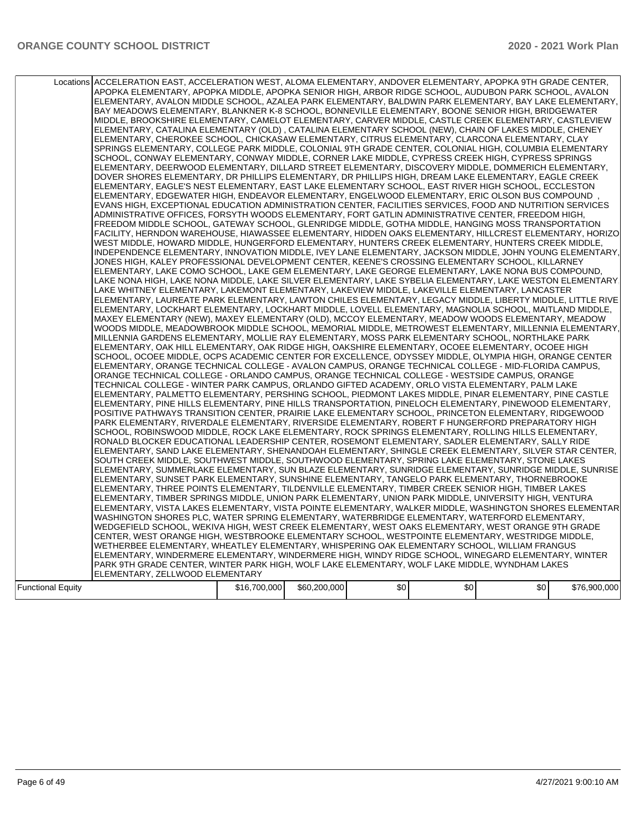|                          | Locations ACCELERATION EAST, ACCELERATION WEST, ALOMA ELEMENTARY, ANDOVER ELEMENTARY, APOPKA 9TH GRADE CENTER,<br>APOPKA ELEMENTARY, APOPKA MIDDLE, APOPKA SENIOR HIGH, ARBOR RIDGE SCHOOL, AUDUBON PARK SCHOOL, AVALON<br>ELEMENTARY, AVALON MIDDLE SCHOOL, AZALEA PARK ELEMENTARY, BALDWIN PARK ELEMENTARY, BAY LAKE ELEMENTARY,<br>BAY MEADOWS ELEMENTARY, BLANKNER K-8 SCHOOL, BONNEVILLE ELEMENTARY, BOONE SENIOR HIGH, BRIDGEWATER<br>MIDDLE, BROOKSHIRE ELEMENTARY, CAMELOT ELEMENTARY, CARVER MIDDLE, CASTLE CREEK ELEMENTARY, CASTLEVIEW<br>ELEMENTARY, CATALINA ELEMENTARY (OLD), CATALINA ELEMENTARY SCHOOL (NEW), CHAIN OF LAKES MIDDLE, CHENEY<br>ELEMENTARY, CHEROKEE SCHOOL, CHICKASAW ELEMENTARY, CITRUS ELEMENTARY, CLARCONA ELEMENTARY, CLAY<br>SPRINGS ELEMENTARY, COLLEGE PARK MIDDLE, COLONIAL 9TH GRADE CENTER, COLONIAL HIGH, COLUMBIA ELEMENTARY<br>SCHOOL, CONWAY ELEMENTARY, CONWAY MIDDLE, CORNER LAKE MIDDLE, CYPRESS CREEK HIGH, CYPRESS SPRINGS<br>ELEMENTARY, DEERWOOD ELEMENTARY, DILLARD STREET ELEMENTARY, DISCOVERY MIDDLE, DOMMERICH ELEMENTARY,<br>DOVER SHORES ELEMENTARY, DR PHILLIPS ELEMENTARY, DR PHILLIPS HIGH, DREAM LAKE ELEMENTARY, EAGLE CREEK<br>ELEMENTARY, EAGLE'S NEST ELEMENTARY, EAST LAKE ELEMENTARY SCHOOL, EAST RIVER HIGH SCHOOL, ECCLESTON<br>ELEMENTARY, EDGEWATER HIGH, ENDEAVOR ELEMENTARY, ENGELWOOD ELEMENTARY, ERIC OLSON BUS COMPOUND<br>EVANS HIGH, EXCEPTIONAL EDUCATION ADMINISTRATION CENTER, FACILITIES SERVICES, FOOD AND NUTRITION SERVICES<br>ADMINISTRATIVE OFFICES, FORSYTH WOODS ELEMENTARY, FORT GATLIN ADMINISTRATIVE CENTER, FREEDOM HIGH,<br>FREEDOM MIDDLE SCHOOL, GATEWAY SCHOOL, GLENRIDGE MIDDLE, GOTHA MIDDLE, HANGING MOSS TRANSPORTATION<br>FACILITY, HERNDON WAREHOUSE, HIAWASSEE ELEMENTARY, HIDDEN OAKS ELEMENTARY, HILLCREST ELEMENTARY, HORIZO<br>WEST MIDDLE, HOWARD MIDDLE, HUNGERFORD ELEMENTARY, HUNTERS CREEK ELEMENTARY, HUNTERS CREEK MIDDLE,<br>INDEPENDENCE ELEMENTARY, INNOVATION MIDDLE, IVEY LANE ELEMENTARY, JACKSON MIDDLE, JOHN YOUNG ELEMENTARY,<br>JONES HIGH, KALEY PROFESSIONAL DEVELOPMENT CENTER, KEENE'S CROSSING ELEMENTARY SCHOOL, KILLARNEY<br>ELEMENTARY, LAKE COMO SCHOOL, LAKE GEM ELEMENTARY, LAKE GEORGE ELEMENTARY, LAKE NONA BUS COMPOUND,<br>LAKE NONA HIGH, LAKE NONA MIDDLE, LAKE SILVER ELEMENTARY, LAKE SYBELIA ELEMENTARY, LAKE WESTON ELEMENTARY.<br>LAKE WHITNEY ELEMENTARY, LAKEMONT ELEMENTARY, LAKEVIEW MIDDLE, LAKEVILLE ELEMENTARY, LANCASTER<br>ELEMENTARY, LAUREATE PARK ELEMENTARY, LAWTON CHILES ELEMENTARY, LEGACY MIDDLE, LIBERTY MIDDLE, LITTLE RIVE<br>IELEMENTARY, LOCKHART ELEMENTARY, LOCKHART MIDDLE, LOVELL ELEMENTARY, MAGNOLIA SCHOOL, MAITLAND MIDDLE,<br>MAXEY ELEMENTARY (NEW), MAXEY ELEMENTARY (OLD), MCCOY ELEMENTARY, MEADOW WOODS ELEMENTARY, MEADOW<br>WOODS MIDDLE, MEADOWBROOK MIDDLE SCHOOL, MEMORIAL MIDDLE, METROWEST ELEMENTARY, MILLENNIA ELEMENTARY,<br>MILLENNIA GARDENS ELEMENTARY, MOLLIE RAY ELEMENTARY, MOSS PARK ELEMENTARY SCHOOL, NORTHLAKE PARK<br>ELEMENTARY, OAK HILL ELEMENTARY, OAK RIDGE HIGH, OAKSHIRE ELEMENTARY, OCOEE ELEMENTARY, OCOEE HIGH<br>SCHOOL, OCOEE MIDDLE, OCPS ACADEMIC CENTER FOR EXCELLENCE, ODYSSEY MIDDLE, OLYMPIA HIGH, ORANGE CENTER<br>ELEMENTARY, ORANGE TECHNICAL COLLEGE - AVALON CAMPUS, ORANGE TECHNICAL COLLEGE - MID-FLORIDA CAMPUS,<br>ORANGE TECHNICAL COLLEGE - ORLANDO CAMPUS, ORANGE TECHNICAL COLLEGE - WESTSIDE CAMPUS, ORANGE<br>TECHNICAL COLLEGE - WINTER PARK CAMPUS, ORLANDO GIFTED ACADEMY, ORLO VISTA ELEMENTARY, PALM LAKE<br>ELEMENTARY, PALMETTO ELEMENTARY, PERSHING SCHOOL, PIEDMONT LAKES MIDDLE, PINAR ELEMENTARY, PINE CASTLE<br>ELEMENTARY, PINE HILLS ELEMENTARY, PINE HILLS TRANSPORTATION, PINELOCH ELEMENTARY, PINEWOOD ELEMENTARY,<br>POSITIVE PATHWAYS TRANSITION CENTER, PRAIRIE LAKE ELEMENTARY SCHOOL, PRINCETON ELEMENTARY, RIDGEWOOD<br>PARK ELEMENTARY, RIVERDALE ELEMENTARY, RIVERSIDE ELEMENTARY, ROBERT F HUNGERFORD PREPARATORY HIGH<br>SCHOOL, ROBINSWOOD MIDDLE, ROCK LAKE ELEMENTARY, ROCK SPRINGS ELEMENTARY, ROLLING HILLS ELEMENTARY,<br>RONALD BLOCKER EDUCATIONAL LEADERSHIP CENTER, ROSEMONT ELEMENTARY, SADLER ELEMENTARY, SALLY RIDE<br>ELEMENTARY, SAND LAKE ELEMENTARY, SHENANDOAH ELEMENTARY, SHINGLE CREEK ELEMENTARY, SILVER STAR CENTER,<br>SOUTH CREEK MIDDLE, SOUTHWEST MIDDLE, SOUTHWOOD ELEMENTARY, SPRING LAKE ELEMENTARY, STONE LAKES<br>ELEMENTARY, SUMMERLAKE ELEMENTARY, SUN BLAZE ELEMENTARY, SUNRIDGE ELEMENTARY, SUNRIDGE MIDDLE, SUNRISE<br>ELEMENTARY, SUNSET PARK ELEMENTARY, SUNSHINE ELEMENTARY, TANGELO PARK ELEMENTARY, THORNEBROOKE<br>ELEMENTARY, THREE POINTS ELEMENTARY, TILDENVILLE ELEMENTARY, TIMBER CREEK SENIOR HIGH, TIMBER LAKES<br>ELEMENTARY, TIMBER SPRINGS MIDDLE, UNION PARK ELEMENTARY, UNION PARK MIDDLE, UNIVERSITY HIGH, VENTURA<br>ELEMENTARY, VISTA LAKES ELEMENTARY, VISTA POINTE ELEMENTARY, WALKER MIDDLE, WASHINGTON SHORES ELEMENTAR<br>WASHINGTON SHORES PLC, WATER SPRING ELEMENTARY, WATERBRIDGE ELEMENTARY, WATERFORD ELEMENTARY,<br>WEDGEFIELD SCHOOL, WEKIVA HIGH, WEST CREEK ELEMENTARY, WEST OAKS ELEMENTARY, WEST ORANGE 9TH GRADE<br>CENTER, WEST ORANGE HIGH, WESTBROOKE ELEMENTARY SCHOOL, WESTPOINTE ELEMENTARY, WESTRIDGE MIDDLE,<br>WETHERBEE ELEMENTARY, WHEATLEY ELEMENTARY, WHISPERING OAK ELEMENTARY SCHOOL, WILLIAM FRANGUS<br>ELEMENTARY. WINDERMERE ELEMENTARY. WINDERMERE HIGH. WINDY RIDGE SCHOOL. WINEGARD ELEMENTARY. WINTER |              |              |     |     |     |              |  |
|--------------------------|-----------------------------------------------------------------------------------------------------------------------------------------------------------------------------------------------------------------------------------------------------------------------------------------------------------------------------------------------------------------------------------------------------------------------------------------------------------------------------------------------------------------------------------------------------------------------------------------------------------------------------------------------------------------------------------------------------------------------------------------------------------------------------------------------------------------------------------------------------------------------------------------------------------------------------------------------------------------------------------------------------------------------------------------------------------------------------------------------------------------------------------------------------------------------------------------------------------------------------------------------------------------------------------------------------------------------------------------------------------------------------------------------------------------------------------------------------------------------------------------------------------------------------------------------------------------------------------------------------------------------------------------------------------------------------------------------------------------------------------------------------------------------------------------------------------------------------------------------------------------------------------------------------------------------------------------------------------------------------------------------------------------------------------------------------------------------------------------------------------------------------------------------------------------------------------------------------------------------------------------------------------------------------------------------------------------------------------------------------------------------------------------------------------------------------------------------------------------------------------------------------------------------------------------------------------------------------------------------------------------------------------------------------------------------------------------------------------------------------------------------------------------------------------------------------------------------------------------------------------------------------------------------------------------------------------------------------------------------------------------------------------------------------------------------------------------------------------------------------------------------------------------------------------------------------------------------------------------------------------------------------------------------------------------------------------------------------------------------------------------------------------------------------------------------------------------------------------------------------------------------------------------------------------------------------------------------------------------------------------------------------------------------------------------------------------------------------------------------------------------------------------------------------------------------------------------------------------------------------------------------------------------------------------------------------------------------------------------------------------------------------------------------------------------------------------------------------------------------------------------------------------------------------------------------------------------------------------------------------------------------------------------------------------------------------------------------------------------------------------------------------------------------------------------------------------------------------------------------------------------------------------------------------------------------------------------------------------------------------------------------------------------------------------------------------------------------------------------------------------------------------------------------------------------------------------------------------------------------------------------------------------------------------------------------------------------------------------------------------------------------------------------------------------------------------------------------------------------------------------------------------------------------------------------------------------------------------------------------------------------------------------------------------------------------------------------------------------------------------------------------------------------------------------------------------------------------------------------------------------|--------------|--------------|-----|-----|-----|--------------|--|
|                          |                                                                                                                                                                                                                                                                                                                                                                                                                                                                                                                                                                                                                                                                                                                                                                                                                                                                                                                                                                                                                                                                                                                                                                                                                                                                                                                                                                                                                                                                                                                                                                                                                                                                                                                                                                                                                                                                                                                                                                                                                                                                                                                                                                                                                                                                                                                                                                                                                                                                                                                                                                                                                                                                                                                                                                                                                                                                                                                                                                                                                                                                                                                                                                                                                                                                                                                                                                                                                                                                                                                                                                                                                                                                                                                                                                                                                                                                                                                                                                                                                                                                                                                                                                                                                                                                                                                                                                                                                                                                                                                                                                                                                                                                                                                                                                                                                                                                                                                                                                                                                                                                                                                                                                                                                                                                                                                                                                                                                                                                                   |              |              |     |     |     |              |  |
|                          |                                                                                                                                                                                                                                                                                                                                                                                                                                                                                                                                                                                                                                                                                                                                                                                                                                                                                                                                                                                                                                                                                                                                                                                                                                                                                                                                                                                                                                                                                                                                                                                                                                                                                                                                                                                                                                                                                                                                                                                                                                                                                                                                                                                                                                                                                                                                                                                                                                                                                                                                                                                                                                                                                                                                                                                                                                                                                                                                                                                                                                                                                                                                                                                                                                                                                                                                                                                                                                                                                                                                                                                                                                                                                                                                                                                                                                                                                                                                                                                                                                                                                                                                                                                                                                                                                                                                                                                                                                                                                                                                                                                                                                                                                                                                                                                                                                                                                                                                                                                                                                                                                                                                                                                                                                                                                                                                                                                                                                                                                   |              |              |     |     |     |              |  |
|                          |                                                                                                                                                                                                                                                                                                                                                                                                                                                                                                                                                                                                                                                                                                                                                                                                                                                                                                                                                                                                                                                                                                                                                                                                                                                                                                                                                                                                                                                                                                                                                                                                                                                                                                                                                                                                                                                                                                                                                                                                                                                                                                                                                                                                                                                                                                                                                                                                                                                                                                                                                                                                                                                                                                                                                                                                                                                                                                                                                                                                                                                                                                                                                                                                                                                                                                                                                                                                                                                                                                                                                                                                                                                                                                                                                                                                                                                                                                                                                                                                                                                                                                                                                                                                                                                                                                                                                                                                                                                                                                                                                                                                                                                                                                                                                                                                                                                                                                                                                                                                                                                                                                                                                                                                                                                                                                                                                                                                                                                                                   |              |              |     |     |     |              |  |
|                          |                                                                                                                                                                                                                                                                                                                                                                                                                                                                                                                                                                                                                                                                                                                                                                                                                                                                                                                                                                                                                                                                                                                                                                                                                                                                                                                                                                                                                                                                                                                                                                                                                                                                                                                                                                                                                                                                                                                                                                                                                                                                                                                                                                                                                                                                                                                                                                                                                                                                                                                                                                                                                                                                                                                                                                                                                                                                                                                                                                                                                                                                                                                                                                                                                                                                                                                                                                                                                                                                                                                                                                                                                                                                                                                                                                                                                                                                                                                                                                                                                                                                                                                                                                                                                                                                                                                                                                                                                                                                                                                                                                                                                                                                                                                                                                                                                                                                                                                                                                                                                                                                                                                                                                                                                                                                                                                                                                                                                                                                                   |              |              |     |     |     |              |  |
|                          |                                                                                                                                                                                                                                                                                                                                                                                                                                                                                                                                                                                                                                                                                                                                                                                                                                                                                                                                                                                                                                                                                                                                                                                                                                                                                                                                                                                                                                                                                                                                                                                                                                                                                                                                                                                                                                                                                                                                                                                                                                                                                                                                                                                                                                                                                                                                                                                                                                                                                                                                                                                                                                                                                                                                                                                                                                                                                                                                                                                                                                                                                                                                                                                                                                                                                                                                                                                                                                                                                                                                                                                                                                                                                                                                                                                                                                                                                                                                                                                                                                                                                                                                                                                                                                                                                                                                                                                                                                                                                                                                                                                                                                                                                                                                                                                                                                                                                                                                                                                                                                                                                                                                                                                                                                                                                                                                                                                                                                                                                   |              |              |     |     |     |              |  |
|                          | PARK 9TH GRADE CENTER, WINTER PARK HIGH, WOLF LAKE ELEMENTARY, WOLF LAKE MIDDLE, WYNDHAM LAKES                                                                                                                                                                                                                                                                                                                                                                                                                                                                                                                                                                                                                                                                                                                                                                                                                                                                                                                                                                                                                                                                                                                                                                                                                                                                                                                                                                                                                                                                                                                                                                                                                                                                                                                                                                                                                                                                                                                                                                                                                                                                                                                                                                                                                                                                                                                                                                                                                                                                                                                                                                                                                                                                                                                                                                                                                                                                                                                                                                                                                                                                                                                                                                                                                                                                                                                                                                                                                                                                                                                                                                                                                                                                                                                                                                                                                                                                                                                                                                                                                                                                                                                                                                                                                                                                                                                                                                                                                                                                                                                                                                                                                                                                                                                                                                                                                                                                                                                                                                                                                                                                                                                                                                                                                                                                                                                                                                                    |              |              |     |     |     |              |  |
|                          | ELEMENTARY, ZELLWOOD ELEMENTARY                                                                                                                                                                                                                                                                                                                                                                                                                                                                                                                                                                                                                                                                                                                                                                                                                                                                                                                                                                                                                                                                                                                                                                                                                                                                                                                                                                                                                                                                                                                                                                                                                                                                                                                                                                                                                                                                                                                                                                                                                                                                                                                                                                                                                                                                                                                                                                                                                                                                                                                                                                                                                                                                                                                                                                                                                                                                                                                                                                                                                                                                                                                                                                                                                                                                                                                                                                                                                                                                                                                                                                                                                                                                                                                                                                                                                                                                                                                                                                                                                                                                                                                                                                                                                                                                                                                                                                                                                                                                                                                                                                                                                                                                                                                                                                                                                                                                                                                                                                                                                                                                                                                                                                                                                                                                                                                                                                                                                                                   |              |              |     |     |     |              |  |
|                          |                                                                                                                                                                                                                                                                                                                                                                                                                                                                                                                                                                                                                                                                                                                                                                                                                                                                                                                                                                                                                                                                                                                                                                                                                                                                                                                                                                                                                                                                                                                                                                                                                                                                                                                                                                                                                                                                                                                                                                                                                                                                                                                                                                                                                                                                                                                                                                                                                                                                                                                                                                                                                                                                                                                                                                                                                                                                                                                                                                                                                                                                                                                                                                                                                                                                                                                                                                                                                                                                                                                                                                                                                                                                                                                                                                                                                                                                                                                                                                                                                                                                                                                                                                                                                                                                                                                                                                                                                                                                                                                                                                                                                                                                                                                                                                                                                                                                                                                                                                                                                                                                                                                                                                                                                                                                                                                                                                                                                                                                                   |              |              |     |     |     |              |  |
| <b>Functional Equity</b> |                                                                                                                                                                                                                                                                                                                                                                                                                                                                                                                                                                                                                                                                                                                                                                                                                                                                                                                                                                                                                                                                                                                                                                                                                                                                                                                                                                                                                                                                                                                                                                                                                                                                                                                                                                                                                                                                                                                                                                                                                                                                                                                                                                                                                                                                                                                                                                                                                                                                                                                                                                                                                                                                                                                                                                                                                                                                                                                                                                                                                                                                                                                                                                                                                                                                                                                                                                                                                                                                                                                                                                                                                                                                                                                                                                                                                                                                                                                                                                                                                                                                                                                                                                                                                                                                                                                                                                                                                                                                                                                                                                                                                                                                                                                                                                                                                                                                                                                                                                                                                                                                                                                                                                                                                                                                                                                                                                                                                                                                                   | \$16,700,000 | \$60,200,000 | \$0 | \$0 | \$0 | \$76,900,000 |  |
|                          |                                                                                                                                                                                                                                                                                                                                                                                                                                                                                                                                                                                                                                                                                                                                                                                                                                                                                                                                                                                                                                                                                                                                                                                                                                                                                                                                                                                                                                                                                                                                                                                                                                                                                                                                                                                                                                                                                                                                                                                                                                                                                                                                                                                                                                                                                                                                                                                                                                                                                                                                                                                                                                                                                                                                                                                                                                                                                                                                                                                                                                                                                                                                                                                                                                                                                                                                                                                                                                                                                                                                                                                                                                                                                                                                                                                                                                                                                                                                                                                                                                                                                                                                                                                                                                                                                                                                                                                                                                                                                                                                                                                                                                                                                                                                                                                                                                                                                                                                                                                                                                                                                                                                                                                                                                                                                                                                                                                                                                                                                   |              |              |     |     |     |              |  |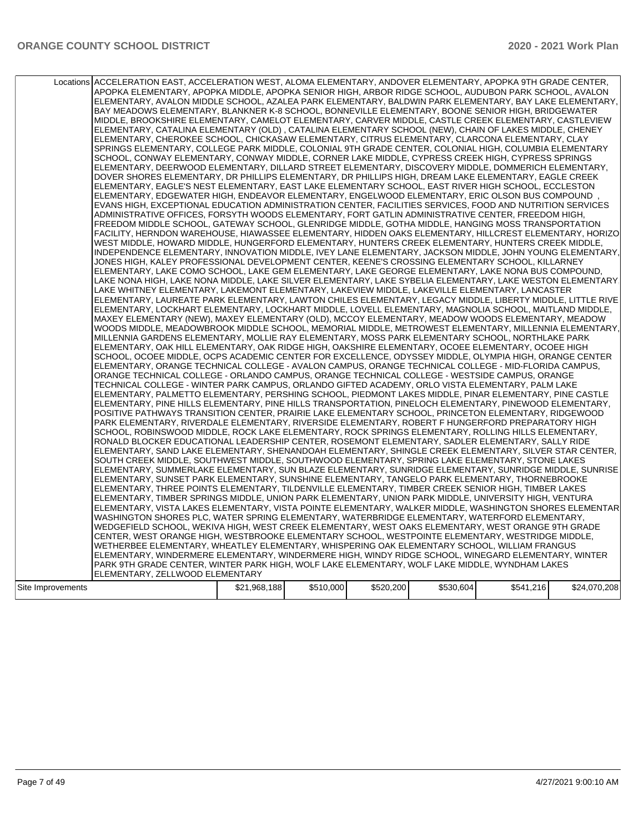|                   | Locations ACCELERATION EAST, ACCELERATION WEST, ALOMA ELEMENTARY, ANDOVER ELEMENTARY, APOPKA 9TH GRADE CENTER,<br>APOPKA ELEMENTARY, APOPKA MIDDLE, APOPKA SENIOR HIGH, ARBOR RIDGE SCHOOL, AUDUBON PARK SCHOOL, AVALON<br>ELEMENTARY, AVALON MIDDLE SCHOOL, AZALEA PARK ELEMENTARY, BALDWIN PARK ELEMENTARY, BAY LAKE ELEMENTARY,<br>BAY MEADOWS ELEMENTARY, BLANKNER K-8 SCHOOL, BONNEVILLE ELEMENTARY, BOONE SENIOR HIGH, BRIDGEWATER<br>MIDDLE, BROOKSHIRE ELEMENTARY, CAMELOT ELEMENTARY, CARVER MIDDLE, CASTLE CREEK ELEMENTARY, CASTLEVIEW<br>ELEMENTARY, CATALINA ELEMENTARY (OLD) , CATALINA ELEMENTARY SCHOOL (NEW), CHAIN OF LAKES MIDDLE, CHENEY<br>ELEMENTARY, CHEROKEE SCHOOL, CHICKASAW ELEMENTARY, CITRUS ELEMENTARY, CLARCONA ELEMENTARY, CLAY<br>SPRINGS ELEMENTARY, COLLEGE PARK MIDDLE, COLONIAL 9TH GRADE CENTER, COLONIAL HIGH, COLUMBIA ELEMENTARY<br>SCHOOL, CONWAY ELEMENTARY, CONWAY MIDDLE, CORNER LAKE MIDDLE, CYPRESS CREEK HIGH, CYPRESS SPRINGS<br>ELEMENTARY, DEERWOOD ELEMENTARY, DILLARD STREET ELEMENTARY, DISCOVERY MIDDLE, DOMMERICH ELEMENTARY,<br>DOVER SHORES ELEMENTARY, DR PHILLIPS ELEMENTARY, DR PHILLIPS HIGH, DREAM LAKE ELEMENTARY, EAGLE CREEK<br>ELEMENTARY, EAGLE'S NEST ELEMENTARY, EAST LAKE ELEMENTARY SCHOOL, EAST RIVER HIGH SCHOOL, ECCLESTON<br>ELEMENTARY, EDGEWATER HIGH, ENDEAVOR ELEMENTARY, ENGELWOOD ELEMENTARY, ERIC OLSON BUS COMPOUND<br>EVANS HIGH, EXCEPTIONAL EDUCATION ADMINISTRATION CENTER, FACILITIES SERVICES, FOOD AND NUTRITION SERVICES<br>ADMINISTRATIVE OFFICES, FORSYTH WOODS ELEMENTARY, FORT GATLIN ADMINISTRATIVE CENTER, FREEDOM HIGH,<br>FREEDOM MIDDLE SCHOOL, GATEWAY SCHOOL, GLENRIDGE MIDDLE, GOTHA MIDDLE, HANGING MOSS TRANSPORTATION<br> FACILITY, HERNDON WAREHOUSE, HIAWASSEE ELEMENTARY, HIDDEN OAKS ELEMENTARY, HILLCREST ELEMENTARY, HORIZO <br>WEST MIDDLE, HOWARD MIDDLE, HUNGERFORD ELEMENTARY, HUNTERS CREEK ELEMENTARY, HUNTERS CREEK MIDDLE,<br>INDEPENDENCE ELEMENTARY, INNOVATION MIDDLE, IVEY LANE ELEMENTARY, JACKSON MIDDLE, JOHN YOUNG ELEMENTARY,<br>JONES HIGH. KALEY PROFESSIONAL DEVELOPMENT CENTER. KEENE'S CROSSING ELEMENTARY SCHOOL. KILLARNEY<br>ELEMENTARY, LAKE COMO SCHOOL, LAKE GEM ELEMENTARY, LAKE GEORGE ELEMENTARY, LAKE NONA BUS COMPOUND,<br>LAKE NONA HIGH, LAKE NONA MIDDLE, LAKE SILVER ELEMENTARY, LAKE SYBELIA ELEMENTARY, LAKE WESTON ELEMENTARY.<br>LAKE WHITNEY ELEMENTARY, LAKEMONT ELEMENTARY, LAKEVIEW MIDDLE, LAKEVILLE ELEMENTARY, LANCASTER<br>ELEMENTARY, LAUREATE PARK ELEMENTARY, LAWTON CHILES ELEMENTARY, LEGACY MIDDLE, LIBERTY MIDDLE, LITTLE RIVE<br>ELEMENTARY, LOCKHART ELEMENTARY, LOCKHART MIDDLE, LOVELL ELEMENTARY, MAGNOLIA SCHOOL, MAITLAND MIDDLE,<br>MAXEY ELEMENTARY (NEW), MAXEY ELEMENTARY (OLD), MCCOY ELEMENTARY, MEADOW WOODS ELEMENTARY, MEADOW<br>WOODS MIDDLE, MEADOWBROOK MIDDLE SCHOOL, MEMORIAL MIDDLE, METROWEST ELEMENTARY, MILLENNIA ELEMENTARY,<br>MILLENNIA GARDENS ELEMENTARY, MOLLIE RAY ELEMENTARY, MOSS PARK ELEMENTARY SCHOOL, NORTHLAKE PARK<br>ELEMENTARY, OAK HILL ELEMENTARY, OAK RIDGE HIGH, OAKSHIRE ELEMENTARY, OCOEE ELEMENTARY, OCOEE HIGH<br>SCHOOL, OCOEE MIDDLE, OCPS ACADEMIC CENTER FOR EXCELLENCE, ODYSSEY MIDDLE, OLYMPIA HIGH, ORANGE CENTER<br>ELEMENTARY, ORANGE TECHNICAL COLLEGE - AVALON CAMPUS, ORANGE TECHNICAL COLLEGE - MID-FLORIDA CAMPUS,<br>ORANGE TECHNICAL COLLEGE - ORLANDO CAMPUS, ORANGE TECHNICAL COLLEGE - WESTSIDE CAMPUS, ORANGE<br>TECHNICAL COLLEGE - WINTER PARK CAMPUS, ORLANDO GIFTED ACADEMY, ORLO VISTA ELEMENTARY, PALM LAKE<br>ELEMENTARY, PALMETTO ELEMENTARY, PERSHING SCHOOL, PIEDMONT LAKES MIDDLE, PINAR ELEMENTARY, PINE CASTLE<br>ELEMENTARY, PINE HILLS ELEMENTARY, PINE HILLS TRANSPORTATION, PINELOCH ELEMENTARY, PINEWOOD ELEMENTARY,<br>POSITIVE PATHWAYS TRANSITION CENTER, PRAIRIE LAKE ELEMENTARY SCHOOL, PRINCETON ELEMENTARY, RIDGEWOOD<br>PARK ELEMENTARY, RIVERDALE ELEMENTARY, RIVERSIDE ELEMENTARY, ROBERT F HUNGERFORD PREPARATORY HIGH<br>SCHOOL, ROBINSWOOD MIDDLE, ROCK LAKE ELEMENTARY, ROCK SPRINGS ELEMENTARY, ROLLING HILLS ELEMENTARY,<br>RONALD BLOCKER EDUCATIONAL LEADERSHIP CENTER, ROSEMONT ELEMENTARY, SADLER ELEMENTARY, SALLY RIDE<br>ELEMENTARY, SAND LAKE ELEMENTARY, SHENANDOAH ELEMENTARY, SHINGLE CREEK ELEMENTARY, SILVER STAR CENTER,<br>SOUTH CREEK MIDDLE, SOUTHWEST MIDDLE, SOUTHWOOD ELEMENTARY, SPRING LAKE ELEMENTARY, STONE LAKES<br>ELEMENTARY, SUMMERLAKE ELEMENTARY, SUN BLAZE ELEMENTARY, SUNRIDGE ELEMENTARY, SUNRIDGE MIDDLE, SUNRISE<br>ELEMENTARY, SUNSET PARK ELEMENTARY, SUNSHINE ELEMENTARY, TANGELO PARK ELEMENTARY, THORNEBROOKE<br>ELEMENTARY, THREE POINTS ELEMENTARY, TILDENVILLE ELEMENTARY, TIMBER CREEK SENIOR HIGH, TIMBER LAKES<br>ELEMENTARY, TIMBER SPRINGS MIDDLE, UNION PARK ELEMENTARY, UNION PARK MIDDLE, UNIVERSITY HIGH, VENTURA |              |           |           |           |           |              |
|-------------------|--------------------------------------------------------------------------------------------------------------------------------------------------------------------------------------------------------------------------------------------------------------------------------------------------------------------------------------------------------------------------------------------------------------------------------------------------------------------------------------------------------------------------------------------------------------------------------------------------------------------------------------------------------------------------------------------------------------------------------------------------------------------------------------------------------------------------------------------------------------------------------------------------------------------------------------------------------------------------------------------------------------------------------------------------------------------------------------------------------------------------------------------------------------------------------------------------------------------------------------------------------------------------------------------------------------------------------------------------------------------------------------------------------------------------------------------------------------------------------------------------------------------------------------------------------------------------------------------------------------------------------------------------------------------------------------------------------------------------------------------------------------------------------------------------------------------------------------------------------------------------------------------------------------------------------------------------------------------------------------------------------------------------------------------------------------------------------------------------------------------------------------------------------------------------------------------------------------------------------------------------------------------------------------------------------------------------------------------------------------------------------------------------------------------------------------------------------------------------------------------------------------------------------------------------------------------------------------------------------------------------------------------------------------------------------------------------------------------------------------------------------------------------------------------------------------------------------------------------------------------------------------------------------------------------------------------------------------------------------------------------------------------------------------------------------------------------------------------------------------------------------------------------------------------------------------------------------------------------------------------------------------------------------------------------------------------------------------------------------------------------------------------------------------------------------------------------------------------------------------------------------------------------------------------------------------------------------------------------------------------------------------------------------------------------------------------------------------------------------------------------------------------------------------------------------------------------------------------------------------------------------------------------------------------------------------------------------------------------------------------------------------------------------------------------------------------------------------------------------------------------------------------------------------------------------------------------------------------------------------------------------------------------------------------------------------------------------------------------------------------------------------------------------------------------------------------------------------------------------------------------------------------------------------------------------------------------------------------------------------------------------------------------------------------------------------------------------------------------------------------------------------------------------------------------------------------------------------------------------|--------------|-----------|-----------|-----------|-----------|--------------|
|                   |                                                                                                                                                                                                                                                                                                                                                                                                                                                                                                                                                                                                                                                                                                                                                                                                                                                                                                                                                                                                                                                                                                                                                                                                                                                                                                                                                                                                                                                                                                                                                                                                                                                                                                                                                                                                                                                                                                                                                                                                                                                                                                                                                                                                                                                                                                                                                                                                                                                                                                                                                                                                                                                                                                                                                                                                                                                                                                                                                                                                                                                                                                                                                                                                                                                                                                                                                                                                                                                                                                                                                                                                                                                                                                                                                                                                                                                                                                                                                                                                                                                                                                                                                                                                                                                                                                                                                                                                                                                                                                                                                                                                                                                                                                                                                                                                                                                        |              |           |           |           |           |              |
|                   | ELEMENTARY, VISTA LAKES ELEMENTARY, VISTA POINTE ELEMENTARY, WALKER MIDDLE, WASHINGTON SHORES ELEMENTAR                                                                                                                                                                                                                                                                                                                                                                                                                                                                                                                                                                                                                                                                                                                                                                                                                                                                                                                                                                                                                                                                                                                                                                                                                                                                                                                                                                                                                                                                                                                                                                                                                                                                                                                                                                                                                                                                                                                                                                                                                                                                                                                                                                                                                                                                                                                                                                                                                                                                                                                                                                                                                                                                                                                                                                                                                                                                                                                                                                                                                                                                                                                                                                                                                                                                                                                                                                                                                                                                                                                                                                                                                                                                                                                                                                                                                                                                                                                                                                                                                                                                                                                                                                                                                                                                                                                                                                                                                                                                                                                                                                                                                                                                                                                                                |              |           |           |           |           |              |
|                   | WASHINGTON SHORES PLC, WATER SPRING ELEMENTARY, WATERBRIDGE ELEMENTARY, WATERFORD ELEMENTARY,<br>WEDGEFIELD SCHOOL, WEKIVA HIGH, WEST CREEK ELEMENTARY, WEST OAKS ELEMENTARY, WEST ORANGE 9TH GRADE<br>CENTER, WEST ORANGE HIGH, WESTBROOKE ELEMENTARY SCHOOL, WESTPOINTE ELEMENTARY, WESTRIDGE MIDDLE,<br>WETHERBEE ELEMENTARY, WHEATLEY ELEMENTARY, WHISPERING OAK ELEMENTARY SCHOOL, WILLIAM FRANGUS<br>ELEMENTARY, WINDERMERE ELEMENTARY, WINDERMERE HIGH, WINDY RIDGE SCHOOL, WINEGARD ELEMENTARY, WINTER<br>PARK 9TH GRADE CENTER, WINTER PARK HIGH, WOLF LAKE ELEMENTARY, WOLF LAKE MIDDLE, WYNDHAM LAKES<br>ELEMENTARY, ZELLWOOD ELEMENTARY                                                                                                                                                                                                                                                                                                                                                                                                                                                                                                                                                                                                                                                                                                                                                                                                                                                                                                                                                                                                                                                                                                                                                                                                                                                                                                                                                                                                                                                                                                                                                                                                                                                                                                                                                                                                                                                                                                                                                                                                                                                                                                                                                                                                                                                                                                                                                                                                                                                                                                                                                                                                                                                                                                                                                                                                                                                                                                                                                                                                                                                                                                                                                                                                                                                                                                                                                                                                                                                                                                                                                                                                                                                                                                                                                                                                                                                                                                                                                                                                                                                                                                                                                                                                    |              |           |           |           |           |              |
| Site Improvements |                                                                                                                                                                                                                                                                                                                                                                                                                                                                                                                                                                                                                                                                                                                                                                                                                                                                                                                                                                                                                                                                                                                                                                                                                                                                                                                                                                                                                                                                                                                                                                                                                                                                                                                                                                                                                                                                                                                                                                                                                                                                                                                                                                                                                                                                                                                                                                                                                                                                                                                                                                                                                                                                                                                                                                                                                                                                                                                                                                                                                                                                                                                                                                                                                                                                                                                                                                                                                                                                                                                                                                                                                                                                                                                                                                                                                                                                                                                                                                                                                                                                                                                                                                                                                                                                                                                                                                                                                                                                                                                                                                                                                                                                                                                                                                                                                                                        | \$21,968,188 | \$510,000 | \$520,200 | \$530,604 | \$541,216 | \$24,070,208 |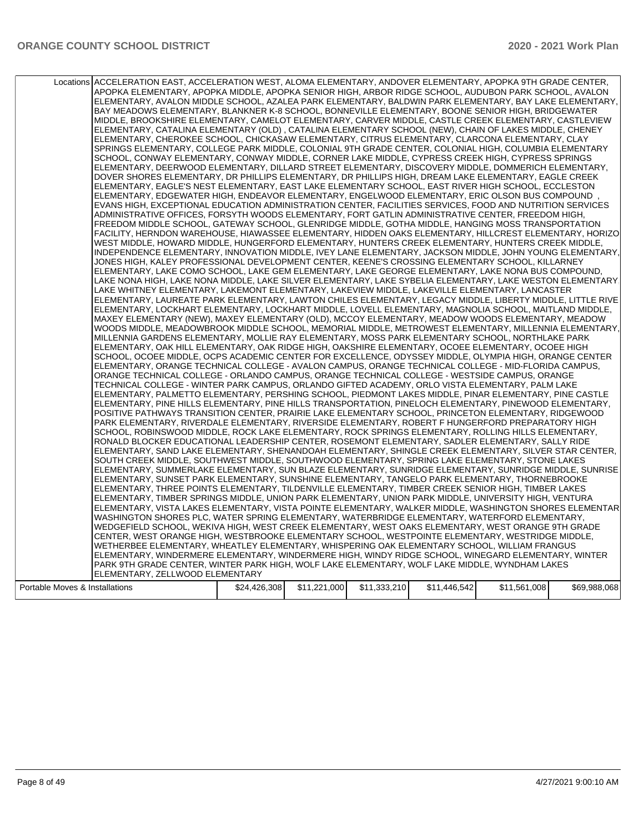|                                | Locations ACCELERATION EAST, ACCELERATION WEST, ALOMA ELEMENTARY, ANDOVER ELEMENTARY, APOPKA 9TH GRADE CENTER, |              |              |              |              |              |              |
|--------------------------------|----------------------------------------------------------------------------------------------------------------|--------------|--------------|--------------|--------------|--------------|--------------|
|                                | APOPKA ELEMENTARY, APOPKA MIDDLE, APOPKA SENIOR HIGH, ARBOR RIDGE SCHOOL, AUDUBON PARK SCHOOL, AVALON          |              |              |              |              |              |              |
|                                | ELEMENTARY, AVALON MIDDLE SCHOOL, AZALEA PARK ELEMENTARY, BALDWIN PARK ELEMENTARY, BAY LAKE ELEMENTARY,        |              |              |              |              |              |              |
|                                | BAY MEADOWS ELEMENTARY, BLANKNER K-8 SCHOOL, BONNEVILLE ELEMENTARY, BOONE SENIOR HIGH, BRIDGEWATER             |              |              |              |              |              |              |
|                                | MIDDLE, BROOKSHIRE ELEMENTARY, CAMELOT ELEMENTARY, CARVER MIDDLE, CASTLE CREEK ELEMENTARY, CASTLEVIEW          |              |              |              |              |              |              |
|                                | ELEMENTARY, CATALINA ELEMENTARY (OLD), CATALINA ELEMENTARY SCHOOL (NEW), CHAIN OF LAKES MIDDLE, CHENEY         |              |              |              |              |              |              |
|                                | ELEMENTARY, CHEROKEE SCHOOL, CHICKASAW ELEMENTARY, CITRUS ELEMENTARY, CLARCONA ELEMENTARY, CLAY                |              |              |              |              |              |              |
|                                | SPRINGS ELEMENTARY, COLLEGE PARK MIDDLE, COLONIAL 9TH GRADE CENTER, COLONIAL HIGH, COLUMBIA ELEMENTARY         |              |              |              |              |              |              |
|                                | SCHOOL, CONWAY ELEMENTARY, CONWAY MIDDLE, CORNER LAKE MIDDLE, CYPRESS CREEK HIGH, CYPRESS SPRINGS              |              |              |              |              |              |              |
|                                | ELEMENTARY, DEERWOOD ELEMENTARY, DILLARD STREET ELEMENTARY, DISCOVERY MIDDLE, DOMMERICH ELEMENTARY,            |              |              |              |              |              |              |
|                                | DOVER SHORES ELEMENTARY, DR PHILLIPS ELEMENTARY, DR PHILLIPS HIGH, DREAM LAKE ELEMENTARY, EAGLE CREEK          |              |              |              |              |              |              |
|                                | ELEMENTARY, EAGLE'S NEST ELEMENTARY, EAST LAKE ELEMENTARY SCHOOL, EAST RIVER HIGH SCHOOL, ECCLESTON            |              |              |              |              |              |              |
|                                | ELEMENTARY, EDGEWATER HIGH, ENDEAVOR ELEMENTARY, ENGELWOOD ELEMENTARY, ERIC OLSON BUS COMPOUND                 |              |              |              |              |              |              |
|                                | EVANS HIGH, EXCEPTIONAL EDUCATION ADMINISTRATION CENTER, FACILITIES SERVICES, FOOD AND NUTRITION SERVICES      |              |              |              |              |              |              |
|                                | ADMINISTRATIVE OFFICES, FORSYTH WOODS ELEMENTARY, FORT GATLIN ADMINISTRATIVE CENTER, FREEDOM HIGH,             |              |              |              |              |              |              |
|                                | FREEDOM MIDDLE SCHOOL, GATEWAY SCHOOL, GLENRIDGE MIDDLE, GOTHA MIDDLE, HANGING MOSS TRANSPORTATION             |              |              |              |              |              |              |
|                                | FACILITY, HERNDON WAREHOUSE, HIAWASSEE ELEMENTARY, HIDDEN OAKS ELEMENTARY, HILLCREST ELEMENTARY, HORIZO        |              |              |              |              |              |              |
|                                | WEST MIDDLE, HOWARD MIDDLE, HUNGERFORD ELEMENTARY, HUNTERS CREEK ELEMENTARY, HUNTERS CREEK MIDDLE,             |              |              |              |              |              |              |
|                                | INDEPENDENCE ELEMENTARY, INNOVATION MIDDLE, IVEY LANE ELEMENTARY, JACKSON MIDDLE, JOHN YOUNG ELEMENTARY,       |              |              |              |              |              |              |
|                                | JONES HIGH, KALEY PROFESSIONAL DEVELOPMENT CENTER, KEENE'S CROSSING ELEMENTARY SCHOOL, KILLARNEY               |              |              |              |              |              |              |
|                                | ELEMENTARY, LAKE COMO SCHOOL, LAKE GEM ELEMENTARY, LAKE GEORGE ELEMENTARY, LAKE NONA BUS COMPOUND,             |              |              |              |              |              |              |
|                                | LAKE NONA HIGH, LAKE NONA MIDDLE, LAKE SILVER ELEMENTARY, LAKE SYBELIA ELEMENTARY, LAKE WESTON ELEMENTARY.     |              |              |              |              |              |              |
|                                | LAKE WHITNEY ELEMENTARY, LAKEMONT ELEMENTARY, LAKEVIEW MIDDLE, LAKEVILLE ELEMENTARY, LANCASTER                 |              |              |              |              |              |              |
|                                | ELEMENTARY, LAUREATE PARK ELEMENTARY, LAWTON CHILES ELEMENTARY, LEGACY MIDDLE, LIBERTY MIDDLE, LITTLE RIVE     |              |              |              |              |              |              |
|                                | ELEMENTARY, LOCKHART ELEMENTARY, LOCKHART MIDDLE, LOVELL ELEMENTARY, MAGNOLIA SCHOOL, MAITLAND MIDDLE,         |              |              |              |              |              |              |
|                                | MAXEY ELEMENTARY (NEW), MAXEY ELEMENTARY (OLD), MCCOY ELEMENTARY, MEADOW WOODS ELEMENTARY, MEADOW              |              |              |              |              |              |              |
|                                | WOODS MIDDLE, MEADOWBROOK MIDDLE SCHOOL, MEMORIAL MIDDLE, METROWEST ELEMENTARY, MILLENNIA ELEMENTARY,          |              |              |              |              |              |              |
|                                | MILLENNIA GARDENS ELEMENTARY, MOLLIE RAY ELEMENTARY, MOSS PARK ELEMENTARY SCHOOL, NORTHLAKE PARK               |              |              |              |              |              |              |
|                                | ELEMENTARY, OAK HILL ELEMENTARY, OAK RIDGE HIGH, OAKSHIRE ELEMENTARY, OCOEE ELEMENTARY, OCOEE HIGH             |              |              |              |              |              |              |
|                                | SCHOOL, OCOEE MIDDLE, OCPS ACADEMIC CENTER FOR EXCELLENCE, ODYSSEY MIDDLE, OLYMPIA HIGH, ORANGE CENTER         |              |              |              |              |              |              |
|                                | ELEMENTARY, ORANGE TECHNICAL COLLEGE - AVALON CAMPUS, ORANGE TECHNICAL COLLEGE - MID-FLORIDA CAMPUS,           |              |              |              |              |              |              |
|                                | ORANGE TECHNICAL COLLEGE - ORLANDO CAMPUS, ORANGE TECHNICAL COLLEGE - WESTSIDE CAMPUS, ORANGE                  |              |              |              |              |              |              |
|                                | TECHNICAL COLLEGE - WINTER PARK CAMPUS, ORLANDO GIFTED ACADEMY, ORLO VISTA ELEMENTARY, PALM LAKE               |              |              |              |              |              |              |
|                                | ELEMENTARY, PALMETTO ELEMENTARY, PERSHING SCHOOL, PIEDMONT LAKES MIDDLE, PINAR ELEMENTARY, PINE CASTLE         |              |              |              |              |              |              |
|                                | ELEMENTARY, PINE HILLS ELEMENTARY, PINE HILLS TRANSPORTATION, PINELOCH ELEMENTARY, PINEWOOD ELEMENTARY,        |              |              |              |              |              |              |
|                                | POSITIVE PATHWAYS TRANSITION CENTER, PRAIRIE LAKE ELEMENTARY SCHOOL, PRINCETON ELEMENTARY, RIDGEWOOD           |              |              |              |              |              |              |
|                                | PARK ELEMENTARY, RIVERDALE ELEMENTARY, RIVERSIDE ELEMENTARY, ROBERT F HUNGERFORD PREPARATORY HIGH              |              |              |              |              |              |              |
|                                | SCHOOL, ROBINSWOOD MIDDLE, ROCK LAKE ELEMENTARY, ROCK SPRINGS ELEMENTARY, ROLLING HILLS ELEMENTARY,            |              |              |              |              |              |              |
|                                | RONALD BLOCKER EDUCATIONAL LEADERSHIP CENTER, ROSEMONT ELEMENTARY, SADLER ELEMENTARY, SALLY RIDE               |              |              |              |              |              |              |
|                                | ELEMENTARY, SAND LAKE ELEMENTARY, SHENANDOAH ELEMENTARY, SHINGLE CREEK ELEMENTARY, SILVER STAR CENTER,         |              |              |              |              |              |              |
|                                | SOUTH CREEK MIDDLE, SOUTHWEST MIDDLE, SOUTHWOOD ELEMENTARY, SPRING LAKE ELEMENTARY, STONE LAKES                |              |              |              |              |              |              |
|                                | ELEMENTARY, SUMMERLAKE ELEMENTARY, SUN BLAZE ELEMENTARY, SUNRIDGE ELEMENTARY, SUNRIDGE MIDDLE, SUNRISE         |              |              |              |              |              |              |
|                                | ELEMENTARY, SUNSET PARK ELEMENTARY, SUNSHINE ELEMENTARY, TANGELO PARK ELEMENTARY, THORNEBROOKE                 |              |              |              |              |              |              |
|                                | ELEMENTARY, THREE POINTS ELEMENTARY, TILDENVILLE ELEMENTARY, TIMBER CREEK SENIOR HIGH, TIMBER LAKES            |              |              |              |              |              |              |
|                                | ELEMENTARY, TIMBER SPRINGS MIDDLE, UNION PARK ELEMENTARY, UNION PARK MIDDLE, UNIVERSITY HIGH, VENTURA          |              |              |              |              |              |              |
|                                | ELEMENTARY, VISTA LAKES ELEMENTARY, VISTA POINTE ELEMENTARY, WALKER MIDDLE, WASHINGTON SHORES ELEMENTAR        |              |              |              |              |              |              |
|                                | WASHINGTON SHORES PLC, WATER SPRING ELEMENTARY, WATERBRIDGE ELEMENTARY, WATERFORD ELEMENTARY,                  |              |              |              |              |              |              |
|                                | WEDGEFIELD SCHOOL, WEKIVA HIGH, WEST CREEK ELEMENTARY, WEST OAKS ELEMENTARY, WEST ORANGE 9TH GRADE             |              |              |              |              |              |              |
|                                | CENTER, WEST ORANGE HIGH, WESTBROOKE ELEMENTARY SCHOOL, WESTPOINTE ELEMENTARY, WESTRIDGE MIDDLE,               |              |              |              |              |              |              |
|                                | WETHERBEE ELEMENTARY, WHEATLEY ELEMENTARY, WHISPERING OAK ELEMENTARY SCHOOL, WILLIAM FRANGUS                   |              |              |              |              |              |              |
|                                | ELEMENTARY. WINDERMERE ELEMENTARY. WINDERMERE HIGH. WINDY RIDGE SCHOOL. WINEGARD ELEMENTARY. WINTER            |              |              |              |              |              |              |
|                                | PARK 9TH GRADE CENTER, WINTER PARK HIGH, WOLF LAKE ELEMENTARY, WOLF LAKE MIDDLE, WYNDHAM LAKES                 |              |              |              |              |              |              |
|                                | ELEMENTARY, ZELLWOOD ELEMENTARY                                                                                |              |              |              |              |              |              |
| Portable Moves & Installations |                                                                                                                | \$24,426,308 | \$11,221,000 | \$11,333,210 | \$11,446,542 | \$11,561,008 | \$69,988,068 |
|                                |                                                                                                                |              |              |              |              |              |              |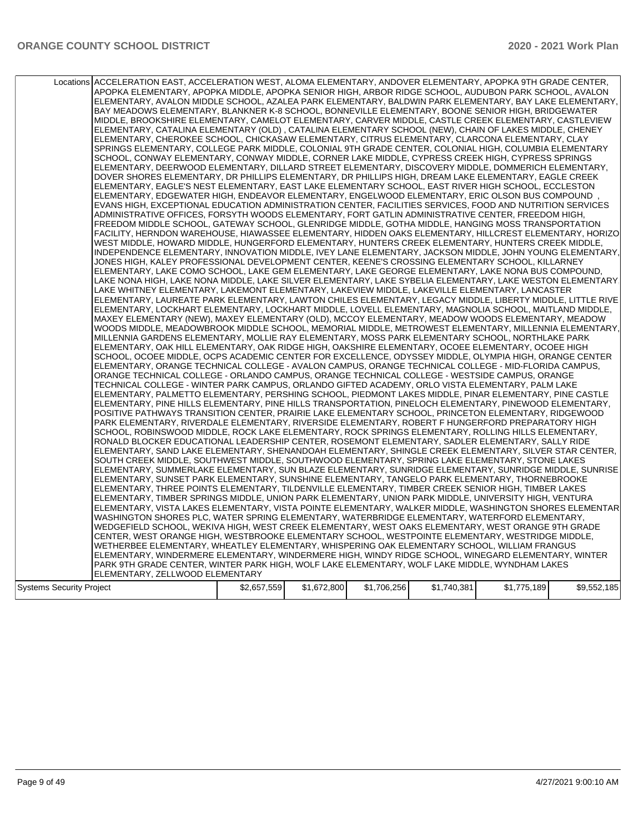|                          | Locations ACCELERATION EAST, ACCELERATION WEST, ALOMA ELEMENTARY, ANDOVER ELEMENTARY, APOPKA 9TH GRADE CENTER,<br>APOPKA ELEMENTARY, APOPKA MIDDLE, APOPKA SENIOR HIGH, ARBOR RIDGE SCHOOL, AUDUBON PARK SCHOOL, AVALON<br>ELEMENTARY, AVALON MIDDLE SCHOOL, AZALEA PARK ELEMENTARY, BALDWIN PARK ELEMENTARY, BAY LAKE ELEMENTARY,<br>BAY MEADOWS ELEMENTARY, BLANKNER K-8 SCHOOL, BONNEVILLE ELEMENTARY, BOONE SENIOR HIGH, BRIDGEWATER<br>MIDDLE, BROOKSHIRE ELEMENTARY, CAMELOT ELEMENTARY, CARVER MIDDLE, CASTLE CREEK ELEMENTARY, CASTLEVIEW<br>ELEMENTARY, CATALINA ELEMENTARY (OLD), CATALINA ELEMENTARY SCHOOL (NEW), CHAIN OF LAKES MIDDLE, CHENEY<br>ELEMENTARY, CHEROKEE SCHOOL, CHICKASAW ELEMENTARY, CITRUS ELEMENTARY, CLARCONA ELEMENTARY, CLAY<br>SPRINGS ELEMENTARY, COLLEGE PARK MIDDLE, COLONIAL 9TH GRADE CENTER, COLONIAL HIGH, COLUMBIA ELEMENTARY<br>SCHOOL, CONWAY ELEMENTARY, CONWAY MIDDLE, CORNER LAKE MIDDLE, CYPRESS CREEK HIGH, CYPRESS SPRINGS<br>ELEMENTARY, DEERWOOD ELEMENTARY, DILLARD STREET ELEMENTARY, DISCOVERY MIDDLE, DOMMERICH ELEMENTARY,<br>DOVER SHORES ELEMENTARY, DR PHILLIPS ELEMENTARY, DR PHILLIPS HIGH, DREAM LAKE ELEMENTARY, EAGLE CREEK<br>ELEMENTARY, EAGLE'S NEST ELEMENTARY, EAST LAKE ELEMENTARY SCHOOL, EAST RIVER HIGH SCHOOL, ECCLESTON<br>ELEMENTARY, EDGEWATER HIGH, ENDEAVOR ELEMENTARY, ENGELWOOD ELEMENTARY, ERIC OLSON BUS COMPOUND<br>EVANS HIGH, EXCEPTIONAL EDUCATION ADMINISTRATION CENTER, FACILITIES SERVICES, FOOD AND NUTRITION SERVICES<br>ADMINISTRATIVE OFFICES, FORSYTH WOODS ELEMENTARY, FORT GATLIN ADMINISTRATIVE CENTER, FREEDOM HIGH,<br>FREEDOM MIDDLE SCHOOL, GATEWAY SCHOOL, GLENRIDGE MIDDLE, GOTHA MIDDLE, HANGING MOSS TRANSPORTATION<br>FACILITY, HERNDON WAREHOUSE, HIAWASSEE ELEMENTARY, HIDDEN OAKS ELEMENTARY, HILLCREST ELEMENTARY, HORIZO<br>WEST MIDDLE, HOWARD MIDDLE, HUNGERFORD ELEMENTARY, HUNTERS CREEK ELEMENTARY, HUNTERS CREEK MIDDLE,<br>INDEPENDENCE ELEMENTARY, INNOVATION MIDDLE, IVEY LANE ELEMENTARY, JACKSON MIDDLE, JOHN YOUNG ELEMENTARY,<br>JONES HIGH, KALEY PROFESSIONAL DEVELOPMENT CENTER, KEENE'S CROSSING ELEMENTARY SCHOOL, KILLARNEY<br>ELEMENTARY, LAKE COMO SCHOOL, LAKE GEM ELEMENTARY, LAKE GEORGE ELEMENTARY, LAKE NONA BUS COMPOUND,<br>LAKE NONA HIGH, LAKE NONA MIDDLE, LAKE SILVER ELEMENTARY, LAKE SYBELIA ELEMENTARY, LAKE WESTON ELEMENTARY.<br>LAKE WHITNEY ELEMENTARY, LAKEMONT ELEMENTARY, LAKEVIEW MIDDLE, LAKEVILLE ELEMENTARY, LANCASTER<br>ELEMENTARY, LAUREATE PARK ELEMENTARY, LAWTON CHILES ELEMENTARY, LEGACY MIDDLE, LIBERTY MIDDLE, LITTLE RIVE<br> ELEMENTARY, LOCKHART ELEMENTARY, LOCKHART MIDDLE, LOVELL ELEMENTARY, MAGNOLIA SCHOOL, MAITLAND MIDDLE,<br>MAXEY ELEMENTARY (NEW), MAXEY ELEMENTARY (OLD), MCCOY ELEMENTARY, MEADOW WOODS ELEMENTARY, MEADOW<br>WOODS MIDDLE, MEADOWBROOK MIDDLE SCHOOL, MEMORIAL MIDDLE, METROWEST ELEMENTARY, MILLENNIA ELEMENTARY,<br>MILLENNIA GARDENS ELEMENTARY, MOLLIE RAY ELEMENTARY, MOSS PARK ELEMENTARY SCHOOL, NORTHLAKE PARK<br>ELEMENTARY, OAK HILL ELEMENTARY, OAK RIDGE HIGH, OAKSHIRE ELEMENTARY, OCOEE ELEMENTARY, OCOEE HIGH<br>SCHOOL, OCOEE MIDDLE, OCPS ACADEMIC CENTER FOR EXCELLENCE, ODYSSEY MIDDLE, OLYMPIA HIGH, ORANGE CENTER<br>ELEMENTARY, ORANGE TECHNICAL COLLEGE - AVALON CAMPUS, ORANGE TECHNICAL COLLEGE - MID-FLORIDA CAMPUS,<br>ORANGE TECHNICAL COLLEGE - ORLANDO CAMPUS, ORANGE TECHNICAL COLLEGE - WESTSIDE CAMPUS, ORANGE<br>TECHNICAL COLLEGE - WINTER PARK CAMPUS, ORLANDO GIFTED ACADEMY, ORLO VISTA ELEMENTARY, PALM LAKE<br>ELEMENTARY, PALMETTO ELEMENTARY, PERSHING SCHOOL, PIEDMONT LAKES MIDDLE, PINAR ELEMENTARY, PINE CASTLE<br>ELEMENTARY, PINE HILLS ELEMENTARY, PINE HILLS TRANSPORTATION, PINELOCH ELEMENTARY, PINEWOOD ELEMENTARY,<br>POSITIVE PATHWAYS TRANSITION CENTER, PRAIRIE LAKE ELEMENTARY SCHOOL, PRINCETON ELEMENTARY, RIDGEWOOD<br>PARK ELEMENTARY, RIVERDALE ELEMENTARY, RIVERSIDE ELEMENTARY, ROBERT F HUNGERFORD PREPARATORY HIGH<br>SCHOOL, ROBINSWOOD MIDDLE, ROCK LAKE ELEMENTARY, ROCK SPRINGS ELEMENTARY, ROLLING HILLS ELEMENTARY,<br>RONALD BLOCKER EDUCATIONAL LEADERSHIP CENTER, ROSEMONT ELEMENTARY, SADLER ELEMENTARY, SALLY RIDE<br>ELEMENTARY, SAND LAKE ELEMENTARY, SHENANDOAH ELEMENTARY, SHINGLE CREEK ELEMENTARY, SILVER STAR CENTER,<br>SOUTH CREEK MIDDLE, SOUTHWEST MIDDLE, SOUTHWOOD ELEMENTARY, SPRING LAKE ELEMENTARY, STONE LAKES<br>ELEMENTARY, SUMMERLAKE ELEMENTARY, SUN BLAZE ELEMENTARY, SUNRIDGE ELEMENTARY, SUNRIDGE MIDDLE, SUNRISE<br>ELEMENTARY, SUNSET PARK ELEMENTARY, SUNSHINE ELEMENTARY, TANGELO PARK ELEMENTARY, THORNEBROOKE<br>ELEMENTARY, THREE POINTS ELEMENTARY, TILDENVILLE ELEMENTARY, TIMBER CREEK SENIOR HIGH, TIMBER LAKES<br>ELEMENTARY, TIMBER SPRINGS MIDDLE, UNION PARK ELEMENTARY, UNION PARK MIDDLE, UNIVERSITY HIGH, VENTURA<br>ELEMENTARY, VISTA LAKES ELEMENTARY, VISTA POINTE ELEMENTARY, WALKER MIDDLE, WASHINGTON SHORES ELEMENTAR<br>WASHINGTON SHORES PLC, WATER SPRING ELEMENTARY, WATERBRIDGE ELEMENTARY, WATERFORD ELEMENTARY,<br>WEDGEFIELD SCHOOL, WEKIVA HIGH, WEST CREEK ELEMENTARY, WEST OAKS ELEMENTARY, WEST ORANGE 9TH GRADE<br>CENTER, WEST ORANGE HIGH, WESTBROOKE ELEMENTARY SCHOOL, WESTPOINTE ELEMENTARY, WESTRIDGE MIDDLE,<br>WETHERBEE ELEMENTARY, WHEATLEY ELEMENTARY, WHISPERING OAK ELEMENTARY SCHOOL, WILLIAM FRANGUS |             |             |             |             |             |             |
|--------------------------|----------------------------------------------------------------------------------------------------------------------------------------------------------------------------------------------------------------------------------------------------------------------------------------------------------------------------------------------------------------------------------------------------------------------------------------------------------------------------------------------------------------------------------------------------------------------------------------------------------------------------------------------------------------------------------------------------------------------------------------------------------------------------------------------------------------------------------------------------------------------------------------------------------------------------------------------------------------------------------------------------------------------------------------------------------------------------------------------------------------------------------------------------------------------------------------------------------------------------------------------------------------------------------------------------------------------------------------------------------------------------------------------------------------------------------------------------------------------------------------------------------------------------------------------------------------------------------------------------------------------------------------------------------------------------------------------------------------------------------------------------------------------------------------------------------------------------------------------------------------------------------------------------------------------------------------------------------------------------------------------------------------------------------------------------------------------------------------------------------------------------------------------------------------------------------------------------------------------------------------------------------------------------------------------------------------------------------------------------------------------------------------------------------------------------------------------------------------------------------------------------------------------------------------------------------------------------------------------------------------------------------------------------------------------------------------------------------------------------------------------------------------------------------------------------------------------------------------------------------------------------------------------------------------------------------------------------------------------------------------------------------------------------------------------------------------------------------------------------------------------------------------------------------------------------------------------------------------------------------------------------------------------------------------------------------------------------------------------------------------------------------------------------------------------------------------------------------------------------------------------------------------------------------------------------------------------------------------------------------------------------------------------------------------------------------------------------------------------------------------------------------------------------------------------------------------------------------------------------------------------------------------------------------------------------------------------------------------------------------------------------------------------------------------------------------------------------------------------------------------------------------------------------------------------------------------------------------------------------------------------------------------------------------------------------------------------------------------------------------------------------------------------------------------------------------------------------------------------------------------------------------------------------------------------------------------------------------------------------------------------------------------------------------------------------------------------------------------------------------------------------------------------------------------------------------------------------------------------------------------------------------------------------------------------------------------------------------------------------------------------------------------------------------------------------------------------------------------------------------------------------------------------------------------------------------------------------------------------------------------------------------------------------------------------------------------------------------------------------------------------------|-------------|-------------|-------------|-------------|-------------|-------------|
|                          |                                                                                                                                                                                                                                                                                                                                                                                                                                                                                                                                                                                                                                                                                                                                                                                                                                                                                                                                                                                                                                                                                                                                                                                                                                                                                                                                                                                                                                                                                                                                                                                                                                                                                                                                                                                                                                                                                                                                                                                                                                                                                                                                                                                                                                                                                                                                                                                                                                                                                                                                                                                                                                                                                                                                                                                                                                                                                                                                                                                                                                                                                                                                                                                                                                                                                                                                                                                                                                                                                                                                                                                                                                                                                                                                                                                                                                                                                                                                                                                                                                                                                                                                                                                                                                                                                                                                                                                                                                                                                                                                                                                                                                                                                                                                                                                                                                                                                                                                                                                                                                                                                                                                                                                                                                                                                                                                                                            |             |             |             |             |             |             |
|                          |                                                                                                                                                                                                                                                                                                                                                                                                                                                                                                                                                                                                                                                                                                                                                                                                                                                                                                                                                                                                                                                                                                                                                                                                                                                                                                                                                                                                                                                                                                                                                                                                                                                                                                                                                                                                                                                                                                                                                                                                                                                                                                                                                                                                                                                                                                                                                                                                                                                                                                                                                                                                                                                                                                                                                                                                                                                                                                                                                                                                                                                                                                                                                                                                                                                                                                                                                                                                                                                                                                                                                                                                                                                                                                                                                                                                                                                                                                                                                                                                                                                                                                                                                                                                                                                                                                                                                                                                                                                                                                                                                                                                                                                                                                                                                                                                                                                                                                                                                                                                                                                                                                                                                                                                                                                                                                                                                                            |             |             |             |             |             |             |
|                          |                                                                                                                                                                                                                                                                                                                                                                                                                                                                                                                                                                                                                                                                                                                                                                                                                                                                                                                                                                                                                                                                                                                                                                                                                                                                                                                                                                                                                                                                                                                                                                                                                                                                                                                                                                                                                                                                                                                                                                                                                                                                                                                                                                                                                                                                                                                                                                                                                                                                                                                                                                                                                                                                                                                                                                                                                                                                                                                                                                                                                                                                                                                                                                                                                                                                                                                                                                                                                                                                                                                                                                                                                                                                                                                                                                                                                                                                                                                                                                                                                                                                                                                                                                                                                                                                                                                                                                                                                                                                                                                                                                                                                                                                                                                                                                                                                                                                                                                                                                                                                                                                                                                                                                                                                                                                                                                                                                            |             |             |             |             |             |             |
|                          |                                                                                                                                                                                                                                                                                                                                                                                                                                                                                                                                                                                                                                                                                                                                                                                                                                                                                                                                                                                                                                                                                                                                                                                                                                                                                                                                                                                                                                                                                                                                                                                                                                                                                                                                                                                                                                                                                                                                                                                                                                                                                                                                                                                                                                                                                                                                                                                                                                                                                                                                                                                                                                                                                                                                                                                                                                                                                                                                                                                                                                                                                                                                                                                                                                                                                                                                                                                                                                                                                                                                                                                                                                                                                                                                                                                                                                                                                                                                                                                                                                                                                                                                                                                                                                                                                                                                                                                                                                                                                                                                                                                                                                                                                                                                                                                                                                                                                                                                                                                                                                                                                                                                                                                                                                                                                                                                                                            |             |             |             |             |             |             |
|                          |                                                                                                                                                                                                                                                                                                                                                                                                                                                                                                                                                                                                                                                                                                                                                                                                                                                                                                                                                                                                                                                                                                                                                                                                                                                                                                                                                                                                                                                                                                                                                                                                                                                                                                                                                                                                                                                                                                                                                                                                                                                                                                                                                                                                                                                                                                                                                                                                                                                                                                                                                                                                                                                                                                                                                                                                                                                                                                                                                                                                                                                                                                                                                                                                                                                                                                                                                                                                                                                                                                                                                                                                                                                                                                                                                                                                                                                                                                                                                                                                                                                                                                                                                                                                                                                                                                                                                                                                                                                                                                                                                                                                                                                                                                                                                                                                                                                                                                                                                                                                                                                                                                                                                                                                                                                                                                                                                                            |             |             |             |             |             |             |
|                          | ELEMENTARY. WINDERMERE ELEMENTARY. WINDERMERE HIGH. WINDY RIDGE SCHOOL. WINEGARD ELEMENTARY. WINTER                                                                                                                                                                                                                                                                                                                                                                                                                                                                                                                                                                                                                                                                                                                                                                                                                                                                                                                                                                                                                                                                                                                                                                                                                                                                                                                                                                                                                                                                                                                                                                                                                                                                                                                                                                                                                                                                                                                                                                                                                                                                                                                                                                                                                                                                                                                                                                                                                                                                                                                                                                                                                                                                                                                                                                                                                                                                                                                                                                                                                                                                                                                                                                                                                                                                                                                                                                                                                                                                                                                                                                                                                                                                                                                                                                                                                                                                                                                                                                                                                                                                                                                                                                                                                                                                                                                                                                                                                                                                                                                                                                                                                                                                                                                                                                                                                                                                                                                                                                                                                                                                                                                                                                                                                                                                        |             |             |             |             |             |             |
|                          | PARK 9TH GRADE CENTER, WINTER PARK HIGH, WOLF LAKE ELEMENTARY, WOLF LAKE MIDDLE, WYNDHAM LAKES                                                                                                                                                                                                                                                                                                                                                                                                                                                                                                                                                                                                                                                                                                                                                                                                                                                                                                                                                                                                                                                                                                                                                                                                                                                                                                                                                                                                                                                                                                                                                                                                                                                                                                                                                                                                                                                                                                                                                                                                                                                                                                                                                                                                                                                                                                                                                                                                                                                                                                                                                                                                                                                                                                                                                                                                                                                                                                                                                                                                                                                                                                                                                                                                                                                                                                                                                                                                                                                                                                                                                                                                                                                                                                                                                                                                                                                                                                                                                                                                                                                                                                                                                                                                                                                                                                                                                                                                                                                                                                                                                                                                                                                                                                                                                                                                                                                                                                                                                                                                                                                                                                                                                                                                                                                                             |             |             |             |             |             |             |
|                          |                                                                                                                                                                                                                                                                                                                                                                                                                                                                                                                                                                                                                                                                                                                                                                                                                                                                                                                                                                                                                                                                                                                                                                                                                                                                                                                                                                                                                                                                                                                                                                                                                                                                                                                                                                                                                                                                                                                                                                                                                                                                                                                                                                                                                                                                                                                                                                                                                                                                                                                                                                                                                                                                                                                                                                                                                                                                                                                                                                                                                                                                                                                                                                                                                                                                                                                                                                                                                                                                                                                                                                                                                                                                                                                                                                                                                                                                                                                                                                                                                                                                                                                                                                                                                                                                                                                                                                                                                                                                                                                                                                                                                                                                                                                                                                                                                                                                                                                                                                                                                                                                                                                                                                                                                                                                                                                                                                            |             |             |             |             |             |             |
|                          | ELEMENTARY, ZELLWOOD ELEMENTARY                                                                                                                                                                                                                                                                                                                                                                                                                                                                                                                                                                                                                                                                                                                                                                                                                                                                                                                                                                                                                                                                                                                                                                                                                                                                                                                                                                                                                                                                                                                                                                                                                                                                                                                                                                                                                                                                                                                                                                                                                                                                                                                                                                                                                                                                                                                                                                                                                                                                                                                                                                                                                                                                                                                                                                                                                                                                                                                                                                                                                                                                                                                                                                                                                                                                                                                                                                                                                                                                                                                                                                                                                                                                                                                                                                                                                                                                                                                                                                                                                                                                                                                                                                                                                                                                                                                                                                                                                                                                                                                                                                                                                                                                                                                                                                                                                                                                                                                                                                                                                                                                                                                                                                                                                                                                                                                                            |             |             |             |             |             |             |
| Systems Security Project |                                                                                                                                                                                                                                                                                                                                                                                                                                                                                                                                                                                                                                                                                                                                                                                                                                                                                                                                                                                                                                                                                                                                                                                                                                                                                                                                                                                                                                                                                                                                                                                                                                                                                                                                                                                                                                                                                                                                                                                                                                                                                                                                                                                                                                                                                                                                                                                                                                                                                                                                                                                                                                                                                                                                                                                                                                                                                                                                                                                                                                                                                                                                                                                                                                                                                                                                                                                                                                                                                                                                                                                                                                                                                                                                                                                                                                                                                                                                                                                                                                                                                                                                                                                                                                                                                                                                                                                                                                                                                                                                                                                                                                                                                                                                                                                                                                                                                                                                                                                                                                                                                                                                                                                                                                                                                                                                                                            | \$2,657,559 | \$1,672,800 | \$1,706,256 | \$1,740,381 | \$1,775,189 | \$9,552,185 |
|                          |                                                                                                                                                                                                                                                                                                                                                                                                                                                                                                                                                                                                                                                                                                                                                                                                                                                                                                                                                                                                                                                                                                                                                                                                                                                                                                                                                                                                                                                                                                                                                                                                                                                                                                                                                                                                                                                                                                                                                                                                                                                                                                                                                                                                                                                                                                                                                                                                                                                                                                                                                                                                                                                                                                                                                                                                                                                                                                                                                                                                                                                                                                                                                                                                                                                                                                                                                                                                                                                                                                                                                                                                                                                                                                                                                                                                                                                                                                                                                                                                                                                                                                                                                                                                                                                                                                                                                                                                                                                                                                                                                                                                                                                                                                                                                                                                                                                                                                                                                                                                                                                                                                                                                                                                                                                                                                                                                                            |             |             |             |             |             |             |
|                          |                                                                                                                                                                                                                                                                                                                                                                                                                                                                                                                                                                                                                                                                                                                                                                                                                                                                                                                                                                                                                                                                                                                                                                                                                                                                                                                                                                                                                                                                                                                                                                                                                                                                                                                                                                                                                                                                                                                                                                                                                                                                                                                                                                                                                                                                                                                                                                                                                                                                                                                                                                                                                                                                                                                                                                                                                                                                                                                                                                                                                                                                                                                                                                                                                                                                                                                                                                                                                                                                                                                                                                                                                                                                                                                                                                                                                                                                                                                                                                                                                                                                                                                                                                                                                                                                                                                                                                                                                                                                                                                                                                                                                                                                                                                                                                                                                                                                                                                                                                                                                                                                                                                                                                                                                                                                                                                                                                            |             |             |             |             |             |             |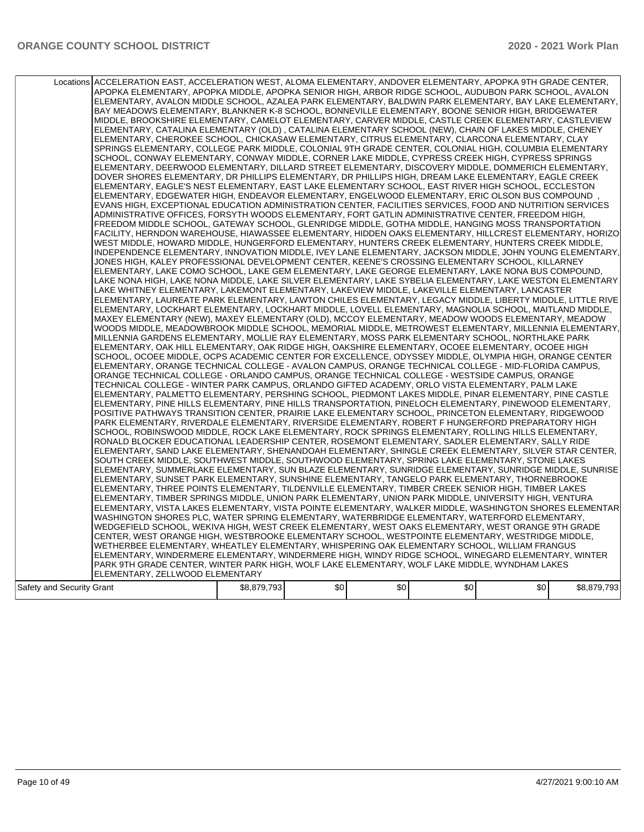|                           | Locations ACCELERATION EAST, ACCELERATION WEST, ALOMA ELEMENTARY, ANDOVER ELEMENTARY, APOPKA 9TH GRADE CENTER,<br>APOPKA ELEMENTARY, APOPKA MIDDLE, APOPKA SENIOR HIGH, ARBOR RIDGE SCHOOL, AUDUBON PARK SCHOOL, AVALON<br>ELEMENTARY, AVALON MIDDLE SCHOOL, AZALEA PARK ELEMENTARY, BALDWIN PARK ELEMENTARY, BAY LAKE ELEMENTARY,<br>BAY MEADOWS ELEMENTARY, BLANKNER K-8 SCHOOL, BONNEVILLE ELEMENTARY, BOONE SENIOR HIGH, BRIDGEWATER<br>MIDDLE, BROOKSHIRE ELEMENTARY, CAMELOT ELEMENTARY, CARVER MIDDLE, CASTLE CREEK ELEMENTARY, CASTLEVIEW<br>ELEMENTARY, CATALINA ELEMENTARY (OLD), CATALINA ELEMENTARY SCHOOL (NEW), CHAIN OF LAKES MIDDLE, CHENEY<br>ELEMENTARY, CHEROKEE SCHOOL, CHICKASAW ELEMENTARY, CITRUS ELEMENTARY, CLARCONA ELEMENTARY, CLAY<br>SPRINGS ELEMENTARY, COLLEGE PARK MIDDLE, COLONIAL 9TH GRADE CENTER, COLONIAL HIGH, COLUMBIA ELEMENTARY<br>SCHOOL, CONWAY ELEMENTARY, CONWAY MIDDLE, CORNER LAKE MIDDLE, CYPRESS CREEK HIGH, CYPRESS SPRINGS<br>ELEMENTARY, DEERWOOD ELEMENTARY, DILLARD STREET ELEMENTARY, DISCOVERY MIDDLE, DOMMERICH ELEMENTARY,<br>DOVER SHORES ELEMENTARY, DR PHILLIPS ELEMENTARY, DR PHILLIPS HIGH, DREAM LAKE ELEMENTARY, EAGLE CREEK<br>ELEMENTARY, EAGLE'S NEST ELEMENTARY, EAST LAKE ELEMENTARY SCHOOL, EAST RIVER HIGH SCHOOL, ECCLESTON<br>ELEMENTARY, EDGEWATER HIGH, ENDEAVOR ELEMENTARY, ENGELWOOD ELEMENTARY, ERIC OLSON BUS COMPOUND<br>EVANS HIGH, EXCEPTIONAL EDUCATION ADMINISTRATION CENTER, FACILITIES SERVICES, FOOD AND NUTRITION SERVICES<br>ADMINISTRATIVE OFFICES, FORSYTH WOODS ELEMENTARY, FORT GATLIN ADMINISTRATIVE CENTER, FREEDOM HIGH,<br>FREEDOM MIDDLE SCHOOL, GATEWAY SCHOOL, GLENRIDGE MIDDLE, GOTHA MIDDLE, HANGING MOSS TRANSPORTATION<br>FACILITY, HERNDON WAREHOUSE, HIAWASSEE ELEMENTARY, HIDDEN OAKS ELEMENTARY, HILLCREST ELEMENTARY, HORIZO<br>WEST MIDDLE, HOWARD MIDDLE, HUNGERFORD ELEMENTARY, HUNTERS CREEK ELEMENTARY, HUNTERS CREEK MIDDLE,<br>INDEPENDENCE ELEMENTARY, INNOVATION MIDDLE, IVEY LANE ELEMENTARY, JACKSON MIDDLE, JOHN YOUNG ELEMENTARY,<br>JONES HIGH, KALEY PROFESSIONAL DEVELOPMENT CENTER, KEENE'S CROSSING ELEMENTARY SCHOOL, KILLARNEY<br>ELEMENTARY, LAKE COMO SCHOOL, LAKE GEM ELEMENTARY, LAKE GEORGE ELEMENTARY, LAKE NONA BUS COMPOUND,<br>LAKE NONA HIGH, LAKE NONA MIDDLE, LAKE SILVER ELEMENTARY, LAKE SYBELIA ELEMENTARY, LAKE WESTON ELEMENTARY.<br>LAKE WHITNEY ELEMENTARY, LAKEMONT ELEMENTARY, LAKEVIEW MIDDLE, LAKEVILLE ELEMENTARY, LANCASTER<br>ELEMENTARY, LAUREATE PARK ELEMENTARY, LAWTON CHILES ELEMENTARY, LEGACY MIDDLE, LIBERTY MIDDLE, LITTLE RIVE<br>IELEMENTARY, LOCKHART ELEMENTARY, LOCKHART MIDDLE, LOVELL ELEMENTARY, MAGNOLIA SCHOOL, MAITLAND MIDDLE,<br>MAXEY ELEMENTARY (NEW), MAXEY ELEMENTARY (OLD), MCCOY ELEMENTARY, MEADOW WOODS ELEMENTARY, MEADOW<br>WOODS MIDDLE, MEADOWBROOK MIDDLE SCHOOL, MEMORIAL MIDDLE, METROWEST ELEMENTARY, MILLENNIA ELEMENTARY,<br>MILLENNIA GARDENS ELEMENTARY, MOLLIE RAY ELEMENTARY, MOSS PARK ELEMENTARY SCHOOL, NORTHLAKE PARK<br>ELEMENTARY, OAK HILL ELEMENTARY, OAK RIDGE HIGH, OAKSHIRE ELEMENTARY, OCOEE ELEMENTARY, OCOEE HIGH<br>SCHOOL, OCOEE MIDDLE, OCPS ACADEMIC CENTER FOR EXCELLENCE, ODYSSEY MIDDLE, OLYMPIA HIGH, ORANGE CENTER<br>ELEMENTARY, ORANGE TECHNICAL COLLEGE - AVALON CAMPUS, ORANGE TECHNICAL COLLEGE - MID-FLORIDA CAMPUS,<br>ORANGE TECHNICAL COLLEGE - ORLANDO CAMPUS, ORANGE TECHNICAL COLLEGE - WESTSIDE CAMPUS, ORANGE<br>TECHNICAL COLLEGE - WINTER PARK CAMPUS, ORLANDO GIFTED ACADEMY, ORLO VISTA ELEMENTARY, PALM LAKE<br>ELEMENTARY, PALMETTO ELEMENTARY, PERSHING SCHOOL, PIEDMONT LAKES MIDDLE, PINAR ELEMENTARY, PINE CASTLE<br>ELEMENTARY, PINE HILLS ELEMENTARY, PINE HILLS TRANSPORTATION, PINELOCH ELEMENTARY, PINEWOOD ELEMENTARY,<br>POSITIVE PATHWAYS TRANSITION CENTER, PRAIRIE LAKE ELEMENTARY SCHOOL, PRINCETON ELEMENTARY, RIDGEWOOD<br>PARK ELEMENTARY, RIVERDALE ELEMENTARY, RIVERSIDE ELEMENTARY, ROBERT F HUNGERFORD PREPARATORY HIGH<br>SCHOOL, ROBINSWOOD MIDDLE, ROCK LAKE ELEMENTARY, ROCK SPRINGS ELEMENTARY, ROLLING HILLS ELEMENTARY,<br>RONALD BLOCKER EDUCATIONAL LEADERSHIP CENTER, ROSEMONT ELEMENTARY, SADLER ELEMENTARY, SALLY RIDE<br>ELEMENTARY, SAND LAKE ELEMENTARY, SHENANDOAH ELEMENTARY, SHINGLE CREEK ELEMENTARY, SILVER STAR CENTER,<br>SOUTH CREEK MIDDLE, SOUTHWEST MIDDLE, SOUTHWOOD ELEMENTARY, SPRING LAKE ELEMENTARY, STONE LAKES<br>ELEMENTARY, SUMMERLAKE ELEMENTARY, SUN BLAZE ELEMENTARY, SUNRIDGE ELEMENTARY, SUNRIDGE MIDDLE, SUNRISE<br>ELEMENTARY, SUNSET PARK ELEMENTARY, SUNSHINE ELEMENTARY, TANGELO PARK ELEMENTARY, THORNEBROOKE<br>ELEMENTARY, THREE POINTS ELEMENTARY, TILDENVILLE ELEMENTARY, TIMBER CREEK SENIOR HIGH, TIMBER LAKES<br>ELEMENTARY, TIMBER SPRINGS MIDDLE, UNION PARK ELEMENTARY, UNION PARK MIDDLE, UNIVERSITY HIGH, VENTURA<br>ELEMENTARY, VISTA LAKES ELEMENTARY, VISTA POINTE ELEMENTARY, WALKER MIDDLE, WASHINGTON SHORES ELEMENTAR<br>WASHINGTON SHORES PLC, WATER SPRING ELEMENTARY, WATERBRIDGE ELEMENTARY, WATERFORD ELEMENTARY,<br>WEDGEFIELD SCHOOL, WEKIVA HIGH, WEST CREEK ELEMENTARY, WEST OAKS ELEMENTARY, WEST ORANGE 9TH GRADE<br>CENTER, WEST ORANGE HIGH, WESTBROOKE ELEMENTARY SCHOOL, WESTPOINTE ELEMENTARY, WESTRIDGE MIDDLE,<br>WETHERBEE ELEMENTARY, WHEATLEY ELEMENTARY, WHISPERING OAK ELEMENTARY SCHOOL, WILLIAM FRANGUS |             |     |     |     |     |             |
|---------------------------|----------------------------------------------------------------------------------------------------------------------------------------------------------------------------------------------------------------------------------------------------------------------------------------------------------------------------------------------------------------------------------------------------------------------------------------------------------------------------------------------------------------------------------------------------------------------------------------------------------------------------------------------------------------------------------------------------------------------------------------------------------------------------------------------------------------------------------------------------------------------------------------------------------------------------------------------------------------------------------------------------------------------------------------------------------------------------------------------------------------------------------------------------------------------------------------------------------------------------------------------------------------------------------------------------------------------------------------------------------------------------------------------------------------------------------------------------------------------------------------------------------------------------------------------------------------------------------------------------------------------------------------------------------------------------------------------------------------------------------------------------------------------------------------------------------------------------------------------------------------------------------------------------------------------------------------------------------------------------------------------------------------------------------------------------------------------------------------------------------------------------------------------------------------------------------------------------------------------------------------------------------------------------------------------------------------------------------------------------------------------------------------------------------------------------------------------------------------------------------------------------------------------------------------------------------------------------------------------------------------------------------------------------------------------------------------------------------------------------------------------------------------------------------------------------------------------------------------------------------------------------------------------------------------------------------------------------------------------------------------------------------------------------------------------------------------------------------------------------------------------------------------------------------------------------------------------------------------------------------------------------------------------------------------------------------------------------------------------------------------------------------------------------------------------------------------------------------------------------------------------------------------------------------------------------------------------------------------------------------------------------------------------------------------------------------------------------------------------------------------------------------------------------------------------------------------------------------------------------------------------------------------------------------------------------------------------------------------------------------------------------------------------------------------------------------------------------------------------------------------------------------------------------------------------------------------------------------------------------------------------------------------------------------------------------------------------------------------------------------------------------------------------------------------------------------------------------------------------------------------------------------------------------------------------------------------------------------------------------------------------------------------------------------------------------------------------------------------------------------------------------------------------------------------------------------------------------------------------------------------------------------------------------------------------------------------------------------------------------------------------------------------------------------------------------------------------------------------------------------------------------------------------------------------------------------------------------------------------------------------------------------------------------------------------------------------------------------------------------------------------------|-------------|-----|-----|-----|-----|-------------|
|                           |                                                                                                                                                                                                                                                                                                                                                                                                                                                                                                                                                                                                                                                                                                                                                                                                                                                                                                                                                                                                                                                                                                                                                                                                                                                                                                                                                                                                                                                                                                                                                                                                                                                                                                                                                                                                                                                                                                                                                                                                                                                                                                                                                                                                                                                                                                                                                                                                                                                                                                                                                                                                                                                                                                                                                                                                                                                                                                                                                                                                                                                                                                                                                                                                                                                                                                                                                                                                                                                                                                                                                                                                                                                                                                                                                                                                                                                                                                                                                                                                                                                                                                                                                                                                                                                                                                                                                                                                                                                                                                                                                                                                                                                                                                                                                                                                                                                                                                                                                                                                                                                                                                                                                                                                                                                                                                                                                                            |             |     |     |     |     |             |
|                           |                                                                                                                                                                                                                                                                                                                                                                                                                                                                                                                                                                                                                                                                                                                                                                                                                                                                                                                                                                                                                                                                                                                                                                                                                                                                                                                                                                                                                                                                                                                                                                                                                                                                                                                                                                                                                                                                                                                                                                                                                                                                                                                                                                                                                                                                                                                                                                                                                                                                                                                                                                                                                                                                                                                                                                                                                                                                                                                                                                                                                                                                                                                                                                                                                                                                                                                                                                                                                                                                                                                                                                                                                                                                                                                                                                                                                                                                                                                                                                                                                                                                                                                                                                                                                                                                                                                                                                                                                                                                                                                                                                                                                                                                                                                                                                                                                                                                                                                                                                                                                                                                                                                                                                                                                                                                                                                                                                            |             |     |     |     |     |             |
|                           |                                                                                                                                                                                                                                                                                                                                                                                                                                                                                                                                                                                                                                                                                                                                                                                                                                                                                                                                                                                                                                                                                                                                                                                                                                                                                                                                                                                                                                                                                                                                                                                                                                                                                                                                                                                                                                                                                                                                                                                                                                                                                                                                                                                                                                                                                                                                                                                                                                                                                                                                                                                                                                                                                                                                                                                                                                                                                                                                                                                                                                                                                                                                                                                                                                                                                                                                                                                                                                                                                                                                                                                                                                                                                                                                                                                                                                                                                                                                                                                                                                                                                                                                                                                                                                                                                                                                                                                                                                                                                                                                                                                                                                                                                                                                                                                                                                                                                                                                                                                                                                                                                                                                                                                                                                                                                                                                                                            |             |     |     |     |     |             |
|                           |                                                                                                                                                                                                                                                                                                                                                                                                                                                                                                                                                                                                                                                                                                                                                                                                                                                                                                                                                                                                                                                                                                                                                                                                                                                                                                                                                                                                                                                                                                                                                                                                                                                                                                                                                                                                                                                                                                                                                                                                                                                                                                                                                                                                                                                                                                                                                                                                                                                                                                                                                                                                                                                                                                                                                                                                                                                                                                                                                                                                                                                                                                                                                                                                                                                                                                                                                                                                                                                                                                                                                                                                                                                                                                                                                                                                                                                                                                                                                                                                                                                                                                                                                                                                                                                                                                                                                                                                                                                                                                                                                                                                                                                                                                                                                                                                                                                                                                                                                                                                                                                                                                                                                                                                                                                                                                                                                                            |             |     |     |     |     |             |
|                           | ELEMENTARY. WINDERMERE ELEMENTARY. WINDERMERE HIGH. WINDY RIDGE SCHOOL. WINEGARD ELEMENTARY. WINTER                                                                                                                                                                                                                                                                                                                                                                                                                                                                                                                                                                                                                                                                                                                                                                                                                                                                                                                                                                                                                                                                                                                                                                                                                                                                                                                                                                                                                                                                                                                                                                                                                                                                                                                                                                                                                                                                                                                                                                                                                                                                                                                                                                                                                                                                                                                                                                                                                                                                                                                                                                                                                                                                                                                                                                                                                                                                                                                                                                                                                                                                                                                                                                                                                                                                                                                                                                                                                                                                                                                                                                                                                                                                                                                                                                                                                                                                                                                                                                                                                                                                                                                                                                                                                                                                                                                                                                                                                                                                                                                                                                                                                                                                                                                                                                                                                                                                                                                                                                                                                                                                                                                                                                                                                                                                        |             |     |     |     |     |             |
|                           | PARK 9TH GRADE CENTER, WINTER PARK HIGH, WOLF LAKE ELEMENTARY, WOLF LAKE MIDDLE, WYNDHAM LAKES                                                                                                                                                                                                                                                                                                                                                                                                                                                                                                                                                                                                                                                                                                                                                                                                                                                                                                                                                                                                                                                                                                                                                                                                                                                                                                                                                                                                                                                                                                                                                                                                                                                                                                                                                                                                                                                                                                                                                                                                                                                                                                                                                                                                                                                                                                                                                                                                                                                                                                                                                                                                                                                                                                                                                                                                                                                                                                                                                                                                                                                                                                                                                                                                                                                                                                                                                                                                                                                                                                                                                                                                                                                                                                                                                                                                                                                                                                                                                                                                                                                                                                                                                                                                                                                                                                                                                                                                                                                                                                                                                                                                                                                                                                                                                                                                                                                                                                                                                                                                                                                                                                                                                                                                                                                                             |             |     |     |     |     |             |
|                           | ELEMENTARY, ZELLWOOD ELEMENTARY                                                                                                                                                                                                                                                                                                                                                                                                                                                                                                                                                                                                                                                                                                                                                                                                                                                                                                                                                                                                                                                                                                                                                                                                                                                                                                                                                                                                                                                                                                                                                                                                                                                                                                                                                                                                                                                                                                                                                                                                                                                                                                                                                                                                                                                                                                                                                                                                                                                                                                                                                                                                                                                                                                                                                                                                                                                                                                                                                                                                                                                                                                                                                                                                                                                                                                                                                                                                                                                                                                                                                                                                                                                                                                                                                                                                                                                                                                                                                                                                                                                                                                                                                                                                                                                                                                                                                                                                                                                                                                                                                                                                                                                                                                                                                                                                                                                                                                                                                                                                                                                                                                                                                                                                                                                                                                                                            |             |     |     |     |     |             |
| Safety and Security Grant |                                                                                                                                                                                                                                                                                                                                                                                                                                                                                                                                                                                                                                                                                                                                                                                                                                                                                                                                                                                                                                                                                                                                                                                                                                                                                                                                                                                                                                                                                                                                                                                                                                                                                                                                                                                                                                                                                                                                                                                                                                                                                                                                                                                                                                                                                                                                                                                                                                                                                                                                                                                                                                                                                                                                                                                                                                                                                                                                                                                                                                                                                                                                                                                                                                                                                                                                                                                                                                                                                                                                                                                                                                                                                                                                                                                                                                                                                                                                                                                                                                                                                                                                                                                                                                                                                                                                                                                                                                                                                                                                                                                                                                                                                                                                                                                                                                                                                                                                                                                                                                                                                                                                                                                                                                                                                                                                                                            | \$8,879,793 | \$0 | \$0 | \$0 | \$0 | \$8,879,793 |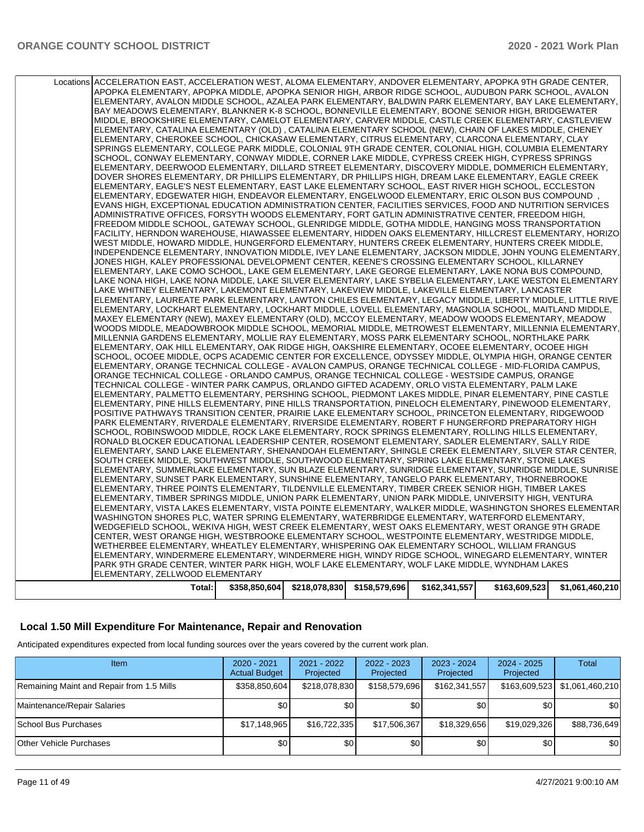| Locations ACCELERATION EAST, ACCELERATION WEST, ALOMA ELEMENTARY, ANDOVER ELEMENTARY, APOPKA 9TH GRADE CENTER,<br>APOPKA ELEMENTARY, APOPKA MIDDLE, APOPKA SENIOR HIGH, ARBOR RIDGE SCHOOL, AUDUBON PARK SCHOOL, AVALON<br>ELEMENTARY, AVALON MIDDLE SCHOOL, AZALEA PARK ELEMENTARY, BALDWIN PARK ELEMENTARY, BAY LAKE ELEMENTARY,<br>BAY MEADOWS ELEMENTARY, BLANKNER K-8 SCHOOL, BONNEVILLE ELEMENTARY, BOONE SENIOR HIGH, BRIDGEWATER<br>MIDDLE, BROOKSHIRE ELEMENTARY, CAMELOT ELEMENTARY, CARVER MIDDLE, CASTLE CREEK ELEMENTARY, CASTLEVIEW |  |                                               |               |               |                 |
|---------------------------------------------------------------------------------------------------------------------------------------------------------------------------------------------------------------------------------------------------------------------------------------------------------------------------------------------------------------------------------------------------------------------------------------------------------------------------------------------------------------------------------------------------|--|-----------------------------------------------|---------------|---------------|-----------------|
| ELEMENTARY, CATALINA ELEMENTARY (OLD), CATALINA ELEMENTARY SCHOOL (NEW), CHAIN OF LAKES MIDDLE, CHENEY<br>ELEMENTARY, CHEROKEE SCHOOL, CHICKASAW ELEMENTARY, CITRUS ELEMENTARY, CLARCONA ELEMENTARY, CLAY<br>SPRINGS ELEMENTARY, COLLEGE PARK MIDDLE, COLONIAL 9TH GRADE CENTER, COLONIAL HIGH, COLUMBIA ELEMENTARY<br>SCHOOL, CONWAY ELEMENTARY, CONWAY MIDDLE, CORNER LAKE MIDDLE, CYPRESS CREEK HIGH, CYPRESS SPRINGS                                                                                                                          |  |                                               |               |               |                 |
| ELEMENTARY, DEERWOOD ELEMENTARY, DILLARD STREET ELEMENTARY, DISCOVERY MIDDLE, DOMMERICH ELEMENTARY,<br>DOVER SHORES ELEMENTARY, DR PHILLIPS ELEMENTARY, DR PHILLIPS HIGH, DREAM LAKE ELEMENTARY, EAGLE CREEK<br>ELEMENTARY, EAGLE'S NEST ELEMENTARY, EAST LAKE ELEMENTARY SCHOOL, EAST RIVER HIGH SCHOOL, ECCLESTON<br>ELEMENTARY, EDGEWATER HIGH, ENDEAVOR ELEMENTARY, ENGELWOOD ELEMENTARY, ERIC OLSON BUS COMPOUND<br>EVANS HIGH, EXCEPTIONAL EDUCATION ADMINISTRATION CENTER, FACILITIES SERVICES, FOOD AND NUTRITION SERVICES                |  |                                               |               |               |                 |
| ADMINISTRATIVE OFFICES, FORSYTH WOODS ELEMENTARY, FORT GATLIN ADMINISTRATIVE CENTER, FREEDOM HIGH,<br>FREEDOM MIDDLE SCHOOL, GATEWAY SCHOOL, GLENRIDGE MIDDLE, GOTHA MIDDLE, HANGING MOSS TRANSPORTATION<br>FACILITY, HERNDON WAREHOUSE, HIAWASSEE ELEMENTARY, HIDDEN OAKS ELEMENTARY, HILLCREST ELEMENTARY, HORIZO<br>WEST MIDDLE, HOWARD MIDDLE, HUNGERFORD ELEMENTARY, HUNTERS CREEK ELEMENTARY, HUNTERS CREEK MIDDLE,                                                                                                                         |  |                                               |               |               |                 |
| INDEPENDENCE ELEMENTARY, INNOVATION MIDDLE, IVEY LANE ELEMENTARY, JACKSON MIDDLE, JOHN YOUNG ELEMENTARY,<br>JONES HIGH, KALEY PROFESSIONAL DEVELOPMENT CENTER, KEENE'S CROSSING ELEMENTARY SCHOOL, KILLARNEY<br>ELEMENTARY, LAKE COMO SCHOOL, LAKE GEM ELEMENTARY, LAKE GEORGE ELEMENTARY, LAKE NONA BUS COMPOUND,<br>LAKE NONA HIGH, LAKE NONA MIDDLE, LAKE SILVER ELEMENTARY, LAKE SYBELIA ELEMENTARY, LAKE WESTON ELEMENTARY.<br>LAKE WHITNEY ELEMENTARY, LAKEMONT ELEMENTARY, LAKEVIEW MIDDLE, LAKEVILLE ELEMENTARY, LANCASTER                |  |                                               |               |               |                 |
| ELEMENTARY, LAUREATE PARK ELEMENTARY, LAWTON CHILES ELEMENTARY, LEGACY MIDDLE, LIBERTY MIDDLE, LITTLE RIVE<br>ELEMENTARY, LOCKHART ELEMENTARY, LOCKHART MIDDLE, LOVELL ELEMENTARY, MAGNOLIA SCHOOL, MAITLAND MIDDLE,<br>MAXEY ELEMENTARY (NEW), MAXEY ELEMENTARY (OLD), MCCOY ELEMENTARY, MEADOW WOODS ELEMENTARY, MEADOW<br>WOODS MIDDLE, MEADOWBROOK MIDDLE SCHOOL, MEMORIAL MIDDLE, METROWEST ELEMENTARY, MILLENNIA ELEMENTARY,                                                                                                                |  |                                               |               |               |                 |
| MILLENNIA GARDENS ELEMENTARY, MOLLIE RAY ELEMENTARY, MOSS PARK ELEMENTARY SCHOOL, NORTHLAKE PARK<br>ELEMENTARY, OAK HILL ELEMENTARY, OAK RIDGE HIGH, OAKSHIRE ELEMENTARY, OCOEE ELEMENTARY, OCOEE HIGH<br>SCHOOL, OCOEE MIDDLE, OCPS ACADEMIC CENTER FOR EXCELLENCE, ODYSSEY MIDDLE, OLYMPIA HIGH, ORANGE CENTER<br>ELEMENTARY, ORANGE TECHNICAL COLLEGE - AVALON CAMPUS, ORANGE TECHNICAL COLLEGE - MID-FLORIDA CAMPUS,<br>ORANGE TECHNICAL COLLEGE - ORLANDO CAMPUS, ORANGE TECHNICAL COLLEGE - WESTSIDE CAMPUS, ORANGE                         |  |                                               |               |               |                 |
| TECHNICAL COLLEGE - WINTER PARK CAMPUS, ORLANDO GIFTED ACADEMY, ORLO VISTA ELEMENTARY, PALM LAKE<br>ELEMENTARY, PALMETTO ELEMENTARY, PERSHING SCHOOL, PIEDMONT LAKES MIDDLE, PINAR ELEMENTARY, PINE CASTLE<br>ELEMENTARY, PINE HILLS ELEMENTARY, PINE HILLS TRANSPORTATION, PINELOCH ELEMENTARY, PINEWOOD ELEMENTARY,<br>POSITIVE PATHWAYS TRANSITION CENTER, PRAIRIE LAKE ELEMENTARY SCHOOL, PRINCETON ELEMENTARY, RIDGEWOOD<br>PARK ELEMENTARY, RIVERDALE ELEMENTARY, RIVERSIDE ELEMENTARY, ROBERT F HUNGERFORD PREPARATORY HIGH                |  |                                               |               |               |                 |
| SCHOOL, ROBINSWOOD MIDDLE, ROCK LAKE ELEMENTARY, ROCK SPRINGS ELEMENTARY, ROLLING HILLS ELEMENTARY,<br>RONALD BLOCKER EDUCATIONAL LEADERSHIP CENTER, ROSEMONT ELEMENTARY, SADLER ELEMENTARY, SALLY RIDE<br>ELEMENTARY, SAND LAKE ELEMENTARY, SHENANDOAH ELEMENTARY, SHINGLE CREEK ELEMENTARY, SILVER STAR CENTER,<br>SOUTH CREEK MIDDLE, SOUTHWEST MIDDLE, SOUTHWOOD ELEMENTARY, SPRING LAKE ELEMENTARY, STONE LAKES                                                                                                                              |  |                                               |               |               |                 |
| ELEMENTARY, SUMMERLAKE ELEMENTARY, SUN BLAZE ELEMENTARY, SUNRIDGE ELEMENTARY, SUNRIDGE MIDDLE, SUNRISE<br>ELEMENTARY, SUNSET PARK ELEMENTARY, SUNSHINE ELEMENTARY, TANGELO PARK ELEMENTARY, THORNEBROOKE<br>ELEMENTARY, THREE POINTS ELEMENTARY, TILDENVILLE ELEMENTARY, TIMBER CREEK SENIOR HIGH, TIMBER LAKES<br>ELEMENTARY, TIMBER SPRINGS MIDDLE, UNION PARK ELEMENTARY, UNION PARK MIDDLE, UNIVERSITY HIGH, VENTURA<br>ELEMENTARY, VISTA LAKES ELEMENTARY, VISTA POINTE ELEMENTARY, WALKER MIDDLE, WASHINGTON SHORES ELEMENTAR               |  |                                               |               |               |                 |
| WASHINGTON SHORES PLC, WATER SPRING ELEMENTARY, WATERBRIDGE ELEMENTARY, WATERFORD ELEMENTARY,<br>WEDGEFIELD SCHOOL, WEKIVA HIGH, WEST CREEK ELEMENTARY, WEST OAKS ELEMENTARY, WEST ORANGE 9TH GRADE<br>CENTER, WEST ORANGE HIGH, WESTBROOKE ELEMENTARY SCHOOL, WESTPOINTE ELEMENTARY, WESTRIDGE MIDDLE,<br>WETHERBEE ELEMENTARY, WHEATLEY ELEMENTARY, WHISPERING OAK ELEMENTARY SCHOOL, WILLIAM FRANGUS                                                                                                                                           |  |                                               |               |               |                 |
| ELEMENTARY, WINDERMERE ELEMENTARY, WINDERMERE HIGH, WINDY RIDGE SCHOOL, WINEGARD ELEMENTARY, WINTER<br>PARK 9TH GRADE CENTER, WINTER PARK HIGH, WOLF LAKE ELEMENTARY, WOLF LAKE MIDDLE, WYNDHAM LAKES<br>ELEMENTARY, ZELLWOOD ELEMENTARY<br>Total:                                                                                                                                                                                                                                                                                                |  | \$358,850,604   \$218,078,830   \$158,579,696 | \$162,341,557 | \$163,609,523 | \$1,061,460,210 |

### **Local 1.50 Mill Expenditure For Maintenance, Repair and Renovation**

Anticipated expenditures expected from local funding sources over the years covered by the current work plan.

| Item                                      | $2020 - 2021$<br><b>Actual Budget</b> | $2021 - 2022$<br>Projected | $2022 - 2023$<br>Projected | $2023 - 2024$<br>Projected | $2024 - 2025$<br>Projected | <b>Total</b>                    |
|-------------------------------------------|---------------------------------------|----------------------------|----------------------------|----------------------------|----------------------------|---------------------------------|
| Remaining Maint and Repair from 1.5 Mills | \$358,850,604                         | \$218,078,830              | \$158,579,696              | \$162,341,557              |                            | \$163,609,523   \$1,061,460,210 |
| Maintenance/Repair Salaries               | \$0                                   | \$01                       | ا 30                       | \$0                        | \$0                        | <b>\$01</b>                     |
| School Bus Purchases                      | \$17,148,965                          | \$16,722,335               | \$17,506,367               | \$18,329,656               | \$19,029,326               | \$88,736,649                    |
| <b>Other Vehicle Purchases</b>            | \$0                                   | \$0                        | \$0                        | \$0                        | \$0                        | \$0                             |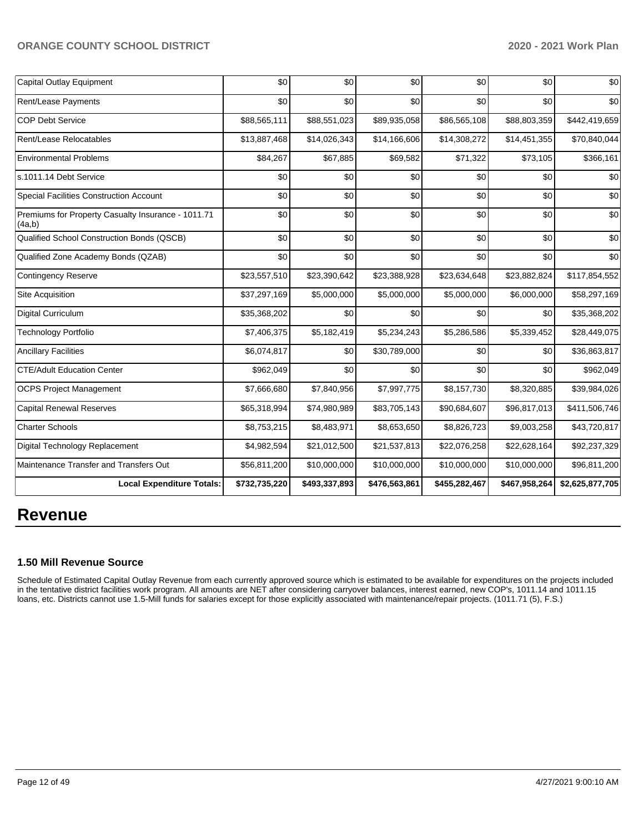| Capital Outlay Equipment                                     | \$0           | \$0           | \$0           | \$0           | \$0           | \$0             |
|--------------------------------------------------------------|---------------|---------------|---------------|---------------|---------------|-----------------|
| Rent/Lease Payments                                          | \$0           | \$0           | \$0           | \$0           | \$0           | \$0             |
| <b>COP Debt Service</b>                                      | \$88,565,111  | \$88,551,023  | \$89,935,058  | \$86,565,108  | \$88,803,359  | \$442,419,659   |
| Rent/Lease Relocatables                                      | \$13,887,468  | \$14,026,343  | \$14,166,606  | \$14,308,272  | \$14,451,355  | \$70,840,044    |
| <b>Environmental Problems</b>                                | \$84,267      | \$67,885      | \$69,582      | \$71,322      | \$73,105      | \$366,161       |
| s.1011.14 Debt Service                                       | \$0           | \$0           | \$0           | \$0           | \$0           | \$0             |
| Special Facilities Construction Account                      | \$0           | \$0           | \$0           | \$0           | \$0           | \$0             |
| Premiums for Property Casualty Insurance - 1011.71<br>(4a,b) | \$0           | \$0           | \$0           | \$0           | \$0           | \$0             |
| Qualified School Construction Bonds (QSCB)                   | \$0           | \$0           | \$0           | \$0           | \$0           | \$0             |
| Qualified Zone Academy Bonds (QZAB)                          | \$0           | \$0           | \$0           | \$0           | \$0           | \$0             |
| <b>Contingency Reserve</b>                                   | \$23,557,510  | \$23,390,642  | \$23,388,928  | \$23,634,648  | \$23,882,824  | \$117,854,552   |
| Site Acquisition                                             | \$37,297,169  | \$5,000,000   | \$5,000,000   | \$5,000,000   | \$6,000,000   | \$58,297,169    |
| Digital Curriculum                                           | \$35,368,202  | \$0           | \$0           | \$0           | \$0           | \$35,368,202    |
| Technology Portfolio                                         | \$7,406,375   | \$5,182,419   | \$5,234,243   | \$5,286,586   | \$5,339,452   | \$28,449,075    |
| <b>Ancillary Facilities</b>                                  | \$6,074,817   | \$0           | \$30,789,000  | \$0           | \$0           | \$36,863,817    |
| <b>CTE/Adult Education Center</b>                            | \$962,049     | \$0           | \$0           | \$0           | \$0           | \$962,049       |
| <b>OCPS Project Management</b>                               | \$7,666,680   | \$7,840,956   | \$7,997,775   | \$8,157,730   | \$8,320,885   | \$39,984,026    |
| <b>Capital Renewal Reserves</b>                              | \$65,318,994  | \$74,980,989  | \$83,705,143  | \$90,684,607  | \$96,817,013  | \$411,506,746   |
| <b>Charter Schools</b>                                       | \$8,753,215   | \$8,483,971   | \$8,653,650   | \$8,826,723   | \$9,003,258   | \$43,720,817    |
| Digital Technology Replacement                               | \$4,982,594   | \$21,012,500  | \$21,537,813  | \$22,076,258  | \$22,628,164  | \$92,237,329    |
| Maintenance Transfer and Transfers Out                       | \$56,811,200  | \$10,000,000  | \$10,000,000  | \$10,000,000  | \$10,000,000  | \$96,811,200    |
| <b>Local Expenditure Totals:</b>                             | \$732,735,220 | \$493,337,893 | \$476,563,861 | \$455,282,467 | \$467,958,264 | \$2,625,877,705 |

# **Revenue**

## **1.50 Mill Revenue Source**

Schedule of Estimated Capital Outlay Revenue from each currently approved source which is estimated to be available for expenditures on the projects included in the tentative district facilities work program. All amounts are NET after considering carryover balances, interest earned, new COP's, 1011.14 and 1011.15 loans, etc. Districts cannot use 1.5-Mill funds for salaries except for those explicitly associated with maintenance/repair projects. (1011.71 (5), F.S.)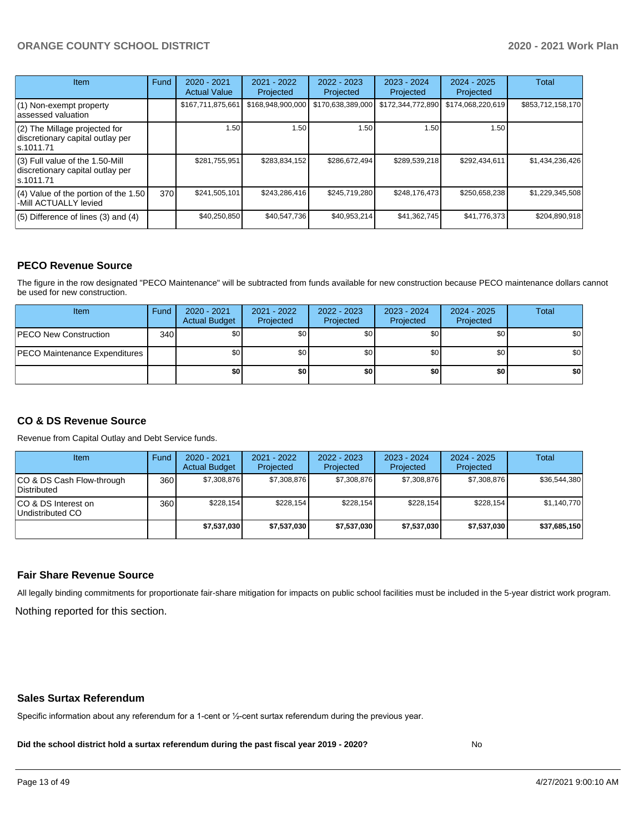| Item                                                                                | Fund | $2020 - 2021$<br><b>Actual Value</b> | 2021 - 2022<br>Projected | $2022 - 2023$<br>Projected | $2023 - 2024$<br>Projected | $2024 - 2025$<br>Projected | <b>Total</b>      |
|-------------------------------------------------------------------------------------|------|--------------------------------------|--------------------------|----------------------------|----------------------------|----------------------------|-------------------|
| $(1)$ Non-exempt property<br>lassessed valuation                                    |      | \$167,711,875,661                    | \$168,948,900,000        | \$170,638,389,000          | \$172,344,772,890          | \$174,068,220,619          | \$853,712,158,170 |
| (2) The Millage projected for<br>discretionary capital outlay per<br>ls.1011.71     |      | 1.50                                 | 1.50                     | 1.50                       | 1.50                       | 1.50                       |                   |
| $(3)$ Full value of the 1.50-Mill<br>discretionary capital outlay per<br>ls.1011.71 |      | \$281,755,951                        | \$283.834.152            | \$286,672,494              | \$289,539,218              | \$292.434.611              | \$1,434,236,426   |
| $(4)$ Value of the portion of the 1.50<br>-Mill ACTUALLY levied                     | 370  | \$241,505,101                        | \$243,286,416            | \$245,719,280              | \$248,176,473              | \$250,658,238              | \$1,229,345,508   |
| $(5)$ Difference of lines $(3)$ and $(4)$                                           |      | \$40,250,850                         | \$40,547,736             | \$40,953,214               | \$41,362,745               | \$41,776,373               | \$204,890,918     |

#### **PECO Revenue Source**

The figure in the row designated "PECO Maintenance" will be subtracted from funds available for new construction because PECO maintenance dollars cannot be used for new construction.

| Item                                 | Fund | $2020 - 2021$<br><b>Actual Budget</b> | 2021 - 2022<br>Projected | 2022 - 2023<br>Projected | 2023 - 2024<br>Projected | 2024 - 2025<br>Projected | Total            |
|--------------------------------------|------|---------------------------------------|--------------------------|--------------------------|--------------------------|--------------------------|------------------|
| <b>PECO New Construction</b>         | 340  | \$0                                   | \$0 <sub>1</sub>         | \$0                      | \$0 <sub>1</sub>         | \$0 <sub>1</sub>         | \$0 <sub>1</sub> |
| <b>PECO Maintenance Expenditures</b> |      | ا 30                                  | \$٥Ι                     | \$0                      | \$0 <sub>1</sub>         | \$0                      | \$0              |
|                                      |      | \$0                                   | \$0                      | \$0                      | \$0                      | \$0                      | \$0              |

#### **CO & DS Revenue Source**

Revenue from Capital Outlay and Debt Service funds.

| <b>Item</b>                               | Fund | $2020 - 2021$<br><b>Actual Budget</b> | 2021 - 2022<br>Projected | 2022 - 2023<br>Projected | $2023 - 2024$<br>Projected | $2024 - 2025$<br>Projected | Total        |
|-------------------------------------------|------|---------------------------------------|--------------------------|--------------------------|----------------------------|----------------------------|--------------|
| ICO & DS Cash Flow-through<br>Distributed | 360  | \$7.308.876                           | \$7,308,876              | \$7.308.876              | \$7,308,876                | \$7,308,876                | \$36,544,380 |
| ICO & DS Interest on<br>Undistributed CO  | 360  | \$228.154                             | \$228.154                | \$228.154                | \$228.154                  | \$228.154                  | \$1,140,770  |
|                                           |      | \$7,537,030                           | \$7,537,030              | \$7,537,030              | \$7,537,030                | \$7,537,030                | \$37,685,150 |

#### **Fair Share Revenue Source**

Nothing reported for this section. All legally binding commitments for proportionate fair-share mitigation for impacts on public school facilities must be included in the 5-year district work program.

#### **Sales Surtax Referendum**

Specific information about any referendum for a 1-cent or ½-cent surtax referendum during the previous year.

**Did the school district hold a surtax referendum during the past fiscal year 2019 - 2020?**

No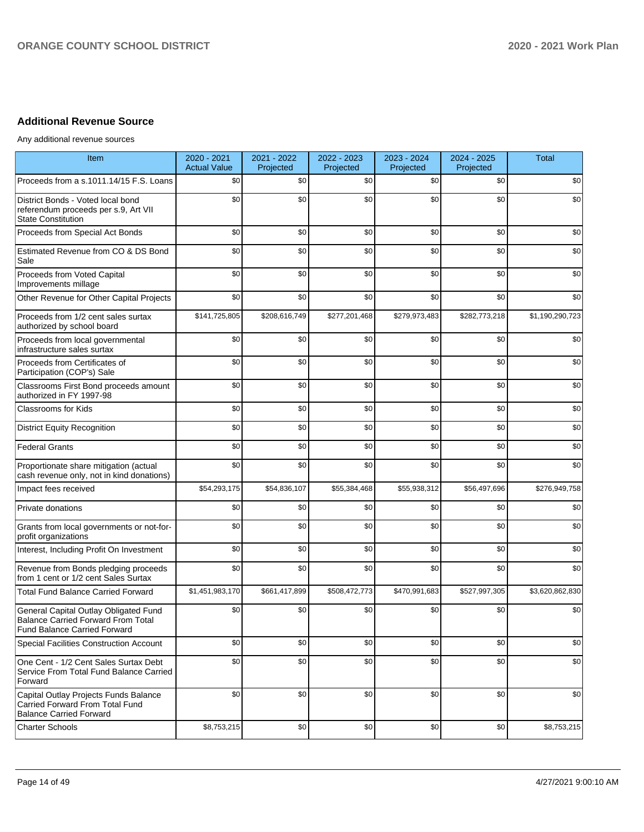## **Additional Revenue Source**

Any additional revenue sources

| Item                                                                                                                      | 2020 - 2021<br><b>Actual Value</b> | 2021 - 2022<br>Projected | 2022 - 2023<br>Projected | 2023 - 2024<br>Projected | 2024 - 2025<br>Projected | <b>Total</b>    |
|---------------------------------------------------------------------------------------------------------------------------|------------------------------------|--------------------------|--------------------------|--------------------------|--------------------------|-----------------|
| Proceeds from a s.1011.14/15 F.S. Loans                                                                                   | \$0                                | \$0                      | \$0                      | \$0                      | \$0                      | \$0             |
| District Bonds - Voted local bond<br>referendum proceeds per s.9, Art VII<br><b>State Constitution</b>                    | \$0                                | \$0                      | \$0                      | \$0                      | \$0                      | \$0             |
| Proceeds from Special Act Bonds                                                                                           | \$0                                | \$0                      | \$0                      | \$0                      | \$0                      | \$0             |
| Estimated Revenue from CO & DS Bond<br>Sale                                                                               | \$0                                | \$0                      | \$0                      | \$0                      | \$0                      | \$0             |
| Proceeds from Voted Capital<br>Improvements millage                                                                       | \$0                                | \$0                      | \$0                      | \$0                      | \$0                      | \$0             |
| Other Revenue for Other Capital Projects                                                                                  | \$0                                | \$0                      | \$0                      | \$0                      | \$0                      | \$0             |
| Proceeds from 1/2 cent sales surtax<br>authorized by school board                                                         | \$141,725,805                      | \$208,616,749            | \$277,201,468            | \$279,973,483            | \$282,773,218            | \$1,190,290,723 |
| Proceeds from local governmental<br>infrastructure sales surtax                                                           | \$0                                | \$0                      | \$0                      | \$0                      | \$0                      | \$0             |
| Proceeds from Certificates of<br>Participation (COP's) Sale                                                               | \$0                                | \$0                      | \$0                      | \$0                      | \$0                      | \$0             |
| Classrooms First Bond proceeds amount<br>authorized in FY 1997-98                                                         | \$0                                | \$0                      | \$0                      | \$0                      | \$0                      | \$0             |
| <b>Classrooms for Kids</b>                                                                                                | \$0                                | \$0                      | \$0                      | \$0                      | \$0                      | \$0             |
| <b>District Equity Recognition</b>                                                                                        | \$0                                | \$0                      | \$0                      | \$0                      | \$0                      | \$0             |
| <b>Federal Grants</b>                                                                                                     | \$0                                | \$0                      | \$0                      | \$0                      | \$0                      | \$0             |
| Proportionate share mitigation (actual<br>cash revenue only, not in kind donations)                                       | \$0                                | \$0                      | \$0                      | \$0                      | \$0                      | \$0             |
| Impact fees received                                                                                                      | \$54,293,175                       | \$54,836,107             | \$55,384,468             | \$55,938,312             | \$56,497,696             | \$276,949,758   |
| Private donations                                                                                                         | \$0                                | \$0                      | \$0                      | \$0                      | \$0                      | \$0             |
| Grants from local governments or not-for-<br>profit organizations                                                         | \$0                                | \$0                      | \$0                      | \$0                      | \$0                      | \$0             |
| Interest, Including Profit On Investment                                                                                  | \$0                                | \$0                      | \$0                      | \$0                      | \$0                      | \$0             |
| Revenue from Bonds pledging proceeds<br>from 1 cent or 1/2 cent Sales Surtax                                              | \$0                                | \$0                      | \$0                      | \$0                      | \$0                      | \$0             |
| <b>Total Fund Balance Carried Forward</b>                                                                                 | \$1,451,983,170                    | \$661,417,899            | \$508,472,773            | \$470,991,683            | \$527,997,305            | \$3,620,862,830 |
| General Capital Outlay Obligated Fund<br><b>Balance Carried Forward From Total</b><br><b>Fund Balance Carried Forward</b> | \$0                                | \$0                      | \$0                      | \$0                      | \$0                      | \$0             |
| <b>Special Facilities Construction Account</b>                                                                            | \$0                                | \$0                      | \$0                      | \$0                      | \$0                      | \$0             |
| One Cent - 1/2 Cent Sales Surtax Debt<br>Service From Total Fund Balance Carried<br>Forward                               | \$0                                | \$0                      | \$0                      | \$0                      | \$0                      | \$0             |
| Capital Outlay Projects Funds Balance<br>Carried Forward From Total Fund<br><b>Balance Carried Forward</b>                | \$0                                | \$0                      | \$0                      | \$0                      | \$0                      | \$0             |
| <b>Charter Schools</b>                                                                                                    | \$8,753,215                        | \$0                      | \$0                      | \$0                      | \$0                      | \$8,753,215     |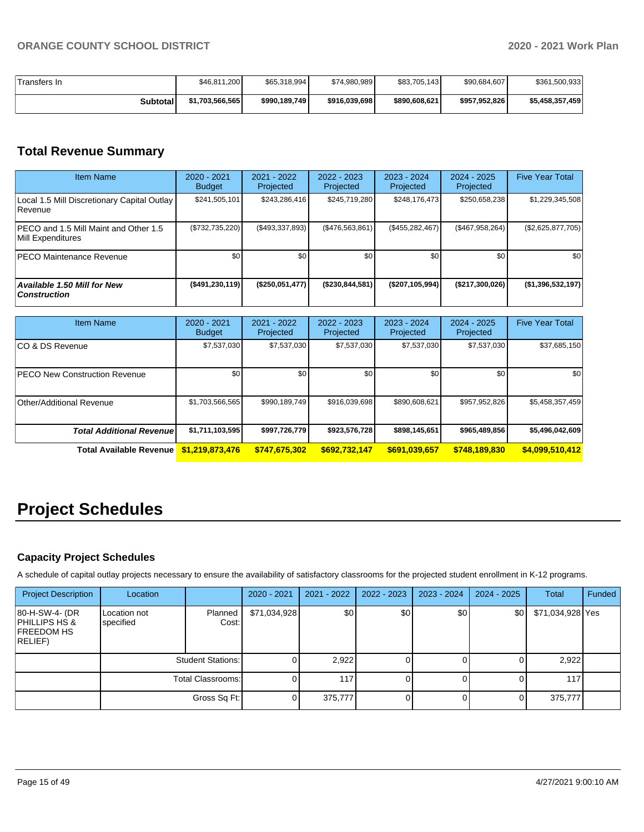| Transfers In    | \$46,811,200    | \$65,318,994  | \$74,980,989  | \$83,705,143  | \$90,684,607  | \$361,500,933   |
|-----------------|-----------------|---------------|---------------|---------------|---------------|-----------------|
| <b>Subtotal</b> | \$1,703,566,565 | \$990,189,749 | \$916,039,698 | \$890,608,621 | \$957,952,826 | \$5,458,357,459 |

## **Total Revenue Summary**

| <b>Item Name</b>                                                   | 2020 - 2021<br><b>Budget</b> | 2021 - 2022<br>Projected | $2022 - 2023$<br>Projected | $2023 - 2024$<br>Projected | $2024 - 2025$<br>Projected | <b>Five Year Total</b> |
|--------------------------------------------------------------------|------------------------------|--------------------------|----------------------------|----------------------------|----------------------------|------------------------|
| Local 1.5 Mill Discretionary Capital Outlay<br><b>Revenue</b>      | \$241,505,101                | \$243,286,416            | \$245,719,280              | \$248,176,473              | \$250,658,238              | \$1,229,345,508        |
| <b>IPECO and 1.5 Mill Maint and Other 1.5</b><br>Mill Expenditures | $(\$732,735,220)$            | (\$493,337,893)          | (\$476,563,861)            | (\$455, 282, 467)          | (\$467,958,264)            | (\$2,625,877,705)      |
| IPECO Maintenance Revenue                                          | \$0                          | \$0 <sub>1</sub>         | \$0                        | \$0                        | \$0                        | \$0                    |
| Available 1.50 Mill for New<br><b>Construction</b>                 | $($ \$491,230,119)           | (\$250,051,477)          | (\$230,844,581)            | (\$207,105,994)            | (\$217,300,026)            | (\$1,396,532,197)      |

| <b>Item Name</b>                     | $2020 - 2021$<br><b>Budget</b> | $2021 - 2022$<br>Projected | $2022 - 2023$<br>Projected | $2023 - 2024$<br>Projected | $2024 - 2025$<br>Projected | <b>Five Year Total</b> |
|--------------------------------------|--------------------------------|----------------------------|----------------------------|----------------------------|----------------------------|------------------------|
| ICO & DS Revenue                     | \$7,537,030                    | \$7,537,030                | \$7,537,030                | \$7,537,030                | \$7,537,030                | \$37,685,150           |
| <b>PECO New Construction Revenue</b> | \$0                            | \$0 <sub>1</sub>           | \$0                        | \$0                        | \$0                        | \$0                    |
| Other/Additional Revenue             | \$1,703,566,565                | \$990,189,749              | \$916,039,698              | \$890,608,621              | \$957,952,826              | \$5,458,357,459        |
| <b>Total Additional Revenue</b>      | \$1,711,103,595                | \$997,726,779              | \$923,576,728              | \$898,145,651              | \$965,489,856              | \$5,496,042,609        |
| <b>Total Available Revenue</b>       | \$1,219,873,476                | \$747,675,302              | \$692,732,147              | \$691,039,657              | \$748,189,830              | \$4,099,510,412        |

# **Project Schedules**

## **Capacity Project Schedules**

A schedule of capital outlay projects necessary to ensure the availability of satisfactory classrooms for the projected student enrollment in K-12 programs.

| <b>Project Description</b>                                      | Location                  |                          | 2020 - 2021  | 2021 - 2022 | 2022 - 2023 | $2023 - 2024$ | $2024 - 2025$    | Total            | Funded |
|-----------------------------------------------------------------|---------------------------|--------------------------|--------------|-------------|-------------|---------------|------------------|------------------|--------|
| 80-H-SW-4- (DR<br>PHILLIPS HS &<br><b>FREEDOM HS</b><br>RELIEF) | Location not<br>specified | Planned<br>Cost:         | \$71,034,928 | \$0         | \$0         | \$0           | \$0 <sub>1</sub> | \$71,034,928 Yes |        |
|                                                                 |                           | <b>Student Stations:</b> |              | 2,922       |             |               |                  | 2,922            |        |
|                                                                 |                           | <b>Total Classrooms:</b> |              | 117         |             |               |                  | 1171             |        |
|                                                                 |                           | Gross Sq Ft:             |              | 375,777     | 0           |               | $\overline{0}$   | 375,777          |        |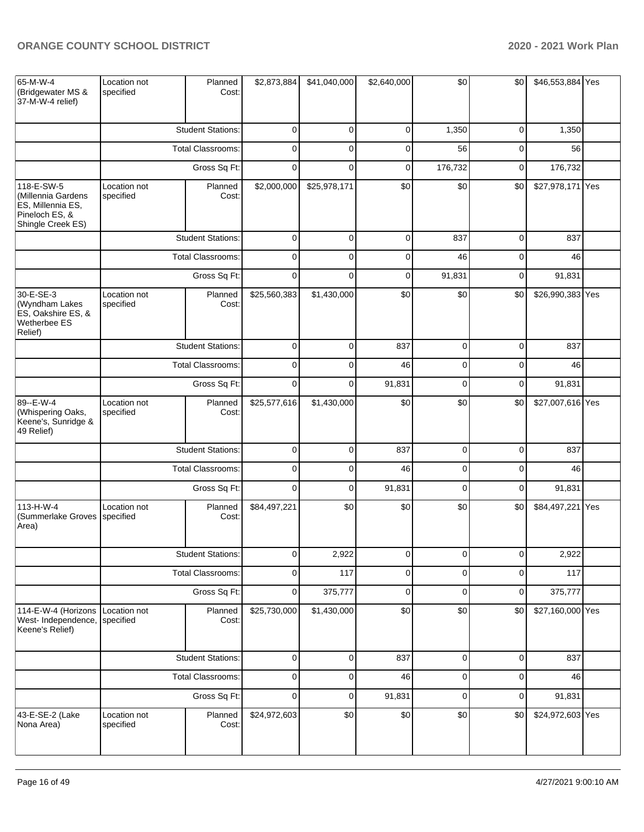| 65-M-W-4<br>(Bridgewater MS &<br>37-M-W-4 relief)                                            | Location not<br>specified | Planned<br>Cost:         | \$2,873,884    | \$41,040,000 | \$2,640,000 | \$0            | \$0         | \$46,553,884 Yes |  |
|----------------------------------------------------------------------------------------------|---------------------------|--------------------------|----------------|--------------|-------------|----------------|-------------|------------------|--|
|                                                                                              |                           | <b>Student Stations:</b> | 0              | 0            | 0           | 1,350          | $\mathbf 0$ | 1,350            |  |
|                                                                                              |                           | <b>Total Classrooms:</b> | 0              | 0            | 0           | 56             | 0           | 56               |  |
|                                                                                              |                           | Gross Sq Ft:             | $\mathbf 0$    | $\mathbf 0$  | 0           | 176,732        | 0           | 176,732          |  |
| 118-E-SW-5<br>(Millennia Gardens<br>ES, Millennia ES,<br>Pineloch ES, &<br>Shingle Creek ES) | Location not<br>specified | Planned<br>Cost:         | \$2,000,000    | \$25,978,171 | \$0         | \$0            | \$0         | \$27,978,171 Yes |  |
|                                                                                              |                           | <b>Student Stations:</b> | $\mathbf 0$    | $\mathbf 0$  | $\mathbf 0$ | 837            | $\mathbf 0$ | 837              |  |
|                                                                                              |                           | <b>Total Classrooms:</b> | 0              | 0            | 0           | 46             | $\mathbf 0$ | 46               |  |
|                                                                                              |                           | Gross Sq Ft:             | $\mathbf 0$    | $\mathbf 0$  | $\mathbf 0$ | 91,831         | $\mathbf 0$ | 91,831           |  |
| 30-E-SE-3<br>(Wyndham Lakes<br>ES, Oakshire ES, &<br>Wetherbee ES<br>Relief)                 | Location not<br>specified | Planned<br>Cost:         | \$25,560,383   | \$1,430,000  | \$0         | \$0            | \$0         | \$26,990,383 Yes |  |
|                                                                                              |                           | <b>Student Stations:</b> | $\mathbf{0}$   | $\mathbf 0$  | 837         | $\mathbf 0$    | $\mathbf 0$ | 837              |  |
|                                                                                              |                           | Total Classrooms:        | $\mathbf 0$    | $\mathbf 0$  | 46          | $\mathbf 0$    | $\mathbf 0$ | 46               |  |
|                                                                                              |                           | Gross Sq Ft:             | $\mathbf{0}$   | $\mathbf 0$  | 91,831      | $\mathbf 0$    | $\mathbf 0$ | 91,831           |  |
| 89 -- E-W-4<br>(Whispering Oaks,<br>Keene's, Sunridge &<br>49 Relief)                        | Location not<br>specified | Planned<br>Cost:         | \$25,577,616   | \$1,430,000  | \$0         | \$0            | \$0         | \$27,007,616 Yes |  |
|                                                                                              |                           | <b>Student Stations:</b> | $\mathbf{0}$   | $\mathbf 0$  | 837         | $\mathbf 0$    | $\mathbf 0$ | 837              |  |
|                                                                                              |                           | <b>Total Classrooms:</b> | $\mathbf 0$    | $\mathbf 0$  | 46          | $\mathbf 0$    | $\mathbf 0$ | 46               |  |
|                                                                                              |                           | Gross Sq Ft:             | $\overline{0}$ | $\mathbf 0$  | 91,831      | $\mathbf 0$    | $\mathbf 0$ | 91,831           |  |
| 113-H-W-4<br>(Summerlake Groves<br>Area)                                                     | Location not<br>specified | Planned<br>Cost:         | \$84,497,221   | \$0          | \$0         | \$0            | \$0         | \$84,497,221 Yes |  |
|                                                                                              |                           | <b>Student Stations:</b> | $\overline{0}$ | 2,922        | $\mathbf 0$ | $\overline{0}$ | $\mathbf 0$ | 2,922            |  |
|                                                                                              |                           | Total Classrooms:        | $\mathbf 0$    | 117          | $\mathbf 0$ | $\mathbf 0$    | $\mathbf 0$ | 117              |  |
|                                                                                              |                           | Gross Sq Ft:             | $\overline{0}$ | 375,777      | $\mathbf 0$ | $\mathbf 0$    | $\mathbf 0$ | 375,777          |  |
| 114-E-W-4 (Horizons<br>West- Independence,<br>Keene's Relief)                                | Location not<br>specified | Planned<br>Cost:         | \$25,730,000   | \$1,430,000  | \$0         | \$0            | \$0         | \$27,160,000 Yes |  |
|                                                                                              |                           | <b>Student Stations:</b> | $\mathbf 0$    | 0            | 837         | 0              | 0           | 837              |  |
|                                                                                              |                           | <b>Total Classrooms:</b> | $\mathbf 0$    | $\mathbf 0$  | 46          | $\pmb{0}$      | $\mathbf 0$ | 46               |  |
|                                                                                              |                           | Gross Sq Ft:             | $\overline{0}$ | $\mathbf 0$  | 91,831      | $\mathbf 0$    | 0           | 91,831           |  |
| 43-E-SE-2 (Lake<br>Nona Area)                                                                | Location not<br>specified | Planned<br>Cost:         | \$24,972,603   | \$0          | \$0         | \$0            | \$0         | \$24,972,603 Yes |  |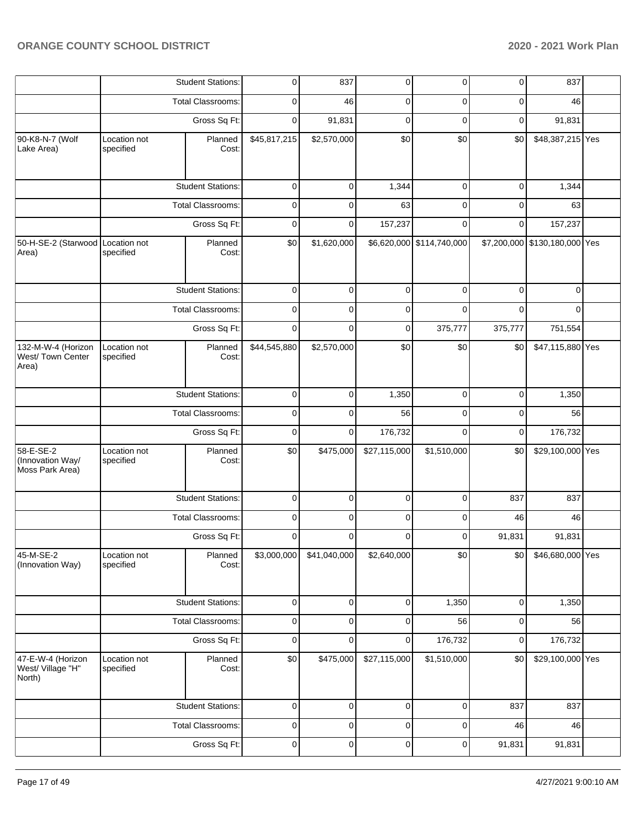|                                                  |                                                      |  | <b>Student Stations:</b> | 0                        | 837          | 0            | 0                         | 0                | 837                           |  |
|--------------------------------------------------|------------------------------------------------------|--|--------------------------|--------------------------|--------------|--------------|---------------------------|------------------|-------------------------------|--|
|                                                  |                                                      |  | <b>Total Classrooms:</b> | 0                        | 46           | 0            | 0                         | 0                | 46                            |  |
|                                                  |                                                      |  | Gross Sq Ft:             | 0                        | 91,831       | 0            | $\Omega$                  | $\mathbf 0$      | 91,831                        |  |
| 90-K8-N-7 (Wolf<br>Lake Area)                    | Location not<br>specified                            |  | Planned<br>Cost:         | $\overline{$45,817,215}$ | \$2,570,000  | \$0          | \$0                       | \$0              | \$48,387,215 Yes              |  |
|                                                  |                                                      |  | <b>Student Stations:</b> | $\mathbf 0$              | 0            | 1,344        | $\mathbf 0$               | $\mathbf 0$      | 1,344                         |  |
|                                                  |                                                      |  | <b>Total Classrooms:</b> | $\mathbf 0$              | 0            | 63           | $\Omega$                  | $\Omega$         | 63                            |  |
|                                                  |                                                      |  | Gross Sq Ft:             | $\mathbf 0$              | 0            | 157,237      | $\Omega$                  | $\Omega$         | 157,237                       |  |
| 50-H-SE-2 (Starwood Location not<br>Area)        | specified                                            |  | Planned<br>Cost:         | \$0                      | \$1,620,000  |              | \$6,620,000 \$114,740,000 |                  | \$7,200,000 \$130,180,000 Yes |  |
|                                                  |                                                      |  | <b>Student Stations:</b> | $\mathbf 0$              | 0            | $\mathbf 0$  | 0                         | 0                | 0                             |  |
|                                                  |                                                      |  | <b>Total Classrooms:</b> | 0                        | 0            | 0            | 0                         | 0                | $\Omega$                      |  |
|                                                  |                                                      |  | Gross Sq Ft:             | $\mathbf 0$              | 0            | 0            | 375,777                   | 375,777          | 751,554                       |  |
| 132-M-W-4 (Horizon<br>West/Town Center<br>Area)  | Location not<br>Planned<br>Cost:<br>specified        |  | \$44,545,880             | \$2,570,000              | \$0          | \$0          | \$0                       | \$47,115,880 Yes |                               |  |
|                                                  | <b>Student Stations:</b><br><b>Total Classrooms:</b> |  | $\mathbf 0$              | 0                        | 1,350        | $\mathbf 0$  | $\mathbf 0$               | 1,350            |                               |  |
|                                                  |                                                      |  | $\mathbf 0$              | 0                        | 56           | 0            | 0                         | 56               |                               |  |
|                                                  |                                                      |  | Gross Sq Ft:             | 0                        | 0            | 176,732      | 0                         | $\mathbf 0$      | 176,732                       |  |
| 58-E-SE-2<br>(Innovation Way/<br>Moss Park Area) | Location not<br>specified                            |  | Planned<br>Cost:         | \$0                      | \$475,000    | \$27,115,000 | \$1,510,000               | \$0              | \$29,100,000 Yes              |  |
|                                                  |                                                      |  | <b>Student Stations:</b> | $\mathbf 0$              | $\Omega$     | $\mathbf 0$  | $\Omega$                  | 837              | 837                           |  |
|                                                  |                                                      |  | <b>Total Classrooms:</b> | 0                        | 0            | 0            | 0                         | 46               | 46                            |  |
|                                                  |                                                      |  | Gross Sq Ft:             | 0                        | 0            | 0            | 0                         | 91,831           | 91,831                        |  |
| 45-M-SE-2<br>(Innovation Way)                    | Location not<br>specified                            |  | Planned<br>Cost:         | \$3,000,000              | \$41,040,000 | \$2,640,000  | \$0                       | \$0              | \$46,680,000 Yes              |  |
|                                                  |                                                      |  | <b>Student Stations:</b> | 0                        | 0            | 0            | 1,350                     | 0                | 1,350                         |  |
|                                                  |                                                      |  | <b>Total Classrooms:</b> | 0                        | 0            | 0            | 56                        | 0                | 56                            |  |
|                                                  |                                                      |  | Gross Sq Ft:             | $\mathbf 0$              | 0            | 0            | 176,732                   | 0                | 176,732                       |  |
| 47-E-W-4 (Horizon<br>West/ Village "H"<br>North) | Location not<br>Planned<br>Cost:<br>specified        |  | \$0                      | \$475,000                | \$27,115,000 | \$1,510,000  | \$0                       | \$29,100,000 Yes |                               |  |
|                                                  |                                                      |  | <b>Student Stations:</b> | $\mathsf 0$              | $\mathbf 0$  | 0            | 0                         | 837              | 837                           |  |
|                                                  |                                                      |  | Total Classrooms:        | 0                        | 0            | 0            | 0                         | 46               | 46                            |  |
|                                                  |                                                      |  | Gross Sq Ft:             | $\mathbf 0$              | 0            | 0            | 0                         | 91,831           | 91,831                        |  |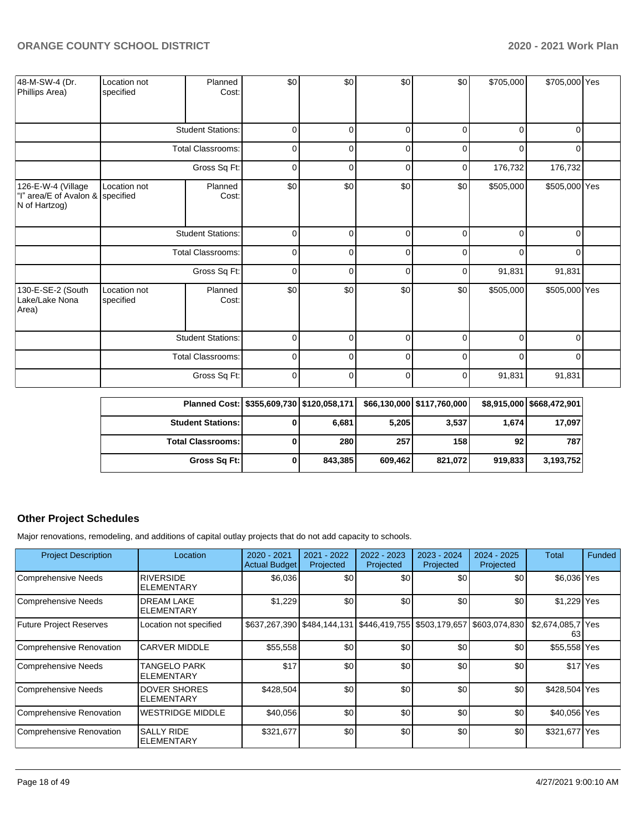| 48-M-SW-4 (Dr.<br>Phillips Area)                                        | Location not<br>specified | Planned<br>Cost:         | \$0         | \$0      | \$0         | \$0      | \$705,000 | \$705,000 Yes |  |
|-------------------------------------------------------------------------|---------------------------|--------------------------|-------------|----------|-------------|----------|-----------|---------------|--|
|                                                                         |                           | <b>Student Stations:</b> | $\mathbf 0$ | $\Omega$ | $\Omega$    | $\Omega$ | $\Omega$  | $\Omega$      |  |
|                                                                         |                           | <b>Total Classrooms:</b> | $\mathbf 0$ | 0        | $\Omega$    | O        | $\Omega$  | $\Omega$      |  |
|                                                                         |                           | Gross Sq Ft:             | $\mathbf 0$ | 0        | 0           | 0        | 176,732   | 176,732       |  |
| 126-E-W-4 (Village<br>"I" area/E of Avalon & specified<br>N of Hartzog) | Location not              | Planned<br>Cost:         | \$0         | \$0      | \$0         | \$0      | \$505,000 | \$505,000 Yes |  |
|                                                                         |                           | <b>Student Stations:</b> | $\mathbf 0$ | 0        | $\mathbf 0$ | 0        | O         | 0             |  |
|                                                                         |                           | Total Classrooms:        | $\mathbf 0$ | 0        | 0           | $\Omega$ | $\Omega$  | 0             |  |
|                                                                         |                           | Gross Sq Ft:             | $\mathbf 0$ | $\Omega$ | $\Omega$    | C        | 91,831    | 91,831        |  |
| 130-E-SE-2 (South<br>Lake/Lake Nona<br>Area)                            | Location not<br>specified | Planned<br>Cost:         | \$0         | \$0      | \$0         | \$0      | \$505,000 | \$505,000 Yes |  |
|                                                                         |                           | <b>Student Stations:</b> | $\Omega$    | $\Omega$ | $\Omega$    | n        | $\Omega$  | n             |  |
|                                                                         |                           | <b>Total Classrooms:</b> | $\mathbf 0$ | $\Omega$ | $\Omega$    |          | $\Omega$  |               |  |
|                                                                         |                           | Gross Sq Ft:             | $\mathbf 0$ | $\Omega$ | $\Omega$    | 0        | 91,831    | 91,831        |  |

| Planned Cost: \$355,609,730 \$120,058,171 |    |         |         | \$66,130,000 \$117,760,000 |         | \$8,915,000 \$668,472,901 |
|-------------------------------------------|----|---------|---------|----------------------------|---------|---------------------------|
| <b>Student Stations:</b>                  | O. | 6,681   | 5,205   | 3,537                      | 1.674   | 17,097                    |
| <b>Total Classrooms:</b>                  |    | 280     | 257     | 158                        | 92      | 787                       |
| Gross Sq Ft:                              | 01 | 843.385 | 609,462 | 821,072                    | 919.833 | 3,193,752                 |

## **Other Project Schedules**

Major renovations, remodeling, and additions of capital outlay projects that do not add capacity to schools.

| <b>Project Description</b> | Location                               | 2020 - 2021<br><b>Actual Budget</b> | 2021 - 2022<br>Projected | 2022 - 2023<br>Projected                                              | 2023 - 2024<br>Projected | $2024 - 2025$<br>Projected | Total                   | Funded   |
|----------------------------|----------------------------------------|-------------------------------------|--------------------------|-----------------------------------------------------------------------|--------------------------|----------------------------|-------------------------|----------|
| Comprehensive Needs        | <b>RIVERSIDE</b><br>ELEMENTARY         | \$6,036                             | \$0                      | \$0                                                                   | \$0                      | \$0                        | \$6,036 Yes             |          |
| Comprehensive Needs        | <b>DREAM LAKE</b><br><b>ELEMENTARY</b> | \$1,229                             | \$0                      | \$0                                                                   | \$0                      | \$0                        | \$1,229 Yes             |          |
| Future Project Reserves    | Location not specified                 |                                     |                          | \$637,267,390 \$484,144,131 \$446,419,755 \$503,179,657 \$603,074,830 |                          |                            | \$2,674,085,7 Yes<br>63 |          |
| Comprehensive Renovation   | <b>CARVER MIDDLE</b>                   | \$55,558                            | \$0                      | \$0                                                                   | \$0                      | \$0                        | \$55,558 Yes            |          |
| <b>Comprehensive Needs</b> | TANGELO PARK<br><b>ELEMENTARY</b>      | \$17                                | \$0                      | \$0                                                                   | \$0                      | \$0                        |                         | \$17 Yes |
| <b>Comprehensive Needs</b> | DOVER SHORES<br><b>ELEMENTARY</b>      | \$428,504                           | \$0                      | \$0                                                                   | \$0                      | \$0                        | \$428,504 Yes           |          |
| Comprehensive Renovation   | <b>WESTRIDGE MIDDLE</b>                | \$40,056                            | \$0                      | \$0                                                                   | \$0                      | \$0                        | \$40,056 Yes            |          |
| Comprehensive Renovation   | <b>SALLY RIDE</b><br><b>ELEMENTARY</b> | \$321,677                           | \$0                      | \$0                                                                   | \$0                      | \$0                        | \$321,677 Yes           |          |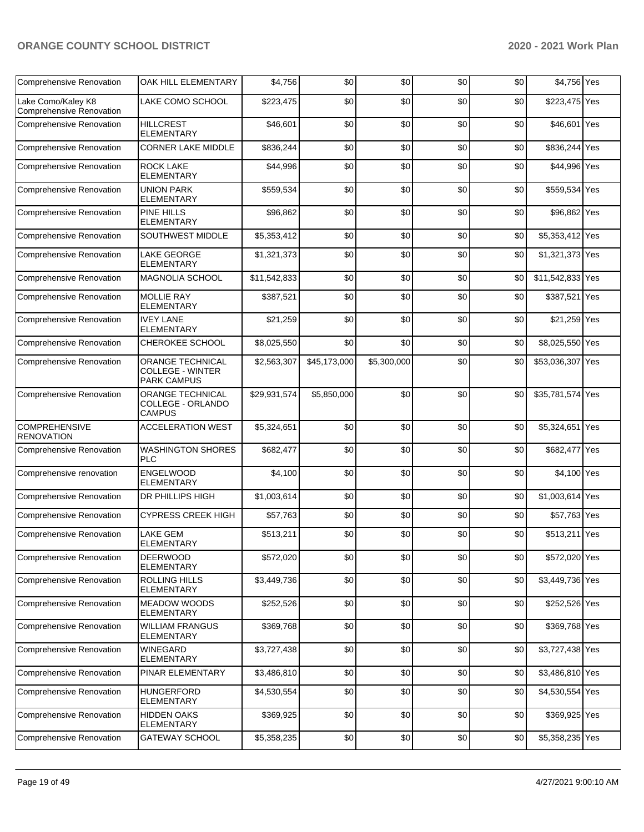| <b>Comprehensive Renovation</b>                       | <b>OAK HILL ELEMENTARY</b>                                        | \$4,756      | \$0          | \$0         | \$0 | \$0 | \$4,756 Yes      |     |
|-------------------------------------------------------|-------------------------------------------------------------------|--------------|--------------|-------------|-----|-----|------------------|-----|
| Lake Como/Kaley K8<br><b>Comprehensive Renovation</b> | LAKE COMO SCHOOL                                                  | \$223,475    | \$0          | \$0         | \$0 | \$0 | \$223,475 Yes    |     |
| Comprehensive Renovation                              | <b>HILLCREST</b><br><b>ELEMENTARY</b>                             | \$46,601     | \$0          | \$0         | \$0 | \$0 | \$46,601 Yes     |     |
| Comprehensive Renovation                              | <b>CORNER LAKE MIDDLE</b>                                         | \$836,244    | \$0          | \$0         | \$0 | \$0 | \$836,244 Yes    |     |
| <b>Comprehensive Renovation</b>                       | <b>ROCK LAKE</b><br><b>ELEMENTARY</b>                             | \$44,996     | \$0          | \$0         | \$0 | \$0 | \$44,996 Yes     |     |
| Comprehensive Renovation                              | <b>UNION PARK</b><br><b>ELEMENTARY</b>                            | \$559,534    | \$0          | \$0         | \$0 | \$0 | \$559,534 Yes    |     |
| Comprehensive Renovation                              | <b>PINE HILLS</b><br><b>ELEMENTARY</b>                            | \$96,862     | \$0          | \$0         | \$0 | \$0 | \$96,862 Yes     |     |
| Comprehensive Renovation                              | <b>SOUTHWEST MIDDLE</b>                                           | \$5,353,412  | \$0          | \$0         | \$0 | \$0 | \$5,353,412 Yes  |     |
| <b>Comprehensive Renovation</b>                       | <b>LAKE GEORGE</b><br><b>ELEMENTARY</b>                           | \$1,321,373  | \$0          | \$0         | \$0 | \$0 | \$1,321,373 Yes  |     |
| Comprehensive Renovation                              | <b>MAGNOLIA SCHOOL</b>                                            | \$11,542,833 | \$0          | \$0         | \$0 | \$0 | \$11,542,833 Yes |     |
| Comprehensive Renovation                              | <b>MOLLIE RAY</b><br><b>ELEMENTARY</b>                            | \$387,521    | \$0          | \$0         | \$0 | \$0 | \$387,521        | Yes |
| Comprehensive Renovation                              | <b>IVEY LANE</b><br><b>ELEMENTARY</b>                             | \$21,259     | \$0          | \$0         | \$0 | \$0 | \$21,259 Yes     |     |
| <b>Comprehensive Renovation</b>                       | CHEROKEE SCHOOL                                                   | \$8,025,550  | \$0          | \$0         | \$0 | \$0 | \$8,025,550 Yes  |     |
| <b>Comprehensive Renovation</b>                       | ORANGE TECHNICAL<br><b>COLLEGE - WINTER</b><br><b>PARK CAMPUS</b> | \$2,563,307  | \$45,173,000 | \$5,300,000 | \$0 | \$0 | \$53,036,307 Yes |     |
| Comprehensive Renovation                              | ORANGE TECHNICAL<br>COLLEGE - ORLANDO<br><b>CAMPUS</b>            | \$29,931,574 | \$5,850,000  | \$0         | \$0 | \$0 | \$35,781,574 Yes |     |
| <b>COMPREHENSIVE</b><br><b>RENOVATION</b>             | <b>ACCELERATION WEST</b>                                          | \$5,324,651  | \$0          | \$0         | \$0 | \$0 | \$5,324,651 Yes  |     |
| <b>Comprehensive Renovation</b>                       | <b>WASHINGTON SHORES</b><br><b>PLC</b>                            | \$682,477    | \$0          | \$0         | \$0 | \$0 | \$682,477 Yes    |     |
| Comprehensive renovation                              | ENGELWOOD<br><b>ELEMENTARY</b>                                    | \$4,100      | \$0          | \$0         | \$0 | \$0 | \$4,100 Yes      |     |
| Comprehensive Renovation                              | <b>DR PHILLIPS HIGH</b>                                           | \$1,003,614  | \$0          | \$0         | \$0 | \$0 | \$1,003,614 Yes  |     |
| <b>Comprehensive Renovation</b>                       | <b>CYPRESS CREEK HIGH</b>                                         | \$57,763     | \$0          | \$0         | \$0 | \$0 | \$57,763 Yes     |     |
| <b>Comprehensive Renovation</b>                       | <b>LAKE GEM</b><br><b>ELEMENTARY</b>                              | \$513,211    | \$0          | \$0         | \$0 | \$0 | \$513,211 Yes    |     |
| <b>Comprehensive Renovation</b>                       | <b>DEERWOOD</b><br><b>ELEMENTARY</b>                              | \$572,020    | \$0          | \$0         | \$0 | \$0 | \$572,020 Yes    |     |
| <b>Comprehensive Renovation</b>                       | <b>ROLLING HILLS</b><br><b>ELEMENTARY</b>                         | \$3,449,736  | \$0          | \$0         | \$0 | \$0 | \$3,449,736 Yes  |     |
| Comprehensive Renovation                              | <b>MEADOW WOODS</b><br><b>ELEMENTARY</b>                          | \$252,526    | \$0          | \$0         | \$0 | \$0 | \$252,526 Yes    |     |
| Comprehensive Renovation                              | <b>WILLIAM FRANGUS</b><br><b>ELEMENTARY</b>                       | \$369,768    | \$0          | \$0         | \$0 | \$0 | \$369,768 Yes    |     |
| Comprehensive Renovation                              | <b>WINEGARD</b><br><b>ELEMENTARY</b>                              | \$3,727,438  | \$0          | \$0         | \$0 | \$0 | \$3,727,438 Yes  |     |
| Comprehensive Renovation                              | PINAR ELEMENTARY                                                  | \$3,486,810  | \$0          | \$0         | \$0 | \$0 | \$3,486,810 Yes  |     |
| Comprehensive Renovation                              | <b>HUNGERFORD</b><br><b>ELEMENTARY</b>                            | \$4,530,554  | \$0          | \$0         | \$0 | \$0 | \$4,530,554 Yes  |     |
| Comprehensive Renovation                              | <b>HIDDEN OAKS</b><br><b>ELEMENTARY</b>                           | \$369,925    | \$0          | \$0         | \$0 | \$0 | \$369,925 Yes    |     |
| <b>Comprehensive Renovation</b>                       | <b>GATEWAY SCHOOL</b>                                             | \$5,358,235  | \$0          | \$0         | \$0 | \$0 | \$5,358,235 Yes  |     |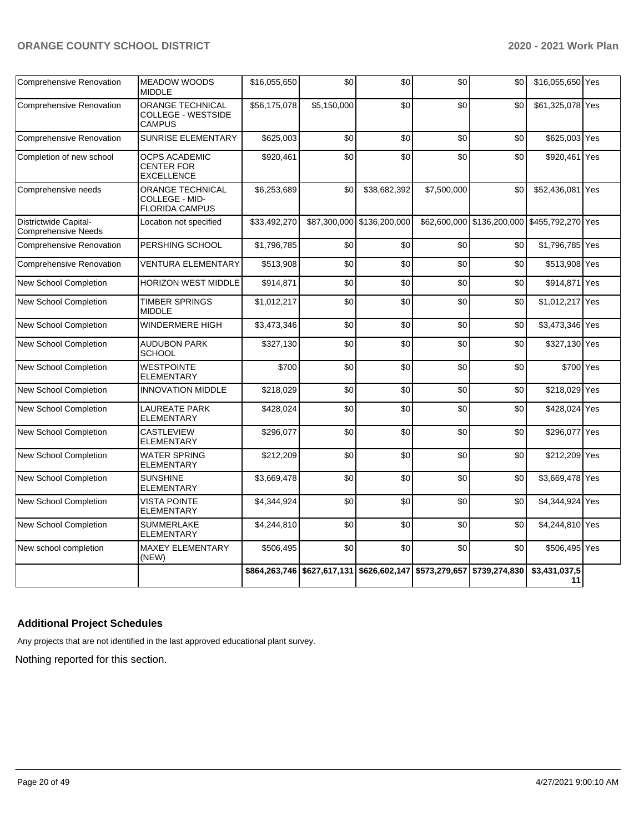| <b>Comprehensive Renovation</b>              | <b>MEADOW WOODS</b><br><b>MIDDLE</b>                                  | \$16,055,650 | \$0         | \$0                                                                   | \$0         | \$0                                          | \$16,055,650 Yes    |  |
|----------------------------------------------|-----------------------------------------------------------------------|--------------|-------------|-----------------------------------------------------------------------|-------------|----------------------------------------------|---------------------|--|
| <b>Comprehensive Renovation</b>              | <b>ORANGE TECHNICAL</b><br><b>COLLEGE - WESTSIDE</b><br><b>CAMPUS</b> | \$56,175,078 | \$5,150,000 | \$0                                                                   | \$0         | \$0                                          | \$61,325,078 Yes    |  |
| <b>Comprehensive Renovation</b>              | SUNRISE ELEMENTARY                                                    | \$625,003    | \$0         | \$0                                                                   | \$0         | \$0                                          | \$625,003 Yes       |  |
| Completion of new school                     | <b>OCPS ACADEMIC</b><br><b>CENTER FOR</b><br><b>EXCELLENCE</b>        | \$920,461    | \$0         | \$0                                                                   | \$0         | \$0                                          | \$920,461 Yes       |  |
| Comprehensive needs                          | ORANGE TECHNICAL<br>COLLEGE - MID-<br><b>FLORIDA CAMPUS</b>           | \$6,253,689  | \$0         | \$38,682,392                                                          | \$7,500,000 | \$0                                          | \$52,436,081 Yes    |  |
| Districtwide Capital-<br>Comprehensive Needs | Location not specified                                                | \$33,492,270 |             | \$87,300,000 \$136,200,000                                            |             | \$62,600,000 \$136,200,000 \$455,792,270 Yes |                     |  |
| <b>Comprehensive Renovation</b>              | PERSHING SCHOOL                                                       | \$1,796,785  | \$0         | \$0                                                                   | \$0         | \$0                                          | \$1,796,785 Yes     |  |
| Comprehensive Renovation                     | <b>VENTURA ELEMENTARY</b>                                             | \$513,908    | \$0         | \$0                                                                   | \$0         | \$0                                          | \$513,908 Yes       |  |
| <b>New School Completion</b>                 | <b>HORIZON WEST MIDDLE</b>                                            | \$914.871    | \$0         | \$0                                                                   | \$0         | \$0                                          | \$914,871 Yes       |  |
| <b>New School Completion</b>                 | <b>TIMBER SPRINGS</b><br><b>MIDDLE</b>                                | \$1,012,217  | \$0         | \$0                                                                   | \$0         | \$0                                          | \$1,012,217 Yes     |  |
| New School Completion                        | <b>WINDERMERE HIGH</b>                                                | \$3,473,346  | \$0         | \$0                                                                   | \$0         | \$0                                          | \$3,473,346 Yes     |  |
| New School Completion                        | <b>AUDUBON PARK</b><br><b>SCHOOL</b>                                  | \$327,130    | \$0         | \$0                                                                   | \$0         | \$0                                          | \$327,130 Yes       |  |
| <b>New School Completion</b>                 | <b>WESTPOINTE</b><br><b>ELEMENTARY</b>                                | \$700        | \$0         | \$0                                                                   | \$0         | \$0                                          | \$700 Yes           |  |
| <b>New School Completion</b>                 | <b>INNOVATION MIDDLE</b>                                              | \$218,029    | \$0         | \$0                                                                   | \$0         | \$0                                          | \$218,029 Yes       |  |
| New School Completion                        | <b>LAUREATE PARK</b><br><b>ELEMENTARY</b>                             | \$428,024    | \$0         | \$0                                                                   | \$0         | \$0                                          | \$428,024 Yes       |  |
| New School Completion                        | CASTLEVIEW<br><b>ELEMENTARY</b>                                       | \$296,077    | \$0         | \$0                                                                   | \$0         | \$0                                          | \$296,077 Yes       |  |
| <b>New School Completion</b>                 | <b>WATER SPRING</b><br><b>ELEMENTARY</b>                              | \$212,209    | \$0         | \$0                                                                   | \$0         | \$0                                          | \$212,209 Yes       |  |
| New School Completion                        | <b>SUNSHINE</b><br><b>ELEMENTARY</b>                                  | \$3,669,478  | \$0         | \$0                                                                   | \$0         | \$0                                          | \$3,669,478 Yes     |  |
| New School Completion                        | <b>VISTA POINTE</b><br><b>ELEMENTARY</b>                              | \$4,344,924  | \$0         | \$0                                                                   | \$0         | \$0                                          | \$4,344,924 Yes     |  |
| <b>New School Completion</b>                 | <b>SUMMERLAKE</b><br><b>ELEMENTARY</b>                                | \$4,244,810  | \$0         | \$0                                                                   | \$0         | \$0                                          | \$4,244,810 Yes     |  |
| New school completion                        | <b>MAXEY ELEMENTARY</b><br>(NEW)                                      | \$506,495    | \$0         | \$0                                                                   | \$0         | \$0                                          | \$506,495 Yes       |  |
|                                              |                                                                       |              |             | \$864,263,746 \$627,617,131 \$626,602,147 \$573,279,657 \$739,274,830 |             |                                              | \$3,431,037,5<br>11 |  |

## **Additional Project Schedules**

Any projects that are not identified in the last approved educational plant survey.

Nothing reported for this section.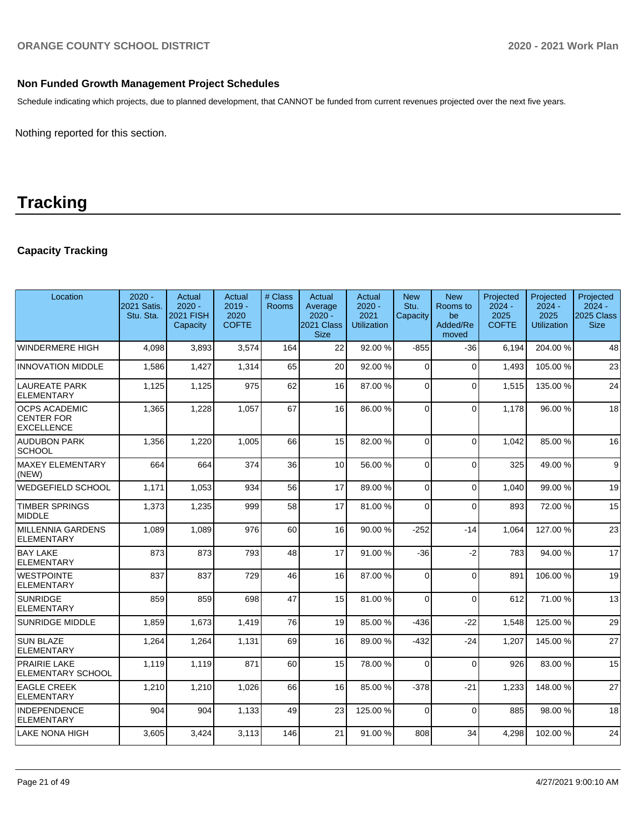### **Non Funded Growth Management Project Schedules**

Schedule indicating which projects, due to planned development, that CANNOT be funded from current revenues projected over the next five years.

Nothing reported for this section.

# **Tracking**

## **Capacity Tracking**

| Location                                                       | $2020 -$<br>2021 Satis.<br>Stu. Sta. | Actual<br>$2020 -$<br>2021 FISH<br>Capacity | Actual<br>$2019 -$<br>2020<br><b>COFTE</b> | # Class<br><b>Rooms</b> | Actual<br>Average<br>$2020 -$<br>2021 Class<br><b>Size</b> | Actual<br>$2020 -$<br>2021<br><b>Utilization</b> | <b>New</b><br>Stu.<br>Capacity | <b>New</b><br>Rooms to<br>be<br>Added/Re<br>moved | Projected<br>$2024 -$<br>2025<br><b>COFTE</b> | Projected<br>$2024 -$<br>2025<br><b>Utilization</b> | Projected<br>$2024 -$<br><b>2025 Class</b><br><b>Size</b> |
|----------------------------------------------------------------|--------------------------------------|---------------------------------------------|--------------------------------------------|-------------------------|------------------------------------------------------------|--------------------------------------------------|--------------------------------|---------------------------------------------------|-----------------------------------------------|-----------------------------------------------------|-----------------------------------------------------------|
| WINDERMERE HIGH                                                | 4,098                                | 3,893                                       | 3,574                                      | 164                     | 22                                                         | 92.00 %                                          | $-855$                         | $-36$                                             | 6,194                                         | 204.00%                                             | 48                                                        |
| <b>INNOVATION MIDDLE</b>                                       | 1.586                                | 1,427                                       | 1,314                                      | 65                      | 20                                                         | 92.00%                                           | $\Omega$                       | $\Omega$                                          | 1.493                                         | 105.00 %                                            | 23                                                        |
| LAUREATE PARK<br><b>ELEMENTARY</b>                             | 1,125                                | 1,125                                       | 975                                        | 62                      | 16                                                         | 87.00 %                                          | $\Omega$                       | $\mathbf{0}$                                      | 1,515                                         | 135.00 %                                            | 24                                                        |
| <b>OCPS ACADEMIC</b><br><b>CENTER FOR</b><br><b>EXCELLENCE</b> | 1,365                                | 1,228                                       | 1,057                                      | 67                      | 16                                                         | 86.00 %                                          | $\Omega$                       | $\Omega$                                          | 1,178                                         | 96.00 %                                             | 18                                                        |
| <b>AUDUBON PARK</b><br> SCHOOL                                 | 1,356                                | 1,220                                       | 1,005                                      | 66                      | 15                                                         | 82.00%                                           | $\Omega$                       | $\Omega$                                          | 1,042                                         | 85.00 %                                             | 16                                                        |
| MAXEY ELEMENTARY<br>(NEW)                                      | 664                                  | 664                                         | 374                                        | 36                      | 10                                                         | 56.00 %                                          | $\Omega$                       | $\mathbf{0}$                                      | 325                                           | 49.00%                                              | 9                                                         |
| WEDGEFIELD SCHOOL                                              | 1.171                                | 1,053                                       | 934                                        | 56                      | 17                                                         | 89.00 %                                          | $\Omega$                       | $\mathbf{0}$                                      | 1.040                                         | 99.00 %                                             | 19                                                        |
| TIMBER SPRINGS<br>MIDDLE                                       | 1,373                                | 1,235                                       | 999                                        | 58                      | 17                                                         | 81.00%                                           | $\Omega$                       | $\mathbf{0}$                                      | 893                                           | 72.00 %                                             | 15                                                        |
| MILLENNIA GARDENS<br><b>ELEMENTARY</b>                         | 1,089                                | 1,089                                       | 976                                        | 60                      | 16                                                         | 90.00 %                                          | $-252$                         | $-14$                                             | 1,064                                         | 127.00%                                             | 23                                                        |
| <b>BAY LAKE</b><br><b>ELEMENTARY</b>                           | 873                                  | 873                                         | 793                                        | 48                      | 17                                                         | 91.00%                                           | $-36$                          | $-2$                                              | 783                                           | 94.00 %                                             | 17                                                        |
| <b>WESTPOINTE</b><br><b>ELEMENTARY</b>                         | 837                                  | 837                                         | 729                                        | 46                      | 16                                                         | 87.00 %                                          | $\Omega$                       | $\mathbf{0}$                                      | 891                                           | 106.00%                                             | 19                                                        |
| SUNRIDGE<br><b>ELEMENTARY</b>                                  | 859                                  | 859                                         | 698                                        | 47                      | 15                                                         | 81.00%                                           | $\Omega$                       | $\mathbf{0}$                                      | 612                                           | 71.00 %                                             | 13                                                        |
| <b>SUNRIDGE MIDDLE</b>                                         | 1,859                                | 1,673                                       | 1,419                                      | 76                      | 19                                                         | 85.00 %                                          | $-436$                         | $-22$                                             | 1,548                                         | 125.00%                                             | 29                                                        |
| <b>SUN BLAZE</b><br><b>ELEMENTARY</b>                          | 1,264                                | 1,264                                       | 1,131                                      | 69                      | 16                                                         | 89.00 %                                          | $-432$                         | $-24$                                             | 1,207                                         | 145.00%                                             | 27                                                        |
| <b>PRAIRIE LAKE</b><br><b>ELEMENTARY SCHOOL</b>                | 1,119                                | 1,119                                       | 871                                        | 60                      | 15                                                         | 78.00 %                                          | $\Omega$                       | $\Omega$                                          | 926                                           | 83.00 %                                             | 15                                                        |
| <b>EAGLE CREEK</b><br>ELEMENTARY                               | 1,210                                | 1,210                                       | 1,026                                      | 66                      | 16                                                         | 85.00 %                                          | $-378$                         | $-21$                                             | 1,233                                         | 148.00%                                             | 27                                                        |
| <b>INDEPENDENCE</b><br>ELEMENTARY                              | 904                                  | 904                                         | 1,133                                      | 49                      | 23                                                         | 125.00%                                          | $\Omega$                       | $\Omega$                                          | 885                                           | 98.00 %                                             | 18                                                        |
| LAKE NONA HIGH                                                 | 3,605                                | 3,424                                       | 3,113                                      | 146                     | 21                                                         | 91.00 %                                          | 808                            | 34                                                | 4.298                                         | 102.00%                                             | 24                                                        |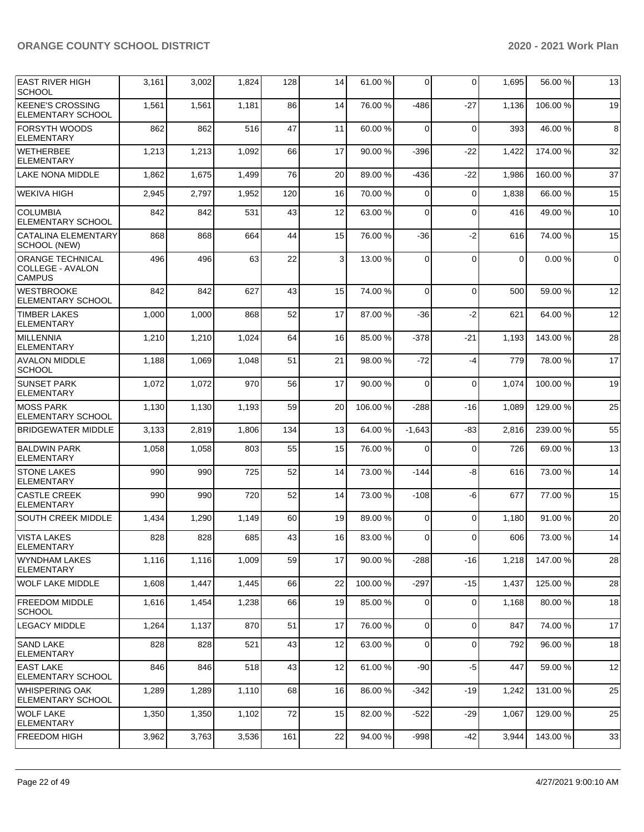| <b>EAST RIVER HIGH</b>                                              | 3,161 | 3,002 | 1,824 | 128 | 14 | 61.00%  | $\Omega$ | $\Omega$    | 1,695       | 56.00 %  | 13          |
|---------------------------------------------------------------------|-------|-------|-------|-----|----|---------|----------|-------------|-------------|----------|-------------|
| <b>SCHOOL</b>                                                       |       |       |       |     |    |         |          |             |             |          |             |
| <b>KEENE'S CROSSING</b><br>ELEMENTARY SCHOOL                        | 1,561 | 1,561 | 1,181 | 86  | 14 | 76.00 % | $-486$   | $-27$       | 1,136       | 106.00%  | 19          |
| <b>FORSYTH WOODS</b><br><b>ELEMENTARY</b>                           | 862   | 862   | 516   | 47  | 11 | 60.00 % | 0        | $\mathbf 0$ | 393         | 46.00%   | $\bf8$      |
| WETHERBEE<br><b>ELEMENTARY</b>                                      | 1,213 | 1,213 | 1,092 | 66  | 17 | 90.00 % | $-396$   | $-22$       | 1,422       | 174.00%  | 32          |
| LAKE NONA MIDDLE                                                    | 1,862 | 1,675 | 1,499 | 76  | 20 | 89.00 % | $-436$   | $-22$       | 1,986       | 160.00%  | 37          |
| <b>WEKIVA HIGH</b>                                                  | 2,945 | 2,797 | 1,952 | 120 | 16 | 70.00 % | 0        | $\Omega$    | 1,838       | 66.00 %  | 15          |
| <b>COLUMBIA</b><br>ELEMENTARY SCHOOL                                | 842   | 842   | 531   | 43  | 12 | 63.00 % | 0        | $\Omega$    | 416         | 49.00 %  | 10          |
| CATALINA ELEMENTARY<br>SCHOOL (NEW)                                 | 868   | 868   | 664   | 44  | 15 | 76.00 % | $-36$    | $-2$        | 616         | 74.00 %  | 15          |
| <b>ORANGE TECHNICAL</b><br><b>COLLEGE - AVALON</b><br><b>CAMPUS</b> | 496   | 496   | 63    | 22  | 3  | 13.00 % | $\Omega$ | $\mathbf 0$ | $\mathbf 0$ | 0.00%    | $\mathbf 0$ |
| <b>WESTBROOKE</b><br>ELEMENTARY SCHOOL                              | 842   | 842   | 627   | 43  | 15 | 74.00 % | $\Omega$ | $\Omega$    | 500         | 59.00 %  | 12          |
| <b>TIMBER LAKES</b><br><b>ELEMENTARY</b>                            | 1,000 | 1,000 | 868   | 52  | 17 | 87.00 % | -36      | $-2$        | 621         | 64.00 %  | 12          |
| MILLENNIA<br><b>ELEMENTARY</b>                                      | 1,210 | 1,210 | 1,024 | 64  | 16 | 85.00 % | $-378$   | $-21$       | 1,193       | 143.00%  | 28          |
| <b>AVALON MIDDLE</b><br><b>SCHOOL</b>                               | 1,188 | 1,069 | 1,048 | 51  | 21 | 98.00%  | -72      | $-4$        | 779         | 78.00 %  | 17          |
| <b>SUNSET PARK</b><br>ELEMENTARY                                    | 1,072 | 1,072 | 970   | 56  | 17 | 90.00 % | 0        | $\mathbf 0$ | 1,074       | 100.00%  | 19          |
| <b>MOSS PARK</b><br><b>ELEMENTARY SCHOOL</b>                        | 1,130 | 1,130 | 1,193 | 59  | 20 | 106.00% | $-288$   | -16         | 1,089       | 129.00%  | 25          |
| <b>BRIDGEWATER MIDDLE</b>                                           | 3,133 | 2,819 | 1,806 | 134 | 13 | 64.00 % | $-1,643$ | -83         | 2,816       | 239.00 % | 55          |
| <b>BALDWIN PARK</b><br><b>ELEMENTARY</b>                            | 1,058 | 1,058 | 803   | 55  | 15 | 76.00 % | 0        | $\mathbf 0$ | 726         | 69.00 %  | 13          |
| <b>STONE LAKES</b><br>ELEMENTARY                                    | 990   | 990   | 725   | 52  | 14 | 73.00 % | $-144$   | -8          | 616         | 73.00 %  | 14          |
| <b>CASTLE CREEK</b><br><b>ELEMENTARY</b>                            | 990   | 990   | 720   | 52  | 14 | 73.00 % | $-108$   | -6          | 677         | 77.00 %  | 15          |
| <b>SOUTH CREEK MIDDLE</b>                                           | 1,434 | 1,290 | 1,149 | 60  | 19 | 89.00 % | 0        | $\Omega$    | 1,180       | 91.00 %  | 20          |
| VISTA LAKES<br>ELEMENTARY                                           | 828   | 828   | 685   | 43  | 16 | 83.00 % | 0        | $\Omega$    | 606         | 73.00 %  | 14          |
| <b>WYNDHAM LAKES</b><br> ELEMENTARY                                 | 1,116 | 1,116 | 1,009 | 59  | 17 | 90.00 % | $-288$   | -16         | 1,218       | 147.00 % | 28          |
| <b>WOLF LAKE MIDDLE</b>                                             | 1,608 | 1,447 | 1,445 | 66  | 22 | 100.00% | $-297$   | $-15$       | 1,437       | 125.00%  | 28          |
| <b>FREEDOM MIDDLE</b><br> SCHOOL                                    | 1,616 | 1,454 | 1,238 | 66  | 19 | 85.00 % | 0        | $\mathbf 0$ | 1,168       | 80.00 %  | 18          |
| LEGACY MIDDLE                                                       | 1,264 | 1,137 | 870   | 51  | 17 | 76.00 % | 0        | $\mathbf 0$ | 847         | 74.00 %  | 17          |
| <b>SAND LAKE</b><br><b>ELEMENTARY</b>                               | 828   | 828   | 521   | 43  | 12 | 63.00 % | 0        | 0           | 792         | 96.00 %  | 18          |
| <b>EAST LAKE</b><br><b>ELEMENTARY SCHOOL</b>                        | 846   | 846   | 518   | 43  | 12 | 61.00 % | $-90$    | $-5$        | 447         | 59.00 %  | 12          |
| <b>WHISPERING OAK</b><br><b>ELEMENTARY SCHOOL</b>                   | 1,289 | 1,289 | 1,110 | 68  | 16 | 86.00 % | $-342$   | -19         | 1,242       | 131.00 % | 25          |
| lWOLF LAKE<br><b>ELEMENTARY</b>                                     | 1,350 | 1,350 | 1,102 | 72  | 15 | 82.00 % | $-522$   | $-29$       | 1,067       | 129.00 % | 25          |
| <b>FREEDOM HIGH</b>                                                 | 3,962 | 3,763 | 3,536 | 161 | 22 | 94.00 % | $-998$   | $-42$       | 3,944       | 143.00%  | 33          |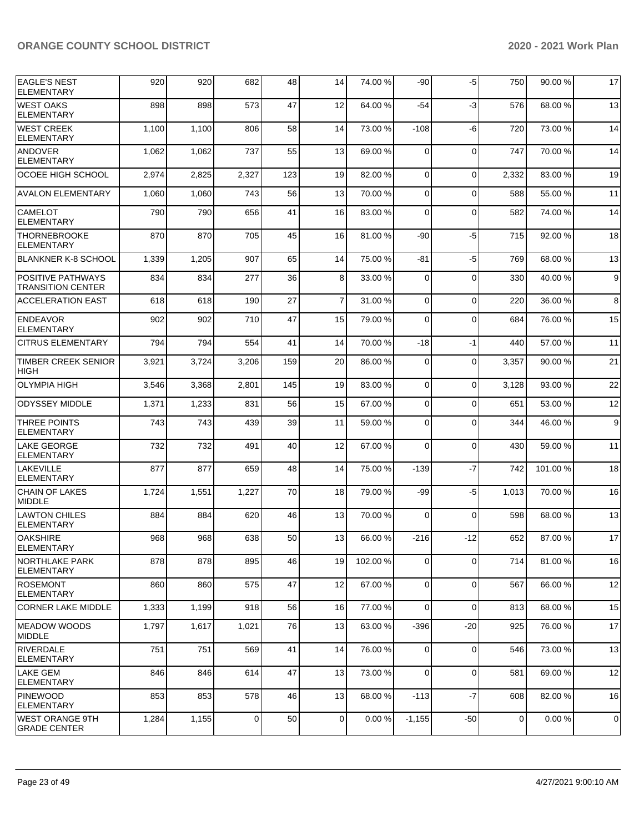| <b>EAGLE'S NEST</b><br><b>ELEMENTARY</b>      | 920   | 920   | 682            | 48  | 14             | 74.00 %   | -90         | -5          | 750   | 90.00 % | 17               |
|-----------------------------------------------|-------|-------|----------------|-----|----------------|-----------|-------------|-------------|-------|---------|------------------|
| <b>WEST OAKS</b><br><b>ELEMENTARY</b>         | 898   | 898   | 573            | 47  | 12             | 64.00%    | -54         | $-3$        | 576   | 68.00 % | 13               |
| WEST CREEK<br><b>ELEMENTARY</b>               | 1,100 | 1,100 | 806            | 58  | 14             | 73.00 %   | $-108$      | -6          | 720   | 73.00 % | 14               |
| <b>ANDOVER</b><br>ELEMENTARY                  | 1,062 | 1,062 | 737            | 55  | 13             | 69.00 %   | $\Omega$    | $\mathbf 0$ | 747   | 70.00 % | 14               |
| OCOEE HIGH SCHOOL                             | 2,974 | 2,825 | 2,327          | 123 | 19             | 82.00%    | $\mathbf 0$ | $\mathbf 0$ | 2,332 | 83.00 % | 19               |
| <b>AVALON ELEMENTARY</b>                      | 1,060 | 1,060 | 743            | 56  | 13             | 70.00 %   | 0           | $\Omega$    | 588   | 55.00 % | 11               |
| <b>CAMELOT</b><br><b>ELEMENTARY</b>           | 790   | 790   | 656            | 41  | 16             | 83.00 %   | $\mathbf 0$ | $\mathbf 0$ | 582   | 74.00 % | 14               |
| <b>THORNEBROOKE</b><br><b>ELEMENTARY</b>      | 870   | 870   | 705            | 45  | 16             | 81.00%    | $-90$       | $-5$        | 715   | 92.00 % | 18               |
| BLANKNER K-8 SCHOOL                           | 1,339 | 1,205 | 907            | 65  | 14             | 75.00 %   | -81         | $-5$        | 769   | 68.00 % | 13               |
| POSITIVE PATHWAYS<br><b>TRANSITION CENTER</b> | 834   | 834   | 277            | 36  | 8              | 33.00 %   | $\Omega$    | $\mathbf 0$ | 330   | 40.00 % | $\boldsymbol{9}$ |
| <b>ACCELERATION EAST</b>                      | 618   | 618   | 190            | 27  | $\overline{7}$ | 31.00 %   | $\mathbf 0$ | $\mathbf 0$ | 220   | 36.00 % | 8                |
| ENDEAVOR<br><b>ELEMENTARY</b>                 | 902   | 902   | 710            | 47  | 15             | 79.00 %   | 0           | $\mathbf 0$ | 684   | 76.00 % | 15               |
| <b>CITRUS ELEMENTARY</b>                      | 794   | 794   | 554            | 41  | 14             | 70.00%    | $-18$       | $-1$        | 440   | 57.00 % | 11               |
| <b>TIMBER CREEK SENIOR</b><br><b>HIGH</b>     | 3,921 | 3,724 | 3,206          | 159 | 20             | 86.00 %   | 0           | $\mathbf 0$ | 3,357 | 90.00 % | 21               |
| <b>OLYMPIA HIGH</b>                           | 3,546 | 3,368 | 2,801          | 145 | 19             | 83.00 %   | $\Omega$    | $\mathbf 0$ | 3,128 | 93.00 % | 22               |
| <b>ODYSSEY MIDDLE</b>                         | 1,371 | 1,233 | 831            | 56  | 15             | 67.00 %   | $\Omega$    | $\Omega$    | 651   | 53.00 % | 12               |
| <b>THREE POINTS</b><br>ELEMENTARY             | 743   | 743   | 439            | 39  | 11             | 59.00 %   | $\Omega$    | $\Omega$    | 344   | 46.00 % | 9                |
| LAKE GEORGE<br><b>ELEMENTARY</b>              | 732   | 732   | 491            | 40  | 12             | 67.00 %   | $\mathbf 0$ | $\mathbf 0$ | 430   | 59.00 % | 11               |
| LAKEVILLE<br><b>ELEMENTARY</b>                | 877   | 877   | 659            | 48  | 14             | 75.00 %   | $-139$      | $-7$        | 742   | 101.00% | 18               |
| <b>CHAIN OF LAKES</b><br>MIDDLE               | 1,724 | 1,551 | 1,227          | 70  | 18             | 79.00 %   | -99         | -5          | 1,013 | 70.00 % | 16               |
| LAWTON CHILES<br><b>ELEMENTARY</b>            | 884   | 884   | 620            | 46  | 13             | 70.00 %   | 0           | $\mathbf 0$ | 598   | 68.00 % | 13               |
| <b>OAKSHIRE</b><br>ELEMENTARY                 | 968   | 968   | 638            | 50  | 13             | 66.00 %   | $-216$      | $-12$       | 652   | 87.00 % | 17               |
| <b>NORTHLAKE PARK</b><br><b>ELEMENTARY</b>    | 878   | 878   | 895            | 46  | 19             | 102.00 %  | $\mathbf 0$ | $\mathbf 0$ | 714   | 81.00 % | 16               |
| ROSEMONT<br><b>ELEMENTARY</b>                 | 860   | 860   | 575            | 47  | 12             | 67.00 %   | $\mathbf 0$ | $\mathbf 0$ | 567   | 66.00 % | 12               |
| <b>CORNER LAKE MIDDLE</b>                     | 1,333 | 1,199 | 918            | 56  | 16             | 77.00 %   | $\mathbf 0$ | $\mathbf 0$ | 813   | 68.00 % | 15               |
| MEADOW WOODS<br> MIDDLE                       | 1,797 | 1,617 | 1,021          | 76  | 13             | 63.00 %   | $-396$      | $-20$       | 925   | 76.00 % | 17               |
| <b>RIVERDALE</b><br><b>ELEMENTARY</b>         | 751   | 751   | 569            | 41  | 14             | 76.00 %   | 0           | $\mathbf 0$ | 546   | 73.00 % | 13               |
| LAKE GEM<br><b>ELEMENTARY</b>                 | 846   | 846   | 614            | 47  | 13             | 73.00 %   | $\mathbf 0$ | $\mathbf 0$ | 581   | 69.00 % | 12               |
| <b>PINEWOOD</b><br><b>ELEMENTARY</b>          | 853   | 853   | 578            | 46  | 13             | 68.00 %   | $-113$      | $-7$        | 608   | 82.00 % | 16               |
| <b>WEST ORANGE 9TH</b><br><b>GRADE CENTER</b> | 1,284 | 1,155 | $\overline{0}$ | 50  | $\overline{0}$ | $0.00 \%$ | $-1,155$    | $-50$       | 0     | 0.00%   | 0                |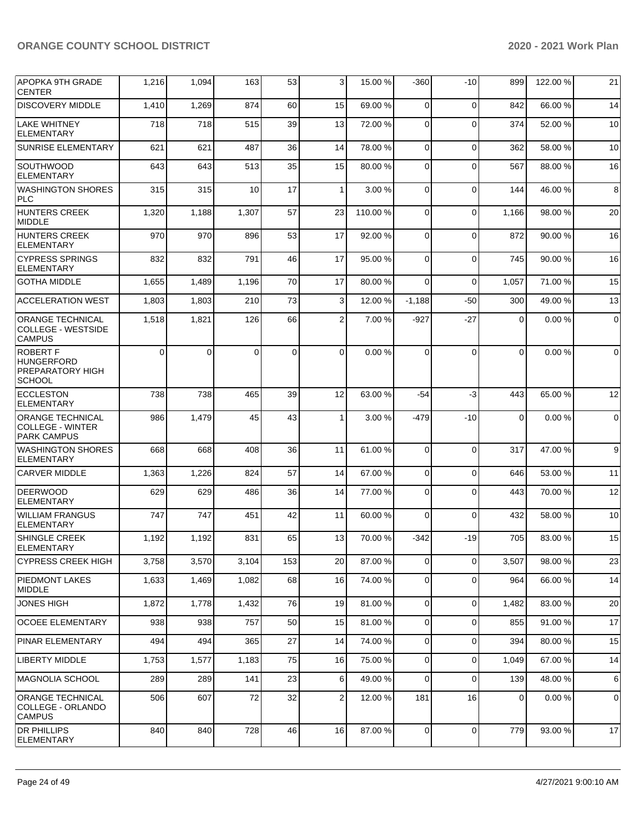| <b>APOPKA 9TH GRADE</b><br><b>CENTER</b>                                  | 1,216    | 1,094    | 163      | 53  | 3            | 15.00 % | $-360$         | $-10$       | 899         | 122.00 %  | 21          |
|---------------------------------------------------------------------------|----------|----------|----------|-----|--------------|---------|----------------|-------------|-------------|-----------|-------------|
| <b>DISCOVERY MIDDLE</b>                                                   | 1,410    | 1,269    | 874      | 60  | 15           | 69.00 % | $\Omega$       | $\Omega$    | 842         | 66.00 %   | 14          |
| <b>LAKE WHITNEY</b><br><b>ELEMENTARY</b>                                  | 718      | 718      | 515      | 39  | 13           | 72.00 % | $\mathbf 0$    | $\Omega$    | 374         | 52.00 %   | 10          |
| <b>SUNRISE ELEMENTARY</b>                                                 | 621      | 621      | 487      | 36  | 14           | 78.00 % | $\mathbf 0$    | $\Omega$    | 362         | 58.00 %   | 10          |
| SOUTHWOOD<br><b>ELEMENTARY</b>                                            | 643      | 643      | 513      | 35  | 15           | 80.00 % | 0              | $\Omega$    | 567         | 88.00 %   | 16          |
| <b>WASHINGTON SHORES</b><br><b>PLC</b>                                    | 315      | 315      | 10       | 17  | $\mathbf{1}$ | 3.00 %  | $\mathbf 0$    | $\Omega$    | 144         | 46.00 %   | 8           |
| <b>HUNTERS CREEK</b><br><b>MIDDLE</b>                                     | 1,320    | 1,188    | 1,307    | 57  | 23           | 110.00% | $\Omega$       | $\Omega$    | 1,166       | 98.00 %   | 20          |
| <b>HUNTERS CREEK</b><br><b>ELEMENTARY</b>                                 | 970      | 970      | 896      | 53  | 17           | 92.00 % | 0              | $\Omega$    | 872         | 90.00 %   | 16          |
| <b>CYPRESS SPRINGS</b><br><b>ELEMENTARY</b>                               | 832      | 832      | 791      | 46  | 17           | 95.00 % | $\mathbf 0$    | $\Omega$    | 745         | 90.00 %   | 16          |
| <b>GOTHA MIDDLE</b>                                                       | 1,655    | 1,489    | 1,196    | 70  | 17           | 80.00 % | $\Omega$       | $\Omega$    | 1,057       | 71.00 %   | 15          |
| <b>ACCELERATION WEST</b>                                                  | 1,803    | 1,803    | 210      | 73  | 3            | 12.00%  | $-1,188$       | -50         | 300         | 49.00 %   | 13          |
| <b>ORANGE TECHNICAL</b><br><b>COLLEGE - WESTSIDE</b><br><b>CAMPUS</b>     | 1,518    | 1,821    | 126      | 66  | 2            | 7.00 %  | $-927$         | $-27$       | $\Omega$    | 0.00%     | $\mathbf 0$ |
| <b>ROBERT F</b><br><b>HUNGERFORD</b><br>PREPARATORY HIGH<br><b>SCHOOL</b> | $\Omega$ | $\Omega$ | $\Omega$ | 0   | $\Omega$     | 0.00%   | $\Omega$       | $\Omega$    | $\Omega$    | 0.00%     | $\mathbf 0$ |
| <b>ECCLESTON</b><br><b>ELEMENTARY</b>                                     | 738      | 738      | 465      | 39  | 12           | 63.00 % | $-54$          | -3          | 443         | 65.00 %   | 12          |
| <b>ORANGE TECHNICAL</b><br><b>COLLEGE - WINTER</b><br><b>PARK CAMPUS</b>  | 986      | 1,479    | 45       | 43  | 1            | 3.00 %  | $-479$         | $-10$       | $\mathbf 0$ | 0.00%     | $\mathbf 0$ |
| <b>WASHINGTON SHORES</b><br><b>ELEMENTARY</b>                             | 668      | 668      | 408      | 36  | 11           | 61.00%  | 0              | $\Omega$    | 317         | 47.00 %   | 9           |
| <b>CARVER MIDDLE</b>                                                      | 1,363    | 1,226    | 824      | 57  | 14           | 67.00 % | $\mathbf{0}$   | $\Omega$    | 646         | 53.00 %   | 11          |
| <b>DEERWOOD</b><br><b>ELEMENTARY</b>                                      | 629      | 629      | 486      | 36  | 14           | 77.00 % | 0              | $\Omega$    | 443         | 70.00 %   | 12          |
| <b>WILLIAM FRANGUS</b><br><b>ELEMENTARY</b>                               | 747      | 747      | 451      | 42  | 11           | 60.00 % | $\Omega$       | $\Omega$    | 432         | 58.00 %   | 10          |
| <b>SHINGLE CREEK</b><br>ELEMENTARY                                        | 1,192    | 1,192    | 831      | 65  | 13           | 70.00%  | $-342$         | $-19$       | 705         | 83.00 %   | 15          |
| <b>CYPRESS CREEK HIGH</b>                                                 | 3,758    | 3,570    | 3,104    | 153 | 20           | 87.00 % | $\overline{0}$ | $\Omega$    | 3,507       | 98.00 %   | 23          |
| <b>PIEDMONT LAKES</b><br><b>MIDDLE</b>                                    | 1,633    | 1,469    | 1,082    | 68  | 16           | 74.00 % | 0              | $\Omega$    | 964         | 66.00 %   | 14          |
| <b>JONES HIGH</b>                                                         | 1,872    | 1,778    | 1,432    | 76  | 19           | 81.00 % | $\overline{0}$ | $\Omega$    | 1,482       | 83.00 %   | 20          |
| <b>OCOEE ELEMENTARY</b>                                                   | 938      | 938      | 757      | 50  | 15           | 81.00 % | $\mathbf 0$    | $\Omega$    | 855         | 91.00%    | 17          |
| <b>PINAR ELEMENTARY</b>                                                   | 494      | 494      | 365      | 27  | 14           | 74.00 % | $\mathbf 0$    | $\mathbf 0$ | 394         | 80.00 %   | 15          |
| <b>LIBERTY MIDDLE</b>                                                     | 1,753    | 1,577    | 1,183    | 75  | 16           | 75.00 % | $\mathbf 0$    | $\mathbf 0$ | 1,049       | 67.00 %   | 14          |
| <b>MAGNOLIA SCHOOL</b>                                                    | 289      | 289      | 141      | 23  | 6            | 49.00 % | $\mathbf 0$    | $\Omega$    | 139         | 48.00 %   | 6           |
| <b>ORANGE TECHNICAL</b><br>COLLEGE - ORLANDO<br><b>CAMPUS</b>             | 506      | 607      | 72       | 32  | 2            | 12.00 % | 181            | 16          | 0           | $0.00 \%$ | 0           |
| <b>DR PHILLIPS</b><br>ELEMENTARY                                          | 840      | 840      | 728      | 46  | 16           | 87.00 % | $\mathbf 0$    | 0           | 779         | 93.00 %   | 17          |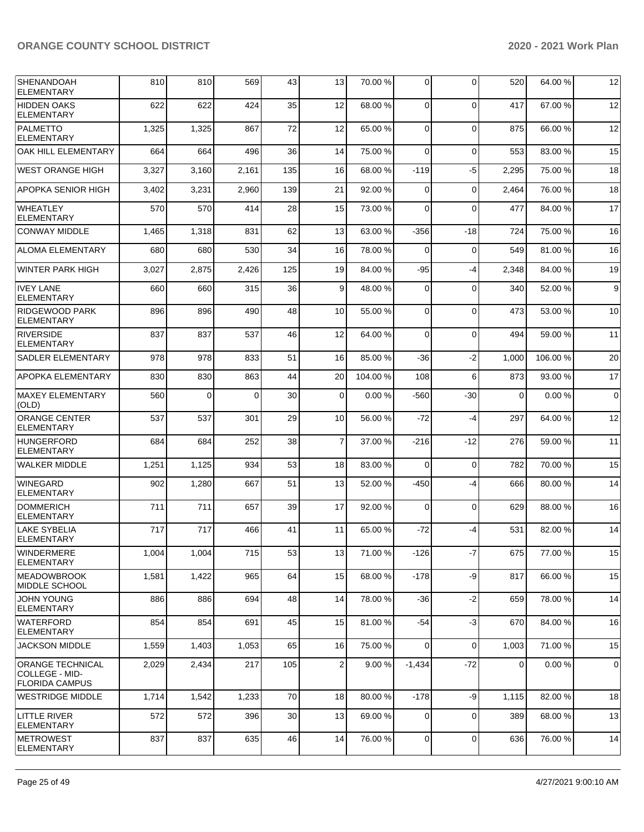| SHENANDOAH<br><b>ELEMENTARY</b>                                    | 810   | 810      | 569      | 43  | 13          | 70.00 % | 0           | $\Omega$    | 520      | 64.00 %  | 12          |
|--------------------------------------------------------------------|-------|----------|----------|-----|-------------|---------|-------------|-------------|----------|----------|-------------|
| <b>HIDDEN OAKS</b><br><b>ELEMENTARY</b>                            | 622   | 622      | 424      | 35  | 12          | 68.00 % | 0           | $\Omega$    | 417      | 67.00 %  | 12          |
| PALMETTO<br><b>ELEMENTARY</b>                                      | 1,325 | 1,325    | 867      | 72  | 12          | 65.00 % | 0           | $\Omega$    | 875      | 66.00 %  | 12          |
| OAK HILL ELEMENTARY                                                | 664   | 664      | 496      | 36  | 14          | 75.00 % | $\Omega$    | $\Omega$    | 553      | 83.00 %  | 15          |
| <b>WEST ORANGE HIGH</b>                                            | 3,327 | 3,160    | 2,161    | 135 | 16          | 68.00 % | $-119$      | $-5$        | 2,295    | 75.00 %  | 18          |
| APOPKA SENIOR HIGH                                                 | 3,402 | 3,231    | 2,960    | 139 | 21          | 92.00 % | 0           | $\Omega$    | 2,464    | 76.00 %  | 18          |
| WHEATLEY<br><b>ELEMENTARY</b>                                      | 570   | 570      | 414      | 28  | 15          | 73.00 % | 0           | $\Omega$    | 477      | 84.00 %  | 17          |
| <b>CONWAY MIDDLE</b>                                               | 1,465 | 1,318    | 831      | 62  | 13          | 63.00 % | $-356$      | $-18$       | 724      | 75.00 %  | 16          |
| ALOMA ELEMENTARY                                                   | 680   | 680      | 530      | 34  | 16          | 78.00 % | $\Omega$    | 0           | 549      | 81.00 %  | 16          |
| <b>WINTER PARK HIGH</b>                                            | 3,027 | 2,875    | 2,426    | 125 | 19          | 84.00 % | -95         | $-4$        | 2,348    | 84.00 %  | 19          |
| <b>IVEY LANE</b><br><b>ELEMENTARY</b>                              | 660   | 660      | 315      | 36  | 9           | 48.00 % | $\mathbf 0$ | $\Omega$    | 340      | 52.00 %  | 9           |
| RIDGEWOOD PARK<br><b>ELEMENTARY</b>                                | 896   | 896      | 490      | 48  | 10          | 55.00 % | 0           | $\Omega$    | 473      | 53.00 %  | 10          |
| <b>RIVERSIDE</b><br><b>ELEMENTARY</b>                              | 837   | 837      | 537      | 46  | 12          | 64.00%  | $\Omega$    | $\Omega$    | 494      | 59.00 %  | 11          |
| <b>SADLER ELEMENTARY</b>                                           | 978   | 978      | 833      | 51  | 16          | 85.00 % | -36         | $-2$        | 1,000    | 106.00 % | 20          |
| <b>APOPKA ELEMENTARY</b>                                           | 830   | 830      | 863      | 44  | 20          | 104.00% | 108         | 6           | 873      | 93.00 %  | 17          |
| MAXEY ELEMENTARY<br>(OLD)                                          | 560   | $\Omega$ | $\Omega$ | 30  | $\mathbf 0$ | 0.00%   | $-560$      | $-30$       | $\Omega$ | 0.00%    | $\mathbf 0$ |
| <b>ORANGE CENTER</b><br><b>ELEMENTARY</b>                          | 537   | 537      | 301      | 29  | 10          | 56.00 % | $-72$       | $-4$        | 297      | 64.00 %  | 12          |
| HUNGERFORD<br><b>ELEMENTARY</b>                                    | 684   | 684      | 252      | 38  | 7           | 37.00 % | -216        | -12         | 276      | 59.00 %  | 11          |
| <b>WALKER MIDDLE</b>                                               | 1,251 | 1,125    | 934      | 53  | 18          | 83.00 % | $\Omega$    | $\mathbf 0$ | 782      | 70.00 %  | 15          |
| <b>WINEGARD</b><br><b>ELEMENTARY</b>                               | 902   | 1,280    | 667      | 51  | 13          | 52.00 % | $-450$      | $-4$        | 666      | 80.00 %  | 14          |
| <b>DOMMERICH</b><br><b>ELEMENTARY</b>                              | 711   | 711      | 657      | 39  | 17          | 92.00 % | $\mathbf 0$ | $\mathbf 0$ | 629      | 88.00 %  | 16          |
| <b>LAKE SYBELIA</b><br><b>ELEMENTARY</b>                           | 717   | 717      | 466      | 41  | 11          | 65.00 % | -72         | $-4$        | 531      | 82.00 %  | 14          |
| <b>WINDERMERE</b><br><b>ELEMENTARY</b>                             | 1,004 | 1,004    | 715      | 53  | 13          | 71.00 % | $-126$      | $-7$        | 675      | 77.00 %  | 15          |
| <b>MEADOWBROOK</b><br><b>MIDDLE SCHOOL</b>                         | 1,581 | 1,422    | 965      | 64  | 15          | 68.00 % | $-178$      | -9          | 817      | 66.00 %  | 15          |
| <b>JOHN YOUNG</b><br><b>ELEMENTARY</b>                             | 886   | 886      | 694      | 48  | 14          | 78.00 % | $-36$       | $-2$        | 659      | 78.00 %  | 14          |
| <b>WATERFORD</b><br>ELEMENTARY                                     | 854   | 854      | 691      | 45  | 15          | 81.00%  | $-54$       | $-3$        | 670      | 84.00%   | 16          |
| <b>JACKSON MIDDLE</b>                                              | 1,559 | 1,403    | 1,053    | 65  | 16          | 75.00 % | $\mathbf 0$ | $\mathbf 0$ | 1,003    | 71.00 %  | 15          |
| <b>ORANGE TECHNICAL</b><br>COLLEGE - MID-<br><b>FLORIDA CAMPUS</b> | 2,029 | 2,434    | 217      | 105 | 2           | 9.00%   | $-1,434$    | $-72$       | 0        | 0.00%    | $\mathbf 0$ |
| <b>WESTRIDGE MIDDLE</b>                                            | 1,714 | 1,542    | 1,233    | 70  | 18          | 80.00 % | $-178$      | -9          | 1,115    | 82.00 %  | 18          |
| <b>LITTLE RIVER</b><br><b>ELEMENTARY</b>                           | 572   | 572      | 396      | 30  | 13          | 69.00 % | 0           | $\mathbf 0$ | 389      | 68.00 %  | 13          |
| <b>METROWEST</b><br><b>ELEMENTARY</b>                              | 837   | 837      | 635      | 46  | 14          | 76.00%  | 0           | 0           | 636      | 76.00 %  | 14          |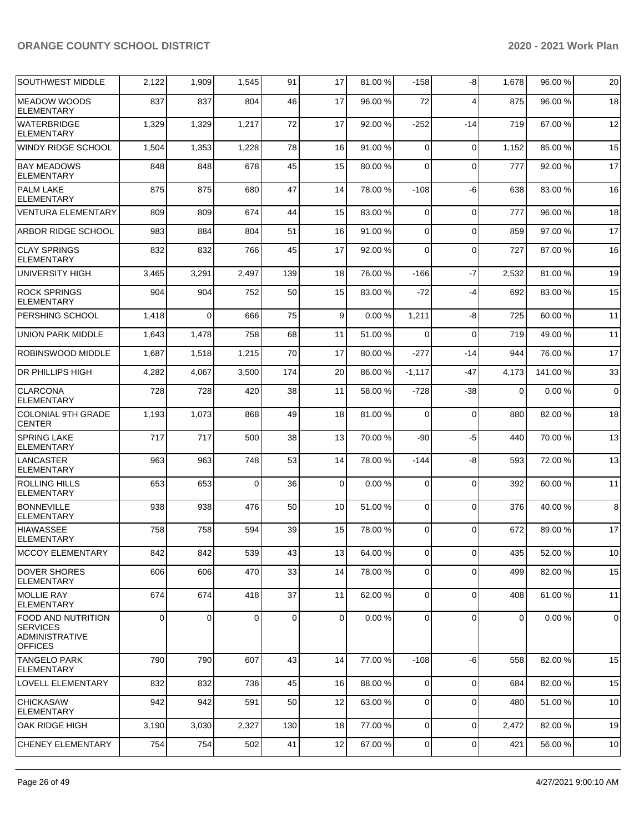| <b>SOUTHWEST MIDDLE</b>                                                                 | 2,122       | 1,909    | 1,545    | 91  | 17          | 81.00 % | $-158$         | -8             | 1,678    | 96.00 % | 20          |
|-----------------------------------------------------------------------------------------|-------------|----------|----------|-----|-------------|---------|----------------|----------------|----------|---------|-------------|
| <b>MEADOW WOODS</b><br><b>ELEMENTARY</b>                                                | 837         | 837      | 804      | 46  | 17          | 96.00 % | 72             | $\overline{4}$ | 875      | 96.00 % | 18          |
| <b>WATERBRIDGE</b><br><b>ELEMENTARY</b>                                                 | 1,329       | 1,329    | 1,217    | 72  | 17          | 92.00 % | $-252$         | $-14$          | 719      | 67.00 % | 12          |
| WINDY RIDGE SCHOOL                                                                      | 1,504       | 1,353    | 1,228    | 78  | 16          | 91.00%  | $\mathbf 0$    | $\Omega$       | 1,152    | 85.00 % | 15          |
| <b>BAY MEADOWS</b><br><b>ELEMENTARY</b>                                                 | 848         | 848      | 678      | 45  | 15          | 80.00 % | 0              | $\Omega$       | 777      | 92.00 % | 17          |
| <b>PALM LAKE</b><br><b>ELEMENTARY</b>                                                   | 875         | 875      | 680      | 47  | 14          | 78.00 % | $-108$         | -6             | 638      | 83.00 % | 16          |
| <b>VENTURA ELEMENTARY</b>                                                               | 809         | 809      | 674      | 44  | 15          | 83.00 % | 0              | $\mathbf 0$    | 777      | 96.00 % | 18          |
| <b>ARBOR RIDGE SCHOOL</b>                                                               | 983         | 884      | 804      | 51  | 16          | 91.00%  | 0              | $\Omega$       | 859      | 97.00 % | 17          |
| <b>CLAY SPRINGS</b><br><b>ELEMENTARY</b>                                                | 832         | 832      | 766      | 45  | 17          | 92.00 % | 0              | $\mathbf 0$    | 727      | 87.00 % | 16          |
| <b>UNIVERSITY HIGH</b>                                                                  | 3,465       | 3,291    | 2,497    | 139 | 18          | 76.00 % | -166           | $-7$           | 2,532    | 81.00%  | 19          |
| <b>ROCK SPRINGS</b><br><b>ELEMENTARY</b>                                                | 904         | 904      | 752      | 50  | 15          | 83.00 % | $-72$          | $-4$           | 692      | 83.00 % | 15          |
| PERSHING SCHOOL                                                                         | 1,418       | $\Omega$ | 666      | 75  | 9           | 0.00%   | 1,211          | -8             | 725      | 60.00 % | 11          |
| <b>UNION PARK MIDDLE</b>                                                                | 1,643       | 1,478    | 758      | 68  | 11          | 51.00 % | 0              | $\Omega$       | 719      | 49.00%  | 11          |
| ROBINSWOOD MIDDLE                                                                       | 1,687       | 1,518    | 1,215    | 70  | 17          | 80.00 % | $-277$         | $-14$          | 944      | 76.00 % | 17          |
| DR PHILLIPS HIGH                                                                        | 4,282       | 4,067    | 3,500    | 174 | 20          | 86.00 % | $-1,117$       | -47            | 4,173    | 141.00% | 33          |
| <b>CLARCONA</b><br><b>ELEMENTARY</b>                                                    | 728         | 728      | 420      | 38  | 11          | 58.00 % | $-728$         | -38            | $\Omega$ | 0.00%   | $\mathbf 0$ |
| <b>COLONIAL 9TH GRADE</b><br><b>CENTER</b>                                              | 1,193       | 1,073    | 868      | 49  | 18          | 81.00%  | $\mathbf 0$    | $\mathbf 0$    | 880      | 82.00 % | 18          |
| <b>SPRING LAKE</b><br><b>ELEMENTARY</b>                                                 | 717         | 717      | 500      | 38  | 13          | 70.00 % | $-90$          | $-5$           | 440      | 70.00 % | 13          |
| <b>LANCASTER</b><br>ELEMENTARY                                                          | 963         | 963      | 748      | 53  | 14          | 78.00 % | $-144$         | -8             | 593      | 72.00 % | 13          |
| <b>ROLLING HILLS</b><br><b>ELEMENTARY</b>                                               | 653         | 653      | $\Omega$ | 36  | $\mathbf 0$ | 0.00%   | $\mathbf 0$    | $\Omega$       | 392      | 60.00%  | 11          |
| <b>BONNEVILLE</b><br><b>ELEMENTARY</b>                                                  | 938         | 938      | 476      | 50  | 10          | 51.00 % | $\mathbf 0$    | $\Omega$       | 376      | 40.00 % | 8           |
| HIAWASSEE<br><b>ELEMENTARY</b>                                                          | 758         | 758      | 594      | 39  | 15          | 78.00 % | 0              | $\Omega$       | 672      | 89.00 % | 17          |
| <b>MCCOY ELEMENTARY</b>                                                                 | 842         | 842      | 539      | 43  | 13          | 64.00 % | $\overline{0}$ | $\overline{0}$ | 435      | 52.00 % | 10          |
| <b>DOVER SHORES</b><br><b>ELEMENTARY</b>                                                | 606         | 606      | 470      | 33  | 14          | 78.00 % | $\overline{0}$ | $\Omega$       | 499      | 82.00 % | 15          |
| MOLLIE RAY<br><b>ELEMENTARY</b>                                                         | 674         | 674      | 418      | 37  | 11          | 62.00 % | 0              | $\mathbf 0$    | 408      | 61.00%  | 11          |
| <b>FOOD AND NUTRITION</b><br><b>SERVICES</b><br><b>ADMINISTRATIVE</b><br><b>OFFICES</b> | $\mathbf 0$ | $\Omega$ | $\Omega$ | 0   | $\mathbf 0$ | 0.00%   | $\mathbf 0$    | $\Omega$       | 0        | 0.00%   | 0           |
| <b>TANGELO PARK</b><br><b>ELEMENTARY</b>                                                | 790         | 790      | 607      | 43  | 14          | 77.00 % | $-108$         | -6             | 558      | 82.00 % | 15          |
| <b>LOVELL ELEMENTARY</b>                                                                | 832         | 832      | 736      | 45  | 16          | 88.00 % | $\mathbf 0$    | $\mathbf 0$    | 684      | 82.00 % | 15          |
| <b>CHICKASAW</b><br><b>ELEMENTARY</b>                                                   | 942         | 942      | 591      | 50  | 12          | 63.00 % | 0              | $\mathbf 0$    | 480      | 51.00 % | 10          |
| OAK RIDGE HIGH                                                                          | 3,190       | 3,030    | 2,327    | 130 | 18          | 77.00 % | $\overline{0}$ | $\Omega$       | 2,472    | 82.00 % | 19          |
| <b>CHENEY ELEMENTARY</b>                                                                | 754         | 754      | 502      | 41  | 12          | 67.00 % | $\overline{0}$ | 0              | 421      | 56.00 % | 10          |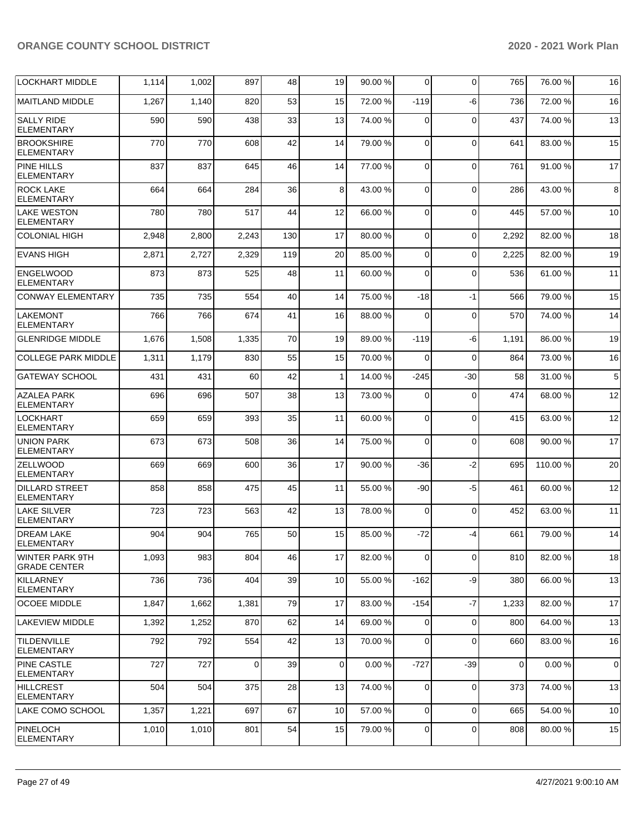| <b>LOCKHART MIDDLE</b>                        | 1,114 | 1,002 | 897   | 48  | 19           | 90.00 % | $\overline{0}$ | $\mathbf 0$ | 765         | 76.00 % | 16              |
|-----------------------------------------------|-------|-------|-------|-----|--------------|---------|----------------|-------------|-------------|---------|-----------------|
| <b>MAITLAND MIDDLE</b>                        | 1,267 | 1,140 | 820   | 53  | 15           | 72.00 % | $-119$         | -6          | 736         | 72.00 % | 16              |
| <b>SALLY RIDE</b><br><b>ELEMENTARY</b>        | 590   | 590   | 438   | 33  | 13           | 74.00 % | $\Omega$       | $\Omega$    | 437         | 74.00%  | 13              |
| <b>BROOKSHIRE</b><br><b>ELEMENTARY</b>        | 770   | 770   | 608   | 42  | 14           | 79.00 % | $\Omega$       | $\Omega$    | 641         | 83.00 % | 15              |
| <b>PINE HILLS</b><br><b>ELEMENTARY</b>        | 837   | 837   | 645   | 46  | 14           | 77.00 % | $\Omega$       | $\Omega$    | 761         | 91.00 % | 17              |
| <b>ROCK LAKE</b><br><b>ELEMENTARY</b>         | 664   | 664   | 284   | 36  | 8            | 43.00 % | $\Omega$       | $\Omega$    | 286         | 43.00 % | 8               |
| <b>LAKE WESTON</b><br><b>ELEMENTARY</b>       | 780   | 780   | 517   | 44  | 12           | 66.00 % | $\Omega$       | $\Omega$    | 445         | 57.00 % | 10              |
| <b>COLONIAL HIGH</b>                          | 2,948 | 2,800 | 2,243 | 130 | 17           | 80.00%  | $\Omega$       | $\Omega$    | 2,292       | 82.00%  | 18              |
| <b>EVANS HIGH</b>                             | 2,871 | 2,727 | 2,329 | 119 | 20           | 85.00 % | $\Omega$       | $\Omega$    | 2,225       | 82.00 % | 19              |
| <b>ENGELWOOD</b><br><b>ELEMENTARY</b>         | 873   | 873   | 525   | 48  | 11           | 60.00%  | $\Omega$       | $\Omega$    | 536         | 61.00%  | 11              |
| <b>CONWAY ELEMENTARY</b>                      | 735   | 735   | 554   | 40  | 14           | 75.00 % | $-18$          | $-1$        | 566         | 79.00 % | 15              |
| <b>LAKEMONT</b><br><b>ELEMENTARY</b>          | 766   | 766   | 674   | 41  | 16           | 88.00 % | $\Omega$       | $\mathbf 0$ | 570         | 74.00%  | 14              |
| <b>GLENRIDGE MIDDLE</b>                       | 1,676 | 1,508 | 1,335 | 70  | 19           | 89.00 % | $-119$         | -6          | 1,191       | 86.00 % | 19              |
| <b>COLLEGE PARK MIDDLE</b>                    | 1,311 | 1,179 | 830   | 55  | 15           | 70.00 % | $\Omega$       | $\Omega$    | 864         | 73.00 % | 16              |
| <b>GATEWAY SCHOOL</b>                         | 431   | 431   | 60    | 42  | $\mathbf{1}$ | 14.00 % | $-245$         | $-30$       | 58          | 31.00 % | $5\overline{)}$ |
| <b>AZALEA PARK</b><br><b>ELEMENTARY</b>       | 696   | 696   | 507   | 38  | 13           | 73.00 % | $\Omega$       | $\Omega$    | 474         | 68.00 % | 12              |
| LOCKHART<br><b>ELEMENTARY</b>                 | 659   | 659   | 393   | 35  | 11           | 60.00 % | $\Omega$       | $\Omega$    | 415         | 63.00 % | 12              |
| <b>UNION PARK</b><br><b>ELEMENTARY</b>        | 673   | 673   | 508   | 36  | 14           | 75.00 % | $\Omega$       | $\mathbf 0$ | 608         | 90.00 % | 17              |
| <b>ZELLWOOD</b><br><b>ELEMENTARY</b>          | 669   | 669   | 600   | 36  | 17           | 90.00 % | $-36$          | $-2$        | 695         | 110.00% | 20              |
| <b>DILLARD STREET</b><br><b>ELEMENTARY</b>    | 858   | 858   | 475   | 45  | 11           | 55.00 % | -90            | $-5$        | 461         | 60.00 % | 12              |
| <b>LAKE SILVER</b><br>ELEMENTARY              | 723   | 723   | 563   | 42  | 13           | 78.00 % | $\Omega$       | $\mathbf 0$ | 452         | 63.00 % | 11              |
| <b>DREAM LAKE</b><br><b>ELEMENTARY</b>        | 904   | 904   | 765   | 50  | 15           | 85.00 % | -72            | $-4$        | 661         | 79.00 % | 14              |
| <b>WINTER PARK 9TH</b><br><b>GRADE CENTER</b> | 1,093 | 983   | 804   | 46  | 17           | 82.00 % | 0              | $\Omega$    | 810         | 82.00 % | 18              |
| <b>KILLARNEY</b><br><b>ELEMENTARY</b>         | 736   | 736   | 404   | 39  | 10           | 55.00 % | $-162$         | -9          | 380         | 66.00 % | 13              |
| <b>OCOEE MIDDLE</b>                           | 1,847 | 1,662 | 1,381 | 79  | 17           | 83.00 % | $-154$         | -7          | 1,233       | 82.00 % | 17              |
| <b>LAKEVIEW MIDDLE</b>                        | 1,392 | 1,252 | 870   | 62  | 14           | 69.00%  | $\Omega$       | 0           | 800         | 64.00%  | 13              |
| <b>TILDENVILLE</b><br><b>ELEMENTARY</b>       | 792   | 792   | 554   | 42  | 13           | 70.00 % | $\mathbf 0$    | $\mathbf 0$ | 660         | 83.00 % | 16              |
| <b>PINE CASTLE</b><br><b>ELEMENTARY</b>       | 727   | 727   | 0     | 39  | $\mathbf 0$  | 0.00%   | $-727$         | -39         | $\mathbf 0$ | 0.00%   | $\overline{0}$  |
| <b>HILLCREST</b><br>ELEMENTARY                | 504   | 504   | 375   | 28  | 13           | 74.00 % | $\mathbf 0$    | $\mathbf 0$ | 373         | 74.00%  | 13              |
| LAKE COMO SCHOOL                              | 1,357 | 1,221 | 697   | 67  | 10           | 57.00 % | $\Omega$       | 0           | 665         | 54.00 % | 10              |
| <b>PINELOCH</b><br><b>ELEMENTARY</b>          | 1,010 | 1,010 | 801   | 54  | 15           | 79.00 % | $\overline{0}$ | 0           | 808         | 80.00%  | 15              |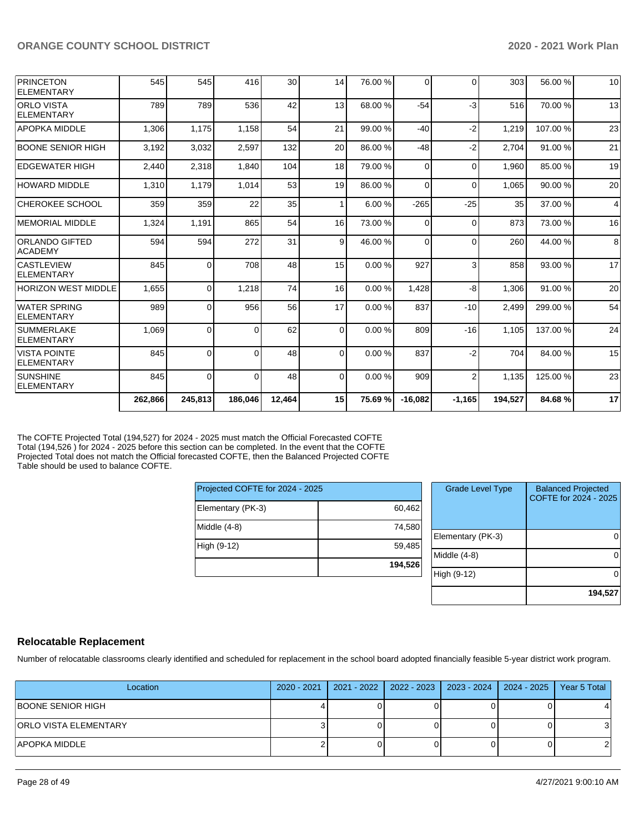| <b>PRINCETON</b><br><b>ELEMENTARY</b>    | 545     | 545            | 416      | 30     | 14           | 76.00 % | $\Omega$  | $\Omega$       | 303     | 56.00 %  | 10 |
|------------------------------------------|---------|----------------|----------|--------|--------------|---------|-----------|----------------|---------|----------|----|
|                                          |         |                |          |        |              |         |           |                |         |          |    |
| <b>ORLO VISTA</b><br><b>ELEMENTARY</b>   | 789     | 789            | 536      | 42     | 13           | 68.00 % | $-54$     | $-3$           | 516     | 70.00 %  | 13 |
| <b>APOPKA MIDDLE</b>                     | 1.306   | 1.175          | 1.158    | 54     | 21           | 99.00 % | $-40$     | $-2$           | 1.219   | 107.00%  | 23 |
| <b>BOONE SENIOR HIGH</b>                 | 3,192   | 3,032          | 2,597    | 132    | 20           | 86.00 % | $-48$     | $-2$           | 2.704   | 91.00 %  | 21 |
| <b>EDGEWATER HIGH</b>                    | 2,440   | 2,318          | 1.840    | 104    | 18           | 79.00 % | $\Omega$  | $\Omega$       | 1,960   | 85.00 %  | 19 |
| <b>HOWARD MIDDLE</b>                     | 1,310   | 1,179          | 1,014    | 53     | 19           | 86.00 % | $\Omega$  | $\Omega$       | 1.065   | 90.00 %  | 20 |
| <b>CHEROKEE SCHOOL</b>                   | 359     | 359            | 22       | 35     | $\mathbf{1}$ | 6.00%   | $-265$    | $-25$          | 35      | 37.00 %  | 4  |
| <b>MEMORIAL MIDDLE</b>                   | 1,324   | 1,191          | 865      | 54     | 16           | 73.00 % | $\Omega$  | $\Omega$       | 873     | 73.00 %  | 16 |
| <b>ORLANDO GIFTED</b><br><b>ACADEMY</b>  | 594     | 594            | 272      | 31     | 9            | 46.00 % | $\Omega$  | $\Omega$       | 260     | 44.00 %  | 8  |
| <b>CASTLEVIEW</b><br><b>ELEMENTARY</b>   | 845     | $\Omega$       | 708      | 48     | 15           | 0.00%   | 927       | 3              | 858     | 93.00 %  | 17 |
| <b>HORIZON WEST MIDDLE</b>               | 1,655   | 0              | 1,218    | 74     | 16           | 0.00%   | 1,428     | -8             | 1,306   | 91.00 %  | 20 |
| <b>WATER SPRING</b><br><b>ELEMENTARY</b> | 989     | $\Omega$       | 956      | 56     | 17           | 0.00%   | 837       | $-10$          | 2,499   | 299.00 % | 54 |
| <b>SUMMERLAKE</b><br><b>ELEMENTARY</b>   | 1,069   | $\overline{0}$ | $\Omega$ | 62     | $\Omega$     | 0.00%   | 809       | $-16$          | 1.105   | 137.00 % | 24 |
| <b>VISTA POINTE</b><br><b>ELEMENTARY</b> | 845     | 0              | $\Omega$ | 48     | 0            | 0.00%   | 837       | $-2$           | 704     | 84.00 %  | 15 |
| <b>SUNSHINE</b><br><b>ELEMENTARY</b>     | 845     | 0              | $\Omega$ | 48     | 0            | 0.00%   | 909       | $\overline{2}$ | 1,135   | 125.00 % | 23 |
|                                          | 262,866 | 245,813        | 186,046  | 12,464 | 15           | 75.69%  | $-16,082$ | $-1,165$       | 194,527 | 84.68%   | 17 |

The COFTE Projected Total (194,527) for 2024 - 2025 must match the Official Forecasted COFTE Total (194,526 ) for 2024 - 2025 before this section can be completed. In the event that the COFTE Projected Total does not match the Official forecasted COFTE, then the Balanced Projected COFTE Table should be used to balance COFTE.

| Projected COFTE for 2024 - 2025 |         |  |  |  |  |  |
|---------------------------------|---------|--|--|--|--|--|
| Elementary (PK-3)               | 60,462  |  |  |  |  |  |
| Middle (4-8)                    | 74,580  |  |  |  |  |  |
| High (9-12)                     | 59,485  |  |  |  |  |  |
|                                 | 194,526 |  |  |  |  |  |

| <b>Grade Level Type</b> | <b>Balanced Projected</b><br>COFTE for 2024 - 2025 |
|-------------------------|----------------------------------------------------|
| Elementary (PK-3)       |                                                    |
| Middle (4-8)            |                                                    |
| High (9-12)             |                                                    |
|                         | 194,527                                            |

### **Relocatable Replacement**

Number of relocatable classrooms clearly identified and scheduled for replacement in the school board adopted financially feasible 5-year district work program.

| Location                     | 2020 - 2021   2021 - 2022   2022 - 2023   2023 - 2024   2024 - 2025   1 |  | Year 5 Total |
|------------------------------|-------------------------------------------------------------------------|--|--------------|
| <b>BOONE SENIOR HIGH</b>     |                                                                         |  |              |
| <b>ORLO VISTA ELEMENTARY</b> |                                                                         |  |              |
| APOPKA MIDDLE                |                                                                         |  |              |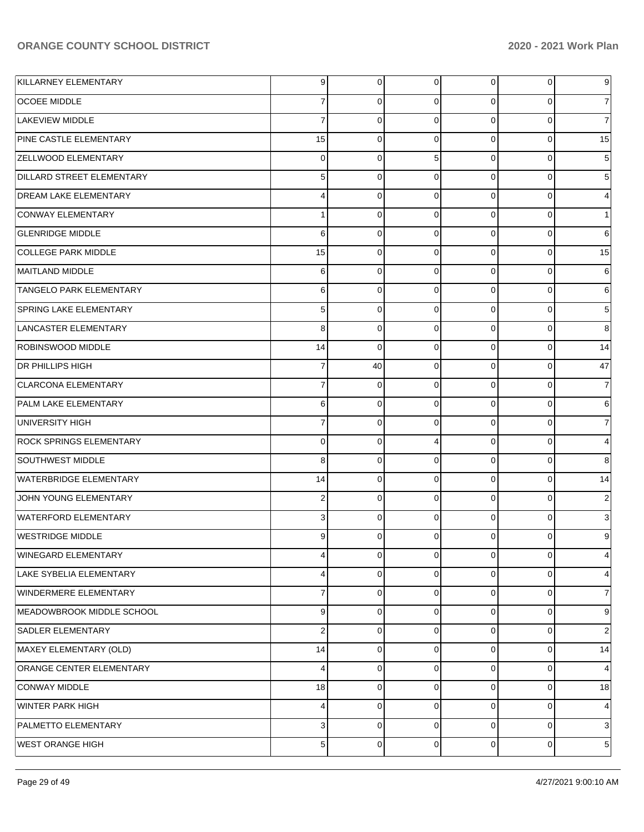| KILLARNEY ELEMENTARY           | 9              | 0              | $\overline{0}$ | $\overline{0}$ | 0           | $9\,$                     |
|--------------------------------|----------------|----------------|----------------|----------------|-------------|---------------------------|
| <b>OCOEE MIDDLE</b>            | 7              | $\Omega$       | $\overline{0}$ | 0              | $\Omega$    | $\vert 7 \vert$           |
| LAKEVIEW MIDDLE                | $\overline{7}$ | $\mathbf 0$    | $\Omega$       | $\mathbf 0$    | $\Omega$    | $\boldsymbol{7}$          |
| PINE CASTLE ELEMENTARY         | 15             | $\mathbf 0$    | $\Omega$       | $\mathbf 0$    | $\mathbf 0$ | 15                        |
| <b>ZELLWOOD ELEMENTARY</b>     | $\mathbf 0$    | 0              | 5              | $\mathbf 0$    | $\Omega$    | $\sqrt{5}$                |
| DILLARD STREET ELEMENTARY      | 5              | $\mathbf 0$    | $\Omega$       | $\mathbf 0$    | $\mathbf 0$ | $\sqrt{5}$                |
| <b>DREAM LAKE ELEMENTARY</b>   | 4              | 0              | $\Omega$       | $\mathbf 0$    | $\Omega$    | $\overline{4}$            |
| CONWAY ELEMENTARY              | $\mathbf{1}$   | $\mathbf 0$    | $\mathbf 0$    | $\mathbf 0$    | $\Omega$    | $\mathbf{1}$              |
| <b>GLENRIDGE MIDDLE</b>        | 6              | 0              | $\Omega$       | $\mathbf 0$    | $\Omega$    | $\,6$                     |
| <b>COLLEGE PARK MIDDLE</b>     | 15             | $\mathbf 0$    | $\mathbf 0$    | $\mathbf 0$    | $\mathbf 0$ | 15                        |
| MAITLAND MIDDLE                | 6              | 0              | $\Omega$       | $\mathbf 0$    | $\Omega$    | 6                         |
| <b>TANGELO PARK ELEMENTARY</b> | 6              | $\mathbf 0$    | $\Omega$       | $\mathbf 0$    | $\Omega$    | $\,6$                     |
| <b>SPRING LAKE ELEMENTARY</b>  | 5              | 0              | $\Omega$       | $\mathbf 0$    | $\Omega$    | $\sqrt{5}$                |
| LANCASTER ELEMENTARY           | 8              | $\mathbf 0$    | $\Omega$       | $\mathbf 0$    | $\Omega$    | 8                         |
| ROBINSWOOD MIDDLE              | 14             | $\Omega$       | $\Omega$       | $\mathbf 0$    | $\Omega$    | 14                        |
| <b>DR PHILLIPS HIGH</b>        | $\overline{7}$ | 40             | $\mathbf 0$    | $\mathbf 0$    | $\mathbf 0$ | 47                        |
| <b>CLARCONA ELEMENTARY</b>     | $\overline{7}$ | $\mathbf 0$    | $\Omega$       | $\mathbf 0$    | $\Omega$    | $\boldsymbol{7}$          |
| <b>PALM LAKE ELEMENTARY</b>    | 6              | $\mathbf 0$    | $\overline{0}$ | $\mathbf 0$    | $\mathbf 0$ | 6                         |
| UNIVERSITY HIGH                | $\overline{7}$ | 0              | $\Omega$       | $\mathbf 0$    | $\Omega$    | $\boldsymbol{7}$          |
| <b>ROCK SPRINGS ELEMENTARY</b> | $\mathbf 0$    | $\mathbf 0$    | 4              | $\mathbf 0$    | $\mathbf 0$ | $\overline{4}$            |
| SOUTHWEST MIDDLE               | 8              | 0              | $\Omega$       | $\mathbf 0$    | $\Omega$    | 8                         |
| <b>WATERBRIDGE ELEMENTARY</b>  | 14             | $\mathbf 0$    | $\overline{0}$ | $\mathbf 0$    | $\mathbf 0$ | 14                        |
| JOHN YOUNG ELEMENTARY          | $\overline{2}$ | 0              | $\Omega$       | $\mathbf 0$    | $\Omega$    | $\overline{c}$            |
| <b>WATERFORD ELEMENTARY</b>    | 3              | 0              | $\overline{0}$ | $\mathbf 0$    | $\Omega$    | $\ensuremath{\mathsf{3}}$ |
| <b>WESTRIDGE MIDDLE</b>        | 9              | $\Omega$       | $\Omega$       | $\mathbf 0$    | $\Omega$    | 9                         |
| WINEGARD ELEMENTARY            | 4              | $\overline{0}$ | $\overline{0}$ | $\mathbf 0$    | $\mathbf 0$ | 4                         |
| LAKE SYBELIA ELEMENTARY        | 4              | $\Omega$       | $\Omega$       | $\overline{0}$ | $\Omega$    | $\overline{4}$            |
| WINDERMERE ELEMENTARY          | $\overline{7}$ | 0              | $\Omega$       | $\mathbf 0$    | $\Omega$    | 7                         |
| MEADOWBROOK MIDDLE SCHOOL      | 9              | $\Omega$       | $\Omega$       | 0              | 0           | 9                         |
| SADLER ELEMENTARY              | $\overline{2}$ | $\Omega$       | $\Omega$       | $\mathbf 0$    | $\Omega$    | $\overline{2}$            |
| MAXEY ELEMENTARY (OLD)         | 14             | $\Omega$       | $\Omega$       | $\mathbf 0$    | $\mathbf 0$ | 14                        |
| ORANGE CENTER ELEMENTARY       | 4              | $\Omega$       | $\Omega$       | $\mathbf 0$    | $\Omega$    | $\overline{4}$            |
| CONWAY MIDDLE                  | 18             | $\Omega$       | $\Omega$       | $\mathbf 0$    | $\mathbf 0$ | 18                        |
| WINTER PARK HIGH               | 4              | $\Omega$       | $\Omega$       | $\mathbf 0$    | $\Omega$    | $\overline{4}$            |
| PALMETTO ELEMENTARY            | 3              | $\Omega$       | $\Omega$       | $\mathbf 0$    | $\Omega$    | 3                         |
| <b>WEST ORANGE HIGH</b>        | 5              | $\mathbf 0$    | $\Omega$       | $\mathbf 0$    | $\mathbf 0$ | $5\vert$                  |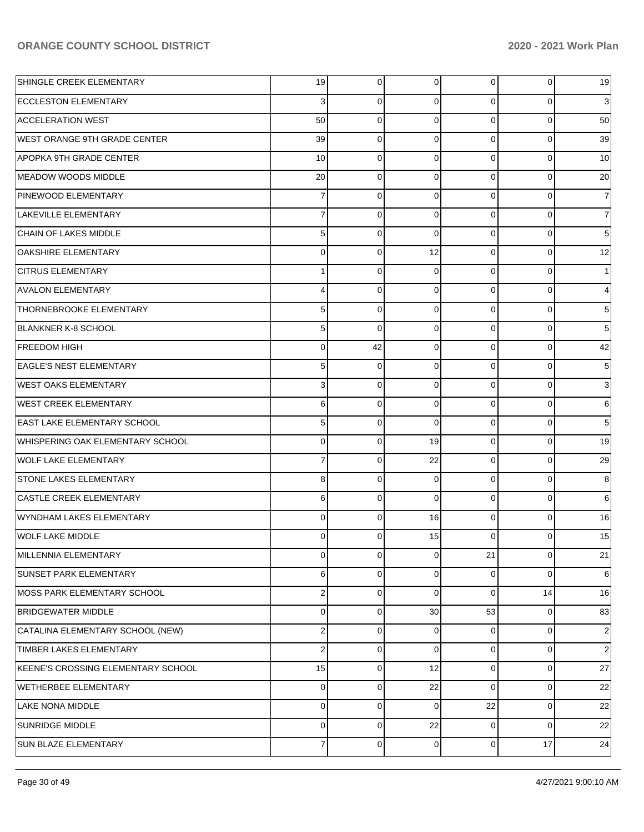| SHINGLE CREEK ELEMENTARY                | 19             | $\overline{0}$ | 0           | $\overline{0}$ | $\overline{0}$ | 19               |
|-----------------------------------------|----------------|----------------|-------------|----------------|----------------|------------------|
| <b>ECCLESTON ELEMENTARY</b>             | 3              | 0              | 0           | 0              | 0              | 3                |
| <b>ACCELERATION WEST</b>                | 50             | 0              | $\Omega$    | $\overline{0}$ | 0              | 50               |
| <b>WEST ORANGE 9TH GRADE CENTER</b>     | 39             | 0              | 0           | $\Omega$       | $\overline{0}$ | 39               |
| APOPKA 9TH GRADE CENTER                 | 10             | 0              | 0           | $\overline{0}$ | $\overline{0}$ | 10               |
| MEADOW WOODS MIDDLE                     | 20             | 0              | 0           | $\Omega$       | $\overline{0}$ | 20               |
| PINEWOOD ELEMENTARY                     | $\overline{7}$ | 0              | 0           | 0              | 0              | 7                |
| LAKEVILLE ELEMENTARY                    | $\overline{7}$ | 0              | $\mathbf 0$ | $\Omega$       | 0              | $\overline{7}$   |
| CHAIN OF LAKES MIDDLE                   | 5              | 0              | $\Omega$    | $\overline{0}$ | 0              | $\mathbf 5$      |
| <b>OAKSHIRE ELEMENTARY</b>              | 0              | 0              | 12          | $\Omega$       | $\overline{0}$ | 12               |
| <b>CITRUS ELEMENTARY</b>                | $\mathbf{1}$   | 0              | $\mathbf 0$ | $\overline{0}$ | 0              |                  |
| <b>AVALON ELEMENTARY</b>                | 4              | 0              | $\mathbf 0$ | $\Omega$       | 0              | 4                |
| <b>THORNEBROOKE ELEMENTARY</b>          | 5              | 0              | 0           | 0              | 0              | 5                |
| <b>BLANKNER K-8 SCHOOL</b>              | 5              | $\mathbf 0$    | $\mathbf 0$ | $\Omega$       | 0              | 5                |
| <b>FREEDOM HIGH</b>                     | $\mathbf 0$    | 42             | $\mathbf 0$ | 0              | 0              | 42               |
| <b>EAGLE'S NEST ELEMENTARY</b>          | 5              | $\mathbf 0$    | 0           | $\Omega$       | $\overline{0}$ | 5                |
| <b>WEST OAKS ELEMENTARY</b>             | 3              | 0              | 0           | $\overline{0}$ | 0              | 3                |
| <b>WEST CREEK ELEMENTARY</b>            | 6              | 0              | $\mathbf 0$ | $\Omega$       | $\overline{0}$ | 6                |
| <b>EAST LAKE ELEMENTARY SCHOOL</b>      | 5              | 0              | $\Omega$    | 0              | 0              | $\mathbf 5$      |
| <b>WHISPERING OAK ELEMENTARY SCHOOL</b> | $\mathbf 0$    | $\mathbf 0$    | 19          | 0              | $\overline{0}$ | 19               |
| <b>WOLF LAKE ELEMENTARY</b>             | $\overline{7}$ | $\mathbf 0$    | 22          | $\overline{0}$ | $\overline{0}$ | 29               |
| <b>STONE LAKES ELEMENTARY</b>           | 8              | 0              | $\mathbf 0$ | $\Omega$       | $\overline{0}$ | 8                |
| <b>CASTLE CREEK ELEMENTARY</b>          | 6              | 0              | $\Omega$    | $\overline{0}$ | $\overline{0}$ | 6                |
| WYNDHAM LAKES ELEMENTARY                | 0              | 0              | 16          | $\overline{0}$ | $\overline{0}$ | 16               |
| <b>WOLF LAKE MIDDLE</b>                 | 0              | 0              | 15          | $\Omega$       | 0              | 15               |
| MILLENNIA ELEMENTARY                    | 0              | $\overline{0}$ | 0           | 21             | $\overline{0}$ | 21               |
| <b>SUNSET PARK ELEMENTARY</b>           | 6              | 0              | 0           | $\overline{0}$ | 0              | 6                |
| MOSS PARK ELEMENTARY SCHOOL             | $\overline{2}$ | 0              | $\Omega$    | $\overline{0}$ | 14             | 16               |
| <b>BRIDGEWATER MIDDLE</b>               | $\mathbf 0$    | 0              | 30          | 53             | 0              | 83               |
| CATALINA ELEMENTARY SCHOOL (NEW)        | $\overline{2}$ | 0              | 0           | 0              | 0              | $\overline{c}$   |
| TIMBER LAKES ELEMENTARY                 | $\overline{2}$ | 0              | 0           | $\overline{0}$ | 0              | $\boldsymbol{2}$ |
| KEENE'S CROSSING ELEMENTARY SCHOOL      | 15             | 0              | 12          | $\overline{0}$ | 0              | 27               |
| <b>WETHERBEE ELEMENTARY</b>             | 0              | 0              | 22          | $\Omega$       | 0              | 22               |
| <b>LAKE NONA MIDDLE</b>                 | $\mathbf 0$    | 0              | 0           | 22             | 0              | 22               |
| <b>SUNRIDGE MIDDLE</b>                  | $\mathbf 0$    | 0              | 22          | $\overline{0}$ | 0              | 22               |
| SUN BLAZE ELEMENTARY                    | $\overline{7}$ | 0              | $\mathbf 0$ | $\overline{0}$ | 17             | 24               |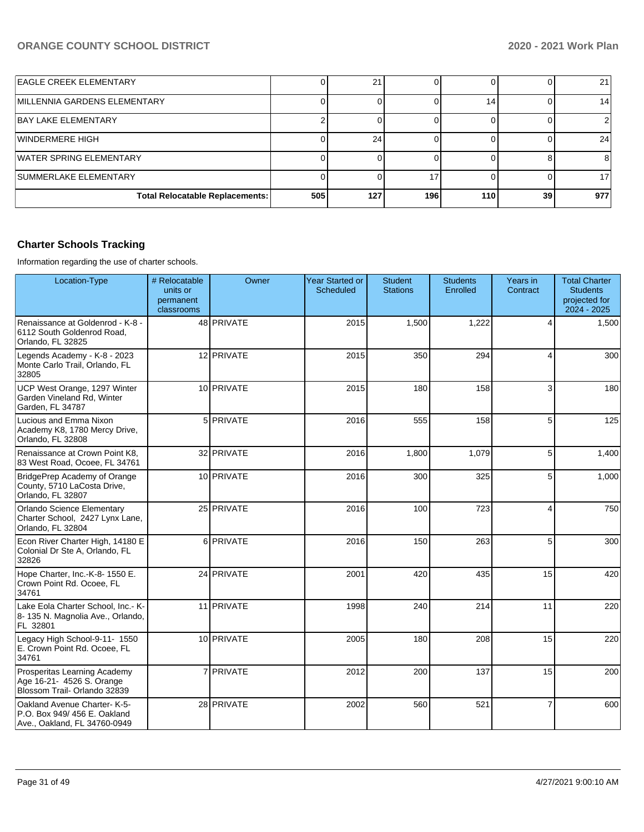| <b>EAGLE CREEK ELEMENTARY</b>          |     | 21  |     |     |    | 21              |
|----------------------------------------|-----|-----|-----|-----|----|-----------------|
| MILLENNIA GARDENS ELEMENTARY           |     |     |     |     |    | 14              |
| <b>BAY LAKE ELEMENTARY</b>             |     |     |     |     |    |                 |
| WINDERMERE HIGH                        |     | 24  |     |     |    | 24 <sub>1</sub> |
| <b>WATER SPRING ELEMENTARY</b>         |     |     |     |     |    | 8               |
| SUMMERLAKE ELEMENTARY                  |     |     |     |     |    | 17              |
| <b>Total Relocatable Replacements:</b> | 505 | 127 | 196 | 110 | 39 | 977             |

## **Charter Schools Tracking**

Information regarding the use of charter schools.

| Location-Type                                                                              | # Relocatable<br>units or<br>permanent<br>classrooms | Owner            | <b>Year Started or</b><br><b>Scheduled</b> | <b>Student</b><br><b>Stations</b> | <b>Students</b><br>Enrolled | Years in<br>Contract | <b>Total Charter</b><br><b>Students</b><br>projected for<br>2024 - 2025 |
|--------------------------------------------------------------------------------------------|------------------------------------------------------|------------------|--------------------------------------------|-----------------------------------|-----------------------------|----------------------|-------------------------------------------------------------------------|
| Renaissance at Goldenrod - K-8 -<br>6112 South Goldenrod Road,<br>Orlando, FL 32825        |                                                      | 48 PRIVATE       | 2015                                       | 1,500                             | 1,222                       | $\overline{4}$       | 1,500                                                                   |
| Legends Academy - K-8 - 2023<br>Monte Carlo Trail, Orlando, FL<br>32805                    |                                                      | 12 PRIVATE       | 2015                                       | 350                               | 294                         | 4                    | 300                                                                     |
| UCP West Orange, 1297 Winter<br>Garden Vineland Rd, Winter<br>Garden, FL 34787             |                                                      | 10 PRIVATE       | 2015                                       | 180                               | 158                         | $\mathbf{3}$         | 180                                                                     |
| Lucious and Emma Nixon<br>Academy K8, 1780 Mercy Drive,<br>Orlando, FL 32808               |                                                      | 5 PRIVATE        | 2016                                       | 555                               | 158                         | 5                    | 125                                                                     |
| Renaissance at Crown Point K8,<br>83 West Road, Ocoee, FL 34761                            |                                                      | 32 PRIVATE       | 2016                                       | 1,800                             | 1,079                       | 5                    | 1,400                                                                   |
| BridgePrep Academy of Orange<br>County, 5710 LaCosta Drive,<br>Orlando, FL 32807           |                                                      | 10 PRIVATE       | 2016                                       | 300                               | 325                         | 5                    | 1,000                                                                   |
| Orlando Science Elementary<br>Charter School, 2427 Lynx Lane,<br>Orlando, FL 32804         |                                                      | 25 PRIVATE       | 2016                                       | 100                               | 723                         | $\overline{4}$       | 750                                                                     |
| Econ River Charter High, 14180 E<br>Colonial Dr Ste A, Orlando, FL<br>32826                |                                                      | 6 PRIVATE        | 2016                                       | 150                               | 263                         | 5                    | 300                                                                     |
| Hope Charter, Inc.-K-8-1550 E.<br>Crown Point Rd. Ocoee, FL<br>34761                       |                                                      | 24 PRIVATE       | 2001                                       | 420                               | 435                         | 15                   | 420                                                                     |
| Lake Eola Charter School. Inc.- K-<br>8-135 N. Magnolia Ave., Orlando,<br>FL 32801         |                                                      | 11 PRIVATE       | 1998                                       | 240                               | 214                         | 11                   | 220                                                                     |
| Legacy High School-9-11- 1550<br>E. Crown Point Rd. Ocoee, FL<br>34761                     |                                                      | 10 PRIVATE       | 2005                                       | 180                               | 208                         | 15                   | 220                                                                     |
| Prosperitas Learning Academy<br>Age 16-21- 4526 S. Orange<br>Blossom Trail- Orlando 32839  |                                                      | 7 <b>PRIVATE</b> | 2012                                       | 200                               | 137                         | 15                   | 200                                                                     |
| Oakland Avenue Charter-K-5-<br>P.O. Box 949/456 E. Oakland<br>Ave., Oakland, FL 34760-0949 |                                                      | 28 PRIVATE       | 2002                                       | 560                               | 521                         | $\overline{7}$       | 600                                                                     |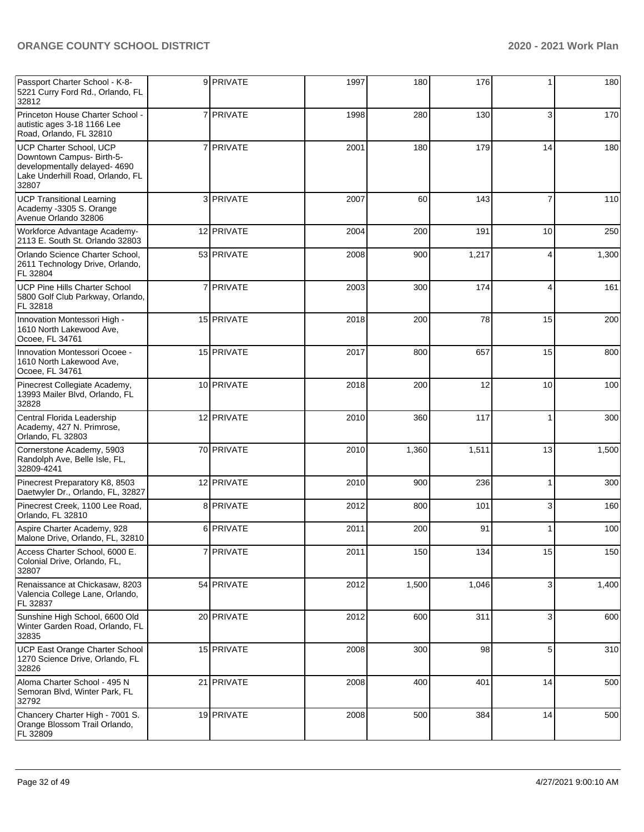| Passport Charter School - K-8-<br>5221 Curry Ford Rd., Orlando, FL<br>32812                                                        |   | 9 PRIVATE  | 1997 | 180   | 176   |    | 180   |
|------------------------------------------------------------------------------------------------------------------------------------|---|------------|------|-------|-------|----|-------|
| Princeton House Charter School -<br>autistic ages 3-18 1166 Lee<br>Road, Orlando, FL 32810                                         |   | 7 PRIVATE  | 1998 | 280   | 130   | 3  | 170   |
| UCP Charter School, UCP<br>Downtown Campus- Birth-5-<br>developmentally delayed- 4690<br>Lake Underhill Road, Orlando, FL<br>32807 | 7 | PRIVATE    | 2001 | 180   | 179   | 14 | 180   |
| <b>UCP Transitional Learning</b><br>Academy -3305 S. Orange<br>Avenue Orlando 32806                                                |   | 3 PRIVATE  | 2007 | 60    | 143   | 7  | 110   |
| Workforce Advantage Academy-<br>2113 E. South St. Orlando 32803                                                                    |   | 12 PRIVATE | 2004 | 200   | 191   | 10 | 250   |
| Orlando Science Charter School,<br>2611 Technology Drive, Orlando,<br>FL 32804                                                     |   | 53 PRIVATE | 2008 | 900   | 1,217 | 4  | 1,300 |
| UCP Pine Hills Charter School<br>5800 Golf Club Parkway, Orlando,<br>FL 32818                                                      |   | 7 PRIVATE  | 2003 | 300   | 174   | 4  | 161   |
| Innovation Montessori High -<br>1610 North Lakewood Ave,<br>Ocoee, FL 34761                                                        |   | 15 PRIVATE | 2018 | 200   | 78    | 15 | 200   |
| Innovation Montessori Ocoee -<br>1610 North Lakewood Ave,<br>Ocoee, FL 34761                                                       |   | 15 PRIVATE | 2017 | 800   | 657   | 15 | 800   |
| Pinecrest Collegiate Academy,<br>13993 Mailer Blvd, Orlando, FL<br>32828                                                           |   | 10 PRIVATE | 2018 | 200   | 12    | 10 | 100   |
| Central Florida Leadership<br>Academy, 427 N. Primrose,<br>Orlando, FL 32803                                                       |   | 12 PRIVATE | 2010 | 360   | 117   | 1  | 300   |
| Cornerstone Academy, 5903<br>Randolph Ave, Belle Isle, FL,<br>32809-4241                                                           |   | 70 PRIVATE | 2010 | 1,360 | 1,511 | 13 | 1,500 |
| Pinecrest Preparatory K8, 8503<br>Daetwyler Dr., Orlando, FL, 32827                                                                |   | 12 PRIVATE | 2010 | 900   | 236   |    | 300   |
| Pinecrest Creek, 1100 Lee Road,<br>Orlando, FL 32810                                                                               |   | 8 PRIVATE  | 2012 | 800   | 101   | 3  | 160   |
| Aspire Charter Academy, 928<br>Malone Drive, Orlando, FL, 32810                                                                    |   | 6 PRIVATE  | 2011 | 200   | 91    |    | 100   |
| Access Charter School, 6000 E.<br>Colonial Drive, Orlando, FL,<br>32807                                                            |   | 7 PRIVATE  | 2011 | 150   | 134   | 15 | 150   |
| Renaissance at Chickasaw, 8203<br>Valencia College Lane, Orlando,<br>FL 32837                                                      |   | 54 PRIVATE | 2012 | 1,500 | 1,046 | 3  | 1,400 |
| Sunshine High School, 6600 Old<br>Winter Garden Road, Orlando, FL<br>32835                                                         |   | 20 PRIVATE | 2012 | 600   | 311   | 3  | 600   |
| UCP East Orange Charter School<br>1270 Science Drive, Orlando, FL<br>32826                                                         |   | 15 PRIVATE | 2008 | 300   | 98    | 5  | 310   |
| Aloma Charter School - 495 N<br>Semoran Blvd, Winter Park, FL<br>32792                                                             |   | 21 PRIVATE | 2008 | 400   | 401   | 14 | 500   |
| Chancery Charter High - 7001 S.<br>Orange Blossom Trail Orlando,<br>FL 32809                                                       |   | 19 PRIVATE | 2008 | 500   | 384   | 14 | 500   |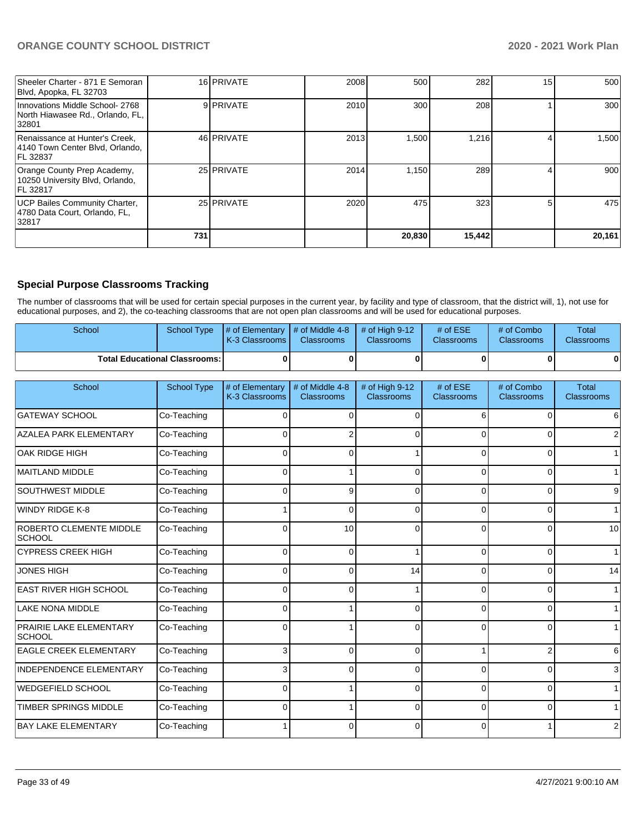| Sheeler Charter - 871 E Semoran<br>Blvd, Apopka, FL 32703                         |     | 16 PRIVATE | 2008 | 500    | 282    | 15 | 500    |
|-----------------------------------------------------------------------------------|-----|------------|------|--------|--------|----|--------|
| Innovations Middle School- 2768<br>North Hiawasee Rd., Orlando, FL,<br>32801      |     | 9 PRIVATE  | 2010 | 300    | 208    |    | 300    |
| Renaissance at Hunter's Creek,<br>4140 Town Center Blvd, Orlando,<br>FL 32837     |     | 46 PRIVATE | 2013 | 1,500  | 1,216  |    | 1,500  |
| Orange County Prep Academy,<br>10250 University Blvd, Orlando,<br><b>FL 32817</b> |     | 25 PRIVATE | 2014 | 1.150  | 289    |    | 900    |
| UCP Bailes Community Charter,<br>4780 Data Court, Orlando, FL,<br>32817           |     | 25 PRIVATE | 2020 | 475    | 323    |    | 475    |
|                                                                                   | 731 |            |      | 20,830 | 15,442 |    | 20,161 |

## **Special Purpose Classrooms Tracking**

The number of classrooms that will be used for certain special purposes in the current year, by facility and type of classroom, that the district will, 1), not use for educational purposes, and 2), the co-teaching classrooms that are not open plan classrooms and will be used for educational purposes.

| School                                 | School Type | $\parallel \#$ of Elementary $\parallel \#$ of Middle 4-8 $\parallel \#$ of High 9-12<br><b>K-3 Classrooms</b> | <b>Classrooms</b> | <b>Classrooms</b> | # of $ESE$<br><b>Classrooms</b> | # of Combo<br><b>Classrooms</b> | Total<br><b>Classrooms</b> |
|----------------------------------------|-------------|----------------------------------------------------------------------------------------------------------------|-------------------|-------------------|---------------------------------|---------------------------------|----------------------------|
| <b>Total Educational Classrooms: I</b> |             |                                                                                                                |                   |                   |                                 | 0                               |                            |

| School                                   | <b>School Type</b> | # of Elementary<br>K-3 Classrooms | # of Middle 4-8<br><b>Classrooms</b> | # of High 9-12<br><b>Classrooms</b> | # of ESE<br><b>Classrooms</b> | # of Combo<br><b>Classrooms</b> | <b>Total</b><br>Classrooms |
|------------------------------------------|--------------------|-----------------------------------|--------------------------------------|-------------------------------------|-------------------------------|---------------------------------|----------------------------|
| <b>GATEWAY SCHOOL</b>                    | Co-Teaching        | 0                                 | $\Omega$                             | $\Omega$                            | 6                             | $\Omega$                        |                            |
| <b>AZALEA PARK ELEMENTARY</b>            | Co-Teaching        | $\Omega$                          | 2                                    | 0                                   | $\Omega$                      | $\Omega$                        |                            |
| OAK RIDGE HIGH                           | Co-Teaching        | 0                                 | 0                                    |                                     | U                             | 0                               |                            |
| <b>MAITLAND MIDDLE</b>                   | Co-Teaching        | 0                                 |                                      | $\Omega$                            | 0                             | $\Omega$                        |                            |
| <b>SOUTHWEST MIDDLE</b>                  | Co-Teaching        | $\Omega$                          | 9                                    | $\Omega$                            | O                             | $\Omega$                        | 9                          |
| <b>WINDY RIDGE K-8</b>                   | Co-Teaching        |                                   | $\Omega$                             | 0                                   | O                             | $\Omega$                        | 1                          |
| ROBERTO CLEMENTE MIDDLE<br><b>SCHOOL</b> | Co-Teaching        | $\Omega$                          | 10                                   | $\Omega$                            | $\Omega$                      | $\Omega$                        | 10                         |
| <b>CYPRESS CREEK HIGH</b>                | Co-Teaching        | $\Omega$                          | $\Omega$                             |                                     | $\Omega$                      | $\Omega$                        |                            |
| <b>JONES HIGH</b>                        | Co-Teaching        | $\Omega$                          | $\Omega$                             | 14                                  | $\Omega$                      | $\Omega$                        | 14                         |
| <b>EAST RIVER HIGH SCHOOL</b>            | Co-Teaching        | $\Omega$                          | $\Omega$                             |                                     | 0                             | $\Omega$                        |                            |
| <b>LAKE NONA MIDDLE</b>                  | Co-Teaching        | $\Omega$                          |                                      | $\Omega$                            | $\Omega$                      | $\Omega$                        |                            |
| PRAIRIE LAKE ELEMENTARY<br><b>SCHOOL</b> | Co-Teaching        | $\Omega$                          |                                      | 0                                   | 0                             | $\Omega$                        |                            |
| <b>EAGLE CREEK ELEMENTARY</b>            | Co-Teaching        | 3                                 | $\Omega$                             | $\Omega$                            |                               | $\overline{2}$                  | 6                          |
| <b>INDEPENDENCE ELEMENTARY</b>           | Co-Teaching        | 3                                 | 0                                    | $\Omega$                            | O                             | $\Omega$                        | 3                          |
| <b>WEDGEFIELD SCHOOL</b>                 | Co-Teaching        | 0                                 |                                      | 0                                   | <sup>0</sup>                  | $\Omega$                        | 1                          |
| <b>TIMBER SPRINGS MIDDLE</b>             | Co-Teaching        | $\Omega$                          |                                      | $\Omega$                            | $\Omega$                      | $\Omega$                        | 1                          |
| BAY LAKE ELEMENTARY                      | Co-Teaching        |                                   | ŋ                                    | ∩                                   | ∩                             |                                 | 2                          |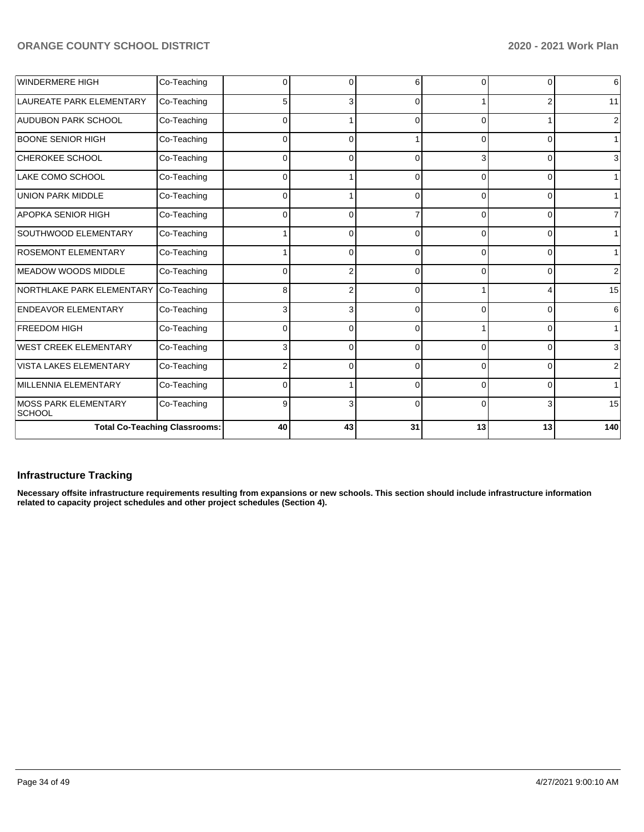| <b>WINDERMERE HIGH</b>                 | Co-Teaching                          | 0        | n        | 6        | O        | $\Omega$       | $\,$ 6         |
|----------------------------------------|--------------------------------------|----------|----------|----------|----------|----------------|----------------|
| LAUREATE PARK ELEMENTARY               | Co-Teaching                          | 5        | 3        | $\Omega$ |          | 2              | 11             |
| <b>AUDUBON PARK SCHOOL</b>             | Co-Teaching                          | $\Omega$ |          | $\Omega$ | ŋ        |                | $\overline{2}$ |
| <b>BOONE SENIOR HIGH</b>               | Co-Teaching                          | $\Omega$ | C        |          |          | 0              | 1 <sup>1</sup> |
| CHEROKEE SCHOOL                        | Co-Teaching                          | $\Omega$ | ŋ        | $\Omega$ |          | 0              | $\mathbf{3}$   |
| LAKE COMO SCHOOL                       | Co-Teaching                          | $\Omega$ |          | $\Omega$ | $\Omega$ | $\overline{0}$ | 1              |
| <b>UNION PARK MIDDLE</b>               | Co-Teaching                          | $\Omega$ |          | $\Omega$ | 0        | $\Omega$       | 1              |
| APOPKA SENIOR HIGH                     | Co-Teaching                          | $\Omega$ | 0        |          | 0        | $\Omega$       | $\overline{7}$ |
| SOUTHWOOD ELEMENTARY                   | Co-Teaching                          |          | $\Omega$ | $\Omega$ | 0        | 0              | 1              |
| ROSEMONT ELEMENTARY                    | Co-Teaching                          |          | ŋ        | $\Omega$ | 0        | 0              | 1              |
| <b>MEADOW WOODS MIDDLE</b>             | Co-Teaching                          | 0        | 2        | $\Omega$ | 0        | 0              | $\overline{2}$ |
| NORTHLAKE PARK ELEMENTARY              | Co-Teaching                          | 8        | 2        | $\Omega$ |          | 4              | 15             |
| <b>ENDEAVOR ELEMENTARY</b>             | Co-Teaching                          | 3        | 3        | $\Omega$ | $\Omega$ | $\overline{0}$ | $6 \,$         |
| <b>FREEDOM HIGH</b>                    | Co-Teaching                          | $\Omega$ | 0        | $\Omega$ |          | 0              | 1 <sup>1</sup> |
| <b>WEST CREEK ELEMENTARY</b>           | Co-Teaching                          | 3        | 0        | $\Omega$ | O        | 0              | $\mathbf{3}$   |
| <b>VISTA LAKES ELEMENTARY</b>          | Co-Teaching                          | 2        | $\Omega$ | $\Omega$ | $\Omega$ | 0              | $\overline{2}$ |
| MILLENNIA ELEMENTARY                   | Co-Teaching                          | $\Omega$ |          | $\Omega$ | 0        | $\Omega$       | $\mathbf{1}$   |
| <b>MOSS PARK ELEMENTARY</b><br> SCHOOL | Co-Teaching                          | 9        | 3        | $\Omega$ | 0        | $\overline{3}$ | 15             |
|                                        | <b>Total Co-Teaching Classrooms:</b> | 40       | 43       | 31       | 13       | 13             | 140            |

## **Infrastructure Tracking**

**Necessary offsite infrastructure requirements resulting from expansions or new schools. This section should include infrastructure information related to capacity project schedules and other project schedules (Section 4).**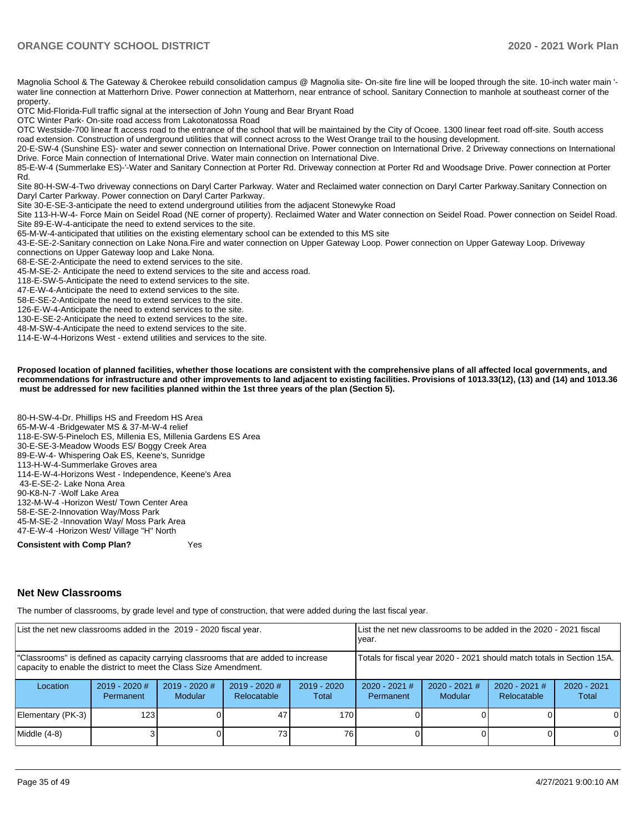Magnolia School & The Gateway & Cherokee rebuild consolidation campus @ Magnolia site- On-site fire line will be looped through the site. 10-inch water main 'water line connection at Matterhorn Drive. Power connection at Matterhorn, near entrance of school. Sanitary Connection to manhole at southeast corner of the property.

OTC Mid-Florida-Full traffic signal at the intersection of John Young and Bear Bryant Road

OTC Winter Park- On-site road access from Lakotonatossa Road

OTC Westside-700 linear ft access road to the entrance of the school that will be maintained by the City of Ocoee. 1300 linear feet road off-site. South access road extension. Construction of underground utilities that will connect across to the West Orange trail to the housing development.

20-E-SW-4 (Sunshine ES)- water and sewer connection on International Drive. Power connection on International Drive. 2 Driveway connections on International Drive. Force Main connection of International Drive. Water main connection on International Dive.

85-E-W-4 (Summerlake ES)-'-Water and Sanitary Connection at Porter Rd. Driveway connection at Porter Rd and Woodsage Drive. Power connection at Porter Rd.

Site 80-H-SW-4-Two driveway connections on Daryl Carter Parkway. Water and Reclaimed water connection on Daryl Carter Parkway.Sanitary Connection on Daryl Carter Parkway. Power connection on Daryl Carter Parkway.

Site 30-E-SE-3-anticipate the need to extend underground utilities from the adjacent Stonewyke Road

Site 113-H-W-4- Force Main on Seidel Road (NE corner of property). Reclaimed Water and Water connection on Seidel Road. Power connection on Seidel Road. Site 89-E-W-4-anticipate the need to extend services to the site.

65-M-W-4-anticipated that utilities on the existing elementary school can be extended to this MS site

43-E-SE-2-Sanitary connection on Lake Nona.Fire and water connection on Upper Gateway Loop. Power connection on Upper Gateway Loop. Driveway connections on Upper Gateway loop and Lake Nona.

68-E-SE-2-Anticipate the need to extend services to the site.

45-M-SE-2- Anticipate the need to extend services to the site and access road.

118-E-SW-5-Anticipate the need to extend services to the site.

47-E-W-4-Anticipate the need to extend services to the site.

58-E-SE-2-Anticipate the need to extend services to the site.

126-E-W-4-Anticipate the need to extend services to the site.

130-E-SE-2-Anticipate the need to extend services to the site.

48-M-SW-4-Anticipate the need to extend services to the site.

114-E-W-4-Horizons West - extend utilities and services to the site.

**Proposed location of planned facilities, whether those locations are consistent with the comprehensive plans of all affected local governments, and recommendations for infrastructure and other improvements to land adjacent to existing facilities. Provisions of 1013.33(12), (13) and (14) and 1013.36 must be addressed for new facilities planned within the 1st three years of the plan (Section 5).** 

80-H-SW-4-Dr. Phillips HS and Freedom HS Area 65-M-W-4 -Bridgewater MS & 37-M-W-4 relief 118-E-SW-5-Pineloch ES, Millenia ES, Millenia Gardens ES Area 30-E-SE-3-Meadow Woods ES/ Boggy Creek Area 89-E-W-4- Whispering Oak ES, Keene's, Sunridge 113-H-W-4-Summerlake Groves area 114-E-W-4-Horizons West - Independence, Keene's Area 43-E-SE-2- Lake Nona Area 90-K8-N-7 -Wolf Lake Area 132-M-W-4 -Horizon West/ Town Center Area 58-E-SE-2-Innovation Way/Moss Park 45-M-SE-2 -Innovation Way/ Moss Park Area 47-E-W-4 -Horizon West/ Village "H" North

**Consistent with Comp Plan?** Yes

#### **Net New Classrooms**

The number of classrooms, by grade level and type of construction, that were added during the last fiscal year.

| List the net new classrooms added in the 2019 - 2020 fiscal year.                                                                                       |                              |                            |                                                                        |                        | List the net new classrooms to be added in the 2020 - 2021 fiscal<br>vear. |                                   |                                |                        |
|---------------------------------------------------------------------------------------------------------------------------------------------------------|------------------------------|----------------------------|------------------------------------------------------------------------|------------------------|----------------------------------------------------------------------------|-----------------------------------|--------------------------------|------------------------|
| "Classrooms" is defined as capacity carrying classrooms that are added to increase<br>capacity to enable the district to meet the Class Size Amendment. |                              |                            | Totals for fiscal year 2020 - 2021 should match totals in Section 15A. |                        |                                                                            |                                   |                                |                        |
| Location                                                                                                                                                | $2019 - 2020$ #<br>Permanent | $2019 - 2020$ #<br>Modular | $2019 - 2020$ #<br>Relocatable                                         | $2019 - 2020$<br>Total | $2020 - 2021$ #<br>Permanent                                               | $2020 - 2021$ #<br><b>Modular</b> | $2020 - 2021$ #<br>Relocatable | $2020 - 2021$<br>Total |
| Elementary (PK-3)                                                                                                                                       | 123.                         |                            |                                                                        | 170                    |                                                                            |                                   |                                | $\Omega$               |
| Middle (4-8)                                                                                                                                            |                              |                            | 73.                                                                    | 76                     |                                                                            |                                   |                                | $\Omega$               |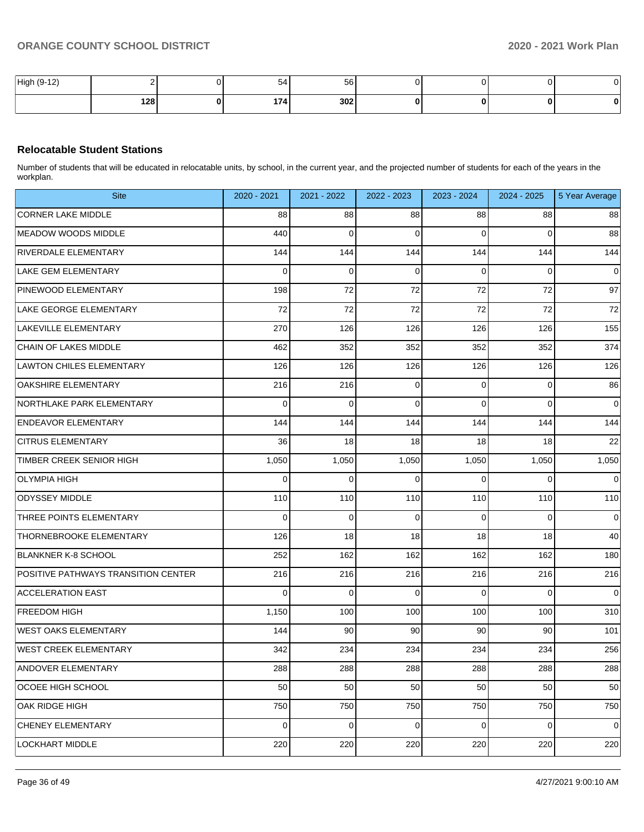| High (9-12,<br>(0, 40) |     | $\overline{\phantom{0}}$<br>-54 | 56  |  |  |
|------------------------|-----|---------------------------------|-----|--|--|
|                        | 128 | 174                             | 302 |  |  |

#### **Relocatable Student Stations**

Number of students that will be educated in relocatable units, by school, in the current year, and the projected number of students for each of the years in the workplan.

| <b>Site</b>                         | 2020 - 2021 | 2021 - 2022 | 2022 - 2023 | 2023 - 2024 | 2024 - 2025 | 5 Year Average |
|-------------------------------------|-------------|-------------|-------------|-------------|-------------|----------------|
| <b>CORNER LAKE MIDDLE</b>           | 88          | 88          | 88          | 88          | 88          | 88             |
| <b>MEADOW WOODS MIDDLE</b>          | 440         | $\mathbf 0$ | $\Omega$    | 0           | 0           | 88             |
| <b>RIVERDALE ELEMENTARY</b>         | 144         | 144         | 144         | 144         | 144         | 144            |
| <b>LAKE GEM ELEMENTARY</b>          | 0           | 0           | 0           | 0           | 0           | $\mathbf 0$    |
| PINEWOOD ELEMENTARY                 | 198         | 72          | 72          | 72          | 72          | 97             |
| LAKE GEORGE ELEMENTARY              | 72          | 72          | 72          | 72          | 72          | 72             |
| LAKEVILLE ELEMENTARY                | 270         | 126         | 126         | 126         | 126         | 155            |
| CHAIN OF LAKES MIDDLE               | 462         | 352         | 352         | 352         | 352         | 374            |
| <b>LAWTON CHILES ELEMENTARY</b>     | 126         | 126         | 126         | 126         | 126         | 126            |
| <b>OAKSHIRE ELEMENTARY</b>          | 216         | 216         | 0           | 0           | 0           | 86             |
| NORTHLAKE PARK ELEMENTARY           | 0           | $\mathbf 0$ | $\Omega$    | 0           | $\mathbf 0$ | $\mathbf 0$    |
| <b>ENDEAVOR ELEMENTARY</b>          | 144         | 144         | 144         | 144         | 144         | 144            |
| <b>CITRUS ELEMENTARY</b>            | 36          | 18          | 18          | 18          | 18          | 22             |
| <b>TIMBER CREEK SENIOR HIGH</b>     | 1,050       | 1,050       | 1,050       | 1,050       | 1,050       | 1,050          |
| <b>OLYMPIA HIGH</b>                 | 0           | $\mathbf 0$ | $\Omega$    | 0           | $\mathbf 0$ | $\mathbf 0$    |
| <b>ODYSSEY MIDDLE</b>               | 110         | 110         | 110         | 110         | 110         | 110            |
| THREE POINTS ELEMENTARY             | 0           | 0           | 0           | 0           | $\mathbf 0$ | $\mathbf 0$    |
| THORNEBROOKE ELEMENTARY             | 126         | 18          | 18          | 18          | 18          | 40             |
| <b>BLANKNER K-8 SCHOOL</b>          | 252         | 162         | 162         | 162         | 162         | 180            |
| POSITIVE PATHWAYS TRANSITION CENTER | 216         | 216         | 216         | 216         | 216         | 216            |
| <b>ACCELERATION EAST</b>            | 0           | $\mathbf 0$ | $\Omega$    | $\Omega$    | $\mathbf 0$ | $\mathbf 0$    |
| <b>FREEDOM HIGH</b>                 | 1,150       | 100         | 100         | 100         | 100         | 310            |
| <b>WEST OAKS ELEMENTARY</b>         | 144         | 90          | 90          | 90          | 90          | 101            |
| <b>WEST CREEK ELEMENTARY</b>        | 342         | 234         | 234         | 234         | 234         | 256            |
| ANDOVER ELEMENTARY                  | 288         | 288         | 288         | 288         | 288         | 288            |
| OCOEE HIGH SCHOOL                   | 50          | 50          | 50          | 50          | 50          | 50             |
| OAK RIDGE HIGH                      | 750         | 750         | 750         | 750         | 750         | 750            |
| CHENEY ELEMENTARY                   | 0           | $\mathbf 0$ | 0           | 0           | $\pmb{0}$   | $\mathbf 0$    |
| LOCKHART MIDDLE                     | 220         | 220         | 220         | 220         | 220         | 220            |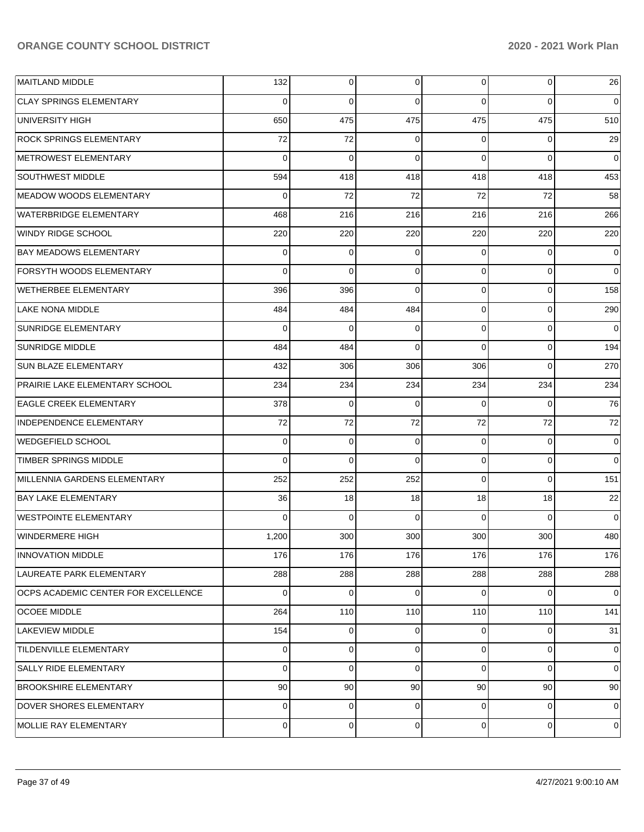| <b>MAITLAND MIDDLE</b>              | 132         | $\overline{0}$ | $\overline{0}$ | $\overline{0}$ | $\overline{0}$ | 26             |
|-------------------------------------|-------------|----------------|----------------|----------------|----------------|----------------|
| <b>CLAY SPRINGS ELEMENTARY</b>      | $\Omega$    | $\Omega$       | $\Omega$       | $\Omega$       | $\Omega$       | $\overline{0}$ |
| UNIVERSITY HIGH                     | 650         | 475            | 475            | 475            | 475            | 510            |
| <b>ROCK SPRINGS ELEMENTARY</b>      | 72          | 72             | 0              | $\Omega$       | $\Omega$       | 29             |
| METROWEST ELEMENTARY                | $\Omega$    | $\Omega$       | $\Omega$       | $\Omega$       | $\Omega$       | $\Omega$       |
| <b>SOUTHWEST MIDDLE</b>             | 594         | 418            | 418            | 418            | 418            | 453            |
| MEADOW WOODS ELEMENTARY             | $\Omega$    | 72             | 72             | 72             | 72             | 58             |
| <b>WATERBRIDGE ELEMENTARY</b>       | 468         | 216            | 216            | 216            | 216            | 266            |
| WINDY RIDGE SCHOOL                  | 220         | 220            | 220            | 220            | 220            | 220            |
| <b>BAY MEADOWS ELEMENTARY</b>       | $\Omega$    | 0              | 0              | $\Omega$       | $\Omega$       | $\overline{0}$ |
| <b>FORSYTH WOODS ELEMENTARY</b>     | $\Omega$    | $\Omega$       | $\Omega$       | $\Omega$       | $\Omega$       | $\Omega$       |
| WETHERBEE ELEMENTARY                | 396         | 396            | $\Omega$       | $\Omega$       | $\Omega$       | 158            |
| <b>LAKE NONA MIDDLE</b>             | 484         | 484            | 484            | $\Omega$       | $\Omega$       | 290            |
| <b>SUNRIDGE ELEMENTARY</b>          | $\Omega$    | $\Omega$       | 0              | $\Omega$       | $\Omega$       | $\overline{0}$ |
| <b>SUNRIDGE MIDDLE</b>              | 484         | 484            | $\Omega$       | $\Omega$       | $\Omega$       | 194            |
| <b>SUN BLAZE ELEMENTARY</b>         | 432         | 306            | 306            | 306            | $\Omega$       | 270            |
| PRAIRIE LAKE ELEMENTARY SCHOOL      | 234         | 234            | 234            | 234            | 234            | 234            |
| <b>EAGLE CREEK ELEMENTARY</b>       | 378         | $\mathbf 0$    | 0              | $\Omega$       | $\Omega$       | 76             |
| INDEPENDENCE ELEMENTARY             | 72          | 72             | 72             | 72             | 72             | 72             |
| <b>WEDGEFIELD SCHOOL</b>            | $\Omega$    | $\mathbf 0$    | 0              | $\Omega$       | $\mathbf 0$    | $\overline{0}$ |
| <b>TIMBER SPRINGS MIDDLE</b>        | $\Omega$    | $\Omega$       | $\Omega$       | $\Omega$       | $\Omega$       | $\Omega$       |
| MILLENNIA GARDENS ELEMENTARY        | 252         | 252            | 252            | $\Omega$       | $\Omega$       | 151            |
| <b>BAY LAKE ELEMENTARY</b>          | 36          | 18             | 18             | 18             | 18             | 22             |
| <b>WESTPOINTE ELEMENTARY</b>        | $\Omega$    | $\Omega$       | $\Omega$       | $\Omega$       | $\Omega$       | $\overline{0}$ |
| WINDERMERE HIGH                     | 1,200       | 300            | 300            | 300            | 300            | 480            |
| <b>INNOVATION MIDDLE</b>            | 176         | 176            | 176            | 176            | 176            | 176            |
| LAUREATE PARK ELEMENTARY            | 288         | 288            | 288            | 288            | 288            | 288            |
| OCPS ACADEMIC CENTER FOR EXCELLENCE | $\Omega$    | $\mathbf 0$    | 0              | $\Omega$       | $\Omega$       | $\overline{0}$ |
| <b>OCOEE MIDDLE</b>                 | 264         | 110            | 110            | 110            | 110            | 141            |
| LAKEVIEW MIDDLE                     | 154         | $\overline{0}$ | $\overline{0}$ | $\Omega$       | $\mathbf 0$    | 31             |
| <b>TILDENVILLE ELEMENTARY</b>       | 0           | $\mathbf 0$    | $\overline{0}$ | $\Omega$       | $\mathbf 0$    | $\overline{0}$ |
| SALLY RIDE ELEMENTARY               | $\Omega$    | $\mathbf 0$    | 0              | $\Omega$       | $\Omega$       | $\overline{0}$ |
| <b>BROOKSHIRE ELEMENTARY</b>        | 90          | 90             | 90             | 90             | 90             | 90             |
| DOVER SHORES ELEMENTARY             | 0           | $\overline{0}$ | $\overline{0}$ | $\Omega$       | $\mathbf 0$    | $\overline{0}$ |
| MOLLIE RAY ELEMENTARY               | $\mathbf 0$ | $\mathbf 0$    | $\overline{0}$ | $\overline{0}$ | $\mathbf 0$    | 0              |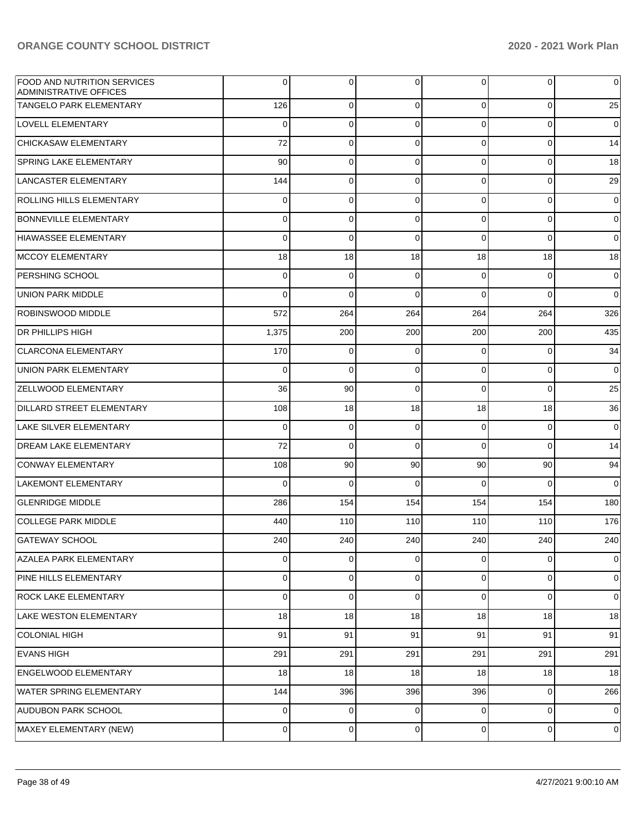| <b>FOOD AND NUTRITION SERVICES</b><br><b>ADMINISTRATIVE OFFICES</b> | 0           | 0           | 0           | 0              | $\overline{0}$ | $\overline{0}$ |
|---------------------------------------------------------------------|-------------|-------------|-------------|----------------|----------------|----------------|
| TANGELO PARK ELEMENTARY                                             | 126         | 0           | $\mathbf 0$ | $\mathbf 0$    | $\mathbf 0$    | 25             |
| <b>LOVELL ELEMENTARY</b>                                            | 0           | $\mathbf 0$ | $\mathbf 0$ | $\mathbf 0$    | $\mathbf{0}$   | $\overline{0}$ |
| <b>CHICKASAW ELEMENTARY</b>                                         | 72          | $\mathbf 0$ | $\mathbf 0$ | 0              | $\mathbf 0$    | 14             |
| <b>SPRING LAKE ELEMENTARY</b>                                       | 90          | 0           | $\mathbf 0$ | 0              | $\mathbf 0$    | 18             |
| LANCASTER ELEMENTARY                                                | 144         | $\mathbf 0$ | $\mathbf 0$ | $\mathbf 0$    | $\mathbf 0$    | 29             |
| ROLLING HILLS ELEMENTARY                                            | 0           | 0           | $\mathbf 0$ | 0              | 0              | $\overline{0}$ |
| <b>BONNEVILLE ELEMENTARY</b>                                        | 0           | 0           | $\mathbf 0$ | 0              | $\mathbf 0$    | $\overline{0}$ |
| HIAWASSEE ELEMENTARY                                                | 0           | $\mathbf 0$ | $\mathbf 0$ | 0              | $\mathbf{0}$   | $\overline{0}$ |
| MCCOY ELEMENTARY                                                    | 18          | 18          | 18          | 18             | 18             | 18             |
| <b>PERSHING SCHOOL</b>                                              | 0           | 0           | $\mathbf 0$ | 0              | 0              | $\overline{0}$ |
| UNION PARK MIDDLE                                                   | $\mathbf 0$ | $\mathbf 0$ | $\mathbf 0$ | $\Omega$       | $\mathbf 0$    | $\overline{0}$ |
| <b>ROBINSWOOD MIDDLE</b>                                            | 572         | 264         | 264         | 264            | 264            | 326            |
| <b>DR PHILLIPS HIGH</b>                                             | 1,375       | 200         | 200         | 200            | 200            | 435            |
| <b>CLARCONA ELEMENTARY</b>                                          | 170         | 0           | $\mathbf 0$ | $\Omega$       | $\overline{0}$ | 34             |
| UNION PARK ELEMENTARY                                               | 0           | $\mathbf 0$ | $\mathbf 0$ | $\mathbf 0$    | $\mathbf 0$    | $\overline{0}$ |
| <b>ZELLWOOD ELEMENTARY</b>                                          | 36          | 90          | $\mathbf 0$ | $\Omega$       | $\mathbf 0$    | 25             |
| DILLARD STREET ELEMENTARY                                           | 108         | 18          | 18          | 18             | 18             | 36             |
| <b>LAKE SILVER ELEMENTARY</b>                                       | 0           | $\mathbf 0$ | $\mathbf 0$ | 0              | 0              | $\overline{0}$ |
| <b>DREAM LAKE ELEMENTARY</b>                                        | 72          | $\mathbf 0$ | $\mathbf 0$ | $\Omega$       | $\mathbf 0$    | 14             |
| CONWAY ELEMENTARY                                                   | 108         | 90          | 90          | 90             | 90             | 94             |
| LAKEMONT ELEMENTARY                                                 | 0           | $\mathbf 0$ | $\mathbf 0$ | $\Omega$       | $\mathbf 0$    | $\overline{0}$ |
| <b>GLENRIDGE MIDDLE</b>                                             | 286         | 154         | 154         | 154            | 154            | 180            |
| <b>COLLEGE PARK MIDDLE</b>                                          | 440         | 110         | 110         | 110            | 110            | 176            |
| <b>GATEWAY SCHOOL</b>                                               | 240         | 240         | 240         | 240            | 240            | 240            |
| AZALEA PARK ELEMENTARY                                              | 0           | 0           | $\mathbf 0$ | 0              | $\mathbf 0$    | $\overline{0}$ |
| PINE HILLS ELEMENTARY                                               | 0           | 0           | 0           | 0              | $\mathbf 0$    | $\overline{0}$ |
| <b>ROCK LAKE ELEMENTARY</b>                                         | 0           | $\mathbf 0$ | $\mathbf 0$ | 0              | $\mathbf 0$    | $\mathbf 0$    |
| LAKE WESTON ELEMENTARY                                              | 18          | 18          | 18          | 18             | 18             | 18             |
| <b>COLONIAL HIGH</b>                                                | 91          | 91          | 91          | 91             | 91             | 91             |
| <b>EVANS HIGH</b>                                                   | 291         | 291         | 291         | 291            | 291            | 291            |
| <b>ENGELWOOD ELEMENTARY</b>                                         | 18          | 18          | 18          | 18             | 18             | 18             |
| <b>WATER SPRING ELEMENTARY</b>                                      | 144         | 396         | 396         | 396            | $\mathbf 0$    | 266            |
| <b>AUDUBON PARK SCHOOL</b>                                          | 0           | 0           | $\mathbf 0$ | 0              | $\mathbf 0$    | $\mathbf 0$    |
| MAXEY ELEMENTARY (NEW)                                              | $\mathbf 0$ | 0           | 0           | $\overline{0}$ | $\overline{0}$ | $\mathbf 0$    |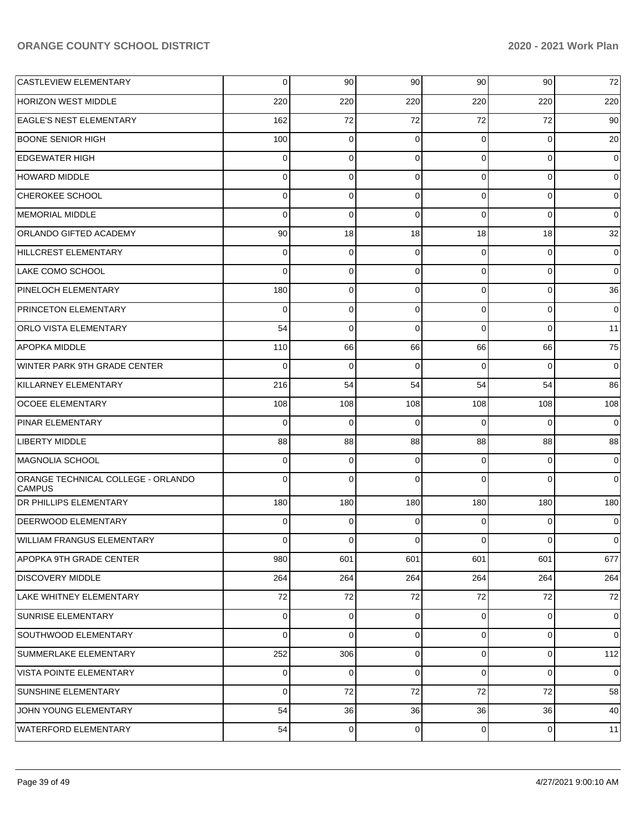| <b>CASTLEVIEW ELEMENTARY</b>                        | 0           | 90          | 90             | 90             | 90          | $72\,$         |
|-----------------------------------------------------|-------------|-------------|----------------|----------------|-------------|----------------|
| HORIZON WEST MIDDLE                                 | 220         | 220         | 220            | 220            | 220         | 220            |
| <b>EAGLE'S NEST ELEMENTARY</b>                      | 162         | 72          | 72             | 72             | 72          | 90             |
| <b>BOONE SENIOR HIGH</b>                            | 100         | 0           | 0              | $\mathbf 0$    | 0           | 20             |
| <b>EDGEWATER HIGH</b>                               | 0           | 0           | $\mathbf 0$    | $\mathbf 0$    | 0           | 0              |
| <b>HOWARD MIDDLE</b>                                | 0           | 0           | $\mathbf 0$    | $\mathbf 0$    | 0           | 0              |
| CHEROKEE SCHOOL                                     | 0           | 0           | $\Omega$       | $\mathbf 0$    | 0           | 0              |
| MEMORIAL MIDDLE                                     | 0           | 0           | $\Omega$       | $\Omega$       | 0           | 0              |
| ORLANDO GIFTED ACADEMY                              | 90          | 18          | 18             | 18             | 18          | 32             |
| HILLCREST ELEMENTARY                                | 0           | 0           | 0              | $\mathbf 0$    | 0           | 0              |
| LAKE COMO SCHOOL                                    | 0           | 0           | $\Omega$       | $\mathbf 0$    | 0           | $\mathbf 0$    |
| PINELOCH ELEMENTARY                                 | 180         | 0           | $\mathbf 0$    | $\mathbf 0$    | 0           | 36             |
| <b>PRINCETON ELEMENTARY</b>                         | 0           | 0           | $\mathbf 0$    | $\mathbf 0$    | 0           | 0              |
| <b>ORLO VISTA ELEMENTARY</b>                        | 54          | 0           | $\Omega$       | $\Omega$       | 0           | 11             |
| <b>APOPKA MIDDLE</b>                                | 110         | 66          | 66             | 66             | 66          | 75             |
| WINTER PARK 9TH GRADE CENTER                        | 0           | 0           | $\Omega$       | $\Omega$       | $\Omega$    | $\mathbf 0$    |
| KILLARNEY ELEMENTARY                                | 216         | 54          | 54             | 54             | 54          | 86             |
| <b>OCOEE ELEMENTARY</b>                             | 108         | 108         | 108            | 108            | 108         | 108            |
| PINAR ELEMENTARY                                    | 0           | 0           | $\Omega$       | $\Omega$       | $\Omega$    | 0              |
| <b>LIBERTY MIDDLE</b>                               | 88          | 88          | 88             | 88             | 88          | 88             |
| MAGNOLIA SCHOOL                                     | 0           | 0           | $\Omega$       | $\Omega$       | 0           | 0              |
| ORANGE TECHNICAL COLLEGE - ORLANDO<br><b>CAMPUS</b> | 0           | 0           | $\Omega$       | $\Omega$       | $\Omega$    | 0              |
| <b>DR PHILLIPS ELEMENTARY</b>                       | 180         | 180         | 180            | 180            | 180         | 180            |
| DEERWOOD ELEMENTARY                                 | 0           | $\Omega$    | $\Omega$       | $\Omega$       | 0           | 0              |
| WILLIAM FRANGUS ELEMENTARY                          | 0           | 0           | 0              | $\Omega$       | 0           | 0              |
| APOPKA 9TH GRADE CENTER                             | 980         | 601         | 601            | 601            | 601         | 677            |
| <b>DISCOVERY MIDDLE</b>                             | 264         | 264         | 264            | 264            | 264         | 264            |
| <b>LAKE WHITNEY ELEMENTARY</b>                      | $72\,$      | 72          | 72             | 72             | 72          | 72             |
| SUNRISE ELEMENTARY                                  | $\mathbf 0$ | 0           | $\mathbf 0$    | $\overline{0}$ | $\mathbf 0$ | $\mathbf 0$    |
| SOUTHWOOD ELEMENTARY                                | 0           | 0           | $\mathbf 0$    | $\overline{0}$ | $\mathbf 0$ | 0              |
| SUMMERLAKE ELEMENTARY                               | 252         | 306         | $\overline{0}$ | $\overline{0}$ | $\mathbf 0$ | 112            |
| <b>VISTA POINTE ELEMENTARY</b>                      | 0           | 0           | $\mathbf 0$    | $\mathbf 0$    | 0           | $\overline{0}$ |
| SUNSHINE ELEMENTARY                                 | $\mathbf 0$ | 72          | 72             | 72             | $72\,$      | 58             |
| JOHN YOUNG ELEMENTARY                               | 54          | 36          | 36             | 36             | 36          | 40             |
| WATERFORD ELEMENTARY                                | 54          | $\mathbf 0$ | $\mathbf 0$    | $\overline{0}$ | $\circ$     | 11             |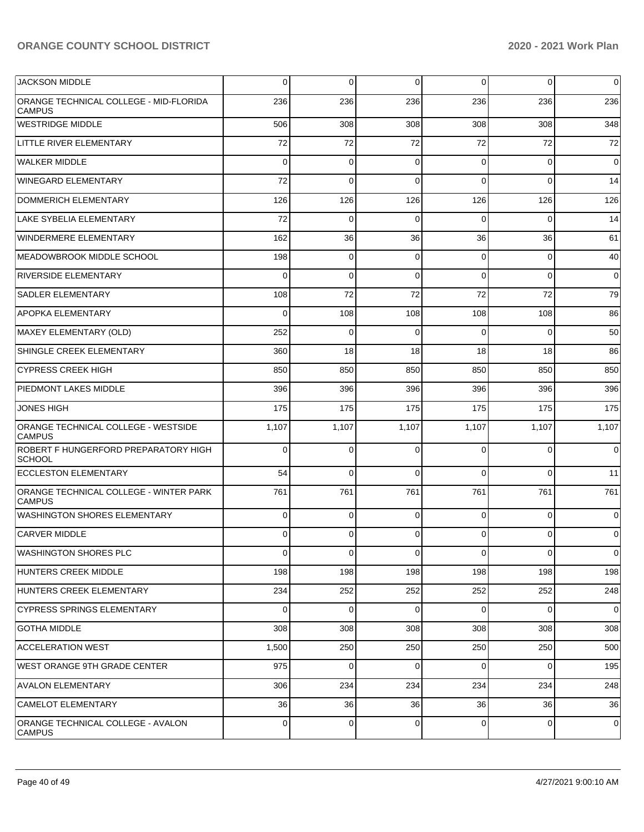| <b>JACKSON MIDDLE</b>                                   | 0           | 0        | $\mathbf 0$    | 0              | $\overline{0}$ | $\overline{0}$ |
|---------------------------------------------------------|-------------|----------|----------------|----------------|----------------|----------------|
| ORANGE TECHNICAL COLLEGE - MID-FLORIDA<br><b>CAMPUS</b> | 236         | 236      | 236            | 236            | 236            | 236            |
| WESTRIDGE MIDDLE                                        | 506         | 308      | 308            | 308            | 308            | 348            |
| LITTLE RIVER ELEMENTARY                                 | 72          | 72       | 72             | 72             | 72             | 72             |
| <b>WALKER MIDDLE</b>                                    | $\Omega$    | $\Omega$ | $\Omega$       | $\Omega$       | $\overline{0}$ | $\overline{0}$ |
| <b>WINEGARD ELEMENTARY</b>                              | 72          | $\Omega$ | $\Omega$       | $\Omega$       | $\Omega$       | 14             |
| <b>DOMMERICH ELEMENTARY</b>                             | 126         | 126      | 126            | 126            | 126            | 126            |
| LAKE SYBELIA ELEMENTARY                                 | 72          | $\Omega$ | $\Omega$       | $\Omega$       | $\Omega$       | 14             |
| <b>WINDERMERE ELEMENTARY</b>                            | 162         | 36       | 36             | 36             | 36             | 61             |
| MEADOWBROOK MIDDLE SCHOOL                               | 198         | $\Omega$ | $\Omega$       | $\Omega$       | $\overline{0}$ | 40             |
| <b>RIVERSIDE ELEMENTARY</b>                             | $\Omega$    | $\Omega$ | $\Omega$       | $\Omega$       | $\Omega$       | $\overline{0}$ |
| <b>SADLER ELEMENTARY</b>                                | 108         | 72       | 72             | 72             | 72             | 79             |
| APOPKA ELEMENTARY                                       | $\Omega$    | 108      | 108            | 108            | 108            | 86             |
| MAXEY ELEMENTARY (OLD)                                  | 252         | $\Omega$ | $\Omega$       | $\Omega$       | $\Omega$       | 50             |
| SHINGLE CREEK ELEMENTARY                                | 360         | 18       | 18             | 18             | 18             | 86             |
| <b>CYPRESS CREEK HIGH</b>                               | 850         | 850      | 850            | 850            | 850            | 850            |
| <b>PIEDMONT LAKES MIDDLE</b>                            | 396         | 396      | 396            | 396            | 396            | 396            |
| JONES HIGH                                              | 175         | 175      | 175            | 175            | 175            | 175            |
| ORANGE TECHNICAL COLLEGE - WESTSIDE<br><b>CAMPUS</b>    | 1,107       | 1,107    | 1,107          | 1,107          | 1,107          | 1,107          |
| ROBERT F HUNGERFORD PREPARATORY HIGH<br><b>SCHOOL</b>   | $\Omega$    | $\Omega$ | $\Omega$       | $\Omega$       | $\Omega$       | $\overline{0}$ |
| <b>ECCLESTON ELEMENTARY</b>                             | 54          | $\Omega$ | $\Omega$       | 0              | $\Omega$       | 11             |
| ORANGE TECHNICAL COLLEGE - WINTER PARK<br><b>CAMPUS</b> | 761         | 761      | 761            | 761            | 761            | 761            |
| <b>WASHINGTON SHORES ELEMENTARY</b>                     | $\mathbf 0$ | $\Omega$ | $\Omega$       | $\Omega$       | $\overline{0}$ | $\overline{0}$ |
| <b>CARVER MIDDLE</b>                                    | $\Omega$    | 0        | $\Omega$       | $\Omega$       | $\overline{0}$ | $\overline{0}$ |
| <b>WASHINGTON SHORES PLC</b>                            | 0           | 0        | $\overline{0}$ | $\overline{0}$ | $\overline{0}$ | $\overline{0}$ |
| HUNTERS CREEK MIDDLE                                    | 198         | 198      | 198            | 198            | 198            | 198            |
| HUNTERS CREEK ELEMENTARY                                | 234         | 252      | 252            | 252            | 252            | 248            |
| <b>CYPRESS SPRINGS ELEMENTARY</b>                       | 0           | 0        | $\Omega$       | $\Omega$       | $\overline{0}$ | $\overline{0}$ |
| <b>GOTHA MIDDLE</b>                                     | 308         | 308      | 308            | 308            | 308            | 308            |
| <b>ACCELERATION WEST</b>                                | 1,500       | 250      | 250            | 250            | 250            | 500            |
| <b>WEST ORANGE 9TH GRADE CENTER</b>                     | 975         | 0        | $\Omega$       | 0              | $\overline{0}$ | 195            |
| <b>AVALON ELEMENTARY</b>                                | 306         | 234      | 234            | 234            | 234            | 248            |
| <b>CAMELOT ELEMENTARY</b>                               | 36          | 36       | 36             | 36             | 36             | 36             |
| ORANGE TECHNICAL COLLEGE - AVALON<br><b>CAMPUS</b>      | 0           | 0        | 0              | 0              | $\overline{0}$ | $\mathbf 0$    |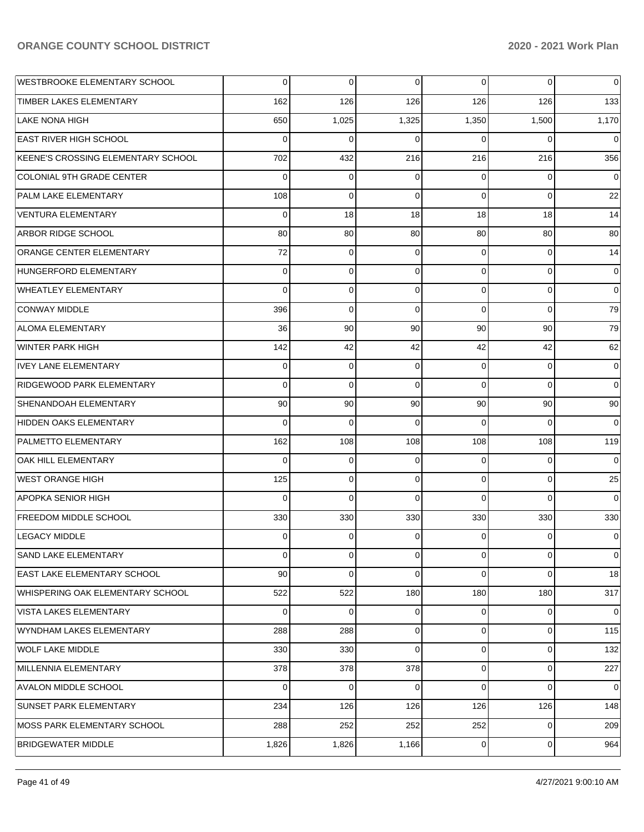| WESTBROOKE ELEMENTARY SCHOOL       | 0           | $\overline{0}$ | 0              | $\overline{0}$ | 0           | 0           |
|------------------------------------|-------------|----------------|----------------|----------------|-------------|-------------|
| TIMBER LAKES ELEMENTARY            | 162         | 126            | 126            | 126            | 126         | 133         |
| LAKE NONA HIGH                     | 650         | 1,025          | 1,325          | 1,350          | 1,500       | 1,170       |
| <b>EAST RIVER HIGH SCHOOL</b>      | $\Omega$    | $\Omega$       | $\Omega$       | $\Omega$       | $\Omega$    | $\Omega$    |
| KEENE'S CROSSING ELEMENTARY SCHOOL | 702         | 432            | 216            | 216            | 216         | 356         |
| COLONIAL 9TH GRADE CENTER          | $\Omega$    | $\mathbf 0$    | $\Omega$       | $\Omega$       | 0           | $\Omega$    |
| <b>PALM LAKE ELEMENTARY</b>        | 108         | $\Omega$       | $\Omega$       | $\Omega$       | 0           | 22          |
| <b>VENTURA ELEMENTARY</b>          | $\mathbf 0$ | 18             | 18             | 18             | 18          | 14          |
| <b>ARBOR RIDGE SCHOOL</b>          | 80          | 80             | 80             | 80             | 80          | 80          |
| <b>ORANGE CENTER ELEMENTARY</b>    | 72          | $\mathbf 0$    | $\Omega$       | $\Omega$       | $\mathbf 0$ | 14          |
| HUNGERFORD ELEMENTARY              | 0           | 0              | $\Omega$       | $\Omega$       | 0           | $\mathbf 0$ |
| <b>WHEATLEY ELEMENTARY</b>         | 0           | 0              | $\Omega$       | $\Omega$       | $\mathbf 0$ | $\mathbf 0$ |
| <b>CONWAY MIDDLE</b>               | 396         | $\Omega$       | $\Omega$       | $\Omega$       | $\Omega$    | 79          |
| <b>ALOMA ELEMENTARY</b>            | 36          | 90             | 90             | 90             | 90          | 79          |
| <b>WINTER PARK HIGH</b>            | 142         | 42             | 42             | 42             | 42          | 62          |
| <b>IVEY LANE ELEMENTARY</b>        | 0           | $\mathbf 0$    | $\Omega$       | $\Omega$       | $\mathbf 0$ | $\mathbf 0$ |
| RIDGEWOOD PARK ELEMENTARY          | $\Omega$    | $\Omega$       | $\Omega$       | $\Omega$       | $\Omega$    | $\Omega$    |
| <b>SHENANDOAH ELEMENTARY</b>       | 90          | 90             | 90             | 90             | 90          | 90          |
| HIDDEN OAKS ELEMENTARY             | 0           | $\Omega$       | $\Omega$       | $\Omega$       | $\Omega$    | $\Omega$    |
| <b>PALMETTO ELEMENTARY</b>         | 162         | 108            | 108            | 108            | 108         | 119         |
| <b>OAK HILL ELEMENTARY</b>         | $\Omega$    | 0              | $\Omega$       | $\Omega$       | 0           | $\Omega$    |
| <b>WEST ORANGE HIGH</b>            | 125         | 0              | $\Omega$       | $\Omega$       | $\mathbf 0$ | 25          |
| <b>APOPKA SENIOR HIGH</b>          | 0           | $\Omega$       | $\Omega$       | $\Omega$       | $\Omega$    | $\Omega$    |
| FREEDOM MIDDLE SCHOOL              | 330         | 330            | 330            | 330            | 330         | 330         |
| <b>LEGACY MIDDLE</b>               | 0           | 0              | $\Omega$       | $\Omega$       | 0           | $\mathbf 0$ |
| SAND LAKE ELEMENTARY               | $\mathbf 0$ | $\overline{0}$ | $\overline{0}$ | $\overline{0}$ | $\mathbf 0$ | $\mathbf 0$ |
| <b>EAST LAKE ELEMENTARY SCHOOL</b> | 90          | $\Omega$       | $\Omega$       | $\Omega$       | 0           | 18          |
| WHISPERING OAK ELEMENTARY SCHOOL   | 522         | 522            | 180            | 180            | 180         | 317         |
| VISTA LAKES ELEMENTARY             | $\Omega$    | $\Omega$       | $\Omega$       | $\Omega$       | $\mathbf 0$ | $\Omega$    |
| WYNDHAM LAKES ELEMENTARY           | 288         | 288            | $\Omega$       | $\Omega$       | $\mathbf 0$ | 115         |
| <b>WOLF LAKE MIDDLE</b>            | 330         | 330            | $\Omega$       | $\Omega$       | 0           | 132         |
| MILLENNIA ELEMENTARY               | 378         | 378            | 378            | $\Omega$       | 0           | 227         |
| <b>AVALON MIDDLE SCHOOL</b>        | $\Omega$    | $\Omega$       | $\Omega$       | $\Omega$       | 0           | $\Omega$    |
| SUNSET PARK ELEMENTARY             | 234         | 126            | 126            | 126            | 126         | 148         |
| MOSS PARK ELEMENTARY SCHOOL        | 288         | 252            | 252            | 252            | $\mathbf 0$ | 209         |
| <b>BRIDGEWATER MIDDLE</b>          | 1,826       | 1,826          | 1,166          | $\overline{0}$ | $\mathbf 0$ | 964         |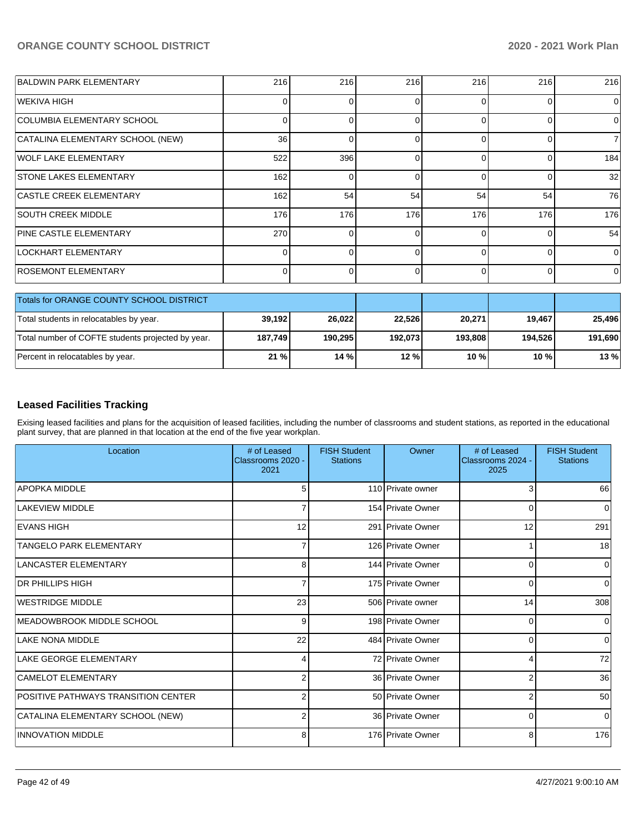| <b>BALDWIN PARK ELEMENTARY</b>                    | 216             | 216      | 216     | 216      | 216      | 216         |
|---------------------------------------------------|-----------------|----------|---------|----------|----------|-------------|
| <b>WEKIVA HIGH</b>                                | 0               | $\Omega$ | 0       | ſ        | 0        | $\Omega$    |
| COLUMBIA ELEMENTARY SCHOOL                        | 0               | 0        | 0       | 0        | 0        | $\mathbf 0$ |
| CATALINA ELEMENTARY SCHOOL (NEW)                  | 36 <sup>1</sup> | $\Omega$ | 0       | $\Omega$ | $\Omega$ | 7           |
| <b>WOLF LAKE ELEMENTARY</b>                       | 522             | 396      | 0       | 0        | 0        | 184         |
| <b>STONE LAKES ELEMENTARY</b>                     | 162             | $\Omega$ | 0       | ∩        | $\Omega$ | 32          |
| <b>CASTLE CREEK ELEMENTARY</b>                    | 162             | 54       | 54      | 54       | 54       | 76          |
| <b>SOUTH CREEK MIDDLE</b>                         | 176             | 176      | 176     | 176      | 176      | 176         |
| PINE CASTLE ELEMENTARY                            | 270             | $\Omega$ | 0       |          |          | 54          |
| <b>LOCKHART ELEMENTARY</b>                        | $\overline{0}$  | $\Omega$ | 0       | $\Omega$ | 0        | $\mathbf 0$ |
| <b>ROSEMONT ELEMENTARY</b>                        | $\Omega$        | 0        | 0       | $\Omega$ | 0        | 0           |
| Totals for ORANGE COUNTY SCHOOL DISTRICT          |                 |          |         |          |          |             |
| Total students in relocatables by year.           | 39,192          | 26,022   | 22,526  | 20,271   | 19,467   | 25,496      |
| Total number of COFTE students projected by year. | 187,749         | 190,295  | 192,073 | 193,808  | 194,526  | 191,690     |
| Percent in relocatables by year.                  | 21 %            | 14 %     | 12 %    | 10 %     | 10 %     | 13%         |

## **Leased Facilities Tracking**

Exising leased facilities and plans for the acquisition of leased facilities, including the number of classrooms and student stations, as reported in the educational plant survey, that are planned in that location at the end of the five year workplan.

| Location                            | # of Leased<br>Classrooms 2020 -<br>2021 | <b>FISH Student</b><br><b>Stations</b> | Owner             | # of Leased<br>Classrooms 2024 -<br>2025 | <b>FISH Student</b><br><b>Stations</b> |
|-------------------------------------|------------------------------------------|----------------------------------------|-------------------|------------------------------------------|----------------------------------------|
| <b>APOPKA MIDDLE</b>                | 5                                        |                                        | 110 Private owner | 3                                        | 66                                     |
| <b>LAKEVIEW MIDDLE</b>              |                                          |                                        | 154 Private Owner | 0                                        | $\Omega$                               |
| <b>IEVANS HIGH</b>                  | 12                                       |                                        | 291 Private Owner | 12                                       | 291                                    |
| TANGELO PARK ELEMENTARY             | 7                                        |                                        | 126 Private Owner |                                          | 18                                     |
| <b>LANCASTER ELEMENTARY</b>         | 8                                        |                                        | 144 Private Owner | 0                                        | 0                                      |
| <b>DR PHILLIPS HIGH</b>             | 7                                        |                                        | 175 Private Owner | $\Omega$                                 | 0                                      |
| <b>WESTRIDGE MIDDLE</b>             | 23                                       |                                        | 506 Private owner | 14                                       | 308                                    |
| MEADOWBROOK MIDDLE SCHOOL           | 9                                        |                                        | 198 Private Owner | 0                                        | 0                                      |
| <b>LAKE NONA MIDDLE</b>             | 22                                       |                                        | 484 Private Owner | 0                                        | $\Omega$                               |
| <b>LAKE GEORGE ELEMENTARY</b>       | 4                                        |                                        | 72 Private Owner  | 4                                        | 72                                     |
| <b>CAMELOT ELEMENTARY</b>           | 2                                        |                                        | 36 Private Owner  | 2                                        | 36                                     |
| POSITIVE PATHWAYS TRANSITION CENTER | $\overline{2}$                           |                                        | 50 Private Owner  | $\overline{2}$                           | 50                                     |
| CATALINA ELEMENTARY SCHOOL (NEW)    | 2                                        |                                        | 36 Private Owner  | $\Omega$                                 | $\Omega$                               |
| <b>INNOVATION MIDDLE</b>            | 8                                        |                                        | 176 Private Owner | 8                                        | 176                                    |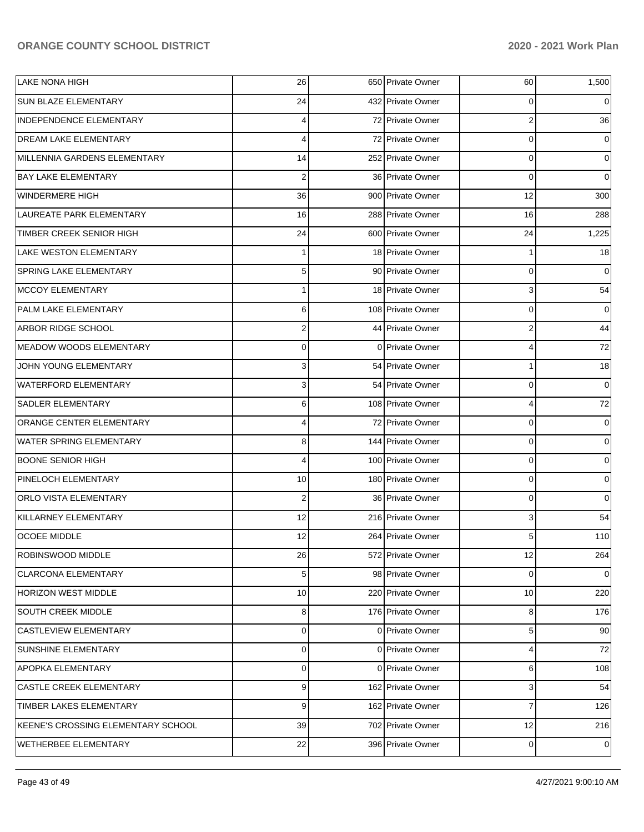| <b>LAKE NONA HIGH</b>              | 26               | 650 Private Owner | 60             | 1,500       |
|------------------------------------|------------------|-------------------|----------------|-------------|
| <b>SUN BLAZE ELEMENTARY</b>        | 24               | 432 Private Owner | 0              | 0           |
| INDEPENDENCE ELEMENTARY            | 4                | 72 Private Owner  | 2              | 36          |
| <b>DREAM LAKE ELEMENTARY</b>       | 4                | 72 Private Owner  | 0              | 0           |
| MILLENNIA GARDENS ELEMENTARY       | 14               | 252 Private Owner | $\mathbf 0$    | $\mathbf 0$ |
| <b>BAY LAKE ELEMENTARY</b>         | $\overline{2}$   | 36 Private Owner  | $\mathbf 0$    | $\mathbf 0$ |
| <b>WINDERMERE HIGH</b>             | 36               | 900 Private Owner | 12             | 300         |
| LAUREATE PARK ELEMENTARY           | 16               | 288 Private Owner | 16             | 288         |
| TIMBER CREEK SENIOR HIGH           | 24               | 600 Private Owner | 24             | 1,225       |
| <b>LAKE WESTON ELEMENTARY</b>      | 1                | 18 Private Owner  | 1              | 18          |
| SPRING LAKE ELEMENTARY             | 5                | 90 Private Owner  | 0              | $\Omega$    |
| <b>MCCOY ELEMENTARY</b>            | 1                | 18 Private Owner  | 3              | 54          |
| <b>PALM LAKE ELEMENTARY</b>        | 6                | 108 Private Owner | 0              | 0           |
| <b>ARBOR RIDGE SCHOOL</b>          | $\boldsymbol{2}$ | 44 Private Owner  | 2              | 44          |
| MEADOW WOODS ELEMENTARY            | 0                | 0 Private Owner   | 4              | 72          |
| JOHN YOUNG ELEMENTARY              | 3                | 54 Private Owner  | 1              | 18          |
| <b>WATERFORD ELEMENTARY</b>        | 3                | 54 Private Owner  | 0              | 0           |
| <b>SADLER ELEMENTARY</b>           | 6                | 108 Private Owner | 4              | $72\,$      |
| ORANGE CENTER ELEMENTARY           | 4                | 72 Private Owner  | 0              | 0           |
| <b>WATER SPRING ELEMENTARY</b>     | 8                | 144 Private Owner | 0              | 0           |
| <b>BOONE SENIOR HIGH</b>           | 4                | 100 Private Owner | 0              | 0           |
| PINELOCH ELEMENTARY                | 10               | 180 Private Owner | 0              | 0           |
| ORLO VISTA ELEMENTARY              | $\overline{c}$   | 36 Private Owner  | 0              | $\Omega$    |
| KILLARNEY ELEMENTARY               | 12               | 216 Private Owner | 3              | 54          |
| <b>OCOEE MIDDLE</b>                | 12               | 264 Private Owner | 5              | 110         |
| ROBINSWOOD MIDDLE                  | 26               | 572 Private Owner | 12             | 264         |
| <b>CLARCONA ELEMENTARY</b>         | 5                | 98 Private Owner  | 0              | 0           |
| <b>HORIZON WEST MIDDLE</b>         | 10               | 220 Private Owner | 10             | 220         |
| SOUTH CREEK MIDDLE                 | 8                | 176 Private Owner | 8              | 176         |
| <b>CASTLEVIEW ELEMENTARY</b>       | 0                | 0 Private Owner   | 5              | 90          |
| SUNSHINE ELEMENTARY                | $\mathbf 0$      | 0 Private Owner   | 4              | 72          |
| <b>APOPKA ELEMENTARY</b>           | 0                | 0 Private Owner   | 6              | 108         |
| <b>CASTLE CREEK ELEMENTARY</b>     | 9                | 162 Private Owner | 3              | 54          |
| TIMBER LAKES ELEMENTARY            | 9                | 162 Private Owner | $\overline{7}$ | 126         |
| KEENE'S CROSSING ELEMENTARY SCHOOL | 39               | 702 Private Owner | 12             | 216         |
| WETHERBEE ELEMENTARY               | 22               | 396 Private Owner | 0              | 0           |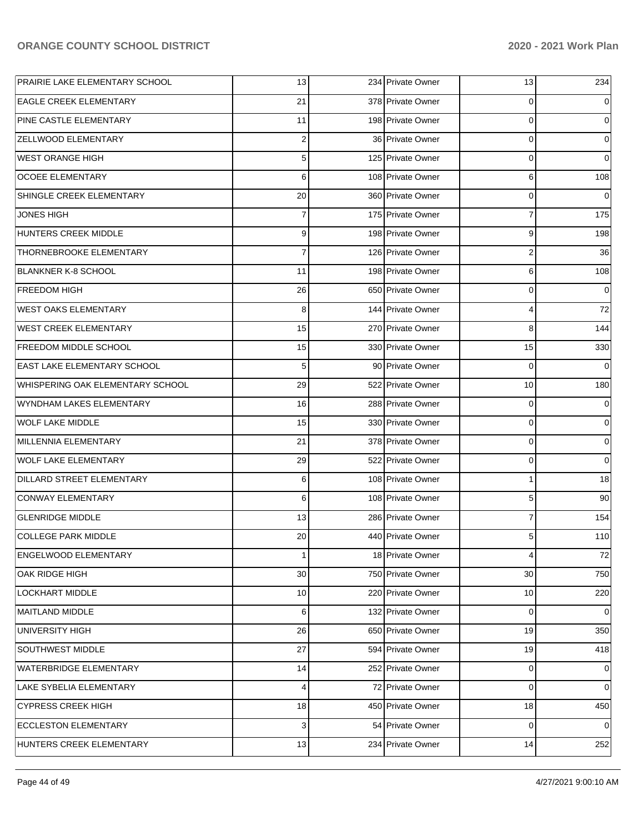| PRAIRIE LAKE ELEMENTARY SCHOOL     | 13               | 234 Private Owner | 13                      | 234         |
|------------------------------------|------------------|-------------------|-------------------------|-------------|
| <b>EAGLE CREEK ELEMENTARY</b>      | 21               | 378 Private Owner | 0                       | 0           |
| <b>PINE CASTLE ELEMENTARY</b>      | 11               | 198 Private Owner | $\mathbf 0$             | 0           |
| ZELLWOOD ELEMENTARY                | $\overline{2}$   | 36 Private Owner  | $\mathbf 0$             | 0           |
| <b>WEST ORANGE HIGH</b>            | 5 <sub>1</sub>   | 125 Private Owner | $\mathbf 0$             | 0           |
| <b>OCOEE ELEMENTARY</b>            | $6 \overline{6}$ | 108 Private Owner | 6                       | 108         |
| SHINGLE CREEK ELEMENTARY           | 20               | 360 Private Owner | $\mathbf 0$             | $\mathbf 0$ |
| JONES HIGH                         | $\overline{7}$   | 175 Private Owner | $\overline{7}$          | 175         |
| HUNTERS CREEK MIDDLE               | 9 <sub>l</sub>   | 198 Private Owner | 9                       | 198         |
| THORNEBROOKE ELEMENTARY            | $\overline{7}$   | 126 Private Owner | $\overline{\mathbf{c}}$ | 36          |
| <b>BLANKNER K-8 SCHOOL</b>         | 11               | 198 Private Owner | 6                       | 108         |
| <b>FREEDOM HIGH</b>                | 26               | 650 Private Owner | $\mathbf 0$             | $\mathbf 0$ |
| <b>WEST OAKS ELEMENTARY</b>        | 8                | 144 Private Owner | 4                       | 72          |
| <b>WEST CREEK ELEMENTARY</b>       | 15               | 270 Private Owner | 8                       | 144         |
| <b>FREEDOM MIDDLE SCHOOL</b>       | 15               | 330 Private Owner | 15                      | 330         |
| <b>EAST LAKE ELEMENTARY SCHOOL</b> | 5 <sup>5</sup>   | 90 Private Owner  | $\mathbf 0$             | 0           |
| WHISPERING OAK ELEMENTARY SCHOOL   | 29               | 522 Private Owner | 10                      | 180         |
| WYNDHAM LAKES ELEMENTARY           | 16               | 288 Private Owner | $\mathbf 0$             | 0           |
| <b>WOLF LAKE MIDDLE</b>            | 15               | 330 Private Owner | $\mathbf 0$             | 0           |
| MILLENNIA ELEMENTARY               | 21               | 378 Private Owner | $\mathbf 0$             | 0           |
| <b>WOLF LAKE ELEMENTARY</b>        | 29               | 522 Private Owner | $\mathbf 0$             | $\mathbf 0$ |
| DILLARD STREET ELEMENTARY          | $6 \overline{6}$ | 108 Private Owner | $\mathbf{1}$            | 18          |
| CONWAY ELEMENTARY                  | $6 \overline{6}$ | 108 Private Owner | 5                       | 90          |
| <b>GLENRIDGE MIDDLE</b>            | 13               | 286 Private Owner | $\overline{7}$          | 154         |
| <b>COLLEGE PARK MIDDLE</b>         | 20               | 440 Private Owner | 5                       | 110         |
| ENGELWOOD ELEMENTARY               | $\mathbf{1}$     | 18 Private Owner  | 4                       | 72          |
| OAK RIDGE HIGH                     | 30               | 750 Private Owner | 30                      | 750         |
| LOCKHART MIDDLE                    | 10               | 220 Private Owner | 10                      | 220         |
| <b>MAITLAND MIDDLE</b>             | $6 \overline{6}$ | 132 Private Owner | $\mathbf 0$             | 0           |
| <b>UNIVERSITY HIGH</b>             | 26               | 650 Private Owner | 19                      | 350         |
| SOUTHWEST MIDDLE                   | 27               | 594 Private Owner | 19                      | 418         |
| WATERBRIDGE ELEMENTARY             | 14               | 252 Private Owner | $\mathbf 0$             | 0           |
| LAKE SYBELIA ELEMENTARY            | $\overline{4}$   | 72 Private Owner  | $\mathbf 0$             | 0           |
| <b>CYPRESS CREEK HIGH</b>          | 18               | 450 Private Owner | 18                      | 450         |
| <b>ECCLESTON ELEMENTARY</b>        | 3 <sup>1</sup>   | 54 Private Owner  | $\mathbf 0$             | 0           |
| HUNTERS CREEK ELEMENTARY           | 13               | 234 Private Owner | 14                      | 252         |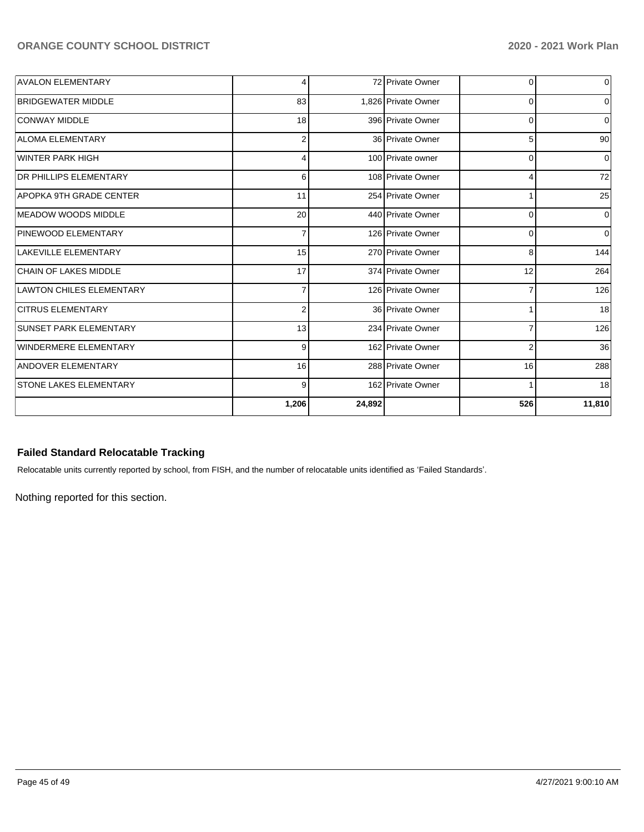| <b>AVALON ELEMENTARY</b>      | 4              |        | 72 Private Owner    | $\overline{0}$  | $\mathbf 0$ |
|-------------------------------|----------------|--------|---------------------|-----------------|-------------|
| <b>BRIDGEWATER MIDDLE</b>     | 83             |        | 1.826 Private Owner | $\overline{0}$  | 0           |
| <b>CONWAY MIDDLE</b>          | 18             |        | 396 Private Owner   | $\overline{0}$  | 0           |
| <b>ALOMA ELEMENTARY</b>       | 2              |        | 36 Private Owner    | 5               | 90          |
| <b>WINTER PARK HIGH</b>       | 4              |        | 100 Private owner   | $\mathbf 0$     | $\Omega$    |
| <b>DR PHILLIPS ELEMENTARY</b> | 6              |        | 108 Private Owner   | 4               | 72          |
| APOPKA 9TH GRADE CENTER       | 11             |        | 254 Private Owner   | 1               | 25          |
| <b>IMEADOW WOODS MIDDLE</b>   | 20             |        | 440 Private Owner   | 0               | $\Omega$    |
| PINEWOOD ELEMENTARY           | $\overline{7}$ |        | 126 Private Owner   | 0               | $\mathbf 0$ |
| LAKEVILLE ELEMENTARY          | 15             |        | 270 Private Owner   | 8               | 144         |
| <b>CHAIN OF LAKES MIDDLE</b>  | 17             |        | 374 Private Owner   | 12              | 264         |
| LAWTON CHILES ELEMENTARY      |                |        | 126 Private Owner   | $\overline{7}$  | 126         |
| <b>CITRUS ELEMENTARY</b>      | $\overline{2}$ |        | 36 Private Owner    | 1               | 18          |
| <b>SUNSET PARK ELEMENTARY</b> | 13             |        | 234 Private Owner   | $\overline{7}$  | 126         |
| <b>WINDERMERE ELEMENTARY</b>  | 9              |        | 162 Private Owner   | $\overline{2}$  | 36          |
| ANDOVER ELEMENTARY            | 16             |        | 288 Private Owner   | 16 <sup>1</sup> | 288         |
| <b>STONE LAKES ELEMENTARY</b> | 9              |        | 162 Private Owner   | 1               | 18          |
|                               | 1,206          | 24,892 |                     | 526             | 11,810      |

### **Failed Standard Relocatable Tracking**

Relocatable units currently reported by school, from FISH, and the number of relocatable units identified as 'Failed Standards'.

Nothing reported for this section.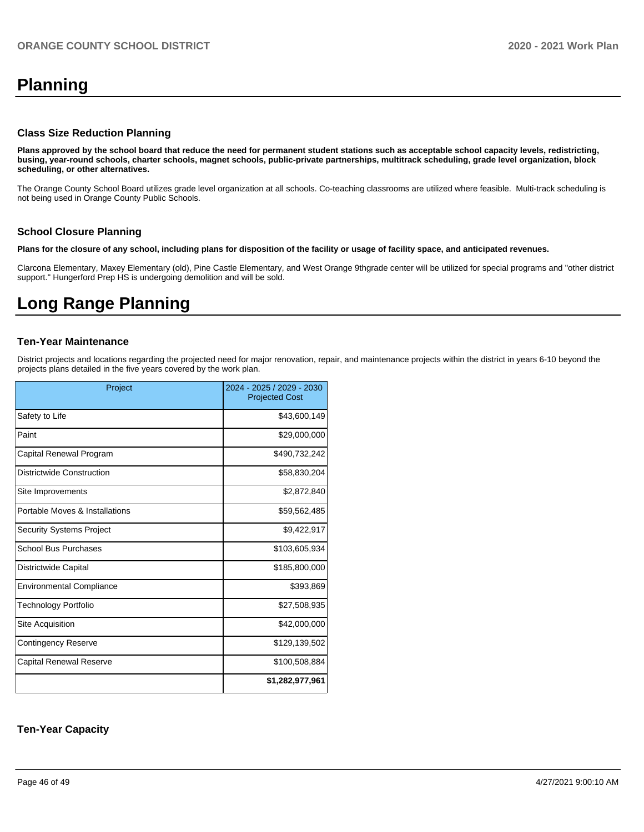# **Planning**

#### **Class Size Reduction Planning**

**Plans approved by the school board that reduce the need for permanent student stations such as acceptable school capacity levels, redistricting, busing, year-round schools, charter schools, magnet schools, public-private partnerships, multitrack scheduling, grade level organization, block scheduling, or other alternatives.**

The Orange County School Board utilizes grade level organization at all schools. Co-teaching classrooms are utilized where feasible. Multi-track scheduling is not being used in Orange County Public Schools.

#### **School Closure Planning**

**Plans for the closure of any school, including plans for disposition of the facility or usage of facility space, and anticipated revenues.** 

Clarcona Elementary, Maxey Elementary (old), Pine Castle Elementary, and West Orange 9thgrade center will be utilized for special programs and "other district support." Hungerford Prep HS is undergoing demolition and will be sold.

# **Long Range Planning**

#### **Ten-Year Maintenance**

District projects and locations regarding the projected need for major renovation, repair, and maintenance projects within the district in years 6-10 beyond the projects plans detailed in the five years covered by the work plan.

| Project                         | 2024 - 2025 / 2029 - 2030<br><b>Projected Cost</b> |
|---------------------------------|----------------------------------------------------|
| Safety to Life                  | \$43,600,149                                       |
| Paint                           | \$29,000,000                                       |
| Capital Renewal Program         | \$490,732,242                                      |
| Districtwide Construction       | \$58,830,204                                       |
| Site Improvements               | \$2,872,840                                        |
| Portable Moves & Installations  | \$59,562,485                                       |
| <b>Security Systems Project</b> | \$9,422,917                                        |
| <b>School Bus Purchases</b>     | \$103,605,934                                      |
| Districtwide Capital            | \$185,800,000                                      |
| <b>Environmental Compliance</b> | \$393,869                                          |
| <b>Technology Portfolio</b>     | \$27,508,935                                       |
| Site Acquisition                | \$42,000,000                                       |
| <b>Contingency Reserve</b>      | \$129,139,502                                      |
| Capital Renewal Reserve         | \$100,508,884                                      |
|                                 | \$1,282,977,961                                    |

#### **Ten-Year Capacity**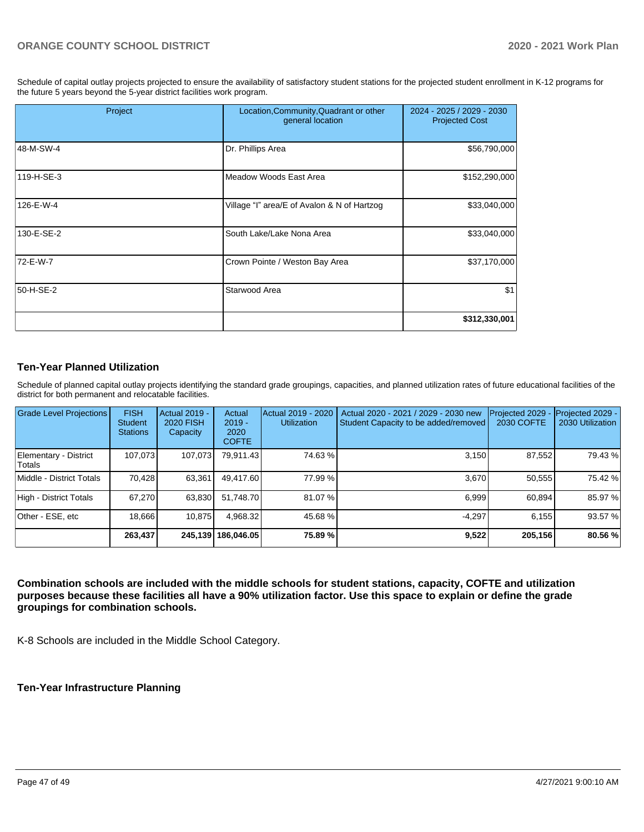Schedule of capital outlay projects projected to ensure the availability of satisfactory student stations for the projected student enrollment in K-12 programs for the future 5 years beyond the 5-year district facilities work program.

| Project    | Location, Community, Quadrant or other<br>general location | 2024 - 2025 / 2029 - 2030<br><b>Projected Cost</b> |  |
|------------|------------------------------------------------------------|----------------------------------------------------|--|
| 48-M-SW-4  | Dr. Phillips Area                                          | \$56,790,000                                       |  |
| 119-H-SE-3 | Meadow Woods East Area                                     | \$152,290,000                                      |  |
| 126-E-W-4  | Village "I" area/E of Avalon & N of Hartzog                | \$33,040,000                                       |  |
| 130-E-SE-2 | South Lake/Lake Nona Area                                  | \$33,040,000                                       |  |
| 72-E-W-7   | Crown Pointe / Weston Bay Area                             | \$37,170,000                                       |  |
| 50-H-SE-2  | Starwood Area                                              | \$1                                                |  |
|            |                                                            | \$312,330,001                                      |  |

### **Ten-Year Planned Utilization**

Schedule of planned capital outlay projects identifying the standard grade groupings, capacities, and planned utilization rates of future educational facilities of the district for both permanent and relocatable facilities.

| Grade Level Projections         | <b>FISH</b><br><b>Student</b><br><b>Stations</b> | <b>Actual 2019 -</b><br><b>2020 FISH</b><br>Capacity | Actual<br>$2019 -$<br>2020<br><b>COFTE</b> | Actual 2019 - 2020<br><b>Utilization</b> | Actual 2020 - 2021 / 2029 - 2030 new<br>Student Capacity to be added/removed | Projected 2029<br>2030 COFTE | Projected 2029 -<br>2030 Utilization |
|---------------------------------|--------------------------------------------------|------------------------------------------------------|--------------------------------------------|------------------------------------------|------------------------------------------------------------------------------|------------------------------|--------------------------------------|
| Elementary - District<br>Totals | 107.073                                          | 107,073                                              | 79,911.43                                  | 74.63 %                                  | 3.150                                                                        | 87,552                       | 79.43 %                              |
| Middle - District Totals        | 70.428                                           | 63.361                                               | 49,417.60                                  | 77.99 %                                  | 3.670                                                                        | 50.555                       | 75.42 %                              |
| High - District Totals          | 67.270                                           | 63,830                                               | 51.748.70                                  | 81.07%                                   | 6.999                                                                        | 60.894                       | 85.97 %                              |
| Other - ESE, etc                | 18,666                                           | 10,875                                               | 4,968.32                                   | 45.68 %                                  | $-4.297$                                                                     | 6.155                        | 93.57%                               |
|                                 | 263,437                                          |                                                      | 245,139 186,046.05                         | 75.89 %                                  | 9,522                                                                        | 205,156                      | 80.56 %                              |

**Combination schools are included with the middle schools for student stations, capacity, COFTE and utilization purposes because these facilities all have a 90% utilization factor. Use this space to explain or define the grade groupings for combination schools.** 

K-8 Schools are included in the Middle School Category.

#### **Ten-Year Infrastructure Planning**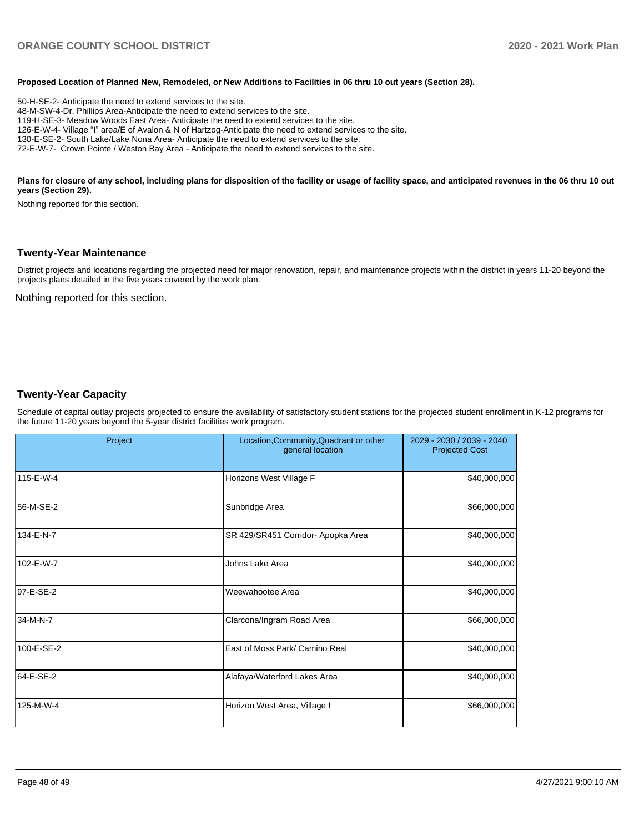#### **Proposed Location of Planned New, Remodeled, or New Additions to Facilities in 06 thru 10 out years (Section 28).**

50-H-SE-2- Anticipate the need to extend services to the site. 48-M-SW-4-Dr. Phillips Area-Anticipate the need to extend services to the site. 119-H-SE-3- Meadow Woods East Area- Anticipate the need to extend services to the site. 126-E-W-4- Village "I" area/E of Avalon & N of Hartzog-Anticipate the need to extend services to the site. 130-E-SE-2- South Lake/Lake Nona Area- Anticipate the need to extend services to the site. 72-E-W-7- Crown Pointe / Weston Bay Area - Anticipate the need to extend services to the site.

#### Plans for closure of any school, including plans for disposition of the facility or usage of facility space, and anticipated revenues in the 06 thru 10 out **years (Section 29).**

Nothing reported for this section.

#### **Twenty-Year Maintenance**

District projects and locations regarding the projected need for major renovation, repair, and maintenance projects within the district in years 11-20 beyond the projects plans detailed in the five years covered by the work plan.

Nothing reported for this section.

#### **Twenty-Year Capacity**

Schedule of capital outlay projects projected to ensure the availability of satisfactory student stations for the projected student enrollment in K-12 programs for the future 11-20 years beyond the 5-year district facilities work program.

|            | Project | Location, Community, Quadrant or other<br>general location | 2029 - 2030 / 2039 - 2040<br><b>Projected Cost</b> |  |
|------------|---------|------------------------------------------------------------|----------------------------------------------------|--|
| 115-E-W-4  |         | Horizons West Village F                                    | \$40,000,000                                       |  |
| 56-M-SE-2  |         | Sunbridge Area                                             | \$66,000,000                                       |  |
| 134-E-N-7  |         | SR 429/SR451 Corridor- Apopka Area                         | \$40,000,000                                       |  |
| 102-E-W-7  |         | Johns Lake Area                                            | \$40,000,000                                       |  |
| 97-E-SE-2  |         | Weewahootee Area                                           | \$40,000,000                                       |  |
| 34-M-N-7   |         | Clarcona/Ingram Road Area                                  | \$66,000,000                                       |  |
| 100-E-SE-2 |         | East of Moss Park/ Camino Real                             | \$40,000,000                                       |  |
| 64-E-SE-2  |         | Alafaya/Waterford Lakes Area                               | \$40,000,000                                       |  |
| 125-M-W-4  |         | Horizon West Area, Village I                               | \$66,000,000                                       |  |